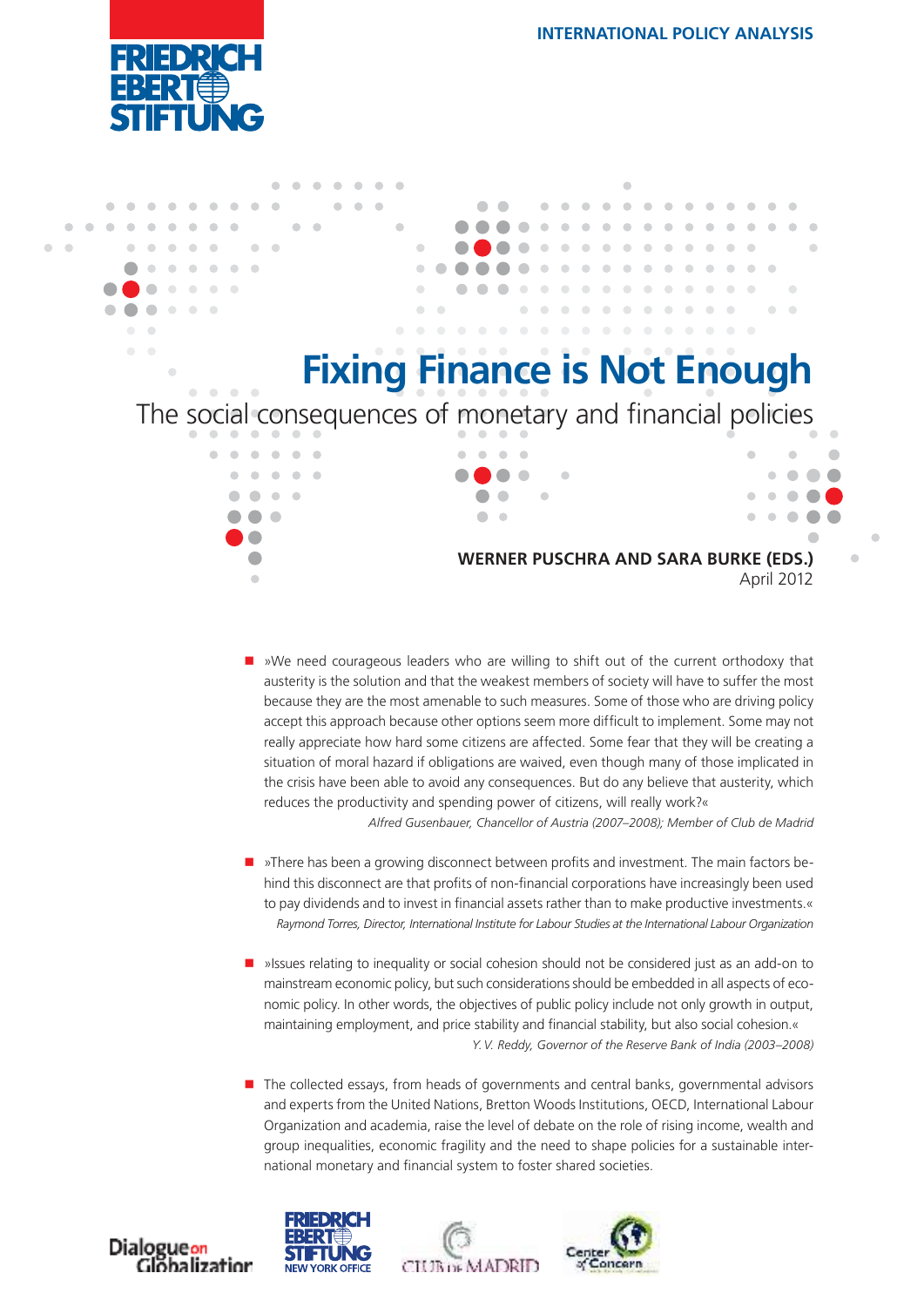



■ »We need courageous leaders who are willing to shift out of the current orthodoxy that austerity is the solution and that the weakest members of society will have to suffer the most because they are the most amenable to such measures. Some of those who are driving policy accept this approach because other options seem more dificult to implement. Some may not really appreciate how hard some citizens are affected. Some fear that they will be creating a situation of moral hazard if obligations are waived, even though many of those implicated in the crisis have been able to avoid any consequences. But do any believe that austerity, which reduces the productivity and spending power of citizens, will really work?«

*Alfred Gusenbauer, Chancellor of Austria (2007–2008); Member of Club de Madrid*

- **»There has been a growing disconnect between profits and investment. The main factors be**hind this disconnect are that profits of non-financial corporations have increasingly been used to pay dividends and to invest in financial assets rather than to make productive investments.« *Raymond Torres, Director, International Institute for Labour Studies at the International Labour Organization*
- **•** »Issues relating to inequality or social cohesion should not be considered just as an add-on to mainstream economic policy, but such considerations should be embedded in all aspects of economic policy. In other words, the objectives of public policy include not only growth in output, maintaining employment, and price stability and financial stability, but also social cohesion.« *Y. V. Reddy, Governor of the Reserve Bank of India (2003–2008)*
- **The collected essays, from heads of governments and central banks, governmental advisors** and experts from the United Nations, Bretton Woods Institutions, OECD, International Labour Organization and academia, raise the level of debate on the role of rising income, wealth and group inequalities, economic fragility and the need to shape policies for a sustainable international monetary and financial system to foster shared societies.







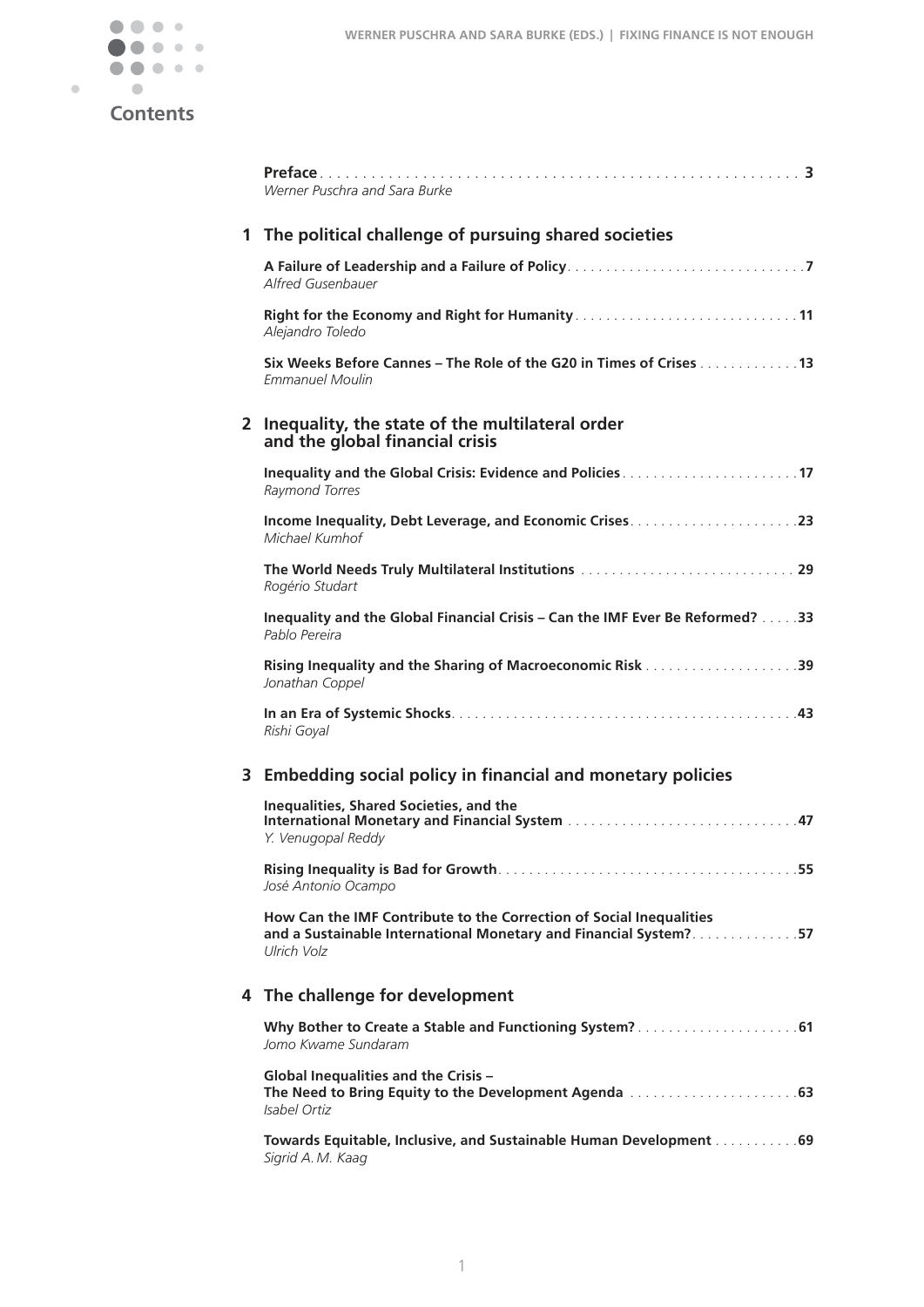

# **Contents**

|   | Werner Puschra and Sara Burke                                                                                                                          |  |  |
|---|--------------------------------------------------------------------------------------------------------------------------------------------------------|--|--|
| 1 | The political challenge of pursuing shared societies                                                                                                   |  |  |
|   | Alfred Gusenbauer                                                                                                                                      |  |  |
|   | Alejandro Toledo                                                                                                                                       |  |  |
|   | Six Weeks Before Cannes – The Role of the G20 in Times of Crises 13<br><i><b>Emmanuel Moulin</b></i>                                                   |  |  |
|   | 2 Inequality, the state of the multilateral order<br>and the global financial crisis                                                                   |  |  |
|   | Raymond Torres                                                                                                                                         |  |  |
|   | Michael Kumhof                                                                                                                                         |  |  |
|   | Rogério Studart                                                                                                                                        |  |  |
|   | Inequality and the Global Financial Crisis - Can the IMF Ever Be Reformed? 33<br>Pablo Pereira                                                         |  |  |
|   | Jonathan Coppel                                                                                                                                        |  |  |
|   | Rishi Goyal                                                                                                                                            |  |  |
|   | 3 Embedding social policy in financial and monetary policies                                                                                           |  |  |
|   | <b>Inequalities, Shared Societies, and the</b><br>Y. Venugopal Reddy                                                                                   |  |  |
|   | José Antonio Ocampo                                                                                                                                    |  |  |
|   | How Can the IMF Contribute to the Correction of Social Inequalities<br>and a Sustainable International Monetary and Financial System?57<br>Ulrich Volz |  |  |
| 4 | The challenge for development                                                                                                                          |  |  |
|   | Jomo Kwame Sundaram                                                                                                                                    |  |  |
|   | Global Inequalities and the Crisis -<br>Isabel Ortiz                                                                                                   |  |  |
|   | Towards Equitable, Inclusive, and Sustainable Human Development 69<br>Sigrid A. M. Kaag                                                                |  |  |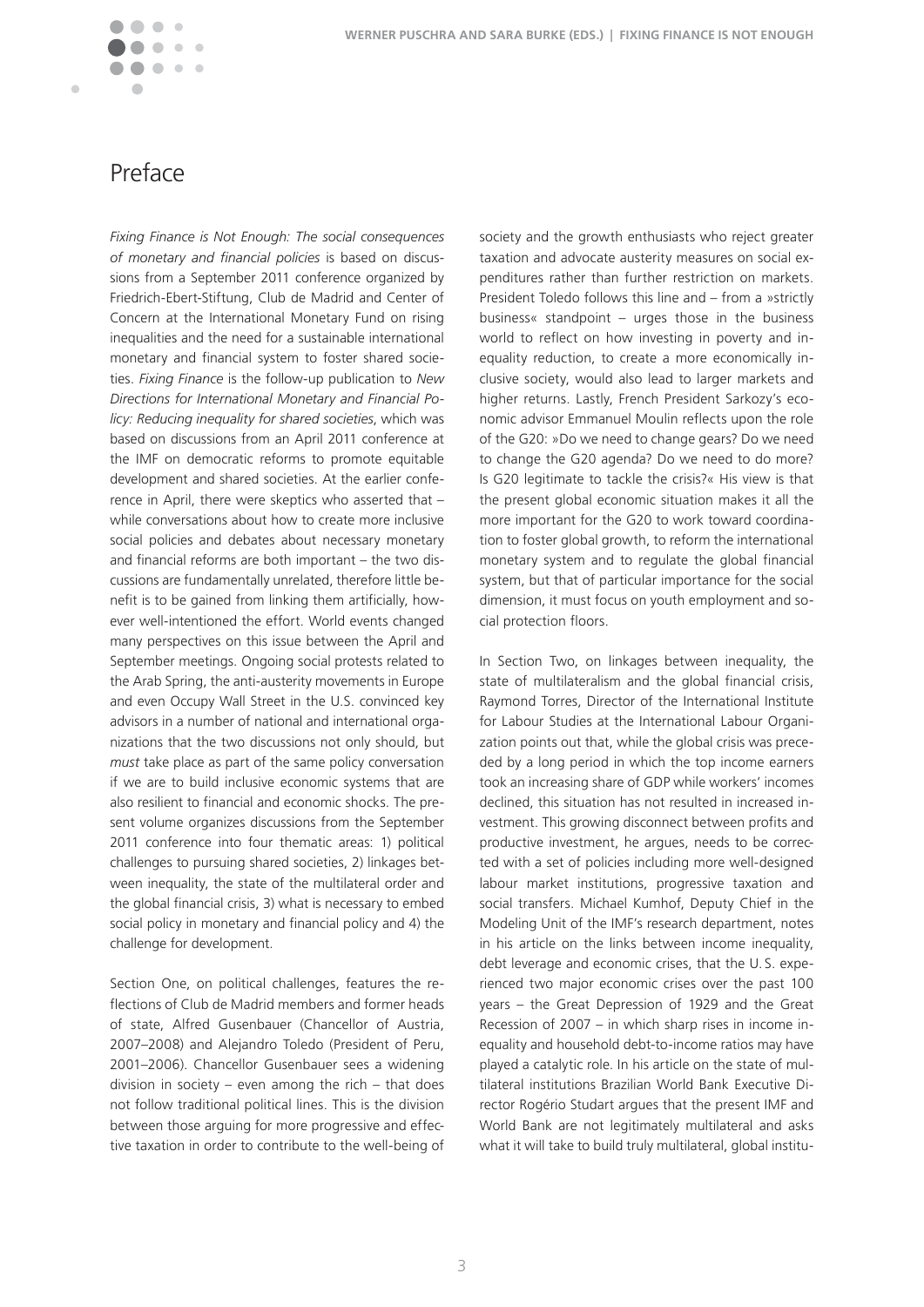$\blacksquare$ 

# Preface

*Fixing Finance is Not Enough: The social consequences of monetary and financial policies* is based on discussions from a September 2011 conference organized by Friedrich-Ebert-Stiftung, Club de Madrid and Center of Concern at the International Monetary Fund on rising inequalities and the need for a sustainable international monetary and financial system to foster shared societies� *Fixing Finance* is the follow-up publication to *New Directions for International Monetary and Financial Policy: Reducing inequality for shared societies*, which was based on discussions from an April 2011 conference at the IMF on democratic reforms to promote equitable development and shared societies. At the earlier conference in April, there were skeptics who asserted that – while conversations about how to create more inclusive social policies and debates about necessary monetary and financial reforms are both important – the two discussions are fundamentally unrelated, therefore little benefit is to be gained from linking them artificially, however well-intentioned the effort. World events changed many perspectives on this issue between the April and September meetings. Ongoing social protests related to the Arab Spring, the anti-austerity movements in Europe and even Occupy Wall Street in the U.S. convinced key advisors in a number of national and international organizations that the two discussions not only should, but *must* take place as part of the same policy conversation if we are to build inclusive economic systems that are also resilient to financial and economic shocks. The present volume organizes discussions from the September 2011 conference into four thematic areas: 1) political challenges to pursuing shared societies, 2) linkages between inequality, the state of the multilateral order and the global financial crisis, 3) what is necessary to embed social policy in monetary and financial policy and 4) the challenge for development.

Section One, on political challenges, features the reflections of Club de Madrid members and former heads of state, Alfred Gusenbauer (Chancellor of Austria, 2007–2008) and Alejandro Toledo (President of Peru, 2001–2006). Chancellor Gusenbauer sees a widening division in society – even among the rich – that does not follow traditional political lines. This is the division between those arguing for more progressive and effective taxation in order to contribute to the well-being of society and the growth enthusiasts who reject greater taxation and advocate austerity measures on social expenditures rather than further restriction on markets. President Toledo follows this line and – from a »strictly business« standpoint – urges those in the business world to reflect on how investing in poverty and inequality reduction, to create a more economically inclusive society, would also lead to larger markets and higher returns. Lastly, French President Sarkozy's economic advisor Emmanuel Moulin reflects upon the role of the G20: »Do we need to change gears? Do we need to change the G20 agenda? Do we need to do more? Is G20 legitimate to tackle the crisis?« His view is that the present global economic situation makes it all the more important for the G20 to work toward coordination to foster global growth, to reform the international monetary system and to regulate the global financial system, but that of particular importance for the social dimension, it must focus on youth employment and social protection floors.

In Section Two, on linkages between inequality, the state of multilateralism and the global financial crisis, Raymond Torres, Director of the International Institute for Labour Studies at the International Labour Organization points out that, while the global crisis was preceded by a long period in which the top income earners took an increasing share of GDP while workers' incomes declined, this situation has not resulted in increased investment. This growing disconnect between profits and productive investment, he argues, needs to be corrected with a set of policies including more well-designed labour market institutions, progressive taxation and social transfers. Michael Kumhof, Deputy Chief in the Modeling Unit of the IMF's research department, notes in his article on the links between income inequality, debt leverage and economic crises, that the U.S. experienced two major economic crises over the past 100 years – the Great Depression of 1929 and the Great Recession of 2007 – in which sharp rises in income inequality and household debt-to-income ratios may have played a catalytic role. In his article on the state of multilateral institutions Brazilian World Bank Executive Director Rogério Studart argues that the present IMF and World Bank are not legitimately multilateral and asks what it will take to build truly multilateral, global institu-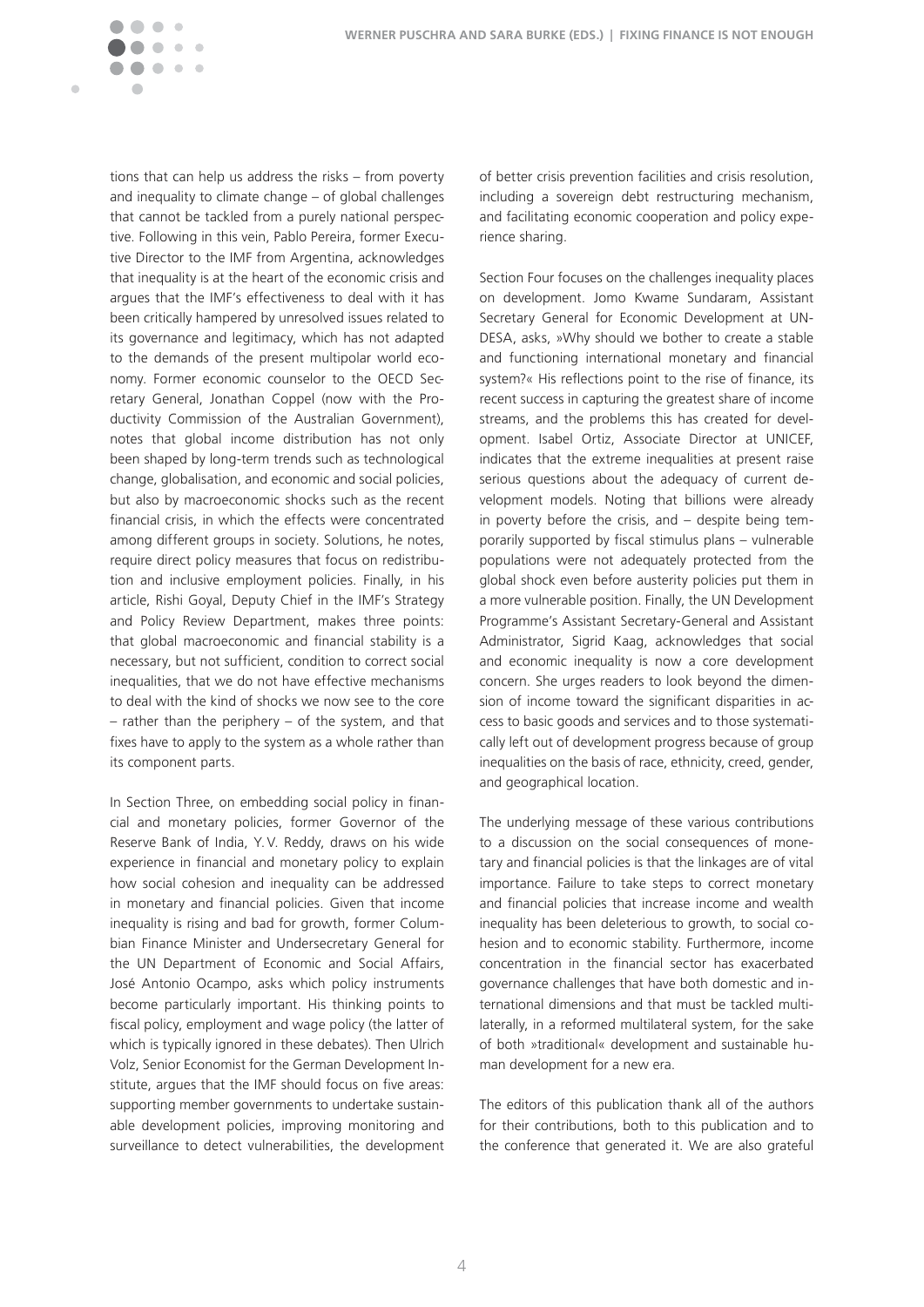

tions that can help us address the risks – from poverty and inequality to climate change – of global challenges that cannot be tackled from a purely national perspective. Following in this vein, Pablo Pereira, former Executive Director to the IMF from Argentina, acknowledges that inequality is at the heart of the economic crisis and argues that the IMF's effectiveness to deal with it has been critically hampered by unresolved issues related to its governance and legitimacy, which has not adapted to the demands of the present multipolar world economy. Former economic counselor to the OECD Secretary General, Jonathan Coppel (now with the Productivity Commission of the Australian Government), notes that global income distribution has not only been shaped by long-term trends such as technological change, globalisation, and economic and social policies, but also by macroeconomic shocks such as the recent financial crisis, in which the effects were concentrated among different groups in society. Solutions, he notes, require direct policy measures that focus on redistribution and inclusive employment policies. Finally, in his article, Rishi Goyal, Deputy Chief in the IMF's Strategy and Policy Review Department, makes three points: that global macroeconomic and financial stability is a necessary, but not sufficient, condition to correct social inequalities, that we do not have effective mechanisms to deal with the kind of shocks we now see to the core – rather than the periphery – of the system, and that fixes have to apply to the system as a whole rather than its component parts.

In Section Three, on embedding social policy in financial and monetary policies, former Governor of the Reserve Bank of India, Y.V. Reddy, draws on his wide experience in financial and monetary policy to explain how social cohesion and inequality can be addressed in monetary and financial policies. Given that income inequality is rising and bad for growth, former Columbian Finance Minister and Undersecretary General for the UN Department of Economic and Social Affairs, José Antonio Ocampo, asks which policy instruments become particularly important. His thinking points to fiscal policy, employment and wage policy (the latter of which is typically ignored in these debates). Then Ulrich Volz, Senior Economist for the German Development Institute, argues that the IMF should focus on five areas: supporting member governments to undertake sustainable development policies, improving monitoring and surveillance to detect vulnerabilities, the development of better crisis prevention facilities and crisis resolution, including a sovereign debt restructuring mechanism, and facilitating economic cooperation and policy experience sharing.

Section Four focuses on the challenges inequality places on development. Jomo Kwame Sundaram, Assistant Secretary General for Economic Development at UN-DESA, asks, »Why should we bother to create a stable and functioning international monetary and financial system?« His reflections point to the rise of finance, its recent success in capturing the greatest share of income streams, and the problems this has created for development, Isabel Ortiz, Associate Director at UNICEF, indicates that the extreme inequalities at present raise serious questions about the adequacy of current development models. Noting that billions were already in poverty before the crisis, and – despite being temporarily supported by fiscal stimulus plans – vulnerable populations were not adequately protected from the global shock even before austerity policies put them in a more vulnerable position. Finally, the UN Development Programme's Assistant Secretary-General and Assistant Administrator, Sigrid Kaag, acknowledges that social and economic inequality is now a core development concern. She urges readers to look beyond the dimension of income toward the significant disparities in access to basic goods and services and to those systematically left out of development progress because of group inequalities on the basis of race, ethnicity, creed, gender, and geographical location.

The underlying message of these various contributions to a discussion on the social consequences of monetary and financial policies is that the linkages are of vital importance. Failure to take steps to correct monetary and financial policies that increase income and wealth inequality has been deleterious to growth, to social cohesion and to economic stability. Furthermore, income concentration in the financial sector has exacerbated governance challenges that have both domestic and international dimensions and that must be tackled multilaterally, in a reformed multilateral system, for the sake of both »traditional« development and sustainable human development for a new era.

The editors of this publication thank all of the authors for their contributions, both to this publication and to the conference that generated it. We are also grateful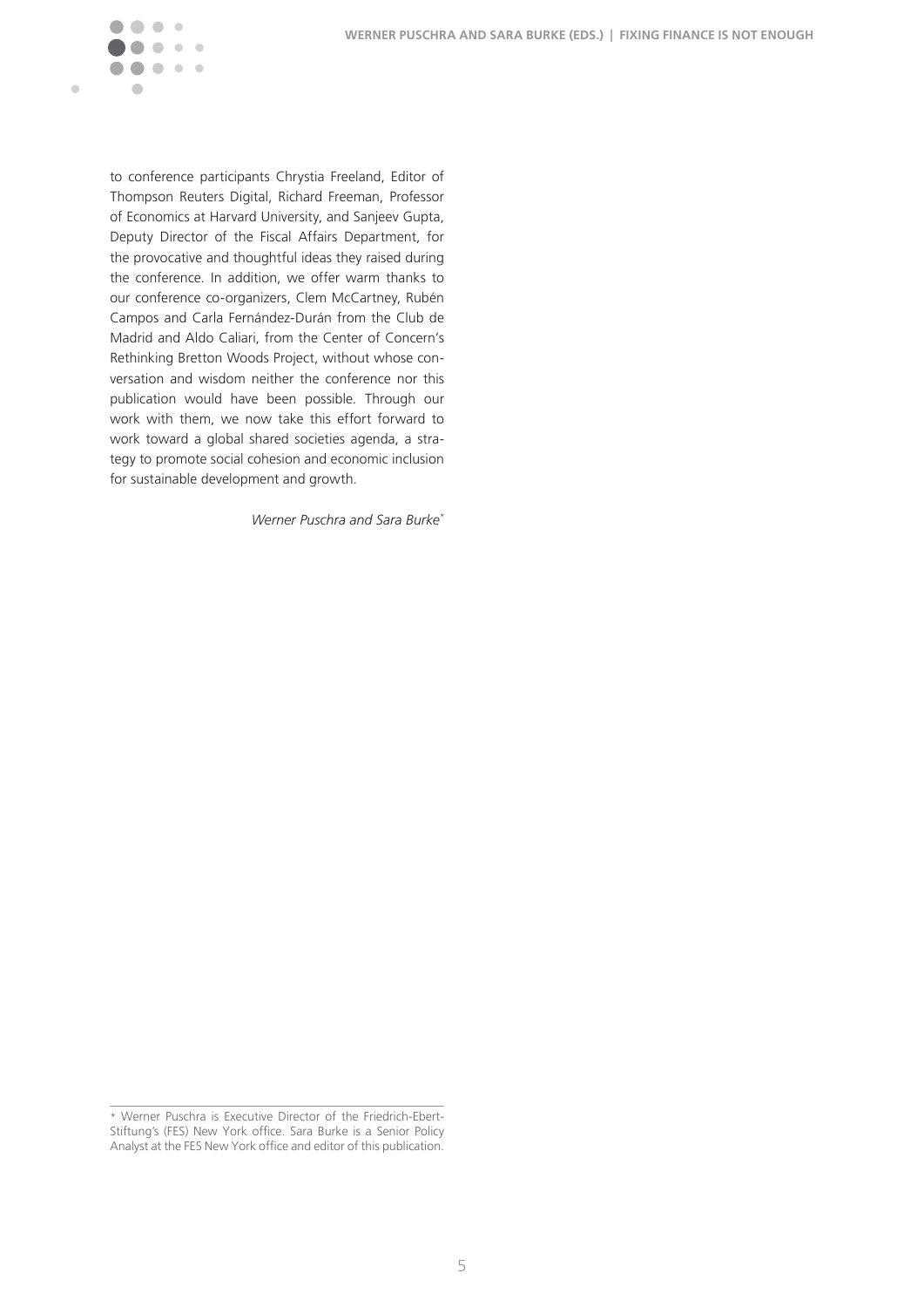

to conference participants Chrystia Freeland, Editor of Thompson Reuters Digital, Richard Freeman, Professor of Economics at Harvard University, and Sanjeev Gupta, Deputy Director of the Fiscal Affairs Department, for the provocative and thoughtful ideas they raised during the conference. In addition, we offer warm thanks to our conference co-organizers, Clem McCartney, Rubén Campos and Carla Fernández-Durán from the Club de Madrid and Aldo Caliari, from the Center of Concern's Rethinking Bretton Woods Project, without whose conversation and wisdom neither the conference nor this publication would have been possible. Through our work with them, we now take this effort forward to work toward a global shared societies agenda, a strategy to promote social cohesion and economic inclusion for sustainable development and growth.

*Werner Puschra and Sara Burke\**

<sup>\*</sup> Werner Puschra is Executive Director of the Friedrich-Ebert-Stiftung's (FES) New York office. Sara Burke is a Senior Policy Analyst at the FES New York office and editor of this publication.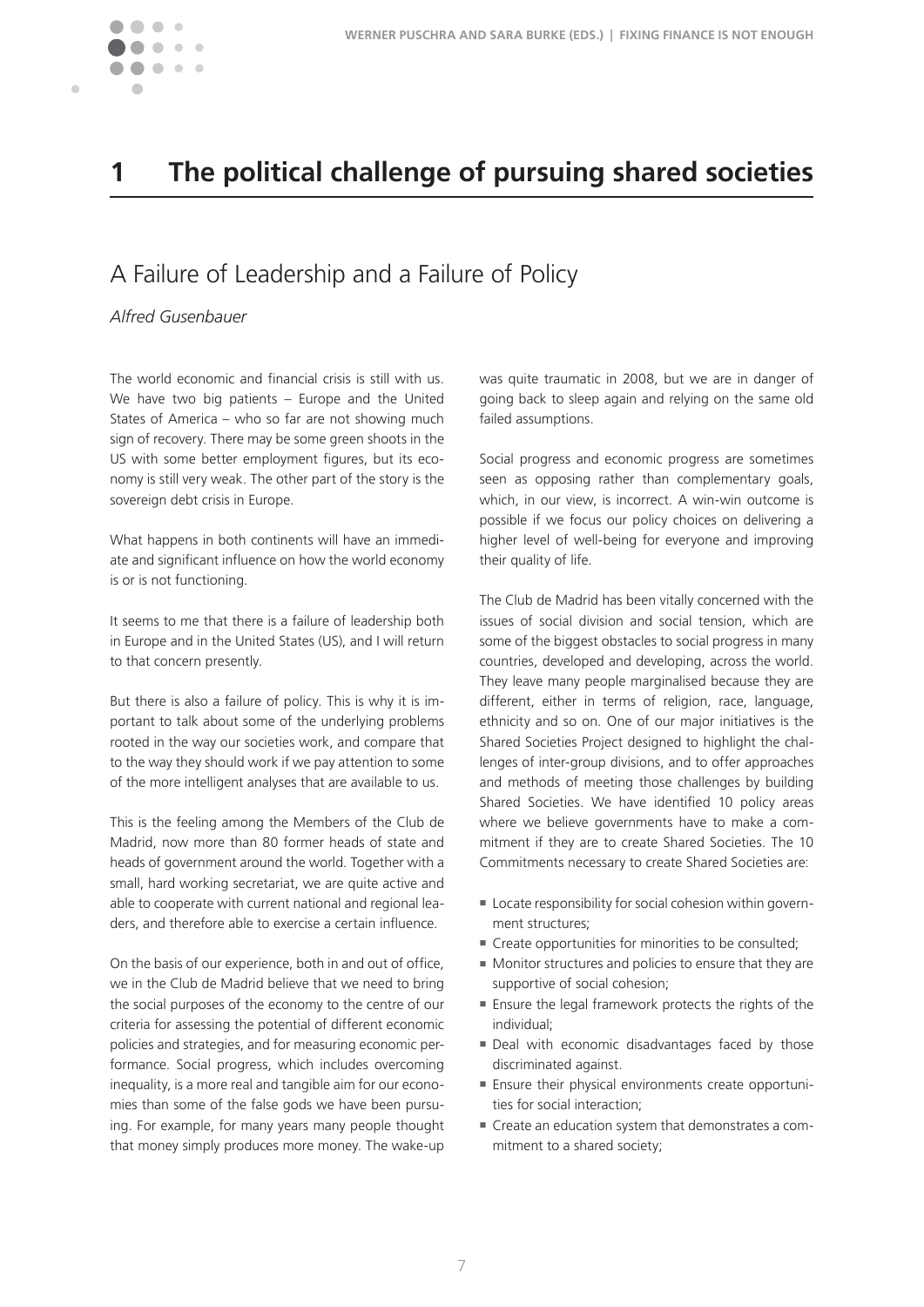

Ċ

# **1 The political challenge of pursuing shared societies**

# A Failure of Leadership and a Failure of Policy

*Alfred Gusenbauer*

The world economic and financial crisis is still with us. We have two big patients – Europe and the United States of America – who so far are not showing much sign of recovery. There may be some green shoots in the US with some better employment figures, but its economy is still very weak. The other part of the story is the sovereign debt crisis in Europe.

What happens in both continents will have an immediate and significant influence on how the world economy is or is not functioning.

It seems to me that there is a failure of leadership both in Europe and in the United States (US), and I will return to that concern presently.

But there is also a failure of policy. This is why it is important to talk about some of the underlying problems rooted in the way our societies work, and compare that to the way they should work if we pay attention to some of the more intelligent analyses that are available to us.

This is the feeling among the Members of the Club de Madrid, now more than 80 former heads of state and heads of government around the world. Together with a small, hard working secretariat, we are quite active and able to cooperate with current national and regional leaders, and therefore able to exercise a certain influence.

On the basis of our experience, both in and out of office, we in the Club de Madrid believe that we need to bring the social purposes of the economy to the centre of our criteria for assessing the potential of different economic policies and strategies, and for measuring economic performance. Social progress, which includes overcoming inequality, is a more real and tangible aim for our economies than some of the false gods we have been pursuing. For example, for many years many people thought that money simply produces more money. The wake-up was quite traumatic in 2008, but we are in danger of going back to sleep again and relying on the same old failed assumptions.

Social progress and economic progress are sometimes seen as opposing rather than complementary goals, which, in our view, is incorrect. A win-win outcome is possible if we focus our policy choices on delivering a higher level of well-being for everyone and improving their quality of life.

The Club de Madrid has been vitally concerned with the issues of social division and social tension, which are some of the biggest obstacles to social progress in many countries, developed and developing, across the world. They leave many people marginalised because they are different, either in terms of religion, race, language, ethnicity and so on. One of our major initiatives is the Shared Societies Project designed to highlight the challenges of inter-group divisions, and to offer approaches and methods of meeting those challenges by building Shared Societies. We have identified 10 policy areas where we believe governments have to make a commitment if they are to create Shared Societies. The 10 Commitments necessary to create Shared Societies are:

- Locate responsibility for social cohesion within government structures;
- $\blacksquare$  Create opportunities for minorities to be consulted;
- $\blacksquare$  Monitor structures and policies to ensure that they are supportive of social cohesion;
- Ensure the legal framework protects the rights of the individual;
- $\blacksquare$  Deal with economic disadvantages faced by those discriminated against.
- Ensure their physical environments create opportunities for social interaction;
- $\blacksquare$  Create an education system that demonstrates a commitment to a shared society;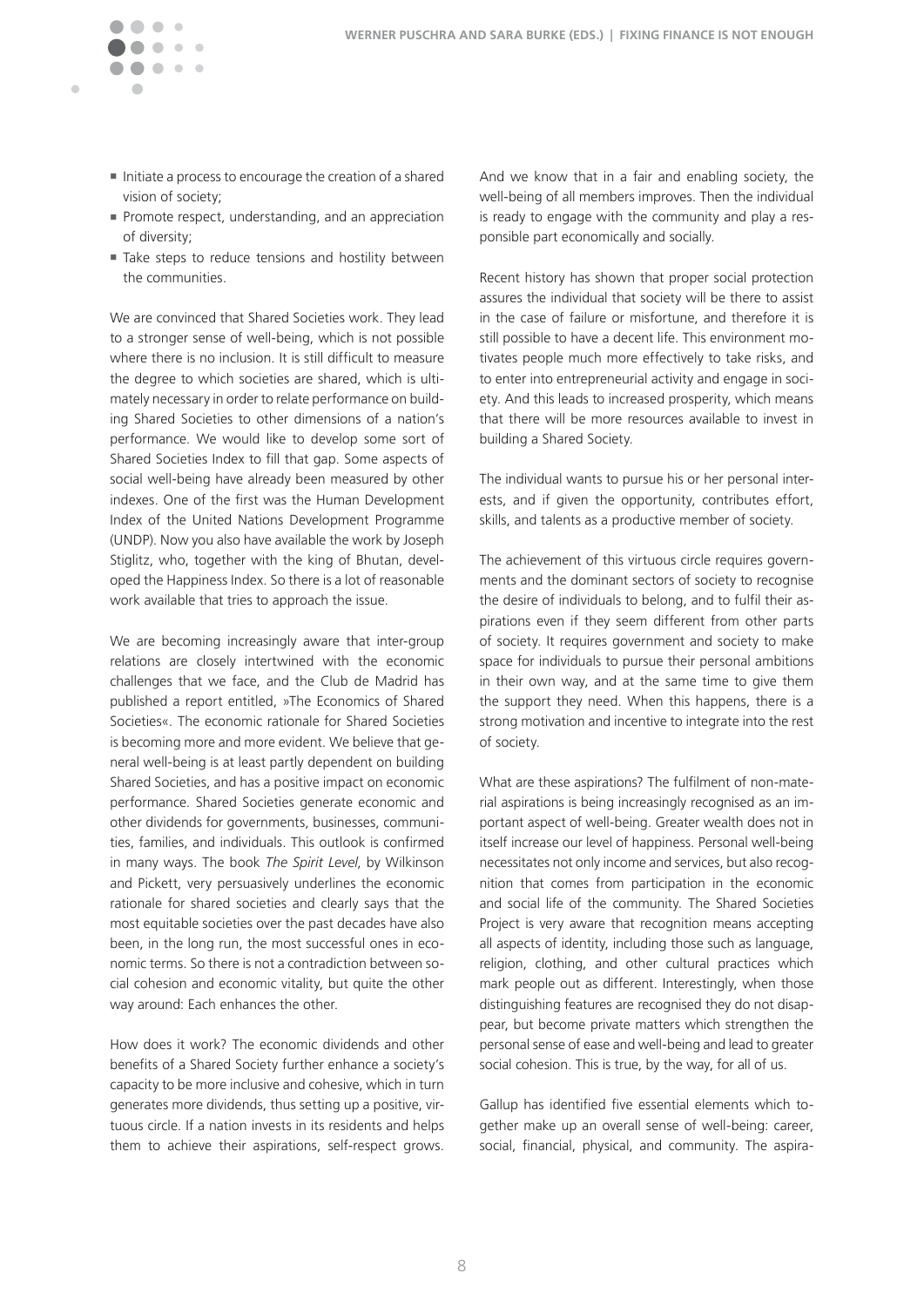

Ċ

- $\blacksquare$  Initiate a process to encourage the creation of a shared vision of society;
- Promote respect, understanding, and an appreciation of diversity;
- Take steps to reduce tensions and hostility between the communities.

We are convinced that Shared Societies work. They lead to a stronger sense of well-being, which is not possible where there is no inclusion. It is still difficult to measure the degree to which societies are shared, which is ultimately necessary in order to relate performance on building Shared Societies to other dimensions of a nation's performance. We would like to develop some sort of Shared Societies Index to fill that gap. Some aspects of social well-being have already been measured by other indexes. One of the first was the Human Development Index of the United Nations Development Programme (UNDP). Now you also have available the work by Joseph Stiglitz, who, together with the king of Bhutan, developed the Happiness Index. So there is a lot of reasonable work available that tries to approach the issue.

We are becoming increasingly aware that inter-group relations are closely intertwined with the economic challenges that we face, and the Club de Madrid has published a report entitled, »The Economics of Shared Societies«. The economic rationale for Shared Societies is becoming more and more evident. We believe that general well-being is at least partly dependent on building Shared Societies, and has a positive impact on economic performance. Shared Societies generate economic and other dividends for governments, businesses, communities, families, and individuals. This outlook is confirmed in many ways. The book *The Spirit Level*, by Wilkinson and Pickett, very persuasively underlines the economic rationale for shared societies and clearly says that the most equitable societies over the past decades have also been, in the long run, the most successful ones in economic terms. So there is not a contradiction between social cohesion and economic vitality, but quite the other way around: Each enhances the other.

How does it work? The economic dividends and other benefits of a Shared Society further enhance a society's capacity to be more inclusive and cohesive, which in turn generates more dividends, thus setting up a positive, virtuous circle. If a nation invests in its residents and helps them to achieve their aspirations, self-respect grows.

And we know that in a fair and enabling society, the well-being of all members improves. Then the individual is ready to engage with the community and play a responsible part economically and socially.

Recent history has shown that proper social protection assures the individual that society will be there to assist in the case of failure or misfortune, and therefore it is still possible to have a decent life. This environment motivates people much more effectively to take risks, and to enter into entrepreneurial activity and engage in society. And this leads to increased prosperity, which means that there will be more resources available to invest in building a Shared Society.

The individual wants to pursue his or her personal interests, and if given the opportunity, contributes effort, skills, and talents as a productive member of society.

The achievement of this virtuous circle requires governments and the dominant sectors of society to recognise the desire of individuals to belong, and to fulfil their aspirations even if they seem different from other parts of society. It requires government and society to make space for individuals to pursue their personal ambitions in their own way, and at the same time to give them the support they need. When this happens, there is a strong motivation and incentive to integrate into the rest of society.

What are these aspirations? The fulfilment of non-material aspirations is being increasingly recognised as an important aspect of well-being. Greater wealth does not in itself increase our level of happiness. Personal well-being necessitates not only income and services, but also recognition that comes from participation in the economic and social life of the community. The Shared Societies Project is very aware that recognition means accepting all aspects of identity, including those such as language, religion, clothing, and other cultural practices which mark people out as different. Interestingly, when those distinguishing features are recognised they do not disappear, but become private matters which strengthen the personal sense of ease and well-being and lead to greater social cohesion. This is true, by the way, for all of us.

Gallup has identified five essential elements which together make up an overall sense of well-being: career, social, financial, physical, and community. The aspira-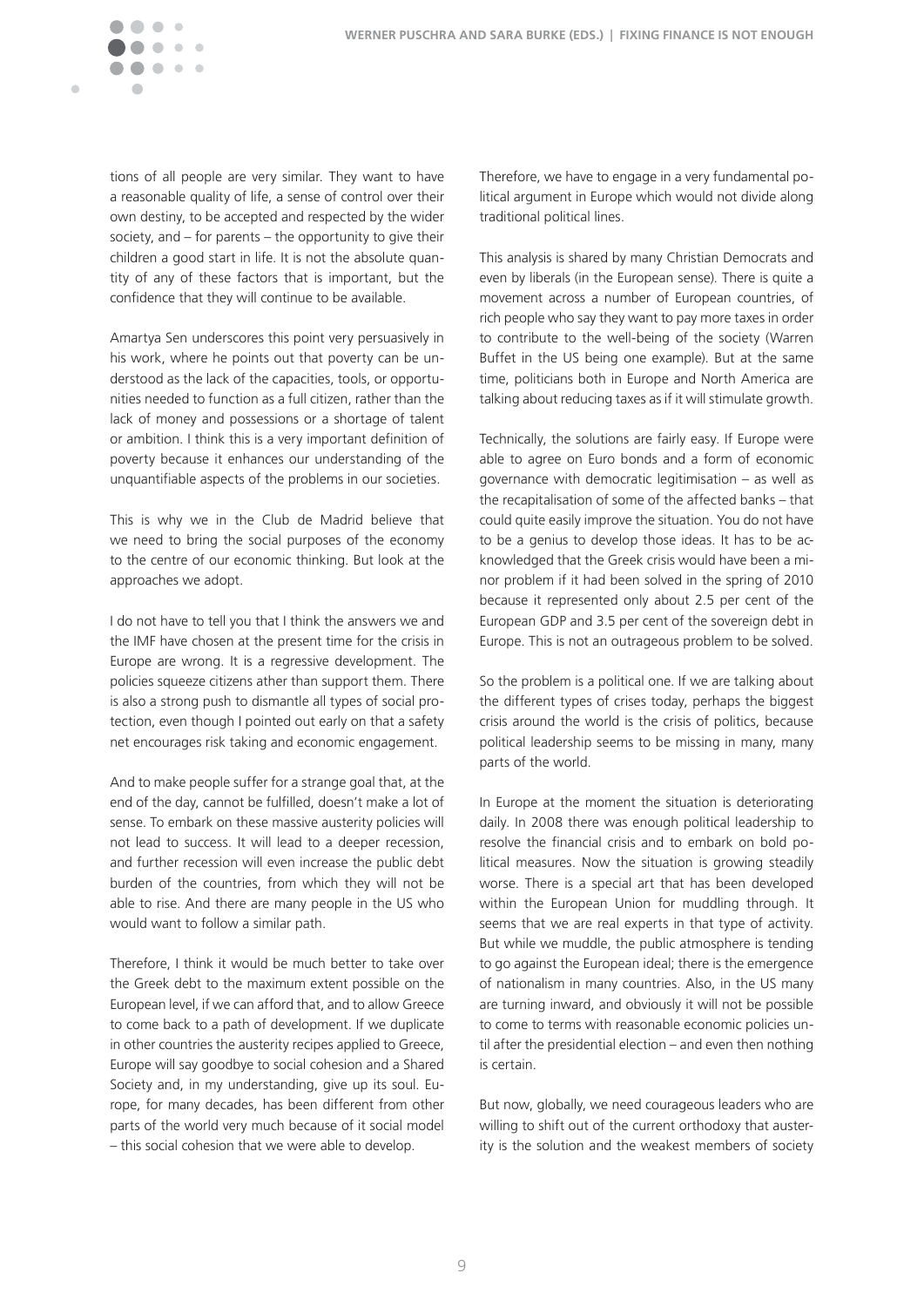

tions of all people are very similar. They want to have a reasonable quality of life, a sense of control over their own destiny, to be accepted and respected by the wider society, and – for parents – the opportunity to give their children a good start in life. It is not the absolute quantity of any of these factors that is important, but the confidence that they will continue to be available.

Amartya Sen underscores this point very persuasively in his work, where he points out that poverty can be understood as the lack of the capacities, tools, or opportunities needed to function as a full citizen, rather than the lack of money and possessions or a shortage of talent or ambition. I think this is a very important definition of poverty because it enhances our understanding of the unquantifiable aspects of the problems in our societies.

This is why we in the Club de Madrid believe that we need to bring the social purposes of the economy to the centre of our economic thinking. But look at the approaches we adopt.

I do not have to tell you that I think the answers we and the IMF have chosen at the present time for the crisis in Europe are wrong. It is a regressive development. The policies squeeze citizens ather than support them. There is also a strong push to dismantle all types of social protection, even though I pointed out early on that a safety net encourages risk taking and economic engagement.

And to make people suffer for a strange goal that, at the end of the day, cannot be fulfilled, doesn't make a lot of sense. To embark on these massive austerity policies will not lead to success. It will lead to a deeper recession, and further recession will even increase the public debt burden of the countries, from which they will not be able to rise. And there are many people in the US who would want to follow a similar path.

Therefore, I think it would be much better to take over the Greek debt to the maximum extent possible on the European level, if we can afford that, and to allow Greece to come back to a path of development. If we duplicate in other countries the austerity recipes applied to Greece, Europe will say goodbye to social cohesion and a Shared Society and, in my understanding, give up its soul. Europe, for many decades, has been different from other parts of the world very much because of it social model  $-$  this social cohesion that we were able to develop.

Therefore, we have to engage in a very fundamental political argument in Europe which would not divide along traditional political lines.

This analysis is shared by many Christian Democrats and even by liberals (in the European sense). There is quite a movement across a number of European countries, of rich people who say they want to pay more taxes in order to contribute to the well-being of the society (Warren Buffet in the US being one example). But at the same time, politicians both in Europe and North America are talking about reducing taxes as if it will stimulate growth.

Technically, the solutions are fairly easy. If Europe were able to agree on Euro bonds and a form of economic governance with democratic legitimisation – as well as the recapitalisation of some of the affected banks – that could quite easily improve the situation. You do not have to be a genius to develop those ideas. It has to be acknowledged that the Greek crisis would have been a minor problem if it had been solved in the spring of 2010 because it represented only about 2.5 per cent of the European GDP and 3.5 per cent of the sovereign debt in Europe. This is not an outrageous problem to be solved.

So the problem is a political one. If we are talking about the different types of crises today, perhaps the biggest crisis around the world is the crisis of politics, because political leadership seems to be missing in many, many parts of the world.

In Europe at the moment the situation is deteriorating daily. In 2008 there was enough political leadership to resolve the financial crisis and to embark on bold political measures. Now the situation is growing steadily worse. There is a special art that has been developed within the European Union for muddling through. It seems that we are real experts in that type of activity. But while we muddle, the public atmosphere is tending to go against the European ideal; there is the emergence of nationalism in many countries. Also, in the US many are turning inward, and obviously it will not be possible to come to terms with reasonable economic policies until after the presidential election – and even then nothing is certain.

But now, globally, we need courageous leaders who are willing to shift out of the current orthodoxy that austerity is the solution and the weakest members of society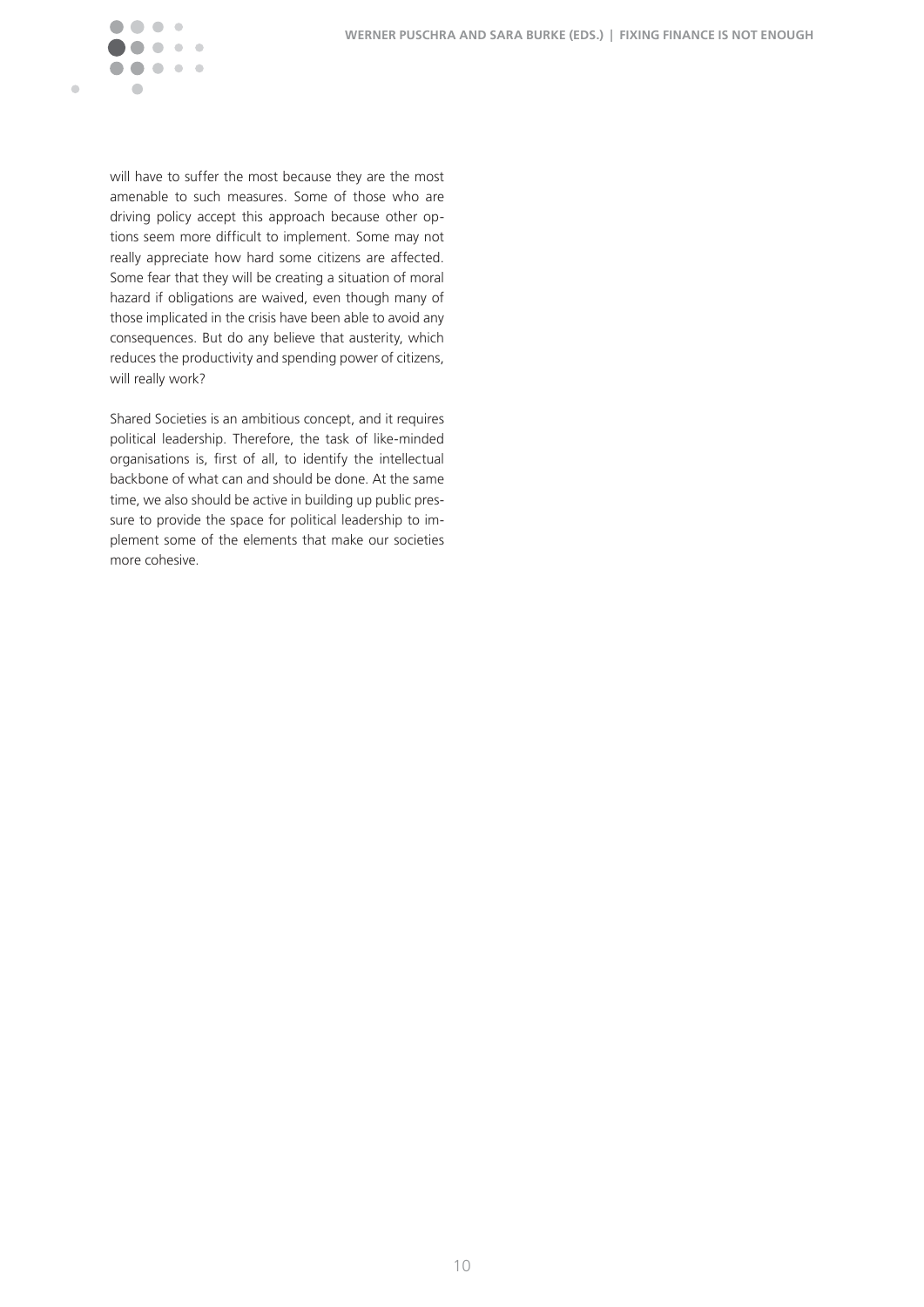

will have to suffer the most because they are the most amenable to such measures. Some of those who are driving policy accept this approach because other options seem more difficult to implement. Some may not really appreciate how hard some citizens are affected. Some fear that they will be creating a situation of moral hazard if obligations are waived, even though many of those implicated in the crisis have been able to avoid any consequences. But do any believe that austerity, which reduces the productivity and spending power of citizens, will really work?

Shared Societies is an ambitious concept, and it requires political leadership. Therefore, the task of like-minded organisations is, first of all, to identify the intellectual backbone of what can and should be done. At the same time, we also should be active in building up public pressure to provide the space for political leadership to implement some of the elements that make our societies more cohesive.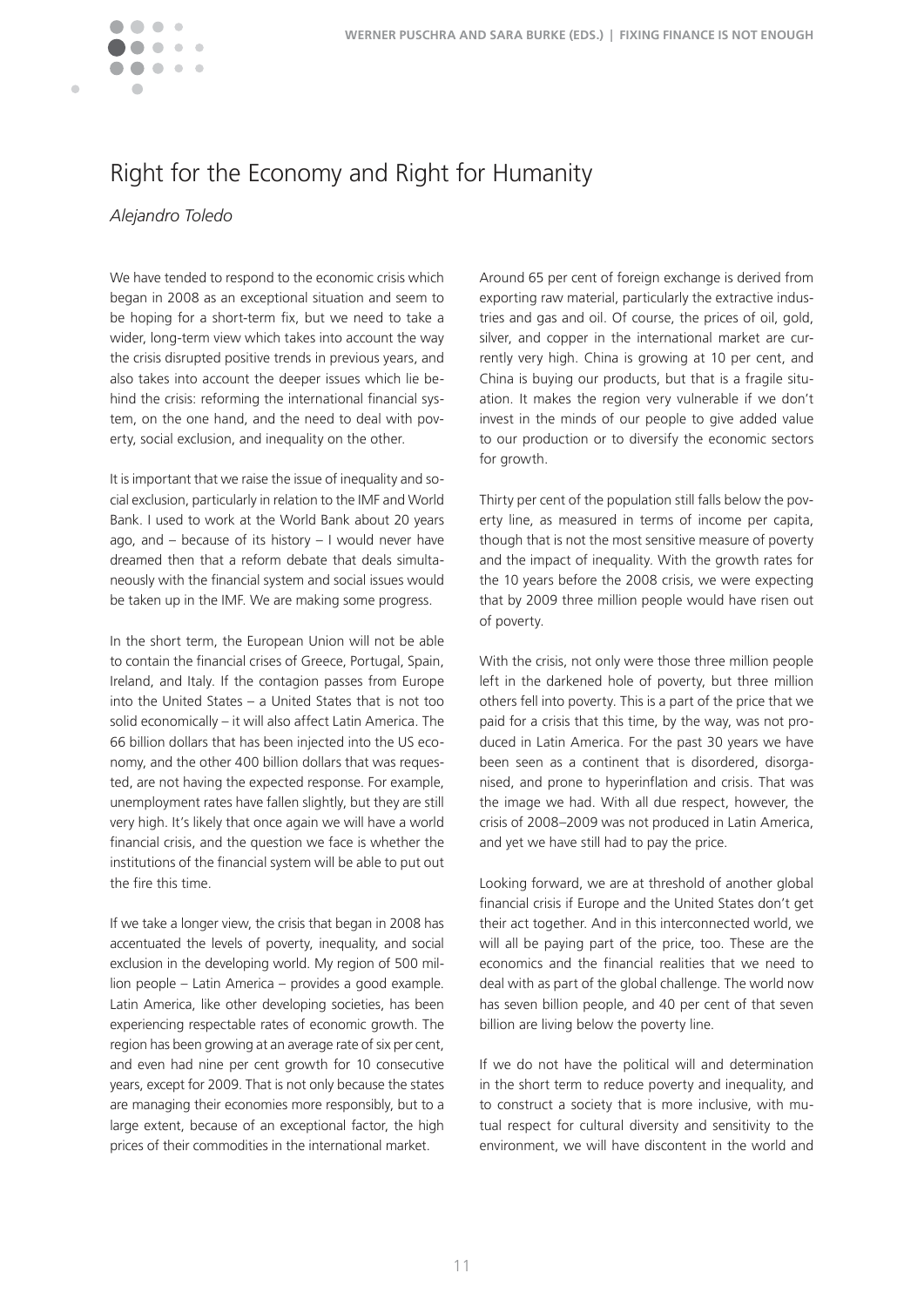# Right for the Economy and Right for Humanity

*Alejandro Toledo*

Ċ

We have tended to respond to the economic crisis which began in 2008 as an exceptional situation and seem to be hoping for a short-term fix, but we need to take a wider, long-term view which takes into account the way the crisis disrupted positive trends in previous years, and also takes into account the deeper issues which lie behind the crisis: reforming the international financial system, on the one hand, and the need to deal with poverty, social exclusion, and inequality on the other.

It is important that we raise the issue of inequality and social exclusion, particularly in relation to the IMF and World Bank. I used to work at the World Bank about 20 years ago, and – because of its history – I would never have dreamed then that a reform debate that deals simultaneously with the financial system and social issues would be taken up in the IMF. We are making some progress.

In the short term, the European Union will not be able to contain the financial crises of Greece, Portugal, Spain, Ireland, and Italy. If the contagion passes from Europe into the United States – a United States that is not too solid economically – it will also affect Latin America. The 66 billion dollars that has been injected into the US economy, and the other 400 billion dollars that was requested, are not having the expected response. For example, unemployment rates have fallen slightly, but they are still very high. It's likely that once again we will have a world financial crisis, and the question we face is whether the institutions of the financial system will be able to put out the fire this time.

If we take a longer view, the crisis that began in 2008 has accentuated the levels of poverty, inequality, and social exclusion in the developing world. My region of 500 million people – Latin America – provides a good example. Latin America, like other developing societies, has been experiencing respectable rates of economic growth. The region has been growing at an average rate of six per cent, and even had nine per cent growth for 10 consecutive years, except for 2009. That is not only because the states are managing their economies more responsibly, but to a large extent, because of an exceptional factor, the high prices of their commodities in the international market.

Around 65 per cent of foreign exchange is derived from exporting raw material, particularly the extractive industries and gas and oil. Of course, the prices of oil, gold, silver, and copper in the international market are currently very high. China is growing at 10 per cent, and China is buying our products, but that is a fragile situation. It makes the region very vulnerable if we don't invest in the minds of our people to give added value to our production or to diversify the economic sectors for growth.

Thirty per cent of the population still falls below the poverty line, as measured in terms of income per capita, though that is not the most sensitive measure of poverty and the impact of inequality. With the growth rates for the 10 years before the 2008 crisis, we were expecting that by 2009 three million people would have risen out of poverty.

With the crisis, not only were those three million people left in the darkened hole of poverty, but three million others fell into poverty. This is a part of the price that we paid for a crisis that this time, by the way, was not produced in Latin America. For the past 30 years we have been seen as a continent that is disordered, disorganised, and prone to hyperinflation and crisis. That was the image we had. With all due respect, however, the crisis of 2008–2009 was not produced in Latin America, and yet we have still had to pay the price.

Looking forward, we are at threshold of another global financial crisis if Europe and the United States don't get their act together. And in this interconnected world, we will all be paying part of the price, too. These are the economics and the financial realities that we need to deal with as part of the global challenge. The world now has seven billion people, and 40 per cent of that seven billion are living below the poverty line.

If we do not have the political will and determination in the short term to reduce poverty and inequality, and to construct a society that is more inclusive, with mutual respect for cultural diversity and sensitivity to the environment, we will have discontent in the world and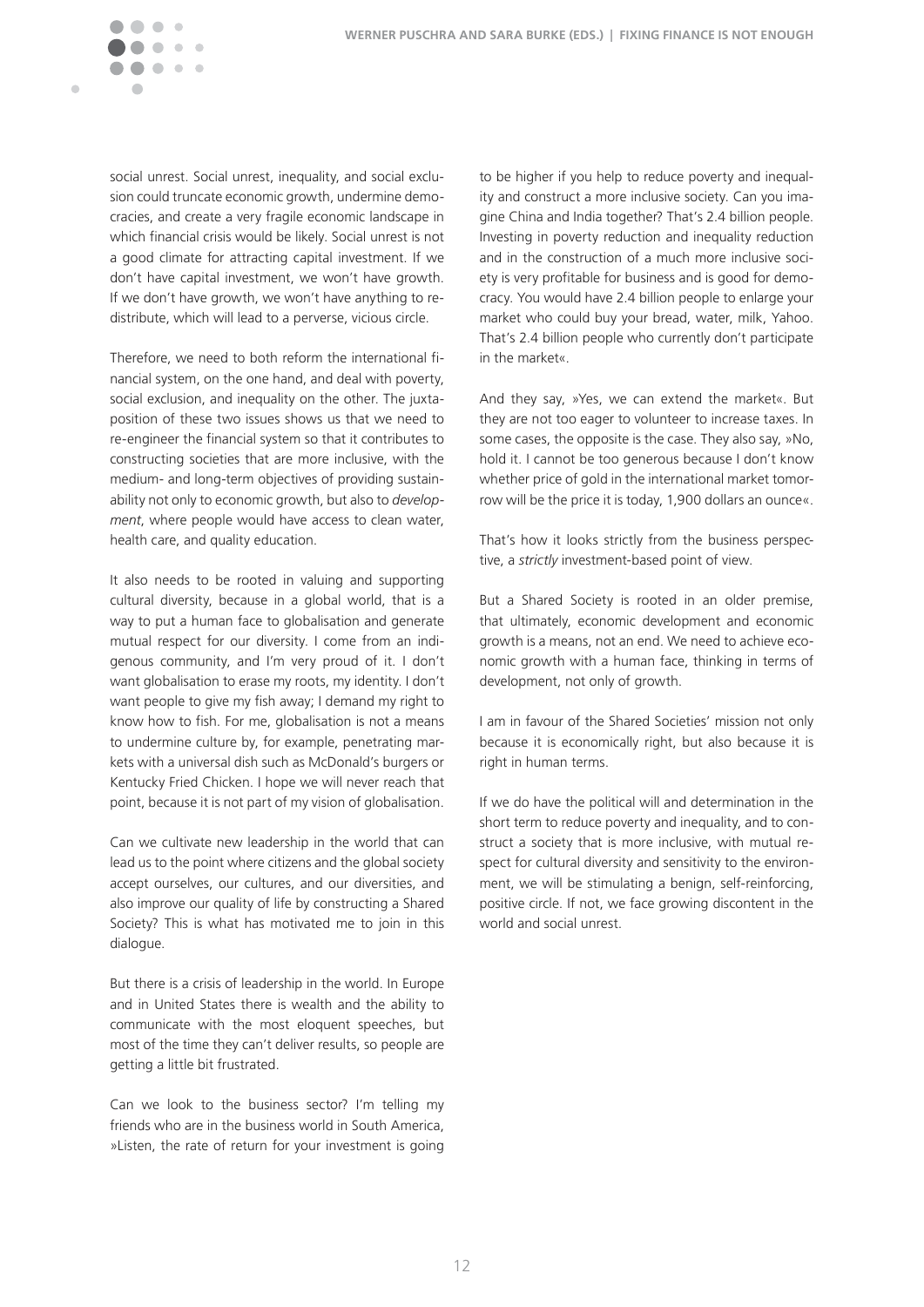

social unrest. Social unrest, inequality, and social exclusion could truncate economic growth, undermine democracies, and create a very fragile economic landscape in which financial crisis would be likely. Social unrest is not a good climate for attracting capital investment. If we don't have capital investment, we won't have growth. If we don't have growth, we won't have anything to redistribute, which will lead to a perverse, vicious circle.

Therefore, we need to both reform the international financial system, on the one hand, and deal with poverty, social exclusion, and inequality on the other. The juxtaposition of these two issues shows us that we need to re-engineer the financial system so that it contributes to constructing societies that are more inclusive, with the medium- and long-term objectives of providing sustainability not only to economic growth, but also to *development*, where people would have access to clean water, health care, and quality education.

It also needs to be rooted in valuing and supporting cultural diversity, because in a global world, that is a way to put a human face to globalisation and generate mutual respect for our diversity. I come from an indigenous community, and I'm very proud of it. I don't want globalisation to erase my roots, my identity. I don't want people to give my fish away; I demand my right to know how to fish. For me, globalisation is not a means to undermine culture by, for example, penetrating markets with a universal dish such as McDonald's burgers or Kentucky Fried Chicken. I hope we will never reach that point, because it is not part of my vision of globalisation.

Can we cultivate new leadership in the world that can lead us to the point where citizens and the global society accept ourselves, our cultures, and our diversities, and also improve our quality of life by constructing a Shared Society? This is what has motivated me to join in this dialogue.

But there is a crisis of leadership in the world. In Europe and in United States there is wealth and the ability to communicate with the most eloquent speeches, but most of the time they can't deliver results, so people are getting a little bit frustrated.

Can we look to the business sector? I'm telling my friends who are in the business world in South America, »Listen, the rate of return for your investment is going

to be higher if you help to reduce poverty and inequality and construct a more inclusive society. Can you imagine China and India together? That's 2.4 billion people. Investing in poverty reduction and inequality reduction and in the construction of a much more inclusive society is very profitable for business and is good for democracy. You would have 2.4 billion people to enlarge your market who could buy your bread, water, milk, Yahoo. That's 2.4 billion people who currently don't participate in the market«.

And they say, »Yes, we can extend the market«. But they are not too eager to volunteer to increase taxes. In some cases, the opposite is the case. They also say, »No, hold it. I cannot be too generous because I don't know whether price of gold in the international market tomorrow will be the price it is today, 1,900 dollars an ounce«.

That's how it looks strictly from the business perspective, a *strictly* investment-based point of view.

But a Shared Society is rooted in an older premise, that ultimately, economic development and economic growth is a means, not an end. We need to achieve economic growth with a human face, thinking in terms of development, not only of growth.

I am in favour of the Shared Societies' mission not only because it is economically right, but also because it is right in human terms.

If we do have the political will and determination in the short term to reduce poverty and inequality, and to construct a society that is more inclusive, with mutual respect for cultural diversity and sensitivity to the environment, we will be stimulating a benign, self-reinforcing, positive circle. If not, we face growing discontent in the world and social unrest.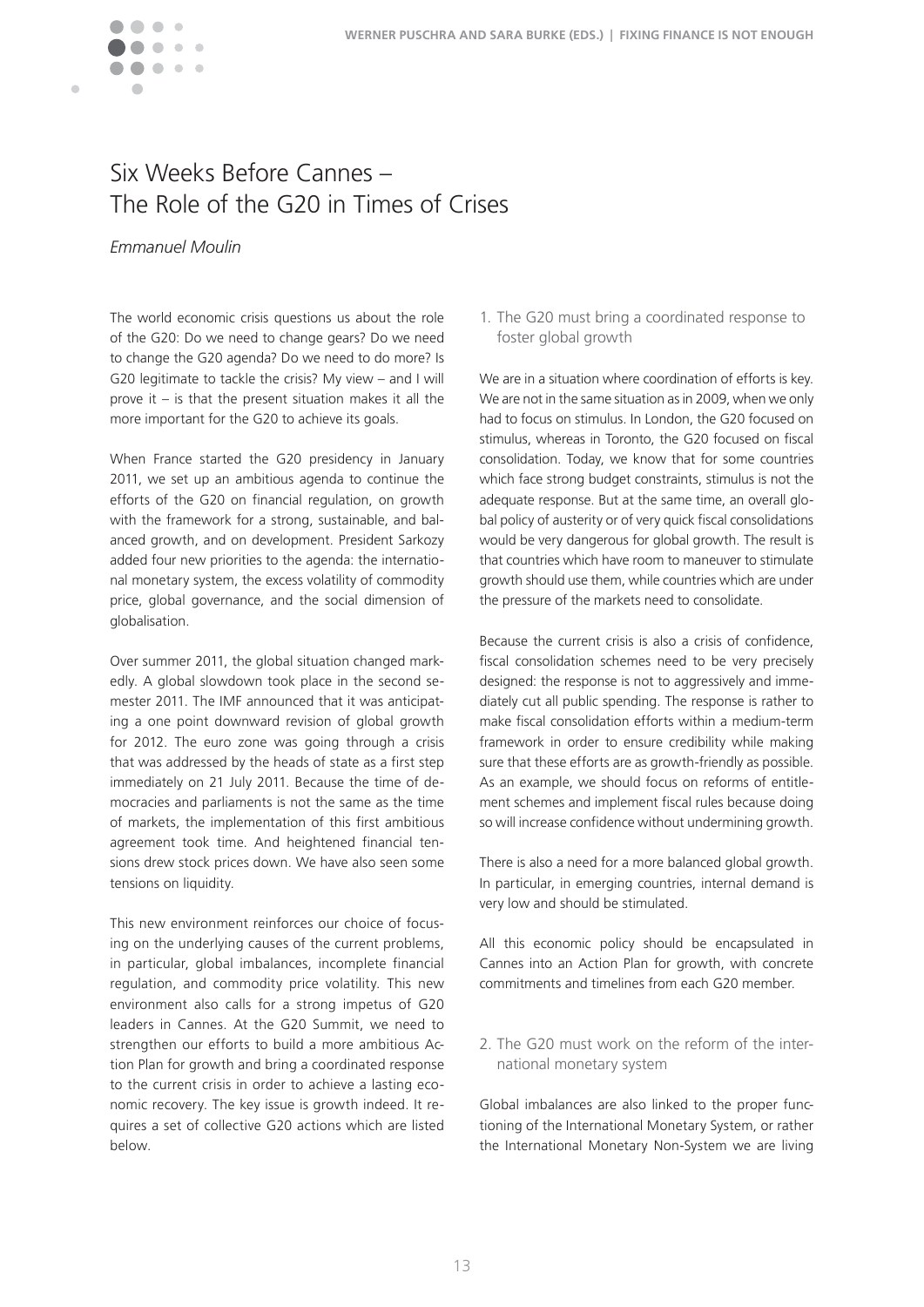

# Six Weeks Before Cannes – The Role of the G20 in Times of Crises

### *Emmanuel Moulin*

The world economic crisis questions us about the role of the G20: Do we need to change gears? Do we need to change the G20 agenda? Do we need to do more? Is G20 legitimate to tackle the crisis? My view – and I will prove it – is that the present situation makes it all the more important for the G20 to achieve its goals.

When France started the G20 presidency in January 2011, we set up an ambitious agenda to continue the efforts of the G20 on financial regulation, on growth with the framework for a strong, sustainable, and balanced growth, and on development. President Sarkozy added four new priorities to the agenda: the international monetary system, the excess volatility of commodity price, global governance, and the social dimension of globalisation.

Over summer 2011, the global situation changed markedly. A global slowdown took place in the second semester 2011. The IMF announced that it was anticipating a one point downward revision of global growth for 2012. The euro zone was going through a crisis that was addressed by the heads of state as a first step immediately on 21 July 2011. Because the time of democracies and parliaments is not the same as the time of markets, the implementation of this first ambitious agreement took time. And heightened financial tensions drew stock prices down. We have also seen some tensions on liquidity.

This new environment reinforces our choice of focusing on the underlying causes of the current problems, in particular, global imbalances, incomplete financial regulation, and commodity price volatility. This new environment also calls for a strong impetus of G20 leaders in Cannes. At the G20 Summit, we need to strengthen our efforts to build a more ambitious Action Plan for growth and bring a coordinated response to the current crisis in order to achieve a lasting economic recovery. The key issue is growth indeed. It requires a set of collective G20 actions which are listed below.

1. The G20 must bring a coordinated response to foster global growth

We are in a situation where coordination of efforts is key. We are not in the same situation as in 2009, when we only had to focus on stimulus. In London, the G20 focused on stimulus, whereas in Toronto, the G20 focused on fiscal consolidation. Today, we know that for some countries which face strong budget constraints, stimulus is not the adequate response. But at the same time, an overall global policy of austerity or of very quick fiscal consolidations would be very dangerous for global growth. The result is that countries which have room to maneuver to stimulate growth should use them, while countries which are under the pressure of the markets need to consolidate.

Because the current crisis is also a crisis of confidence, fiscal consolidation schemes need to be very precisely designed: the response is not to aggressively and immediately cut all public spending. The response is rather to make fiscal consolidation efforts within a medium-term framework in order to ensure credibility while making sure that these efforts are as growth-friendly as possible. As an example, we should focus on reforms of entitlement schemes and implement fiscal rules because doing so will increase confidence without undermining growth.

There is also a need for a more balanced global growth. In particular, in emerging countries, internal demand is very low and should be stimulated.

All this economic policy should be encapsulated in Cannes into an Action Plan for growth, with concrete commitments and timelines from each G20 member.

2. The G20 must work on the reform of the international monetary system

Global imbalances are also linked to the proper functioning of the International Monetary System, or rather the International Monetary Non-System we are living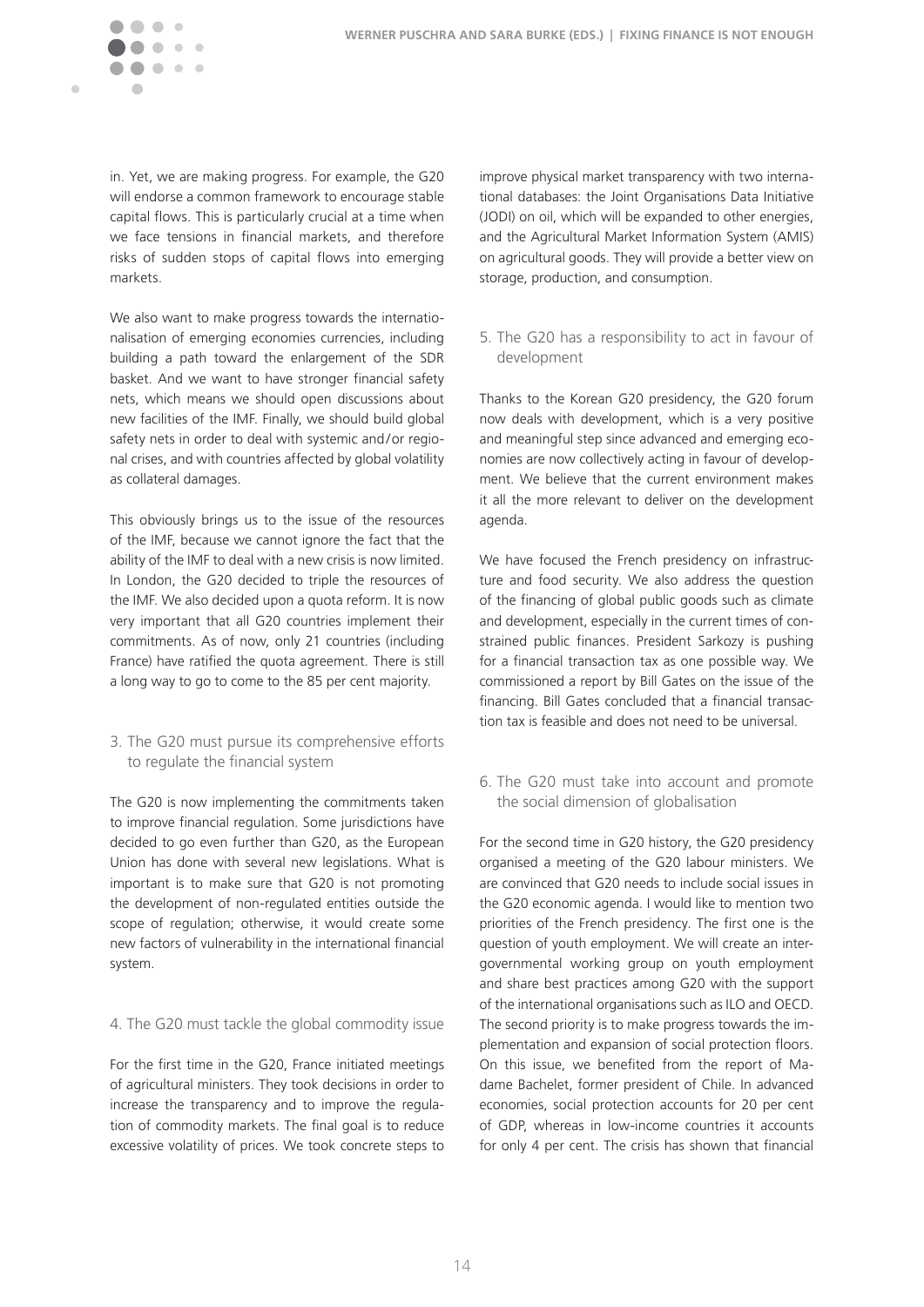

in. Yet, we are making progress. For example, the G20 will endorse a common framework to encourage stable capital flows. This is particularly crucial at a time when we face tensions in financial markets, and therefore risks of sudden stops of capital flows into emerging markets.

We also want to make progress towards the internationalisation of emerging economies currencies, including building a path toward the enlargement of the SDR basket. And we want to have stronger financial safety nets, which means we should open discussions about new facilities of the IMF. Finally, we should build global safety nets in order to deal with systemic and/or regional crises, and with countries affected by global volatility as collateral damages.

This obviously brings us to the issue of the resources of the IMF, because we cannot ignore the fact that the ability of the IMF to deal with a new crisis is now limited. In London, the G20 decided to triple the resources of the IMF. We also decided upon a quota reform. It is now very important that all G20 countries implement their commitments. As of now, only 21 countries (including France) have ratified the quota agreement. There is still a long way to go to come to the 85 per cent majority.

#### 3. The G20 must pursue its comprehensive efforts to regulate the financial system

The G20 is now implementing the commitments taken to improve financial regulation. Some jurisdictions have decided to go even further than G20, as the European Union has done with several new legislations. What is important is to make sure that G20 is not promoting the development of non-regulated entities outside the scope of regulation; otherwise, it would create some new factors of vulnerability in the international financial system.

#### 4. The G20 must tackle the global commodity issue

For the first time in the G20, France initiated meetings of agricultural ministers. They took decisions in order to increase the transparency and to improve the regulation of commodity markets. The final goal is to reduce excessive volatility of prices. We took concrete steps to improve physical market transparency with two international databases: the Joint Organisations Data Initiative (JODI) on oil, which will be expanded to other energies, and the Agricultural Market Information System (AMIS) on agricultural goods. They will provide a better view on storage, production, and consumption.

#### 5. The G20 has a responsibility to act in favour of development

Thanks to the Korean G20 presidency, the G20 forum now deals with development, which is a very positive and meaningful step since advanced and emerging economies are now collectively acting in favour of development. We believe that the current environment makes it all the more relevant to deliver on the development agenda.

We have focused the French presidency on infrastructure and food security. We also address the question of the financing of global public goods such as climate and development, especially in the current times of constrained public finances. President Sarkozy is pushing for a financial transaction tax as one possible way. We commissioned a report by Bill Gates on the issue of the financing. Bill Gates concluded that a financial transaction tax is feasible and does not need to be universal.

6. The G20 must take into account and promote the social dimension of globalisation

For the second time in G20 history, the G20 presidency organised a meeting of the G20 labour ministers. We are convinced that G20 needs to include social issues in the G20 economic agenda. I would like to mention two priorities of the French presidency. The first one is the question of youth employment. We will create an intergovernmental working group on youth employment and share best practices among G20 with the support of the international organisations such as ILO and OECD. The second priority is to make progress towards the implementation and expansion of social protection floors. On this issue, we benefited from the report of Madame Bachelet, former president of Chile. In advanced economies, social protection accounts for 20 per cent of GDP, whereas in low-income countries it accounts for only 4 per cent. The crisis has shown that financial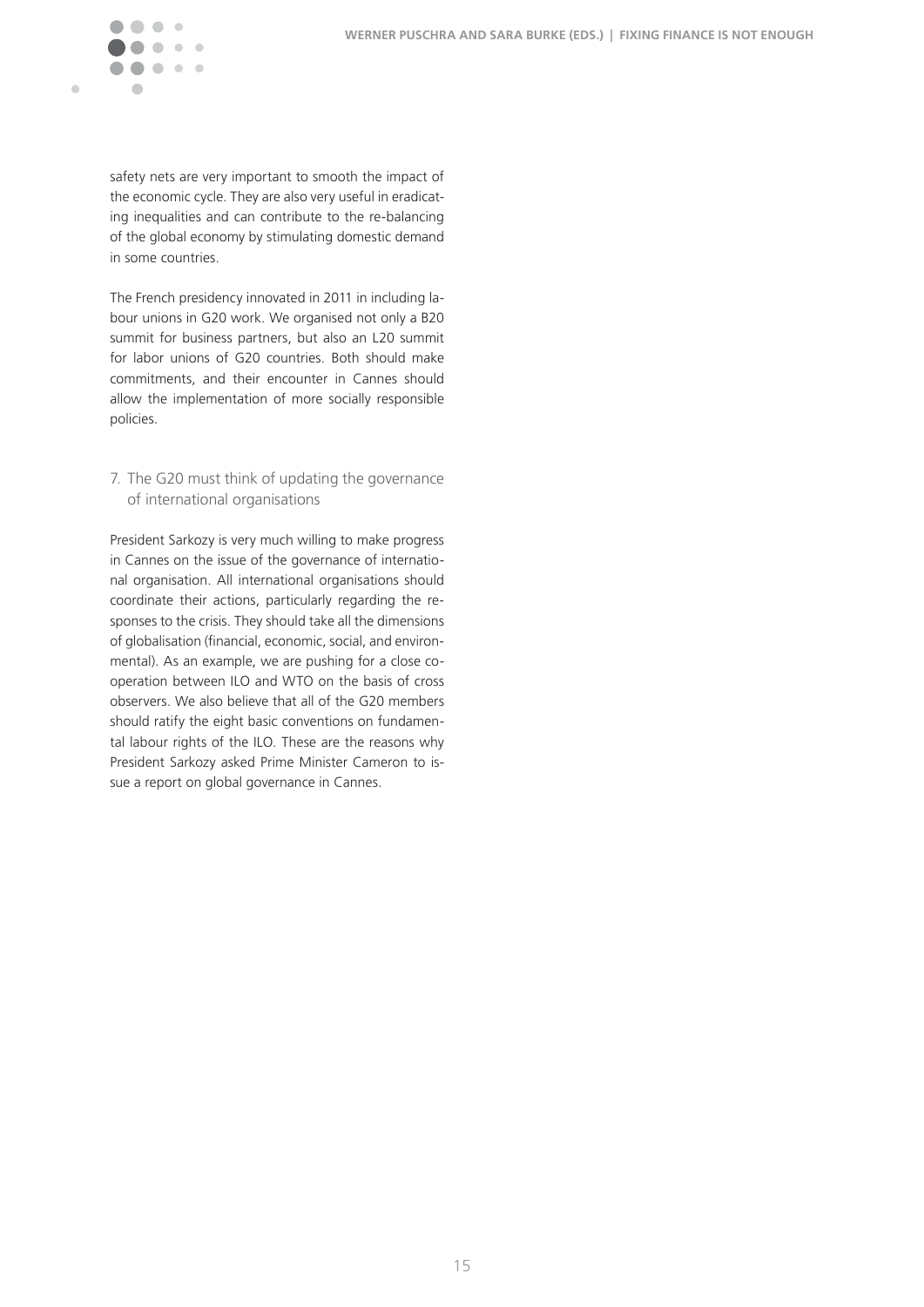

safety nets are very important to smooth the impact of the economic cycle. They are also very useful in eradicating inequalities and can contribute to the re-balancing of the global economy by stimulating domestic demand in some countries.

The French presidency innovated in 2011 in including labour unions in G20 work. We organised not only a B20 summit for business partners, but also an L20 summit for labor unions of G20 countries. Both should make commitments, and their encounter in Cannes should allow the implementation of more socially responsible policies.

#### 7. The G20 must think of updating the governance of international organisations

President Sarkozy is very much willing to make progress in Cannes on the issue of the governance of international organisation. All international organisations should coordinate their actions, particularly regarding the responses to the crisis. They should take all the dimensions of globalisation (financial, economic, social, and environmental). As an example, we are pushing for a close cooperation between ILO and WTO on the basis of cross observers. We also believe that all of the G20 members should ratify the eight basic conventions on fundamental labour rights of the ILO. These are the reasons why President Sarkozy asked Prime Minister Cameron to issue a report on global governance in Cannes.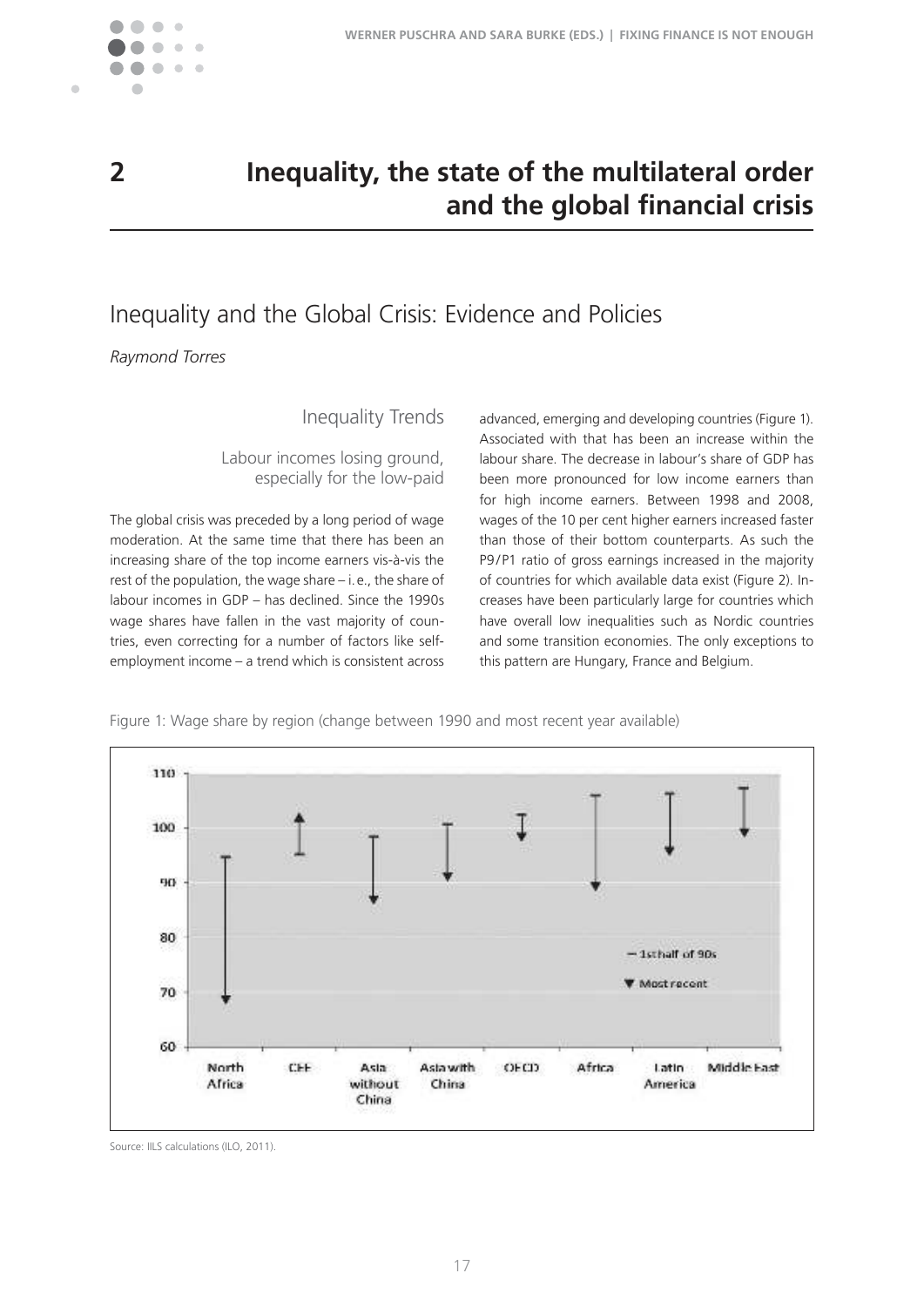

 $\blacksquare$ 

# **2 Inequality, the state of the multilateral order and the global financial crisis**

# Inequality and the Global Crisis: Evidence and Policies

*Raymond Torres*

# Inequality Trends

Labour incomes losing ground, especially for the low-paid

The global crisis was preceded by a long period of wage moderation. At the same time that there has been an increasing share of the top income earners vis-à-vis the rest of the population, the wage share  $-$  i. e., the share of labour incomes in GDP – has declined. Since the 1990s wage shares have fallen in the vast majority of countries, even correcting for a number of factors like selfemployment income – a trend which is consistent across advanced, emerging and developing countries (Figure 1). Associated with that has been an increase within the labour share. The decrease in labour's share of GDP has been more pronounced for low income earners than for high income earners. Between 1998 and 2008, wages of the 10 per cent higher earners increased faster than those of their bottom counterparts. As such the P9/P1 ratio of gross earnings increased in the majority of countries for which available data exist (Figure 2). Increases have been particularly large for countries which have overall low inequalities such as Nordic countries and some transition economies. The only exceptions to this pattern are Hungary, France and Belgium.

Figure 1: Wage share by region (change between 1990 and most recent year available)



Source: IILS calculations (ILO, 2011).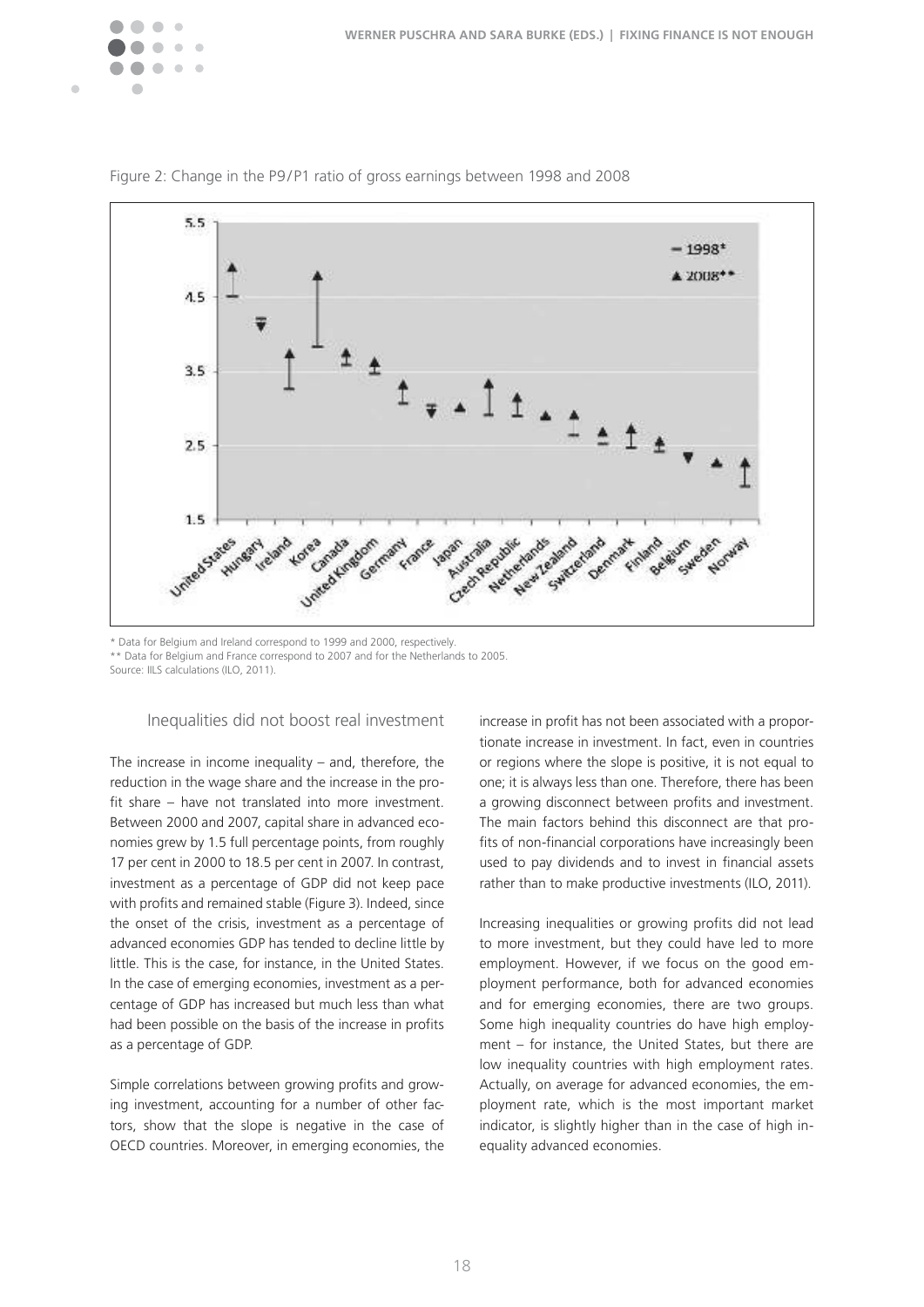



Figure 2: Change in the P9/P1 ratio of gross earnings between 1998 and 2008

\* Data for Belgium and Ireland correspond to 1999 and 2000, respectively� \*\* Data for Belgium and France correspond to 2007 and for the Netherlands to 2005. Source: IILS calculations (ILO, 2011).

#### Inequalities did not boost real investment

The increase in income inequality – and, therefore, the reduction in the wage share and the increase in the profit share – have not translated into more investment. Between 2000 and 2007, capital share in advanced economies grew by 1.5 full percentage points, from roughly 17 per cent in 2000 to 18.5 per cent in 2007. In contrast, investment as a percentage of GDP did not keep pace with profits and remained stable (Figure 3). Indeed, since the onset of the crisis, investment as a percentage of advanced economies GDP has tended to decline little by little. This is the case, for instance, in the United States. In the case of emerging economies, investment as a percentage of GDP has increased but much less than what had been possible on the basis of the increase in profits as a percentage of GDP.

Simple correlations between growing profits and growing investment, accounting for a number of other factors, show that the slope is negative in the case of OECD countries. Moreover, in emerging economies, the increase in profit has not been associated with a proportionate increase in investment. In fact, even in countries or regions where the slope is positive, it is not equal to one; it is always less than one. Therefore, there has been a growing disconnect between profits and investment. The main factors behind this disconnect are that profits of non-financial corporations have increasingly been used to pay dividends and to invest in financial assets rather than to make productive investments (ILO, 2011).

Increasing inequalities or growing profits did not lead to more investment, but they could have led to more employment. However, if we focus on the good employment performance, both for advanced economies and for emerging economies, there are two groups. Some high inequality countries do have high employment – for instance, the United States, but there are low inequality countries with high employment rates. Actually, on average for advanced economies, the employment rate, which is the most important market indicator, is slightly higher than in the case of high inequality advanced economies.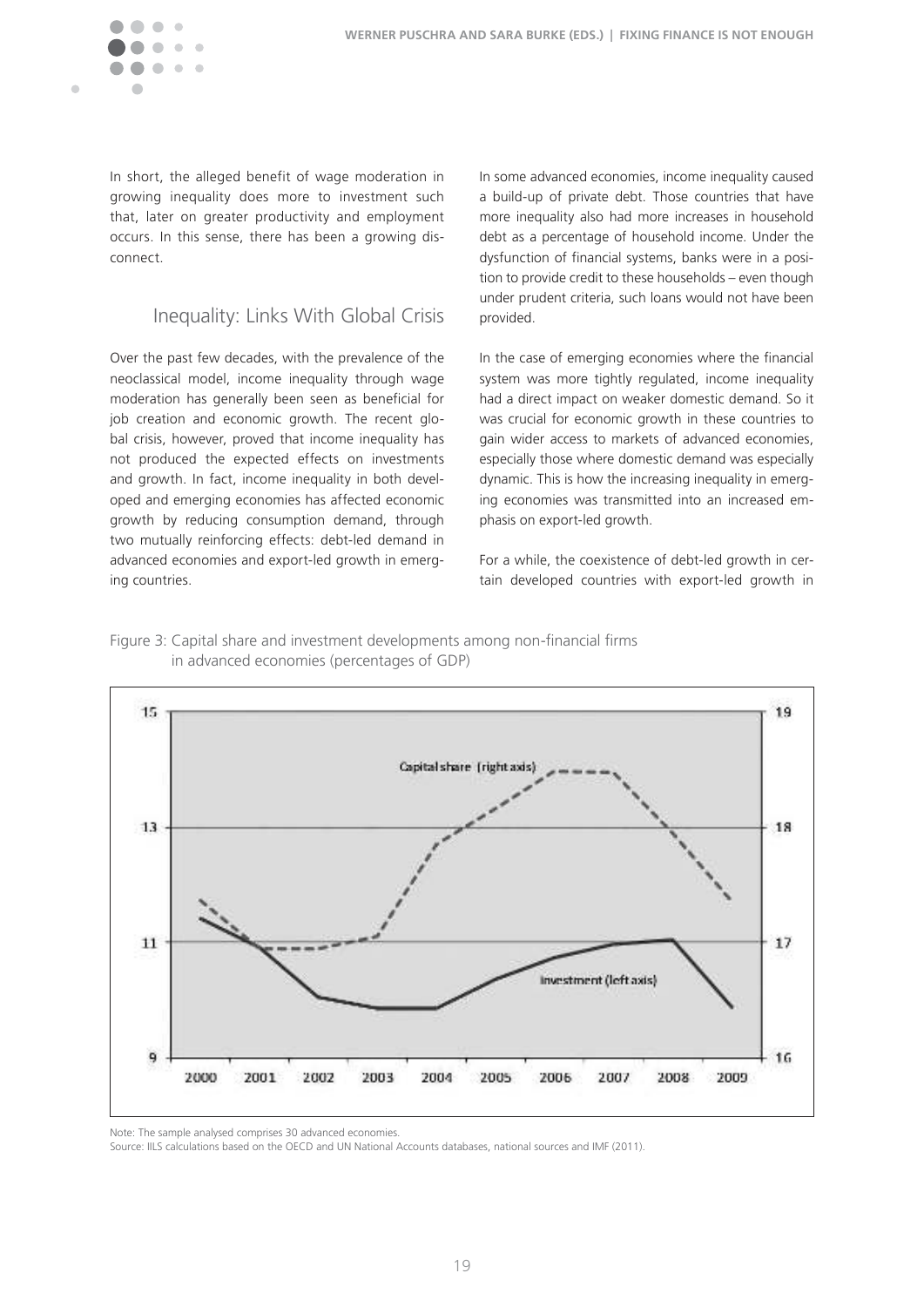

In short, the alleged benefit of wage moderation in growing inequality does more to investment such that, later on greater productivity and employment occurs. In this sense, there has been a growing disconnect�

# Inequality: Links With Global Crisis

Over the past few decades, with the prevalence of the neoclassical model, income inequality through wage moderation has generally been seen as beneficial for job creation and economic growth. The recent global crisis, however, proved that income inequality has not produced the expected effects on investments and growth. In fact, income inequality in both developed and emerging economies has affected economic growth by reducing consumption demand, through two mutually reinforcing effects: debt-led demand in advanced economies and export-led growth in emerging countries.

In some advanced economies, income inequality caused a build-up of private debt. Those countries that have more inequality also had more increases in household debt as a percentage of household income. Under the dysfunction of financial systems, banks were in a position to provide credit to these households – even though under prudent criteria, such loans would not have been provided.

In the case of emerging economies where the financial system was more tightly regulated, income inequality had a direct impact on weaker domestic demand. So it was crucial for economic growth in these countries to gain wider access to markets of advanced economies, especially those where domestic demand was especially dynamic. This is how the increasing inequality in emerging economies was transmitted into an increased emphasis on export-led growth.

For a while, the coexistence of debt-led growth in certain developed countries with export-led growth in

Figure 3: Capital share and investment developments among non-inancial irms in advanced economies (percentages of GDP)



Note: The sample analysed comprises 30 advanced economies.

Source: IILS calculations based on the OECD and UN National Accounts databases, national sources and IMF (2011).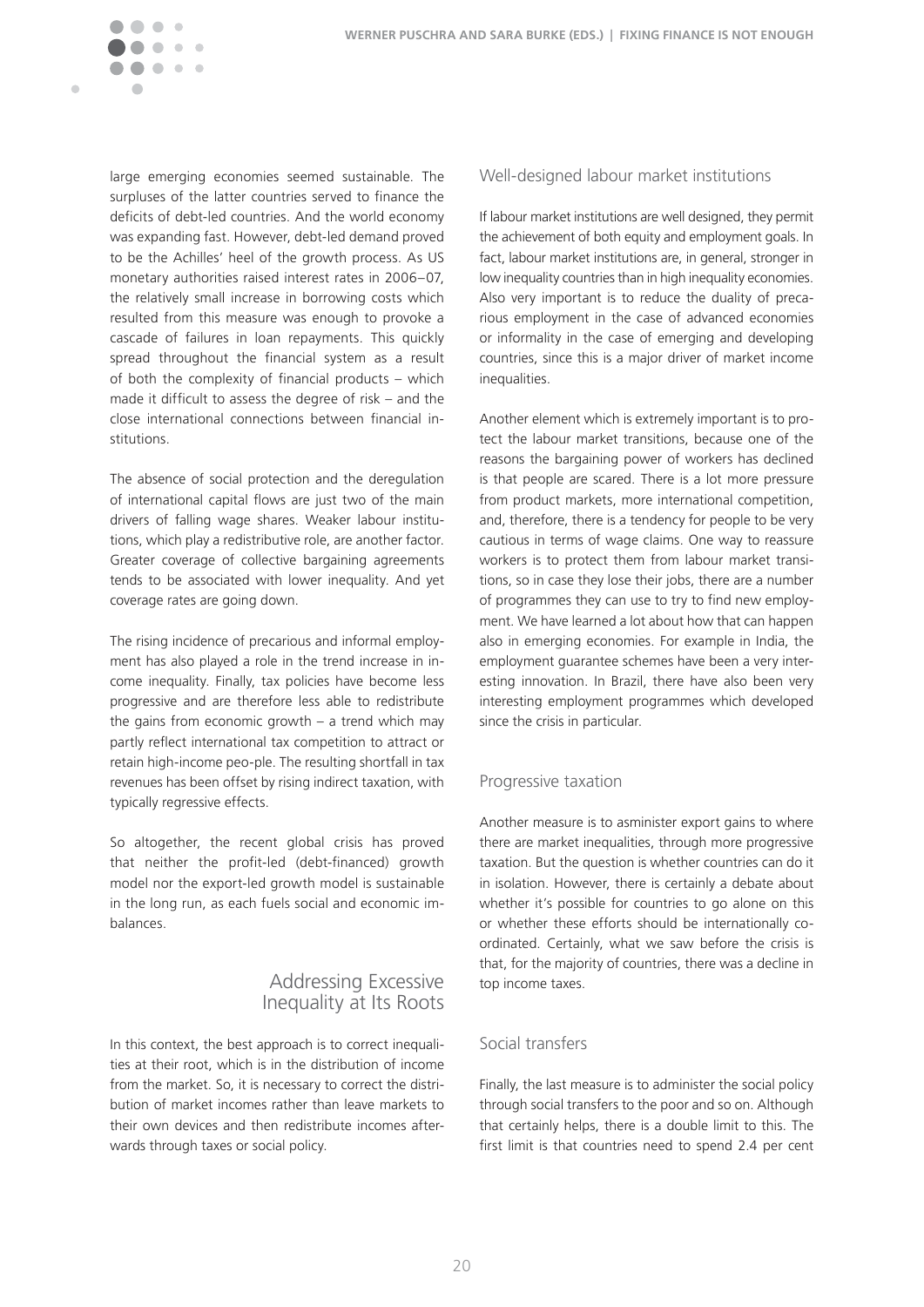Ċ

large emerging economies seemed sustainable. The surpluses of the latter countries served to finance the deficits of debt-led countries. And the world economy was expanding fast. However, debt-led demand proved to be the Achilles' heel of the growth process. As US monetary authorities raised interest rates in 2006–07, the relatively small increase in borrowing costs which resulted from this measure was enough to provoke a cascade of failures in loan repayments. This quickly spread throughout the financial system as a result of both the complexity of financial products – which made it difficult to assess the degree of risk – and the close international connections between financial institutions�

The absence of social protection and the deregulation of international capital flows are just two of the main drivers of falling wage shares. Weaker labour institutions, which play a redistributive role, are another factor. Greater coverage of collective bargaining agreements tends to be associated with lower inequality. And yet coverage rates are going down.

The rising incidence of precarious and informal employment has also played a role in the trend increase in income inequality. Finally, tax policies have become less progressive and are therefore less able to redistribute the gains from economic growth  $-$  a trend which may partly reflect international tax competition to attract or retain high-income peo-ple. The resulting shortfall in tax revenues has been offset by rising indirect taxation, with typically regressive effects.

So altogether, the recent global crisis has proved that neither the profit-led (debt-financed) growth model nor the export-led growth model is sustainable in the long run, as each fuels social and economic imbalances.

### Addressing Excessive Inequality at Its Roots

In this context, the best approach is to correct inequalities at their root, which is in the distribution of income from the market. So, it is necessary to correct the distribution of market incomes rather than leave markets to their own devices and then redistribute incomes afterwards through taxes or social policy.

#### Well-designed labour market institutions

If labour market institutions are well designed, they permit the achievement of both equity and employment goals. In fact, labour market institutions are, in general, stronger in low inequality countries than in high inequality economies. Also very important is to reduce the duality of precarious employment in the case of advanced economies or informality in the case of emerging and developing countries, since this is a major driver of market income inequalities.

Another element which is extremely important is to protect the labour market transitions, because one of the reasons the bargaining power of workers has declined is that people are scared. There is a lot more pressure from product markets, more international competition, and, therefore, there is a tendency for people to be very cautious in terms of wage claims. One way to reassure workers is to protect them from labour market transitions, so in case they lose their jobs, there are a number of programmes they can use to try to find new employment. We have learned a lot about how that can happen also in emerging economies. For example in India, the employment guarantee schemes have been a very interesting innovation. In Brazil, there have also been very interesting employment programmes which developed since the crisis in particular.

#### Progressive taxation

Another measure is to asminister export gains to where there are market inequalities, through more progressive taxation. But the question is whether countries can do it in isolation. However, there is certainly a debate about whether it's possible for countries to go alone on this or whether these efforts should be internationally coordinated. Certainly, what we saw before the crisis is that, for the majority of countries, there was a decline in top income taxes.

### Social transfers

Finally, the last measure is to administer the social policy through social transfers to the poor and so on. Although that certainly helps, there is a double limit to this. The first limit is that countries need to spend 2.4 per cent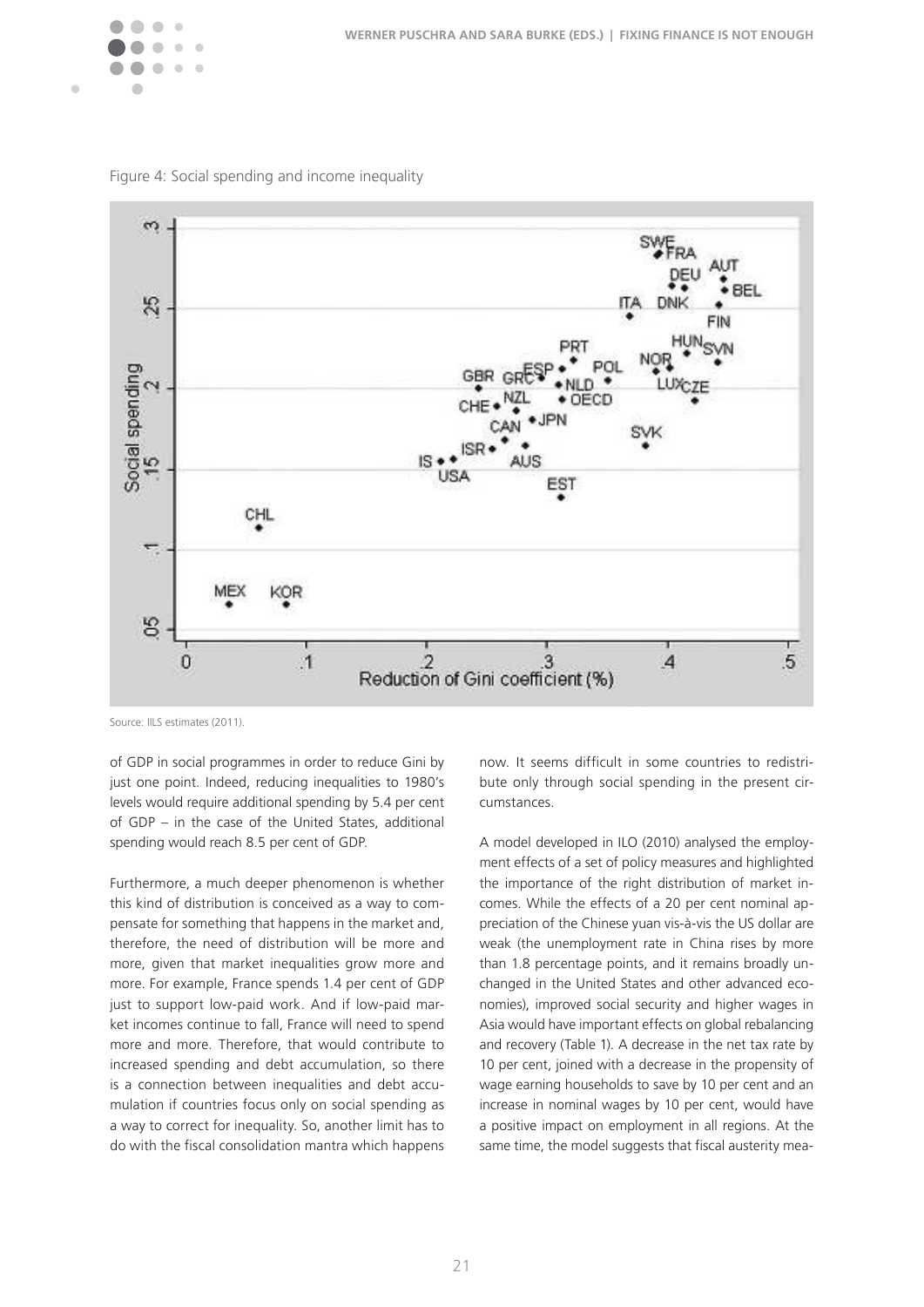

Figure 4: Social spending and income inequality



Source: IILS estimates (2011).

of GDP in social programmes in order to reduce Gini by just one point. Indeed, reducing inequalities to 1980's levels would require additional spending by 5.4 per cent of GDP – in the case of the United States, additional spending would reach 8.5 per cent of GDP.

Furthermore, a much deeper phenomenon is whether this kind of distribution is conceived as a way to compensate for something that happens in the market and, therefore, the need of distribution will be more and more, given that market inequalities grow more and more. For example, France spends 1.4 per cent of GDP just to support low-paid work. And if low-paid market incomes continue to fall, France will need to spend more and more. Therefore, that would contribute to increased spending and debt accumulation, so there is a connection between inequalities and debt accumulation if countries focus only on social spending as a way to correct for inequality. So, another limit has to do with the fiscal consolidation mantra which happens now. It seems difficult in some countries to redistribute only through social spending in the present circumstances.

A model developed in ILO (2010) analysed the employment effects of a set of policy measures and highlighted the importance of the right distribution of market incomes. While the effects of a 20 per cent nominal appreciation of the Chinese yuan vis-à-vis the US dollar are weak (the unemployment rate in China rises by more than 1.8 percentage points, and it remains broadly unchanged in the United States and other advanced economies), improved social security and higher wages in Asia would have important effects on global rebalancing and recovery (Table 1). A decrease in the net tax rate by 10 per cent, joined with a decrease in the propensity of wage earning households to save by 10 per cent and an increase in nominal wages by 10 per cent, would have a positive impact on employment in all regions. At the same time, the model suggests that fiscal austerity mea-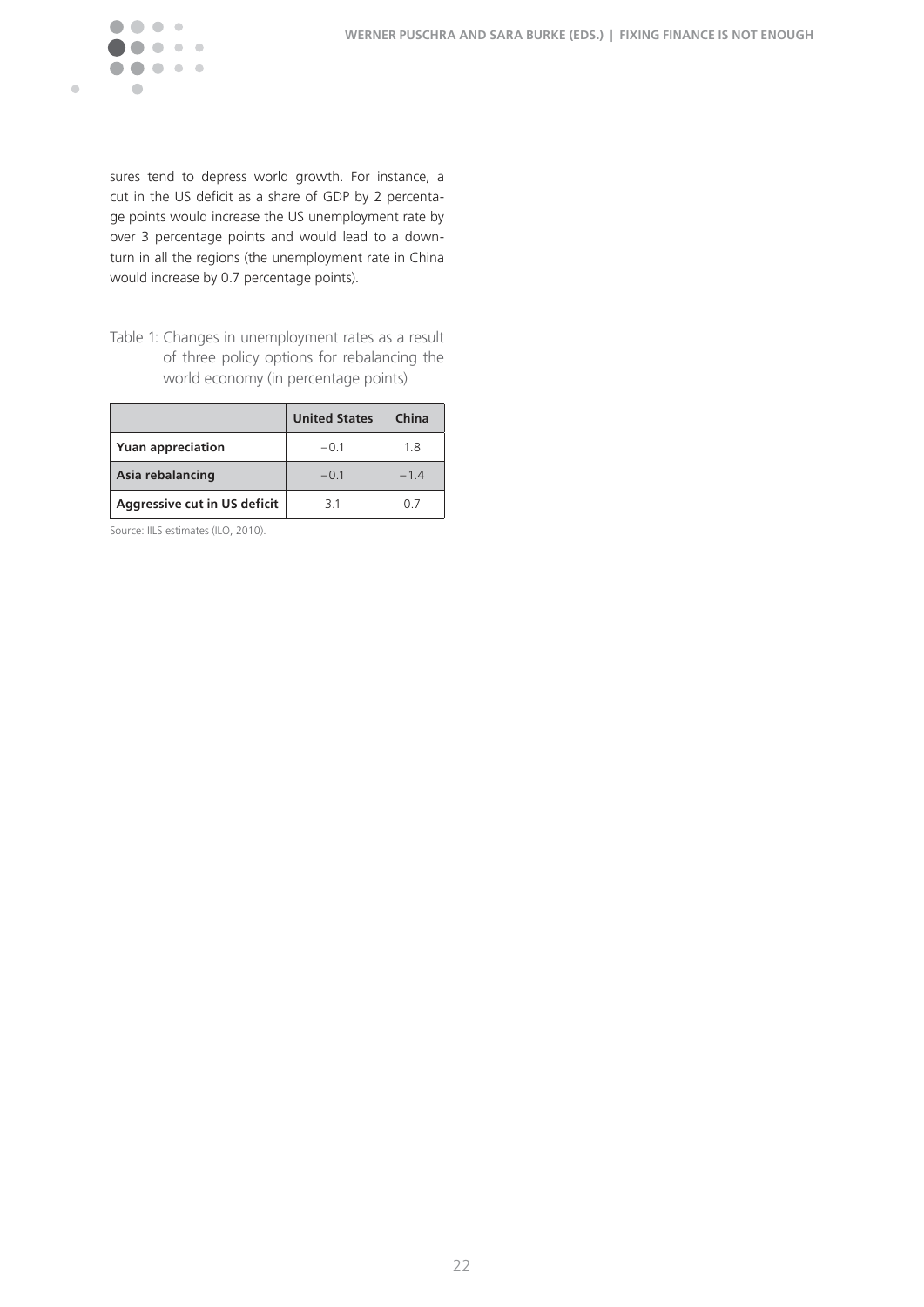

sures tend to depress world growth. For instance, a cut in the US deficit as a share of GDP by 2 percentage points would increase the US unemployment rate by over 3 percentage points and would lead to a downturn in all the regions (the unemployment rate in China would increase by 0.7 percentage points).

Table 1: Changes in unemployment rates as a result of three policy options for rebalancing the world economy (in percentage points)

|                              | <b>United States</b> | China |
|------------------------------|----------------------|-------|
| <b>Yuan appreciation</b>     | $-0.1$               | 1.8   |
| Asia rebalancing             | $-0.1$               | $-14$ |
| Aggressive cut in US deficit | 31                   | 0.7   |

Source: IILS estimates (ILO, 2010).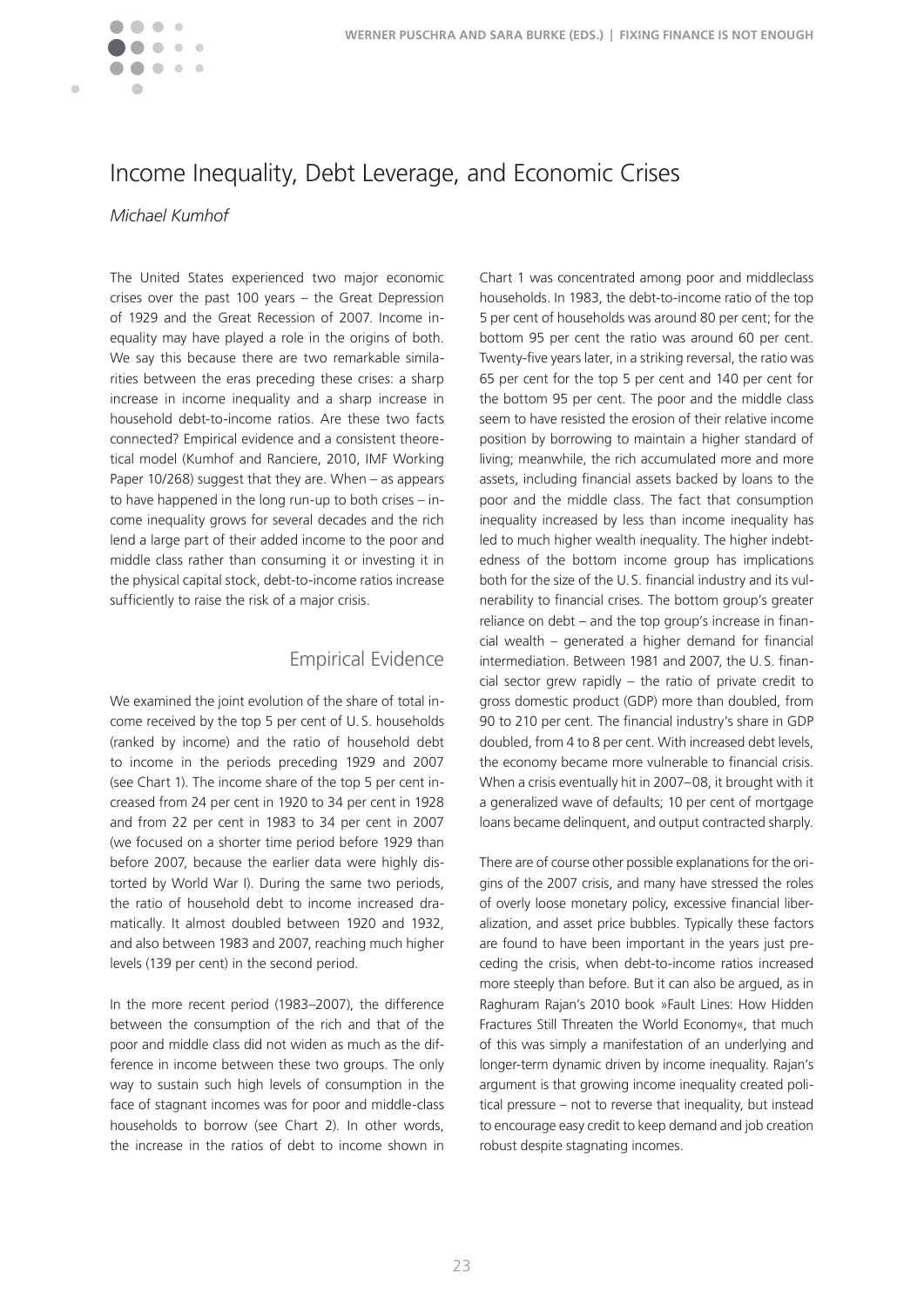

# Income Inequality, Debt Leverage, and Economic Crises

### *Michael Kumhof*

The United States experienced two major economic crises over the past 100 years – the Great Depression of 1929 and the Great Recession of 2007. Income inequality may have played a role in the origins of both. We say this because there are two remarkable similarities between the eras preceding these crises: a sharp increase in income inequality and a sharp increase in household debt-to-income ratios. Are these two facts connected? Empirical evidence and a consistent theoretical model (Kumhof and Ranciere, 2010, IMF Working Paper 10/268) suggest that they are. When – as appears to have happened in the long run-up to both crises – income inequality grows for several decades and the rich lend a large part of their added income to the poor and middle class rather than consuming it or investing it in the physical capital stock, debt-to-income ratios increase sufficiently to raise the risk of a major crisis.

### Empirical Evidence

We examined the joint evolution of the share of total income received by the top 5 per cent of U. S. households (ranked by income) and the ratio of household debt to income in the periods preceding 1929 and 2007 (see Chart 1). The income share of the top 5 per cent increased from 24 per cent in 1920 to 34 per cent in 1928 and from 22 per cent in 1983 to 34 per cent in 2007 (we focused on a shorter time period before 1929 than before 2007, because the earlier data were highly distorted by World War I). During the same two periods, the ratio of household debt to income increased dramatically. It almost doubled between 1920 and 1932, and also between 1983 and 2007, reaching much higher levels (139 per cent) in the second period.

In the more recent period (1983–2007), the difference between the consumption of the rich and that of the poor and middle class did not widen as much as the difference in income between these two groups. The only way to sustain such high levels of consumption in the face of stagnant incomes was for poor and middle-class households to borrow (see Chart 2). In other words, the increase in the ratios of debt to income shown in

Chart 1 was concentrated among poor and middleclass households. In 1983, the debt-to-income ratio of the top 5 per cent of households was around 80 per cent; for the bottom 95 per cent the ratio was around 60 per cent. Twenty-five years later, in a striking reversal, the ratio was 65 per cent for the top 5 per cent and 140 per cent for the bottom 95 per cent. The poor and the middle class seem to have resisted the erosion of their relative income position by borrowing to maintain a higher standard of living; meanwhile, the rich accumulated more and more assets, including financial assets backed by loans to the poor and the middle class. The fact that consumption inequality increased by less than income inequality has led to much higher wealth inequality. The higher indebtedness of the bottom income group has implications both for the size of the U.S. financial industry and its vulnerability to financial crises. The bottom group's greater reliance on debt – and the top group's increase in financial wealth – generated a higher demand for inancial intermediation. Between 1981 and 2007, the U.S. financial sector grew rapidly – the ratio of private credit to gross domestic product (GDP) more than doubled, from 90 to 210 per cent. The financial industry's share in GDP doubled, from 4 to 8 per cent. With increased debt levels, the economy became more vulnerable to financial crisis. When a crisis eventually hit in 2007–08, it brought with it a generalized wave of defaults; 10 per cent of mortgage loans became delinquent, and output contracted sharply.

There are of course other possible explanations for the origins of the 2007 crisis, and many have stressed the roles of overly loose monetary policy, excessive financial liberalization, and asset price bubbles. Typically these factors are found to have been important in the years just preceding the crisis, when debt-to-income ratios increased more steeply than before. But it can also be argued, as in Raghuram Rajan's 2010 book »Fault Lines: How Hidden Fractures Still Threaten the World Economy«, that much of this was simply a manifestation of an underlying and longer-term dynamic driven by income inequality. Rajan's argument is that growing income inequality created political pressure – not to reverse that inequality, but instead to encourage easy credit to keep demand and job creation robust despite stagnating incomes.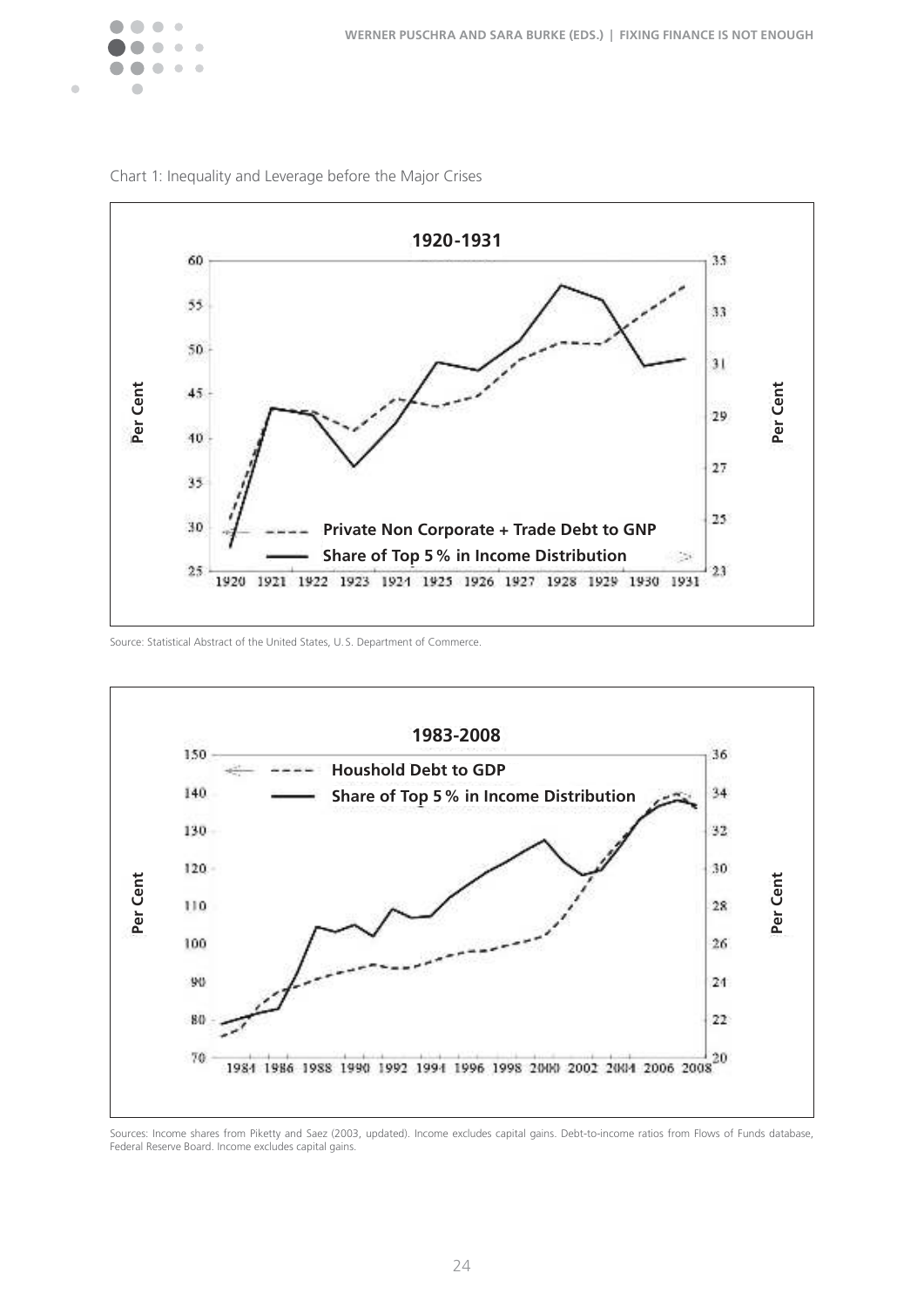



Chart 1: Inequality and Leverage before the Major Crises

Source: Statistical Abstract of the United States, U.S. Department of Commerce.



Sources: Income shares from Piketty and Saez (2003, updated), Income excludes capital gains. Debt-to-income ratios from Flows of Funds database, Federal Reserve Board. Income excludes capital gains.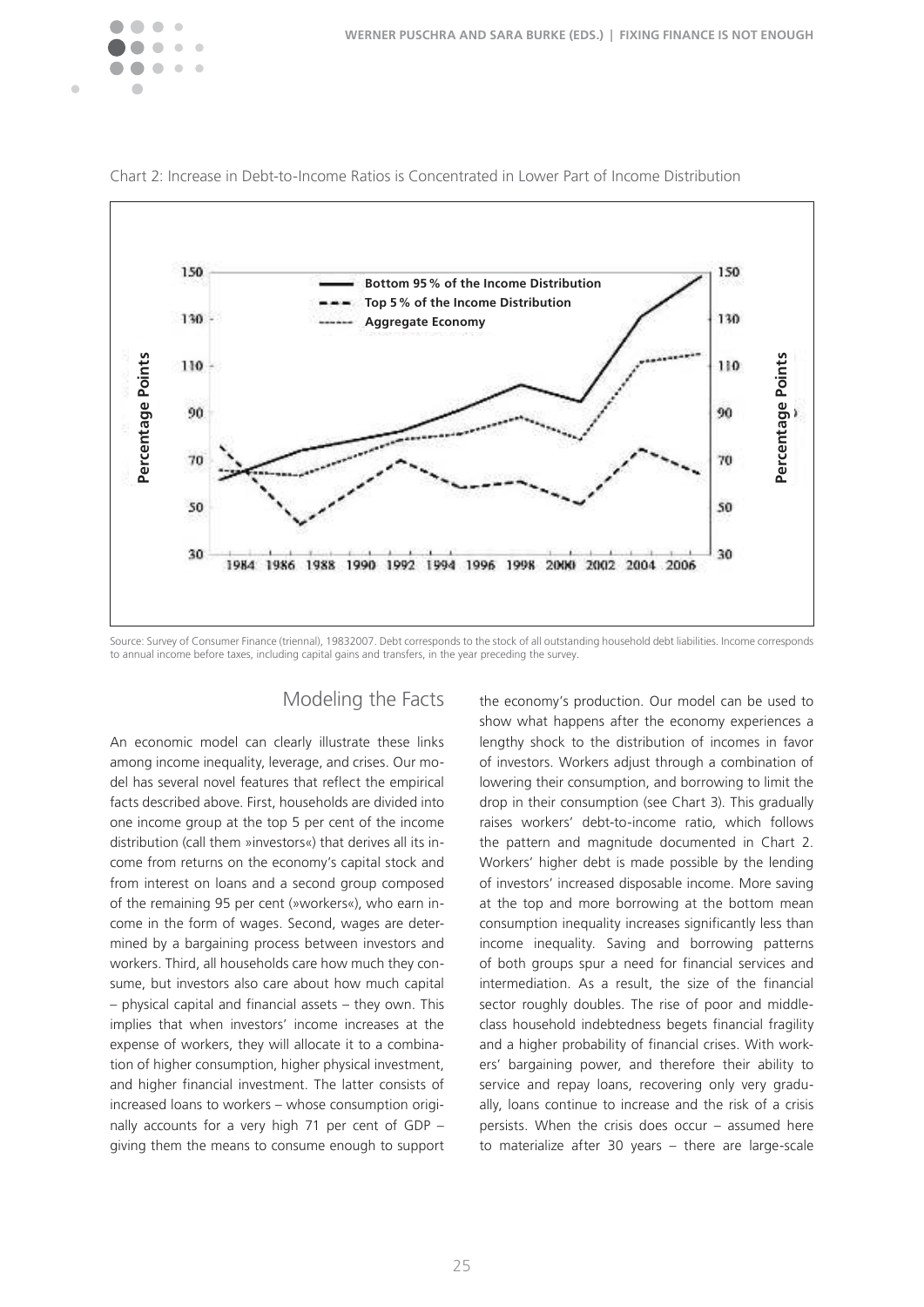



Chart 2: Increase in Debt-to-Income Ratios is Concentrated in Lower Part of Income Distribution

Source: Survey of Consumer Finance (triennal), 19832007. Debt corresponds to the stock of all outstanding household debt liabilities. Income corresponds

### Modeling the Facts

An economic model can clearly illustrate these links among income inequality, leverage, and crises. Our model has several novel features that reflect the empirical facts described above. First, households are divided into one income group at the top 5 per cent of the income distribution (call them »investors«) that derives all its income from returns on the economy's capital stock and from interest on loans and a second group composed of the remaining 95 per cent (»workers«), who earn income in the form of wages. Second, wages are determined by a bargaining process between investors and workers. Third, all households care how much they consume, but investors also care about how much capital  $-$  physical capital and financial assets  $-$  they own. This implies that when investors' income increases at the expense of workers, they will allocate it to a combination of higher consumption, higher physical investment, and higher financial investment. The latter consists of increased loans to workers – whose consumption originally accounts for a very high 71 per cent of GDP – giving them the means to consume enough to support

the economy's production. Our model can be used to show what happens after the economy experiences a lengthy shock to the distribution of incomes in favor of investors. Workers adjust through a combination of lowering their consumption, and borrowing to limit the drop in their consumption (see Chart 3). This gradually raises workers' debt-to-income ratio, which follows the pattern and magnitude documented in Chart 2. Workers' higher debt is made possible by the lending of investors' increased disposable income. More saving at the top and more borrowing at the bottom mean consumption inequality increases significantly less than income inequality. Saving and borrowing patterns of both groups spur a need for financial services and intermediation. As a result, the size of the financial sector roughly doubles. The rise of poor and middleclass household indebtedness begets financial fragility and a higher probability of financial crises. With workers' bargaining power, and therefore their ability to service and repay loans, recovering only very gradually, loans continue to increase and the risk of a crisis persists. When the crisis does occur – assumed here to materialize after 30 years – there are large-scale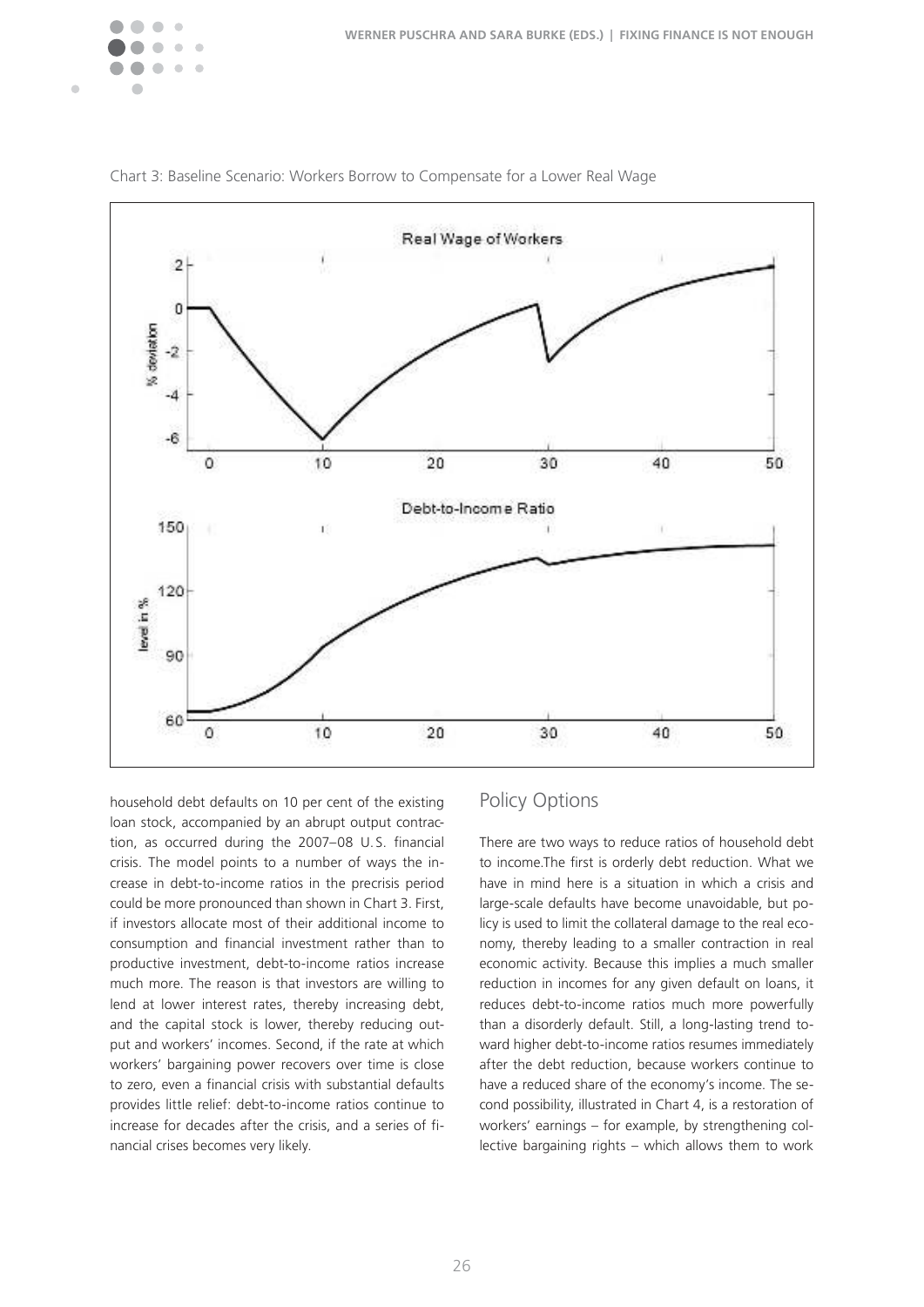



Chart 3: Baseline Scenario: Workers Borrow to Compensate for a Lower Real Wage

household debt defaults on 10 per cent of the existing loan stock, accompanied by an abrupt output contraction, as occurred during the 2007–08 U.S. financial crisis. The model points to a number of ways the increase in debt-to-income ratios in the precrisis period could be more pronounced than shown in Chart 3. First, if investors allocate most of their additional income to consumption and financial investment rather than to productive investment, debt-to-income ratios increase much more. The reason is that investors are willing to lend at lower interest rates, thereby increasing debt, and the capital stock is lower, thereby reducing output and workers' incomes. Second, if the rate at which workers' bargaining power recovers over time is close to zero, even a financial crisis with substantial defaults provides little relief: debt-to-income ratios continue to increase for decades after the crisis, and a series of financial crises becomes very likely.

# Policy Options

There are two ways to reduce ratios of household debt to income. The first is orderly debt reduction. What we have in mind here is a situation in which a crisis and large-scale defaults have become unavoidable, but policy is used to limit the collateral damage to the real economy, thereby leading to a smaller contraction in real economic activity. Because this implies a much smaller reduction in incomes for any given default on loans, it reduces debt-to-income ratios much more powerfully than a disorderly default. Still, a long-lasting trend toward higher debt-to-income ratios resumes immediately after the debt reduction, because workers continue to have a reduced share of the economy's income. The second possibility, illustrated in Chart 4, is a restoration of workers' earnings – for example, by strengthening collective bargaining rights – which allows them to work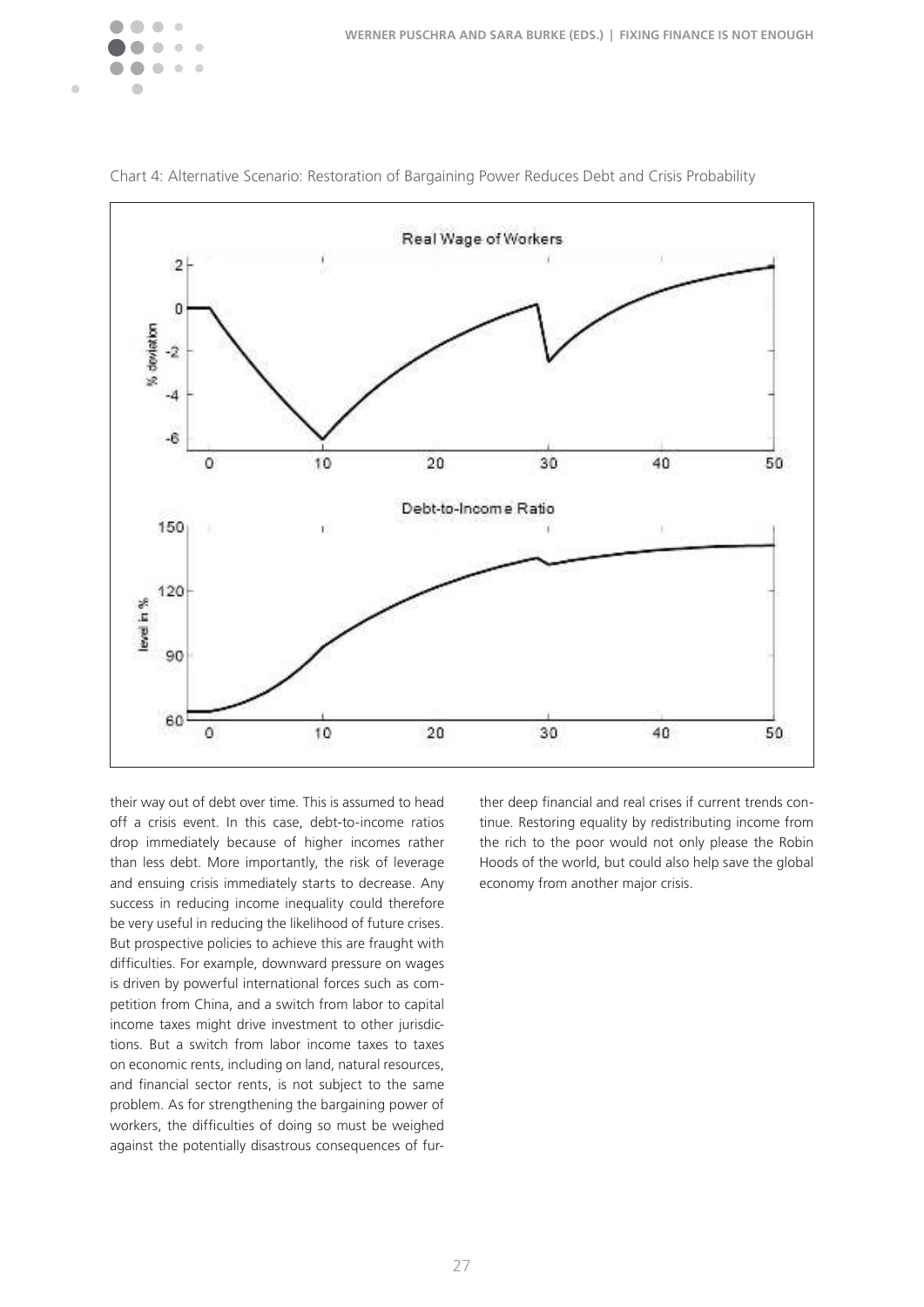



Chart 4: Alternative Scenario: Restoration of Bargaining Power Reduces Debt and Crisis Probability

their way out of debt over time. This is assumed to head off a crisis event. In this case, debt-to-income ratios drop immediately because of higher incomes rather than less debt. More importantly, the risk of leverage and ensuing crisis immediately starts to decrease. Any success in reducing income inequality could therefore be very useful in reducing the likelihood of future crises. But prospective policies to achieve this are fraught with difficulties. For example, downward pressure on wages is driven by powerful international forces such as competition from China, and a switch from labor to capital income taxes might drive investment to other jurisdictions. But a switch from labor income taxes to taxes on economic rents, including on land, natural resources, and financial sector rents, is not subject to the same problem. As for strengthening the bargaining power of workers, the difficulties of doing so must be weighed against the potentially disastrous consequences of fur-

ther deep financial and real crises if current trends continue. Restoring equality by redistributing income from the rich to the poor would not only please the Robin Hoods of the world, but could also help save the global economy from another major crisis.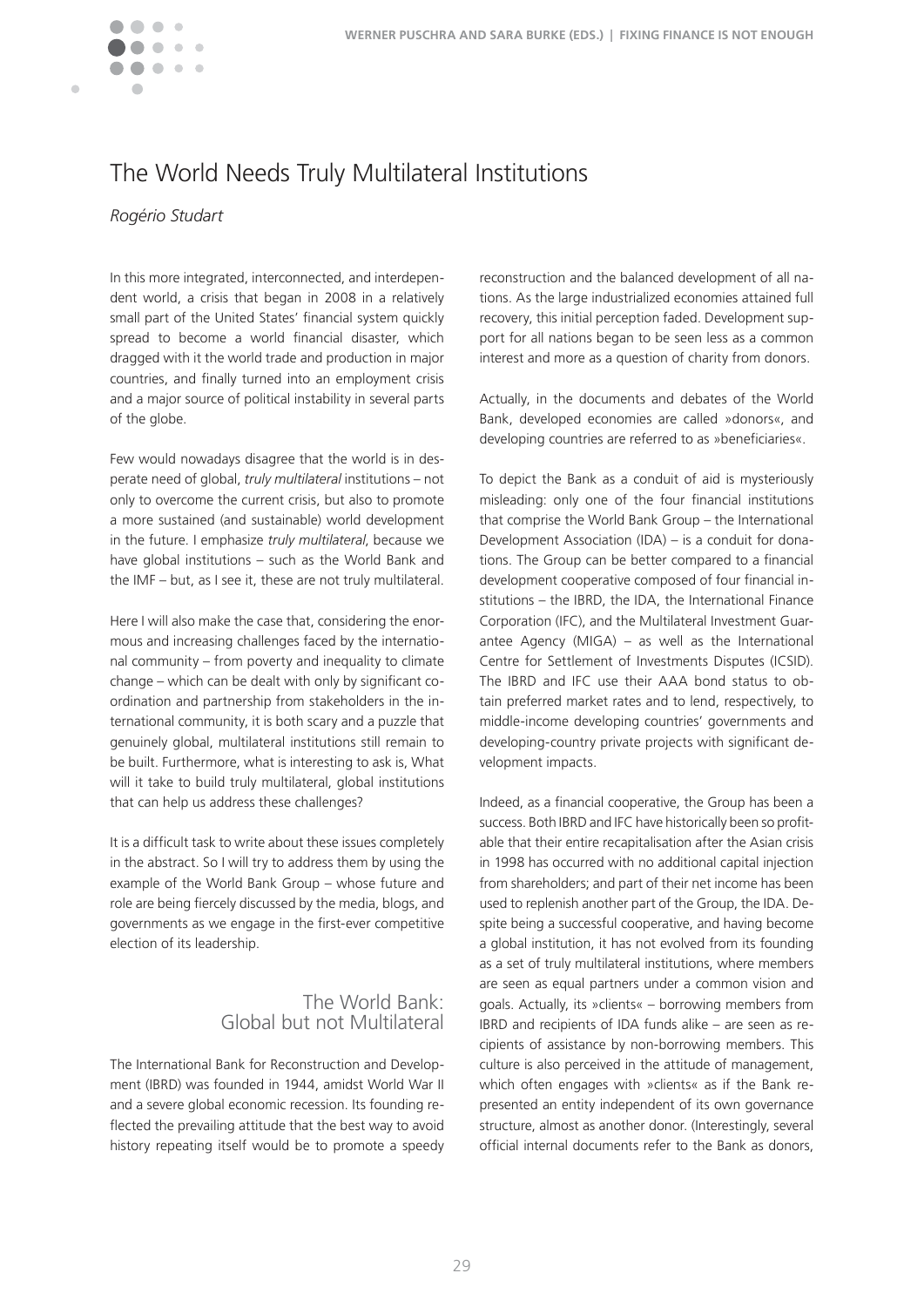

# The World Needs Truly Multilateral Institutions

### *Rogério Studart*

In this more integrated, interconnected, and interdependent world, a crisis that began in 2008 in a relatively small part of the United States' financial system quickly spread to become a world financial disaster, which dragged with it the world trade and production in major countries, and finally turned into an employment crisis and a major source of political instability in several parts of the globe.

Few would nowadays disagree that the world is in desperate need of global, *truly multilateral* institutions – not only to overcome the current crisis, but also to promote a more sustained (and sustainable) world development in the future. I emphasize *truly multilateral*, because we have global institutions – such as the World Bank and the IMF – but, as I see it, these are not truly multilateral.

Here I will also make the case that, considering the enormous and increasing challenges faced by the international community – from poverty and inequality to climate change – which can be dealt with only by significant coordination and partnership from stakeholders in the international community, it is both scary and a puzzle that genuinely global, multilateral institutions still remain to be built. Furthermore, what is interesting to ask is, What will it take to build truly multilateral, global institutions that can help us address these challenges?

It is a difficult task to write about these issues completely in the abstract. So I will try to address them by using the example of the World Bank Group – whose future and role are being fiercely discussed by the media, blogs, and governments as we engage in the first-ever competitive election of its leadership.

### The World Bank: Global but not Multilateral

The International Bank for Reconstruction and Development (IBRD) was founded in 1944, amidst World War II and a severe global economic recession. Its founding reflected the prevailing attitude that the best way to avoid history repeating itself would be to promote a speedy

reconstruction and the balanced development of all nations. As the large industrialized economies attained full recovery, this initial perception faded. Development support for all nations began to be seen less as a common interest and more as a question of charity from donors.

Actually, in the documents and debates of the World Bank, developed economies are called »donors«, and developing countries are referred to as »beneficiaries«.

To depict the Bank as a conduit of aid is mysteriously misleading: only one of the four financial institutions that comprise the World Bank Group – the International Development Association (IDA) – is a conduit for donations. The Group can be better compared to a financial development cooperative composed of four financial institutions – the IBRD, the IDA, the International Finance Corporation (IFC), and the Multilateral Investment Guarantee Agency (MIGA) – as well as the International Centre for Settlement of Investments Disputes (ICSID). The IBRD and IFC use their AAA bond status to obtain preferred market rates and to lend, respectively, to middle-income developing countries' governments and developing-country private projects with significant development impacts.

Indeed, as a financial cooperative, the Group has been a success. Both IBRD and IFC have historically been so profitable that their entire recapitalisation after the Asian crisis in 1998 has occurred with no additional capital injection from shareholders; and part of their net income has been used to replenish another part of the Group, the IDA. Despite being a successful cooperative, and having become a global institution, it has not evolved from its founding as a set of truly multilateral institutions, where members are seen as equal partners under a common vision and goals. Actually, its »clients« – borrowing members from IBRD and recipients of IDA funds alike – are seen as recipients of assistance by non-borrowing members. This culture is also perceived in the attitude of management, which often engages with »clients« as if the Bank represented an entity independent of its own governance structure, almost as another donor. (Interestingly, several official internal documents refer to the Bank as donors,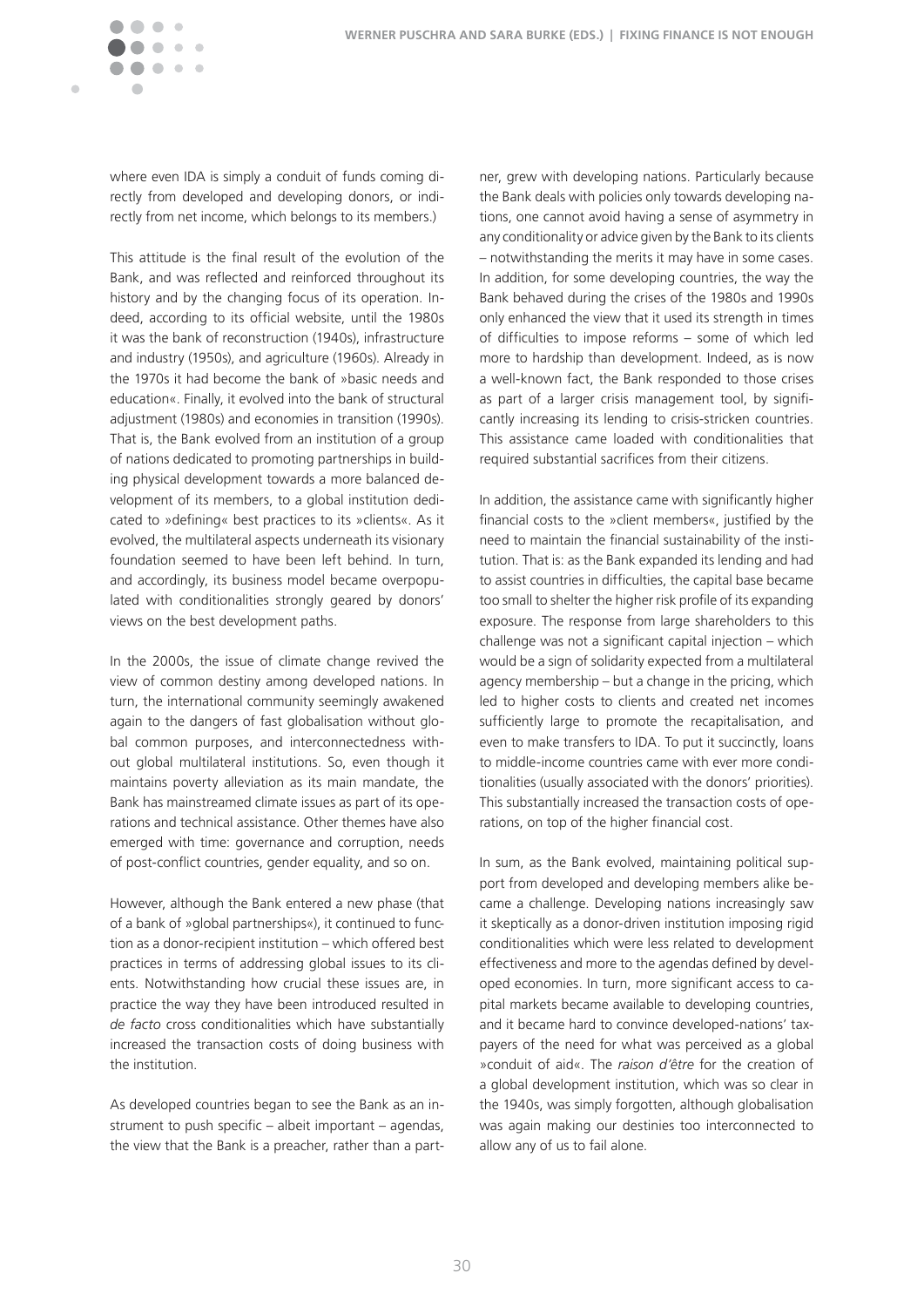

where even IDA is simply a conduit of funds coming directly from developed and developing donors, or indirectly from net income, which belongs to its members.)

This attitude is the final result of the evolution of the Bank, and was reflected and reinforced throughout its history and by the changing focus of its operation. Indeed, according to its official website, until the 1980s it was the bank of reconstruction (1940s), infrastructure and industry (1950s), and agriculture (1960s). Already in the 1970s it had become the bank of »basic needs and education«. Finally, it evolved into the bank of structural adjustment (1980s) and economies in transition (1990s). That is, the Bank evolved from an institution of a group of nations dedicated to promoting partnerships in building physical development towards a more balanced development of its members, to a global institution dedicated to »defining« best practices to its »clients«. As it evolved, the multilateral aspects underneath its visionary foundation seemed to have been left behind. In turn, and accordingly, its business model became overpopulated with conditionalities strongly geared by donors' views on the best development paths.

In the 2000s, the issue of climate change revived the view of common destiny among developed nations. In turn, the international community seemingly awakened again to the dangers of fast globalisation without global common purposes, and interconnectedness without global multilateral institutions. So, even though it maintains poverty alleviation as its main mandate, the Bank has mainstreamed climate issues as part of its operations and technical assistance. Other themes have also emerged with time: governance and corruption, needs of post-conflict countries, gender equality, and so on.

However, although the Bank entered a new phase (that of a bank of »global partnerships«), it continued to function as a donor-recipient institution – which offered best practices in terms of addressing global issues to its clients. Notwithstanding how crucial these issues are, in practice the way they have been introduced resulted in *de facto* cross conditionalities which have substantially increased the transaction costs of doing business with the institution�

As developed countries began to see the Bank as an instrument to push specific – albeit important – agendas, the view that the Bank is a preacher, rather than a part-

ner, grew with developing nations. Particularly because the Bank deals with policies only towards developing nations, one cannot avoid having a sense of asymmetry in any conditionality or advice given by the Bank to its clients – notwithstanding the merits it may have in some cases. In addition, for some developing countries, the way the Bank behaved during the crises of the 1980s and 1990s only enhanced the view that it used its strength in times of difficulties to impose reforms – some of which led more to hardship than development. Indeed, as is now a well-known fact, the Bank responded to those crises as part of a larger crisis management tool, by significantly increasing its lending to crisis-stricken countries. This assistance came loaded with conditionalities that required substantial sacrifices from their citizens.

In addition, the assistance came with significantly higher financial costs to the »client members«, justified by the need to maintain the financial sustainability of the institution. That is: as the Bank expanded its lending and had to assist countries in difficulties, the capital base became too small to shelter the higher risk profile of its expanding exposure. The response from large shareholders to this challenge was not a significant capital injection – which would be a sign of solidarity expected from a multilateral agency membership – but a change in the pricing, which led to higher costs to clients and created net incomes sufficiently large to promote the recapitalisation, and even to make transfers to IDA. To put it succinctly, loans to middle-income countries came with ever more conditionalities (usually associated with the donors' priorities). This substantially increased the transaction costs of operations, on top of the higher financial cost.

In sum, as the Bank evolved, maintaining political support from developed and developing members alike became a challenge. Developing nations increasingly saw it skeptically as a donor-driven institution imposing rigid conditionalities which were less related to development effectiveness and more to the agendas defined by developed economies. In turn, more significant access to capital markets became available to developing countries, and it became hard to convince developed-nations' taxpayers of the need for what was perceived as a global »conduit of aid«. The *raison d'être* for the creation of a global development institution, which was so clear in the 1940s, was simply forgotten, although globalisation was again making our destinies too interconnected to allow any of us to fail alone.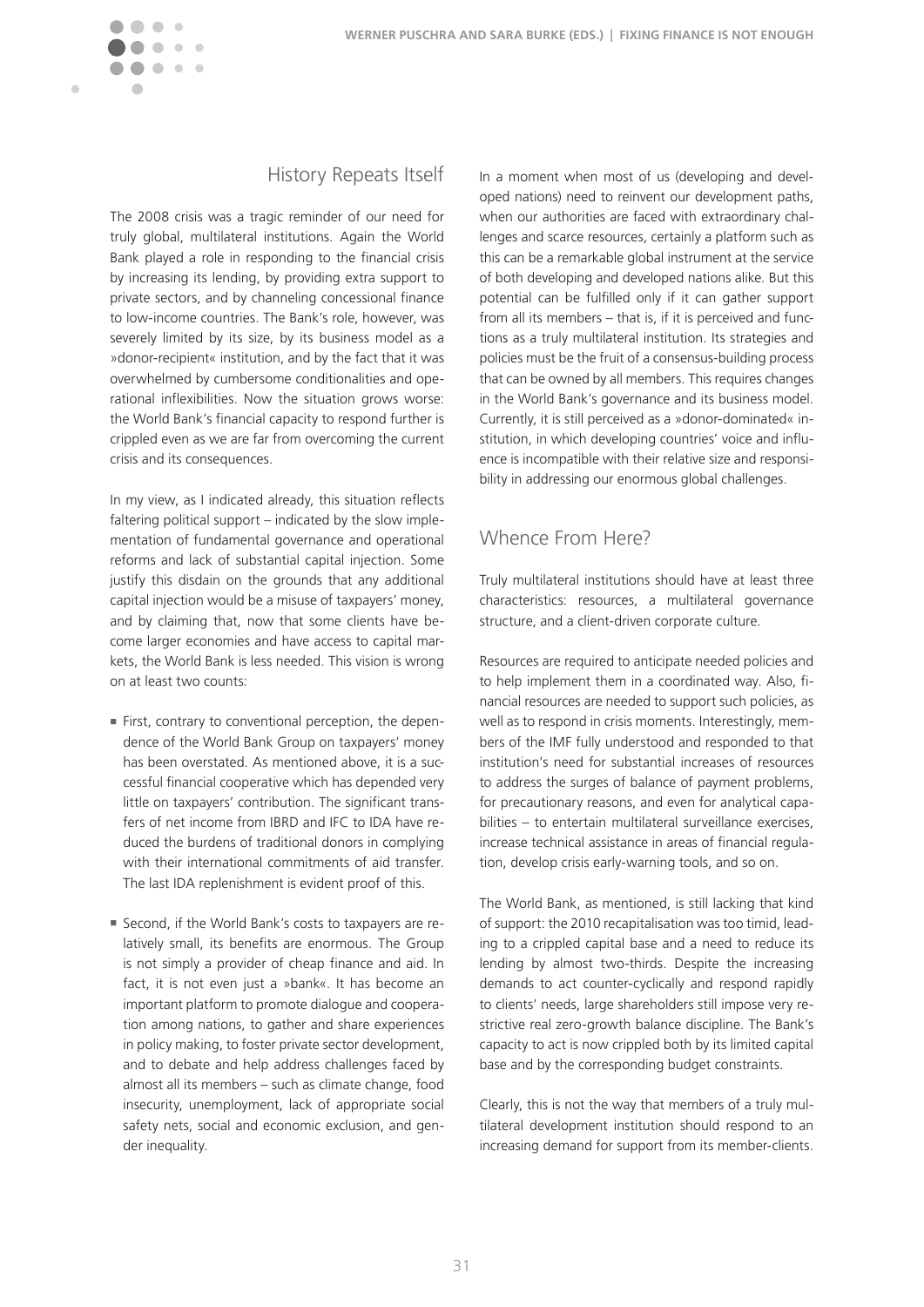

## History Repeats Itself

The 2008 crisis was a tragic reminder of our need for truly global, multilateral institutions. Again the World Bank played a role in responding to the financial crisis by increasing its lending, by providing extra support to private sectors, and by channeling concessional finance to low-income countries. The Bank's role, however, was severely limited by its size, by its business model as a »donor-recipient« institution, and by the fact that it was overwhelmed by cumbersome conditionalities and operational inflexibilities. Now the situation grows worse: the World Bank's financial capacity to respond further is crippled even as we are far from overcoming the current crisis and its consequences.

In my view, as I indicated already, this situation reflects faltering political support – indicated by the slow implementation of fundamental governance and operational reforms and lack of substantial capital injection. Some justify this disdain on the grounds that any additional capital injection would be a misuse of taxpayers' money, and by claiming that, now that some clients have become larger economies and have access to capital markets, the World Bank is less needed. This vision is wrong on at least two counts:

- n First, contrary to conventional perception, the dependence of the World Bank Group on taxpayers' money has been overstated. As mentioned above, it is a successful financial cooperative which has depended very little on taxpayers' contribution. The significant transfers of net income from IBRD and IFC to IDA have reduced the burdens of traditional donors in complying with their international commitments of aid transfer. The last IDA replenishment is evident proof of this.
- n Second, if the World Bank's costs to taxpayers are relatively small, its benefits are enormous. The Group is not simply a provider of cheap finance and aid. In fact, it is not even just a »bank«. It has become an important platform to promote dialogue and cooperation among nations, to gather and share experiences in policy making, to foster private sector development, and to debate and help address challenges faced by almost all its members – such as climate change, food insecurity, unemployment, lack of appropriate social safety nets, social and economic exclusion, and gender inequality.

In a moment when most of us (developing and developed nations) need to reinvent our development paths, when our authorities are faced with extraordinary challenges and scarce resources, certainly a platform such as this can be a remarkable global instrument at the service of both developing and developed nations alike. But this potential can be fulfilled only if it can gather support from all its members – that is, if it is perceived and functions as a truly multilateral institution. Its strategies and policies must be the fruit of a consensus-building process that can be owned by all members. This requires changes in the World Bank's governance and its business model. Currently, it is still perceived as a »donor-dominated« institution, in which developing countries' voice and influence is incompatible with their relative size and responsibility in addressing our enormous global challenges.

# Whence From Here?

Truly multilateral institutions should have at least three characteristics: resources, a multilateral governance structure, and a client-driven corporate culture.

Resources are required to anticipate needed policies and to help implement them in a coordinated way. Also, financial resources are needed to support such policies, as well as to respond in crisis moments. Interestingly, members of the IMF fully understood and responded to that institution's need for substantial increases of resources to address the surges of balance of payment problems, for precautionary reasons, and even for analytical capabilities – to entertain multilateral surveillance exercises, increase technical assistance in areas of financial regulation, develop crisis early-warning tools, and so on.

The World Bank, as mentioned, is still lacking that kind of support: the 2010 recapitalisation was too timid, leading to a crippled capital base and a need to reduce its lending by almost two-thirds. Despite the increasing demands to act counter-cyclically and respond rapidly to clients' needs, large shareholders still impose very restrictive real zero-growth balance discipline. The Bank's capacity to act is now crippled both by its limited capital base and by the corresponding budget constraints.

Clearly, this is not the way that members of a truly multilateral development institution should respond to an increasing demand for support from its member-clients.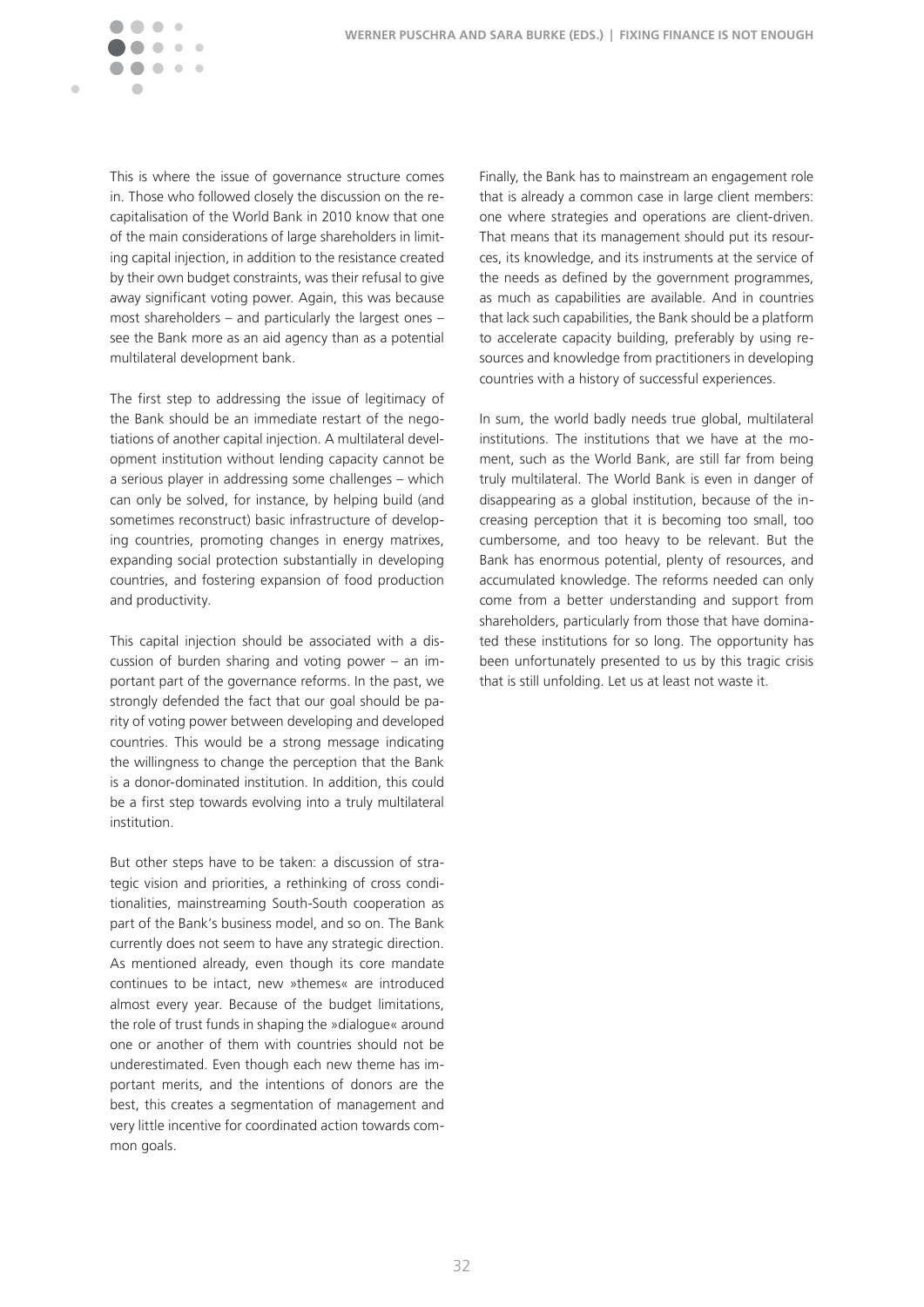

This is where the issue of governance structure comes in. Those who followed closely the discussion on the recapitalisation of the World Bank in 2010 know that one of the main considerations of large shareholders in limiting capital injection, in addition to the resistance created by their own budget constraints, was their refusal to give away significant voting power. Again, this was because most shareholders – and particularly the largest ones – see the Bank more as an aid agency than as a potential multilateral development bank.

The first step to addressing the issue of legitimacy of the Bank should be an immediate restart of the negotiations of another capital injection. A multilateral development institution without lending capacity cannot be a serious player in addressing some challenges – which can only be solved, for instance, by helping build (and sometimes reconstruct) basic infrastructure of developing countries, promoting changes in energy matrixes, expanding social protection substantially in developing countries, and fostering expansion of food production and productivity.

This capital injection should be associated with a discussion of burden sharing and voting power – an important part of the governance reforms. In the past, we strongly defended the fact that our goal should be parity of voting power between developing and developed countries. This would be a strong message indicating the willingness to change the perception that the Bank is a donor-dominated institution. In addition, this could be a first step towards evolving into a truly multilateral institution.

But other steps have to be taken: a discussion of strategic vision and priorities, a rethinking of cross conditionalities, mainstreaming South-South cooperation as part of the Bank's business model, and so on. The Bank currently does not seem to have any strategic direction. As mentioned already, even though its core mandate continues to be intact, new »themes« are introduced almost every year. Because of the budget limitations, the role of trust funds in shaping the »dialogue« around one or another of them with countries should not be underestimated. Even though each new theme has important merits, and the intentions of donors are the best, this creates a segmentation of management and very little incentive for coordinated action towards common goals.

Finally, the Bank has to mainstream an engagement role that is already a common case in large client members: one where strategies and operations are client-driven. That means that its management should put its resources, its knowledge, and its instruments at the service of the needs as defined by the government programmes, as much as capabilities are available. And in countries that lack such capabilities, the Bank should be a platform to accelerate capacity building, preferably by using resources and knowledge from practitioners in developing countries with a history of successful experiences.

In sum, the world badly needs true global, multilateral institutions. The institutions that we have at the moment, such as the World Bank, are still far from being truly multilateral. The World Bank is even in danger of disappearing as a global institution, because of the increasing perception that it is becoming too small, too cumbersome, and too heavy to be relevant. But the Bank has enormous potential, plenty of resources, and accumulated knowledge. The reforms needed can only come from a better understanding and support from shareholders, particularly from those that have dominated these institutions for so long. The opportunity has been unfortunately presented to us by this tragic crisis that is still unfolding. Let us at least not waste it.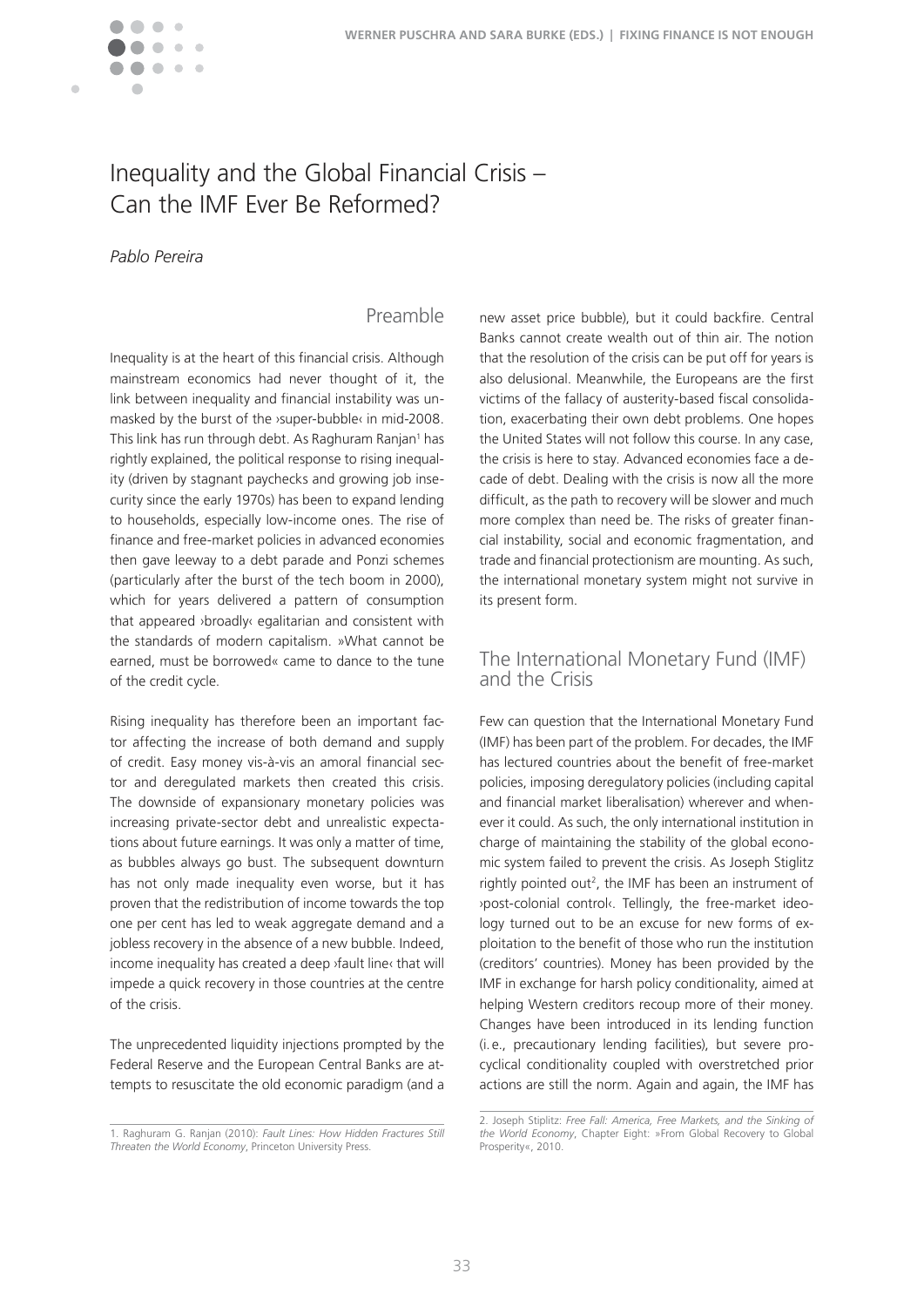

# Inequality and the Global Financial Crisis – Can the IMF Ever Be Reformed?

### *Pablo Pereira*

### Preamble

Inequality is at the heart of this financial crisis. Although mainstream economics had never thought of it, the link between inequality and financial instability was unmasked by the burst of the *y*super-bubble<sup>*s*</sup> in mid-2008. This link has run through debt. As Raghuram Ranjan<sup>1</sup> has rightly explained, the political response to rising inequality (driven by stagnant paychecks and growing job insecurity since the early 1970s) has been to expand lending to households, especially low-income ones. The rise of finance and free-market policies in advanced economies then gave leeway to a debt parade and Ponzi schemes (particularly after the burst of the tech boom in 2000), which for years delivered a pattern of consumption that appeared ›broadly‹ egalitarian and consistent with the standards of modern capitalism. »What cannot be earned, must be borrowed« came to dance to the tune of the credit cycle.

Rising inequality has therefore been an important factor affecting the increase of both demand and supply of credit. Easy money vis-à-vis an amoral financial sector and deregulated markets then created this crisis. The downside of expansionary monetary policies was increasing private-sector debt and unrealistic expectations about future earnings. It was only a matter of time, as bubbles always go bust. The subsequent downturn has not only made inequality even worse, but it has proven that the redistribution of income towards the top one per cent has led to weak aggregate demand and a jobless recovery in the absence of a new bubble. Indeed, income inequality has created a deep ›fault line‹ that will impede a quick recovery in those countries at the centre of the crisis.

The unprecedented liquidity injections prompted by the Federal Reserve and the European Central Banks are attempts to resuscitate the old economic paradigm (and a

new asset price bubble), but it could backfire. Central Banks cannot create wealth out of thin air. The notion that the resolution of the crisis can be put off for years is also delusional. Meanwhile, the Europeans are the first victims of the fallacy of austerity-based fiscal consolidation, exacerbating their own debt problems. One hopes the United States will not follow this course. In any case, the crisis is here to stay. Advanced economies face a decade of debt. Dealing with the crisis is now all the more difficult, as the path to recovery will be slower and much more complex than need be. The risks of greater financial instability, social and economic fragmentation, and trade and financial protectionism are mounting. As such, the international monetary system might not survive in its present form.

### The International Monetary Fund (IMF) and the Crisis

Few can question that the International Monetary Fund (IMF) has been part of the problem. For decades, the IMF has lectured countries about the benefit of free-market policies, imposing deregulatory policies (including capital and financial market liberalisation) wherever and whenever it could. As such, the only international institution in charge of maintaining the stability of the global economic system failed to prevent the crisis. As Joseph Stiglitz rightly pointed out<sup>2</sup>, the IMF has been an instrument of ›post-colonial control‹� Tellingly, the free-market ideology turned out to be an excuse for new forms of exploitation to the benefit of those who run the institution (creditors' countries). Money has been provided by the IMF in exchange for harsh policy conditionality, aimed at helping Western creditors recoup more of their money. Changes have been introduced in its lending function (i.e., precautionary lending facilities), but severe procyclical conditionality coupled with overstretched prior actions are still the norm. Again and again, the IMF has

<sup>1�</sup> Raghuram G� Ranjan (2010): *Fault Lines: How Hidden Fractures Still Threaten the World Economy*, Princeton University Press�

<sup>2�</sup> Joseph Stiplitz: *Free Fall: America, Free Markets, and the Sinking of the World Economy*, Chapter Eight: »From Global Recovery to Global Prosperity«, 2010.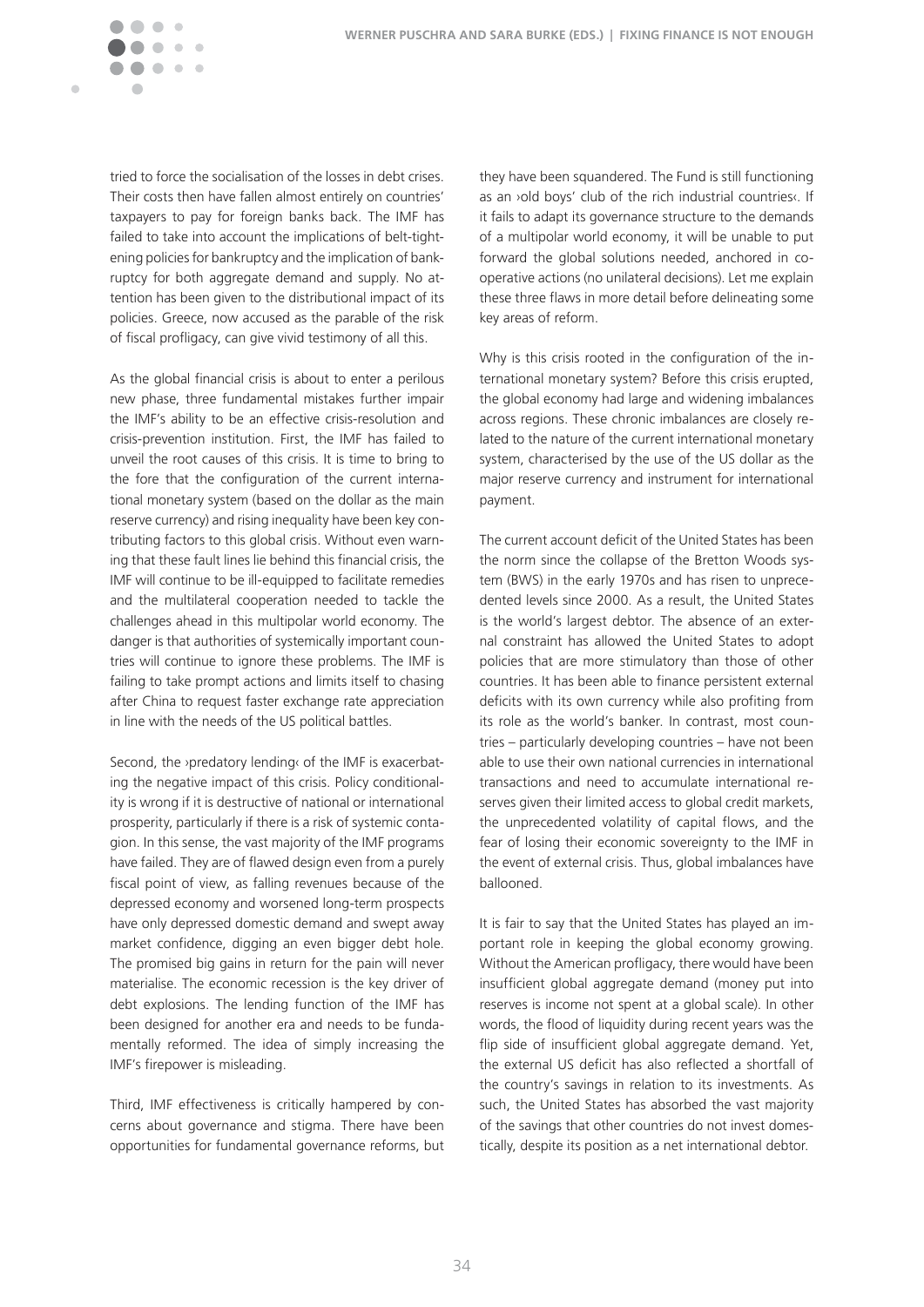

tried to force the socialisation of the losses in debt crises. Their costs then have fallen almost entirely on countries' taxpayers to pay for foreign banks back. The IMF has failed to take into account the implications of belt-tightening policies for bankruptcy and the implication of bankruptcy for both aggregate demand and supply. No attention has been given to the distributional impact of its policies. Greece, now accused as the parable of the risk of fiscal profligacy, can give vivid testimony of all this.

As the global financial crisis is about to enter a perilous new phase, three fundamental mistakes further impair the IMF's ability to be an effective crisis-resolution and crisis-prevention institution. First, the IMF has failed to unveil the root causes of this crisis. It is time to bring to the fore that the configuration of the current international monetary system (based on the dollar as the main reserve currency) and rising inequality have been key contributing factors to this global crisis. Without even warning that these fault lines lie behind this financial crisis, the IMF will continue to be ill-equipped to facilitate remedies and the multilateral cooperation needed to tackle the challenges ahead in this multipolar world economy. The danger is that authorities of systemically important countries will continue to ignore these problems. The IMF is failing to take prompt actions and limits itself to chasing after China to request faster exchange rate appreciation in line with the needs of the US political battles.

Second, the ›predatory lending‹ of the IMF is exacerbating the negative impact of this crisis. Policy conditionality is wrong if it is destructive of national or international prosperity, particularly if there is a risk of systemic contagion. In this sense, the vast majority of the IMF programs have failed. They are of flawed design even from a purely fiscal point of view, as falling revenues because of the depressed economy and worsened long-term prospects have only depressed domestic demand and swept away market confidence, digging an even bigger debt hole. The promised big gains in return for the pain will never materialise. The economic recession is the key driver of debt explosions. The lending function of the IMF has been designed for another era and needs to be fundamentally reformed. The idea of simply increasing the IMF's firepower is misleading.

Third, IMF effectiveness is critically hampered by concerns about governance and stigma. There have been opportunities for fundamental governance reforms, but

they have been squandered. The Fund is still functioning as an >old boys' club of the rich industrial countries. If it fails to adapt its governance structure to the demands of a multipolar world economy, it will be unable to put forward the global solutions needed, anchored in cooperative actions (no unilateral decisions). Let me explain these three flaws in more detail before delineating some key areas of reform�

Why is this crisis rooted in the configuration of the international monetary system? Before this crisis erupted, the global economy had large and widening imbalances across regions. These chronic imbalances are closely related to the nature of the current international monetary system, characterised by the use of the US dollar as the major reserve currency and instrument for international payment.

The current account deficit of the United States has been the norm since the collapse of the Bretton Woods system (BWS) in the early 1970s and has risen to unprecedented levels since 2000. As a result, the United States is the world's largest debtor. The absence of an external constraint has allowed the United States to adopt policies that are more stimulatory than those of other countries. It has been able to finance persistent external deficits with its own currency while also profiting from its role as the world's banker. In contrast, most countries – particularly developing countries – have not been able to use their own national currencies in international transactions and need to accumulate international reserves given their limited access to global credit markets, the unprecedented volatility of capital flows, and the fear of losing their economic sovereignty to the IMF in the event of external crisis. Thus, global imbalances have ballooned.

It is fair to say that the United States has played an important role in keeping the global economy growing. Without the American profligacy, there would have been insufficient global aggregate demand (money put into reserves is income not spent at a global scale). In other words, the flood of liquidity during recent years was the flip side of insufficient global aggregate demand. Yet, the external US deficit has also reflected a shortfall of the country's savings in relation to its investments. As such, the United States has absorbed the vast majority of the savings that other countries do not invest domestically, despite its position as a net international debtor.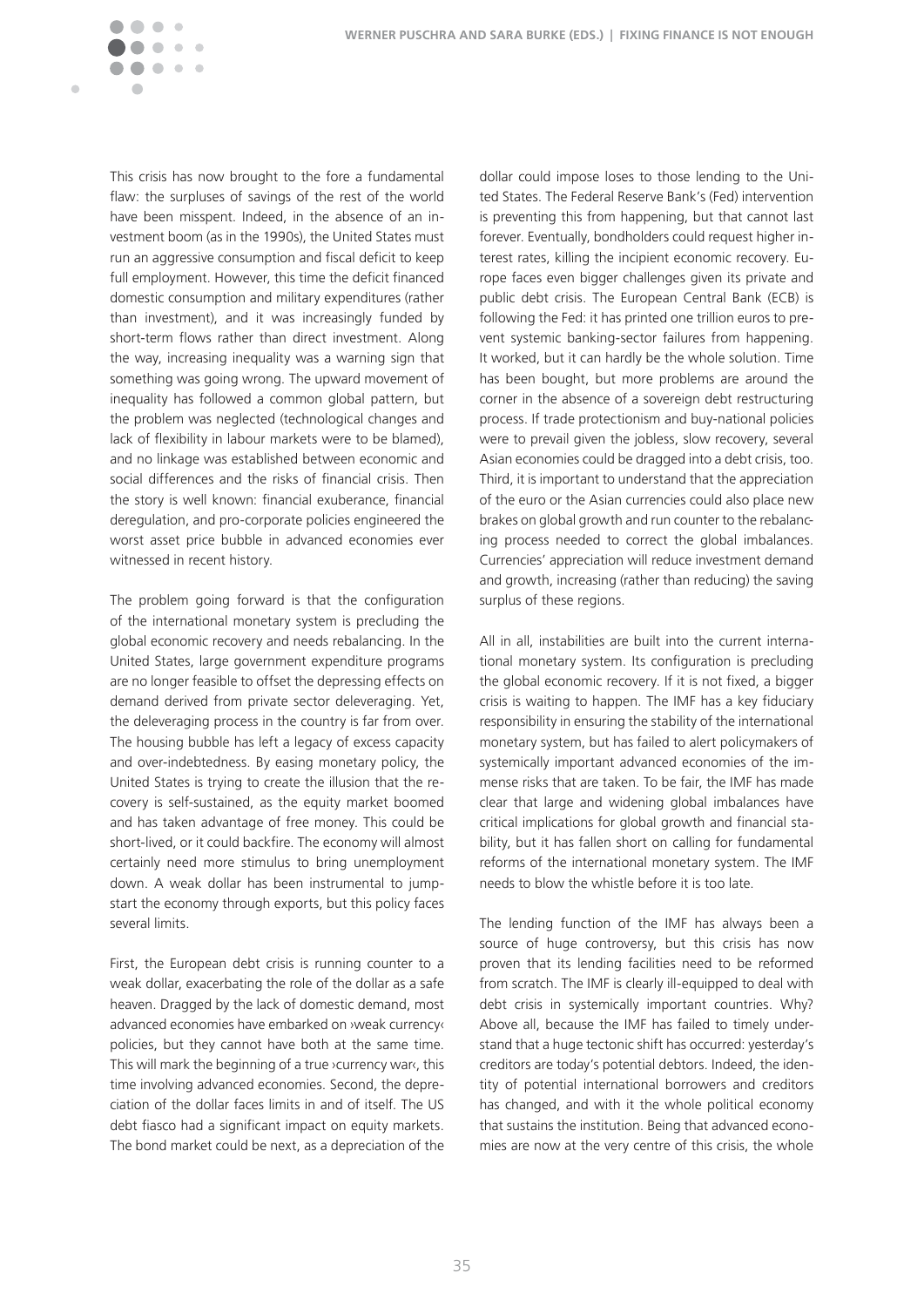

This crisis has now brought to the fore a fundamental flaw: the surpluses of savings of the rest of the world have been misspent. Indeed, in the absence of an investment boom (as in the 1990s), the United States must run an aggressive consumption and fiscal deficit to keep full employment. However, this time the deficit financed domestic consumption and military expenditures (rather than investment), and it was increasingly funded by short-term flows rather than direct investment. Along the way, increasing inequality was a warning sign that something was going wrong. The upward movement of inequality has followed a common global pattern, but the problem was neglected (technological changes and lack of flexibility in labour markets were to be blamed), and no linkage was established between economic and social differences and the risks of financial crisis. Then the story is well known: financial exuberance, financial deregulation, and pro-corporate policies engineered the worst asset price bubble in advanced economies ever witnessed in recent history.

The problem going forward is that the configuration of the international monetary system is precluding the global economic recovery and needs rebalancing. In the United States, large government expenditure programs are no longer feasible to offset the depressing effects on demand derived from private sector deleveraging. Yet, the deleveraging process in the country is far from over. The housing bubble has left a legacy of excess capacity and over-indebtedness. By easing monetary policy, the United States is trying to create the illusion that the recovery is self-sustained, as the equity market boomed and has taken advantage of free money. This could be short-lived, or it could backfire. The economy will almost certainly need more stimulus to bring unemployment down. A weak dollar has been instrumental to jumpstart the economy through exports, but this policy faces several limits.

First, the European debt crisis is running counter to a weak dollar, exacerbating the role of the dollar as a safe heaven. Dragged by the lack of domestic demand, most advanced economies have embarked on ›weak currency‹ policies, but they cannot have both at the same time. This will mark the beginning of a true ›currency war‹, this time involving advanced economies. Second, the depreciation of the dollar faces limits in and of itself. The US debt fiasco had a significant impact on equity markets. The bond market could be next, as a depreciation of the

dollar could impose loses to those lending to the United States. The Federal Reserve Bank's (Fed) intervention is preventing this from happening, but that cannot last forever. Eventually, bondholders could request higher interest rates, killing the incipient economic recovery. Europe faces even bigger challenges given its private and public debt crisis. The European Central Bank (ECB) is following the Fed: it has printed one trillion euros to prevent systemic banking-sector failures from happening. It worked, but it can hardly be the whole solution. Time has been bought, but more problems are around the corner in the absence of a sovereign debt restructuring process. If trade protectionism and buy-national policies were to prevail given the jobless, slow recovery, several Asian economies could be dragged into a debt crisis, too. Third, it is important to understand that the appreciation of the euro or the Asian currencies could also place new brakes on global growth and run counter to the rebalancing process needed to correct the global imbalances. Currencies' appreciation will reduce investment demand and growth, increasing (rather than reducing) the saving surplus of these regions.

All in all, instabilities are built into the current international monetary system. Its configuration is precluding the global economic recovery. If it is not fixed, a bigger crisis is waiting to happen. The IMF has a key fiduciary responsibility in ensuring the stability of the international monetary system, but has failed to alert policymakers of systemically important advanced economies of the immense risks that are taken. To be fair, the IMF has made clear that large and widening global imbalances have critical implications for global growth and financial stability, but it has fallen short on calling for fundamental reforms of the international monetary system. The IMF needs to blow the whistle before it is too late.

The lending function of the IMF has always been a source of huge controversy, but this crisis has now proven that its lending facilities need to be reformed from scratch. The IMF is clearly ill-equipped to deal with debt crisis in systemically important countries. Why? Above all, because the IMF has failed to timely understand that a huge tectonic shift has occurred: yesterday's creditors are today's potential debtors. Indeed, the identity of potential international borrowers and creditors has changed, and with it the whole political economy that sustains the institution. Being that advanced economies are now at the very centre of this crisis, the whole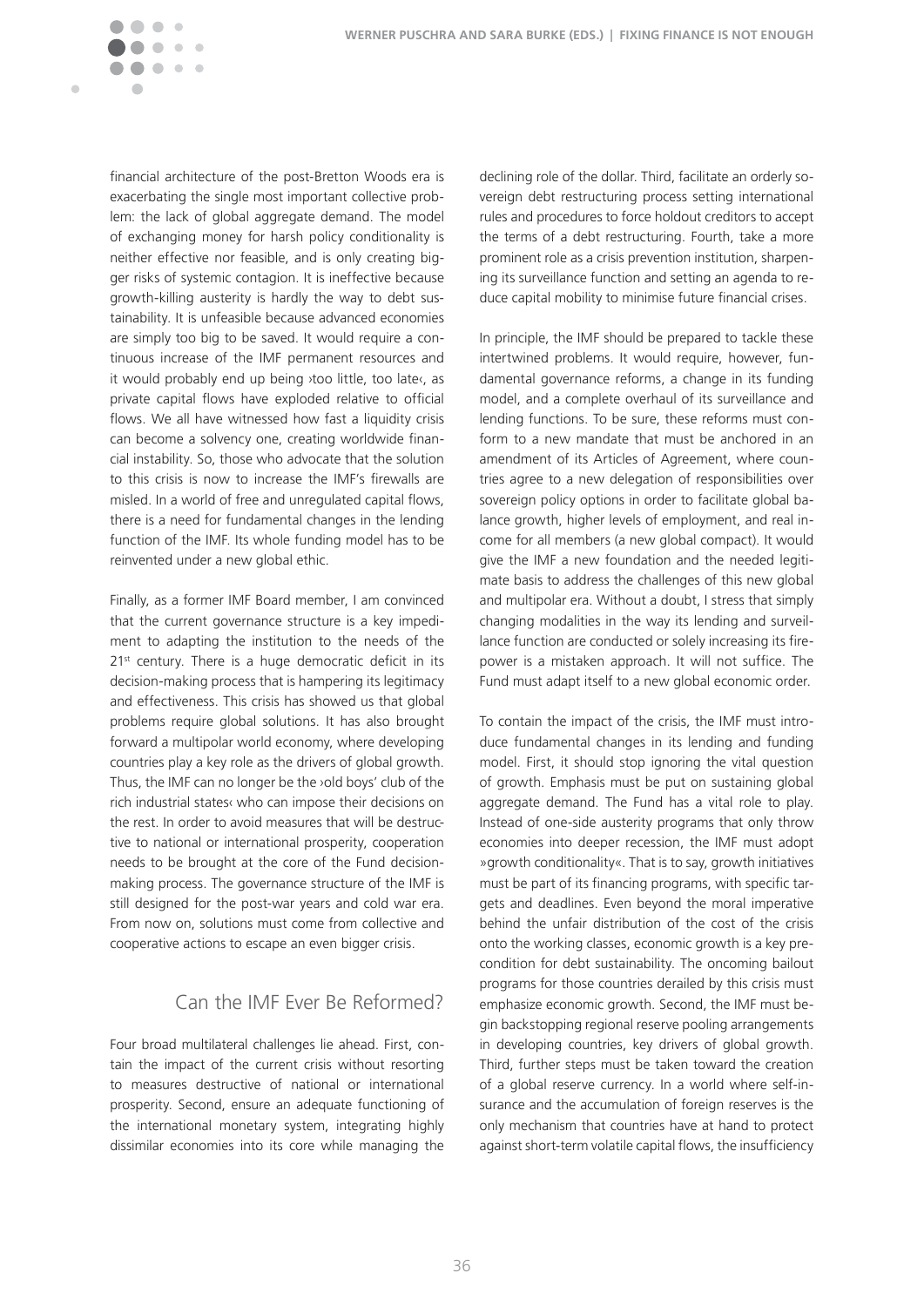

financial architecture of the post-Bretton Woods era is exacerbating the single most important collective problem: the lack of global aggregate demand. The model of exchanging money for harsh policy conditionality is neither effective nor feasible, and is only creating bigger risks of systemic contagion. It is ineffective because growth-killing austerity is hardly the way to debt sustainability. It is unfeasible because advanced economies are simply too big to be saved. It would require a continuous increase of the IMF permanent resources and it would probably end up being ›too little, too late‹, as private capital flows have exploded relative to official flows. We all have witnessed how fast a liquidity crisis can become a solvency one, creating worldwide financial instability. So, those who advocate that the solution to this crisis is now to increase the IMF's firewalls are misled. In a world of free and unregulated capital flows, there is a need for fundamental changes in the lending function of the IMF. Its whole funding model has to be reinvented under a new global ethic.

Finally, as a former IMF Board member, I am convinced that the current governance structure is a key impediment to adapting the institution to the needs of the 21<sup>st</sup> century. There is a huge democratic deficit in its decision-making process that is hampering its legitimacy and effectiveness. This crisis has showed us that global problems require global solutions. It has also brought forward a multipolar world economy, where developing countries play a key role as the drivers of global growth. Thus, the IMF can no longer be the ›old boys' club of the rich industrial states‹ who can impose their decisions on the rest. In order to avoid measures that will be destructive to national or international prosperity, cooperation needs to be brought at the core of the Fund decisionmaking process. The governance structure of the IMF is still designed for the post-war years and cold war era. From now on, solutions must come from collective and cooperative actions to escape an even bigger crisis.

#### Can the IMF Ever Be Reformed?

Four broad multilateral challenges lie ahead. First, contain the impact of the current crisis without resorting to measures destructive of national or international prosperity. Second, ensure an adequate functioning of the international monetary system, integrating highly dissimilar economies into its core while managing the

declining role of the dollar. Third, facilitate an orderly sovereign debt restructuring process setting international rules and procedures to force holdout creditors to accept the terms of a debt restructuring. Fourth, take a more prominent role as a crisis prevention institution, sharpening its surveillance function and setting an agenda to reduce capital mobility to minimise future financial crises.

In principle, the IMF should be prepared to tackle these intertwined problems. It would require, however, fundamental governance reforms, a change in its funding model, and a complete overhaul of its surveillance and lending functions. To be sure, these reforms must conform to a new mandate that must be anchored in an amendment of its Articles of Agreement, where countries agree to a new delegation of responsibilities over sovereign policy options in order to facilitate global balance growth, higher levels of employment, and real income for all members (a new global compact). It would give the IMF a new foundation and the needed legitimate basis to address the challenges of this new global and multipolar era. Without a doubt, I stress that simply changing modalities in the way its lending and surveillance function are conducted or solely increasing its firepower is a mistaken approach. It will not suffice. The Fund must adapt itself to a new global economic order.

To contain the impact of the crisis, the IMF must introduce fundamental changes in its lending and funding model. First, it should stop ignoring the vital question of growth. Emphasis must be put on sustaining global aggregate demand. The Fund has a vital role to play. Instead of one-side austerity programs that only throw economies into deeper recession, the IMF must adopt » growth conditionality«. That is to say, growth initiatives must be part of its financing programs, with specific targets and deadlines. Even beyond the moral imperative behind the unfair distribution of the cost of the crisis onto the working classes, economic growth is a key precondition for debt sustainability. The oncoming bailout programs for those countries derailed by this crisis must emphasize economic growth. Second, the IMF must begin backstopping regional reserve pooling arrangements in developing countries, key drivers of global growth. Third, further steps must be taken toward the creation of a global reserve currency. In a world where self-insurance and the accumulation of foreign reserves is the only mechanism that countries have at hand to protect against short-term volatile capital flows, the insufficiency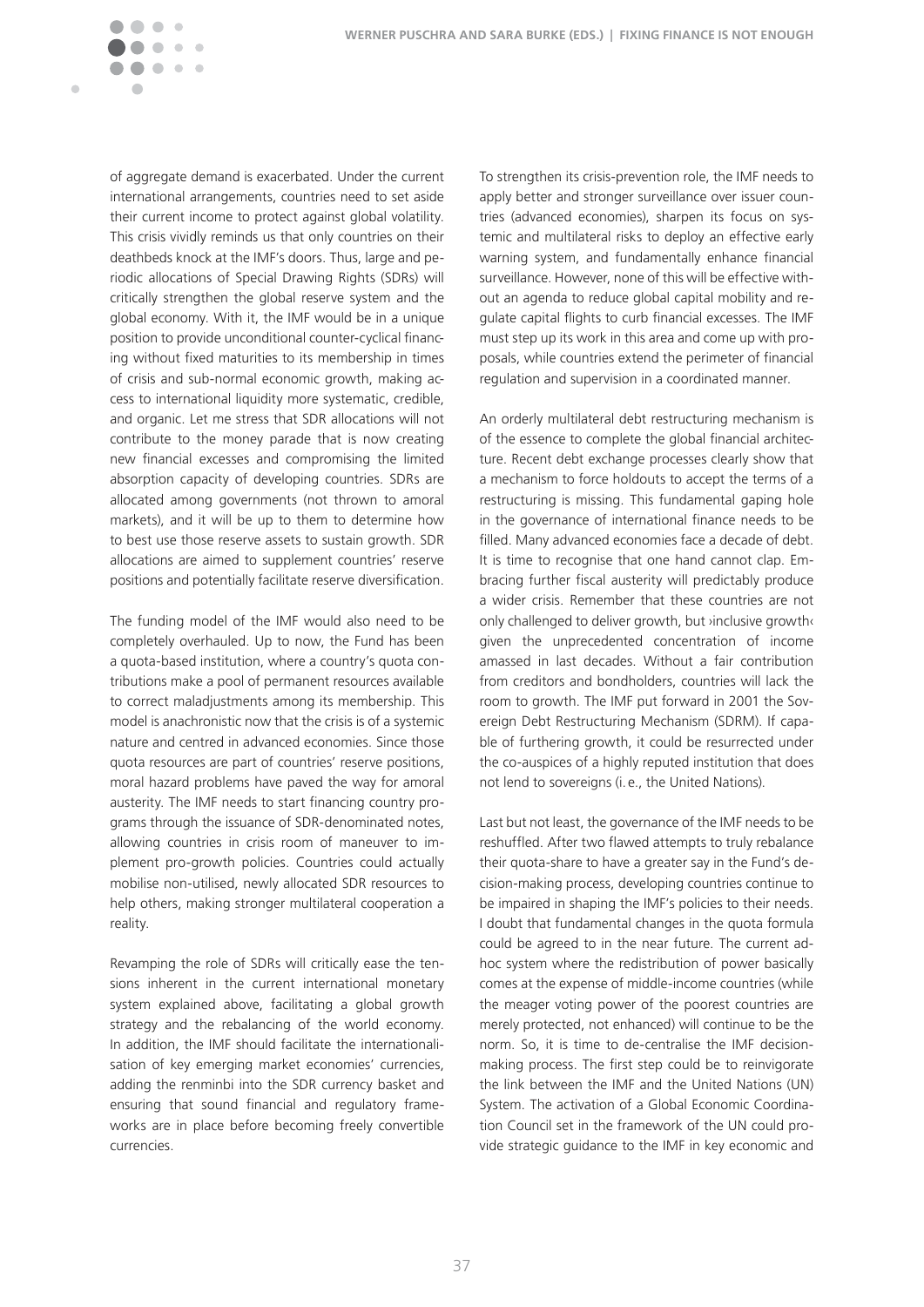Ċ

of aggregate demand is exacerbated. Under the current international arrangements, countries need to set aside their current income to protect against global volatility. This crisis vividly reminds us that only countries on their deathbeds knock at the IMF's doors. Thus, large and periodic allocations of Special Drawing Rights (SDRs) will critically strengthen the global reserve system and the global economy. With it, the IMF would be in a unique position to provide unconditional counter-cyclical financing without fixed maturities to its membership in times of crisis and sub-normal economic growth, making access to international liquidity more systematic, credible, and organic. Let me stress that SDR allocations will not contribute to the money parade that is now creating new financial excesses and compromising the limited absorption capacity of developing countries. SDRs are allocated among governments (not thrown to amoral markets), and it will be up to them to determine how to best use those reserve assets to sustain growth. SDR allocations are aimed to supplement countries' reserve positions and potentially facilitate reserve diversification.

The funding model of the IMF would also need to be completely overhauled. Up to now, the Fund has been a quota-based institution, where a country's quota contributions make a pool of permanent resources available to correct maladjustments among its membership. This model is anachronistic now that the crisis is of a systemic nature and centred in advanced economies. Since those quota resources are part of countries' reserve positions, moral hazard problems have paved the way for amoral austerity. The IMF needs to start financing country programs through the issuance of SDR-denominated notes, allowing countries in crisis room of maneuver to implement pro-growth policies. Countries could actually mobilise non-utilised, newly allocated SDR resources to help others, making stronger multilateral cooperation a reality.

Revamping the role of SDRs will critically ease the tensions inherent in the current international monetary system explained above, facilitating a global growth strategy and the rebalancing of the world economy. In addition, the IMF should facilitate the internationalisation of key emerging market economies' currencies, adding the renminbi into the SDR currency basket and ensuring that sound financial and regulatory frameworks are in place before becoming freely convertible currencies.

To strengthen its crisis-prevention role, the IMF needs to apply better and stronger surveillance over issuer countries (advanced economies), sharpen its focus on systemic and multilateral risks to deploy an effective early warning system, and fundamentally enhance financial surveillance. However, none of this will be effective without an agenda to reduce global capital mobility and regulate capital flights to curb financial excesses. The IMF must step up its work in this area and come up with proposals, while countries extend the perimeter of financial regulation and supervision in a coordinated manner.

An orderly multilateral debt restructuring mechanism is of the essence to complete the global financial architecture. Recent debt exchange processes clearly show that a mechanism to force holdouts to accept the terms of a restructuring is missing. This fundamental gaping hole in the governance of international finance needs to be filled. Many advanced economies face a decade of debt. It is time to recognise that one hand cannot clap. Embracing further fiscal austerity will predictably produce a wider crisis. Remember that these countries are not only challenged to deliver growth, but ›inclusive growth‹ given the unprecedented concentration of income amassed in last decades. Without a fair contribution from creditors and bondholders, countries will lack the room to growth. The IMF put forward in 2001 the Sovereign Debt Restructuring Mechanism (SDRM). If capable of furthering growth, it could be resurrected under the co-auspices of a highly reputed institution that does not lend to sovereigns (i.e., the United Nations).

Last but not least, the governance of the IMF needs to be reshuffled. After two flawed attempts to truly rebalance their quota-share to have a greater say in the Fund's decision-making process, developing countries continue to be impaired in shaping the IMF's policies to their needs. I doubt that fundamental changes in the quota formula could be agreed to in the near future. The current adhoc system where the redistribution of power basically comes at the expense of middle-income countries (while the meager voting power of the poorest countries are merely protected, not enhanced) will continue to be the norm. So, it is time to de-centralise the IMF decisionmaking process. The first step could be to reinvigorate the link between the IMF and the United Nations (UN) System. The activation of a Global Economic Coordination Council set in the framework of the UN could provide strategic guidance to the IMF in key economic and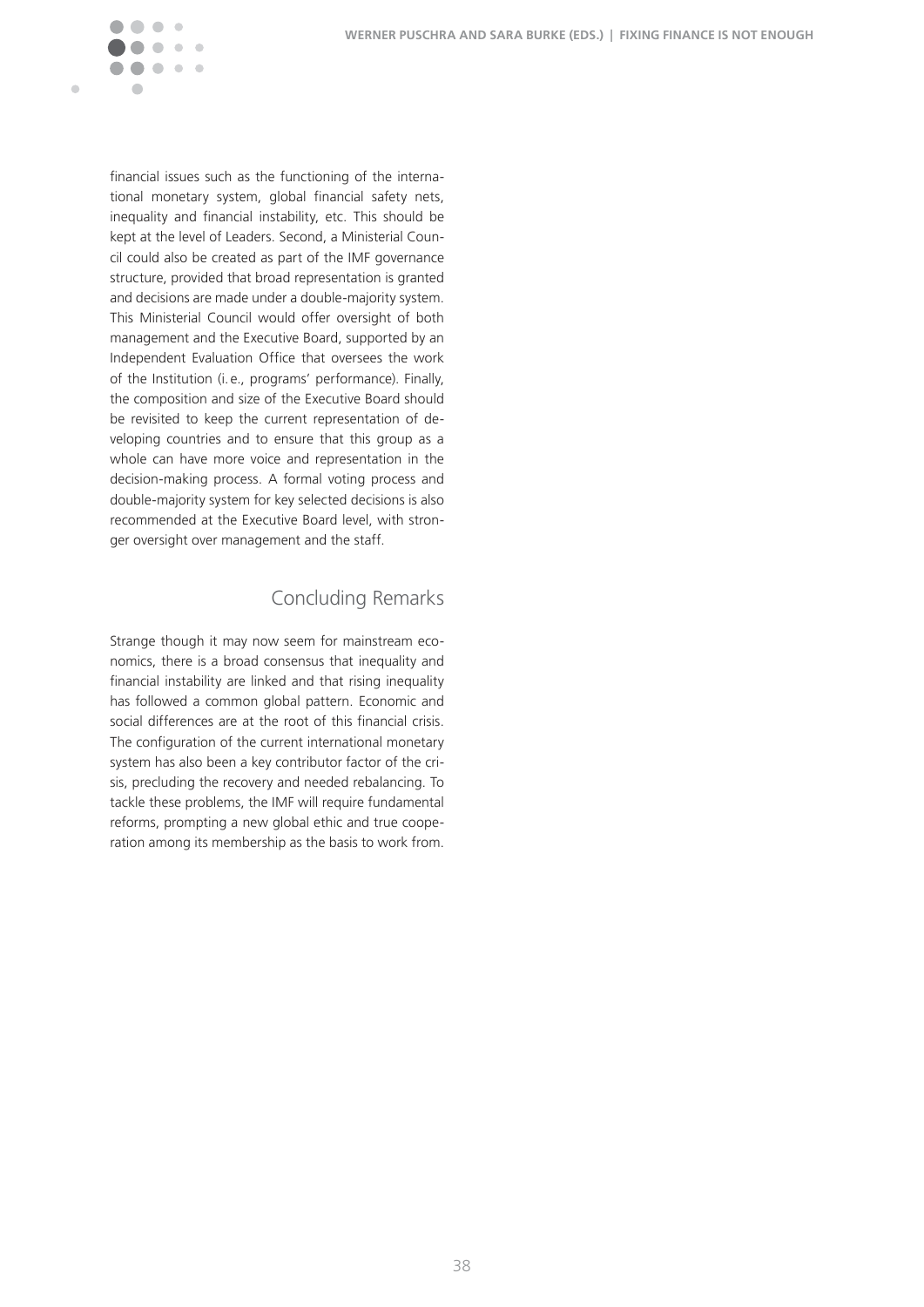

financial issues such as the functioning of the international monetary system, global financial safety nets, inequality and financial instability, etc. This should be kept at the level of Leaders. Second, a Ministerial Council could also be created as part of the IMF governance structure, provided that broad representation is granted and decisions are made under a double-majority system. This Ministerial Council would offer oversight of both management and the Executive Board, supported by an Independent Evaluation Office that oversees the work of the Institution (i.e., programs' performance). Finally, the composition and size of the Executive Board should be revisited to keep the current representation of developing countries and to ensure that this group as a whole can have more voice and representation in the decision-making process. A formal voting process and double-majority system for key selected decisions is also recommended at the Executive Board level, with stronger oversight over management and the staff.

### Concluding Remarks

Strange though it may now seem for mainstream economics, there is a broad consensus that inequality and financial instability are linked and that rising inequality has followed a common global pattern. Economic and social differences are at the root of this financial crisis. The configuration of the current international monetary system has also been a key contributor factor of the crisis, precluding the recovery and needed rebalancing. To tackle these problems, the IMF will require fundamental reforms, prompting a new global ethic and true cooperation among its membership as the basis to work from.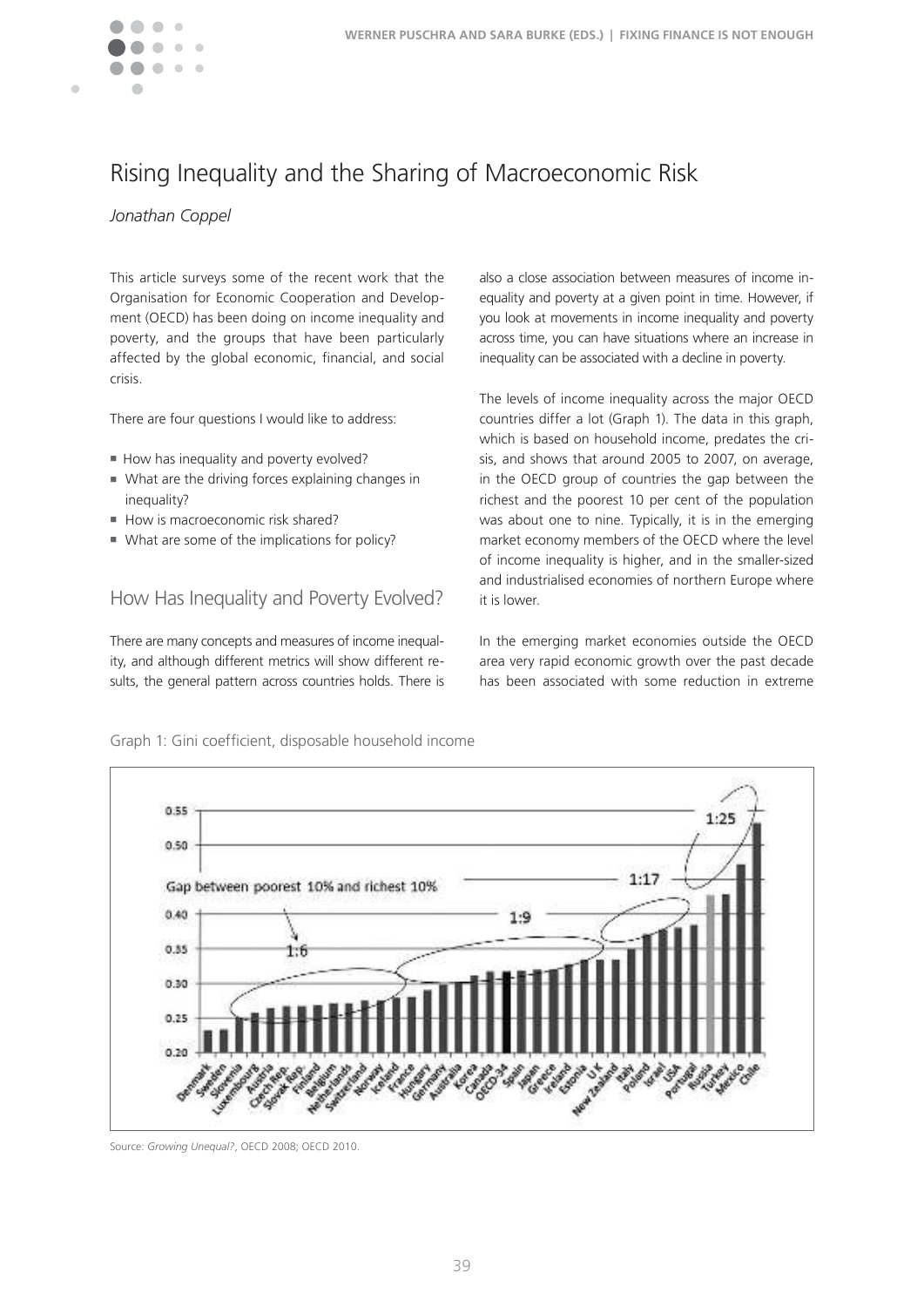

# Rising Inequality and the Sharing of Macroeconomic Risk

#### *Jonathan Coppel*

This article surveys some of the recent work that the Organisation for Economic Cooperation and Development (OECD) has been doing on income inequality and poverty, and the groups that have been particularly affected by the global economic, financial, and social crisis.

There are four questions I would like to address:

- How has inequality and poverty evolved?
- What are the driving forces explaining changes in inequality?
- How is macroeconomic risk shared?
- $\blacksquare$  What are some of the implications for policy?

### How Has Inequality and Poverty Evolved?

There are many concepts and measures of income inequality, and although different metrics will show different results, the general pattern across countries holds. There is also a close association between measures of income inequality and poverty at a given point in time. However, if you look at movements in income inequality and poverty across time, you can have situations where an increase in inequality can be associated with a decline in poverty.

The levels of income inequality across the major OECD countries differ a lot (Graph 1). The data in this graph, which is based on household income, predates the crisis, and shows that around 2005 to 2007, on average, in the OECD group of countries the gap between the richest and the poorest 10 per cent of the population was about one to nine. Typically, it is in the emerging market economy members of the OECD where the level of income inequality is higher, and in the smaller-sized and industrialised economies of northern Europe where it is lower.

In the emerging market economies outside the OECD area very rapid economic growth over the past decade has been associated with some reduction in extreme



Graph 1: Gini coeficient, disposable household income

Source: *Growing Unequal?*, OECD 2008; OECD 2010�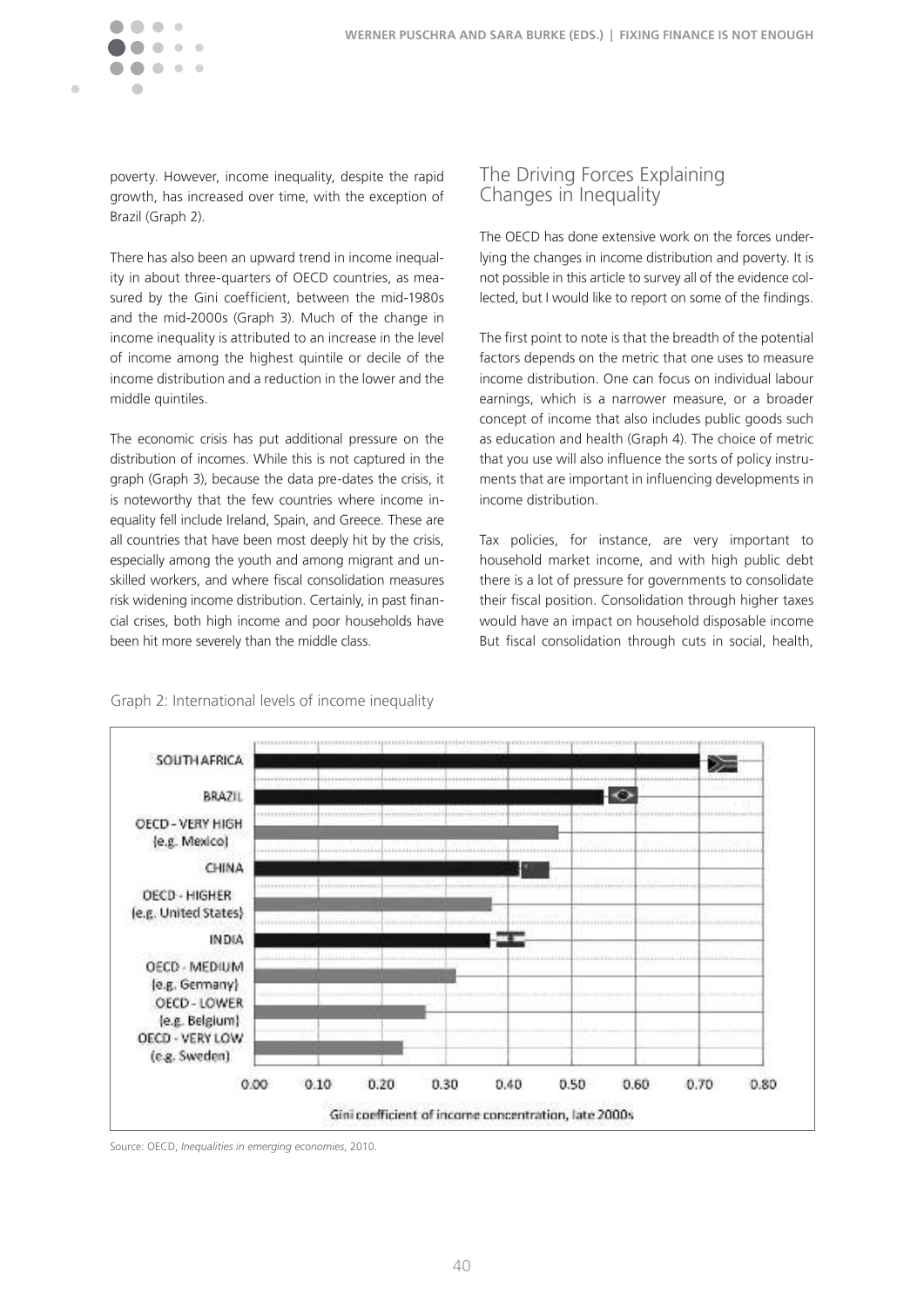$\blacksquare$ 

poverty. However, income inequality, despite the rapid growth, has increased over time, with the exception of Brazil (Graph 2).

There has also been an upward trend in income inequality in about three-quarters of OECD countries, as measured by the Gini coefficient, between the mid-1980s and the mid-2000s (Graph 3). Much of the change in income inequality is attributed to an increase in the level of income among the highest quintile or decile of the income distribution and a reduction in the lower and the middle quintiles.

The economic crisis has put additional pressure on the distribution of incomes. While this is not captured in the graph (Graph 3), because the data pre-dates the crisis, it is noteworthy that the few countries where income inequality fell include Ireland, Spain, and Greece. These are all countries that have been most deeply hit by the crisis, especially among the youth and among migrant and unskilled workers, and where fiscal consolidation measures risk widening income distribution. Certainly, in past financial crises, both high income and poor households have been hit more severely than the middle class.

### The Driving Forces Explaining Changes in Inequality

The OECD has done extensive work on the forces underlying the changes in income distribution and poverty. It is not possible in this article to survey all of the evidence collected, but I would like to report on some of the findings.

The first point to note is that the breadth of the potential factors depends on the metric that one uses to measure income distribution. One can focus on individual labour earnings, which is a narrower measure, or a broader concept of income that also includes public goods such as education and health (Graph 4). The choice of metric that you use will also influence the sorts of policy instruments that are important in influencing developments in income distribution.

Tax policies, for instance, are very important to household market income, and with high public debt there is a lot of pressure for governments to consolidate their fiscal position. Consolidation through higher taxes would have an impact on household disposable income But fiscal consolidation through cuts in social, health,



#### Graph 2: International levels of income inequality

Source: OECD, *Inequalities in emerging economies*, 2010�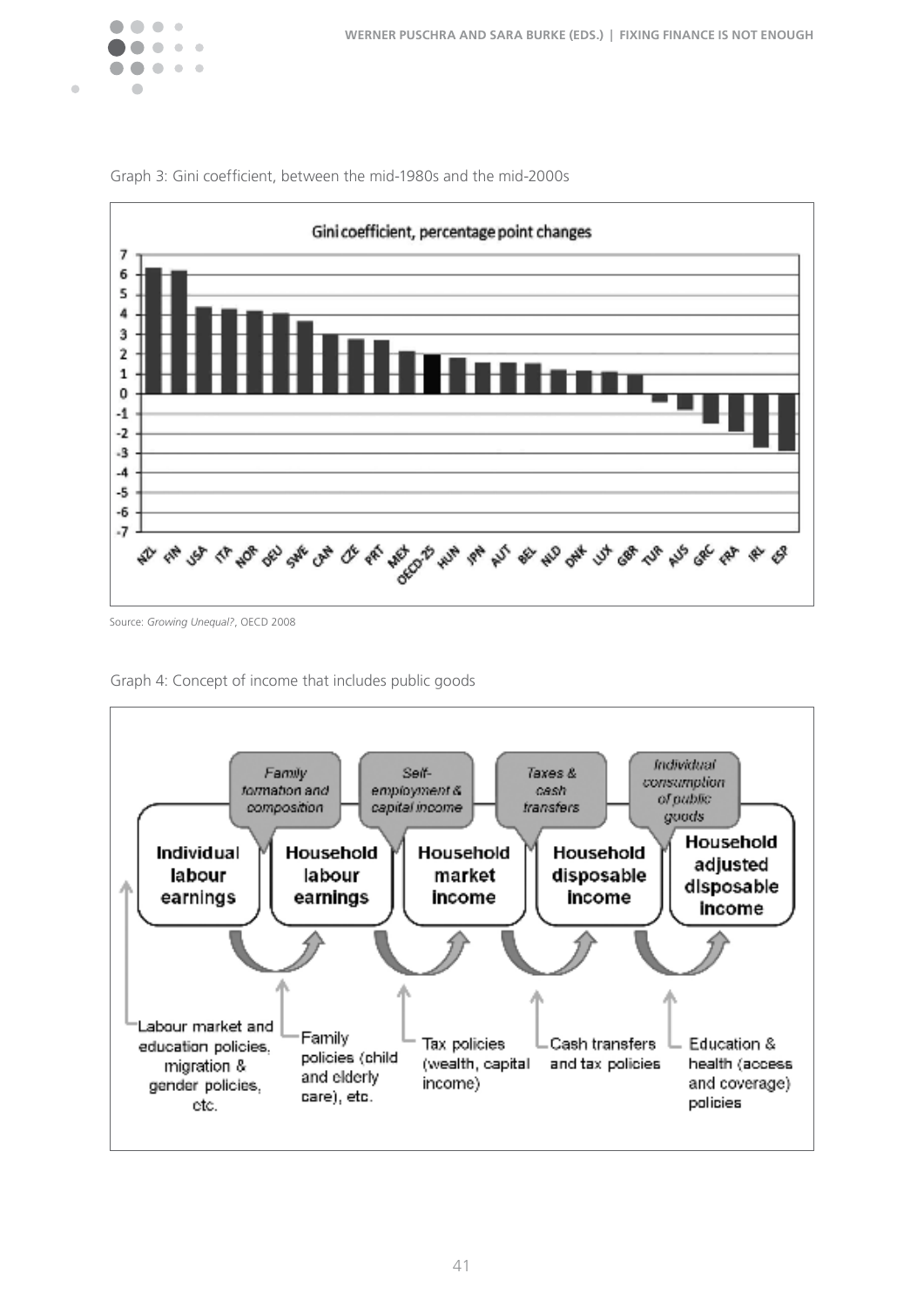

 $\blacksquare$ 



Graph 3: Gini coeficient, between the mid-1980s and the mid-2000s

Graph 4: Concept of income that includes public goods



Source: *Growing Unequal?*, OECD 2008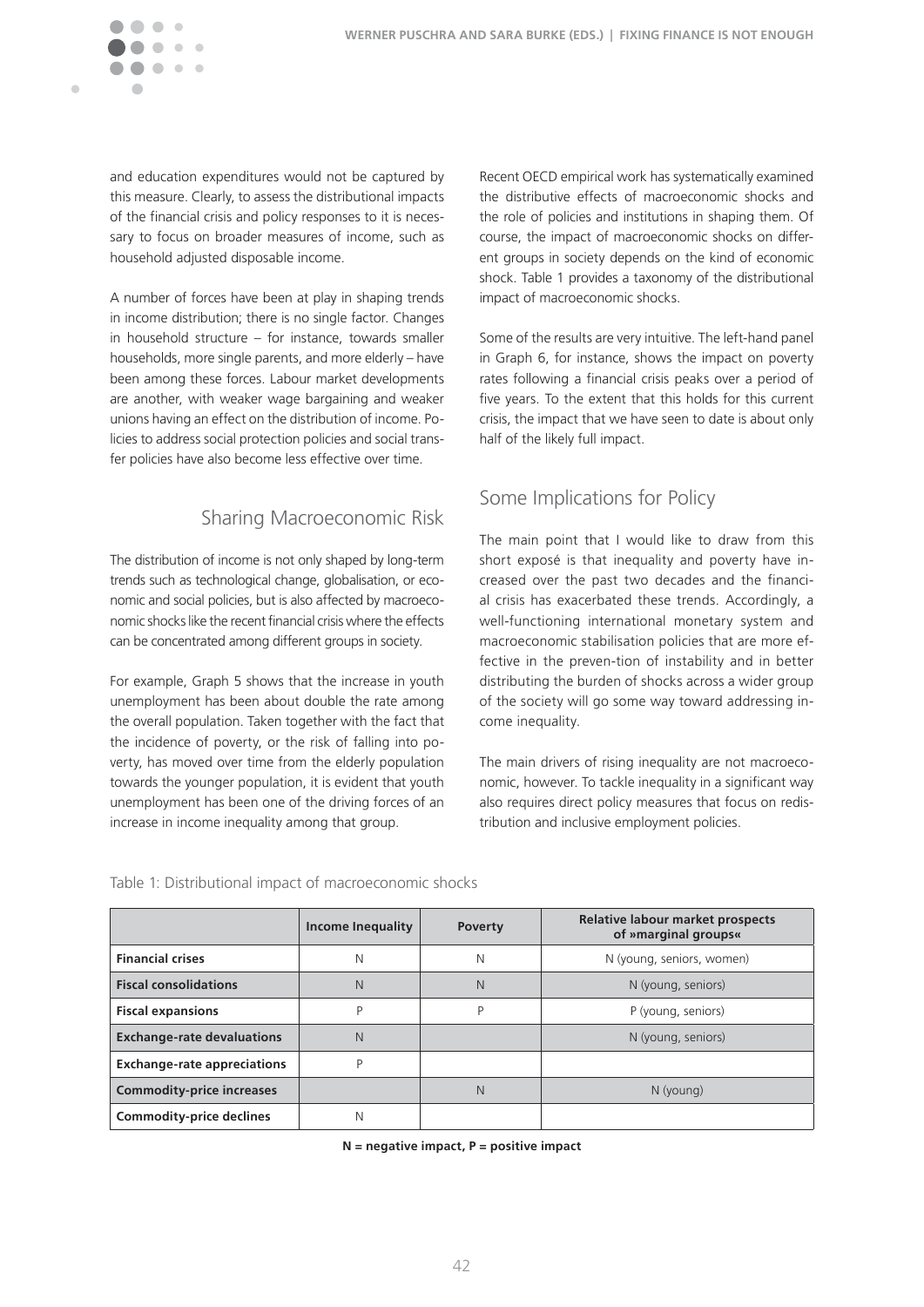

and education expenditures would not be captured by this measure. Clearly, to assess the distributional impacts of the financial crisis and policy responses to it is necessary to focus on broader measures of income, such as household adjusted disposable income.

A number of forces have been at play in shaping trends in income distribution; there is no single factor. Changes in household structure – for instance, towards smaller households, more single parents, and more elderly – have been among these forces. Labour market developments are another, with weaker wage bargaining and weaker unions having an effect on the distribution of income. Policies to address social protection policies and social transfer policies have also become less effective over time.

### Sharing Macroeconomic Risk

The distribution of income is not only shaped by long-term trends such as technological change, globalisation, or economic and social policies, but is also affected by macroeconomic shocks like the recent financial crisis where the effects can be concentrated among different groups in society.

For example, Graph 5 shows that the increase in youth unemployment has been about double the rate among the overall population. Taken together with the fact that the incidence of poverty, or the risk of falling into poverty, has moved over time from the elderly population towards the younger population, it is evident that youth unemployment has been one of the driving forces of an increase in income inequality among that group.

Recent OECD empirical work has systematically examined the distributive effects of macroeconomic shocks and the role of policies and institutions in shaping them. Of course, the impact of macroeconomic shocks on different groups in society depends on the kind of economic shock. Table 1 provides a taxonomy of the distributional impact of macroeconomic shocks.

Some of the results are very intuitive. The left-hand panel in Graph 6, for instance, shows the impact on poverty rates following a financial crisis peaks over a period of five years. To the extent that this holds for this current crisis, the impact that we have seen to date is about only half of the likely full impact.

### Some Implications for Policy

The main point that I would like to draw from this short exposé is that inequality and poverty have increased over the past two decades and the financial crisis has exacerbated these trends. Accordingly, a well-functioning international monetary system and macroeconomic stabilisation policies that are more effective in the preven-tion of instability and in better distributing the burden of shocks across a wider group of the society will go some way toward addressing income inequality.

The main drivers of rising inequality are not macroeconomic, however. To tackle inequality in a significant way also requires direct policy measures that focus on redistribution and inclusive employment policies.

|                                    | Income Inequality | <b>Poverty</b> | Relative labour market prospects<br>of »marginal groups« |
|------------------------------------|-------------------|----------------|----------------------------------------------------------|
| <b>Financial crises</b>            | N                 | N              | N (young, seniors, women)                                |
| <b>Fiscal consolidations</b>       | N                 | N              | N (young, seniors)                                       |
| <b>Fiscal expansions</b>           | P                 | Þ              | P (young, seniors)                                       |
| <b>Exchange-rate devaluations</b>  | N                 |                | N (young, seniors)                                       |
| <b>Exchange-rate appreciations</b> | P                 |                |                                                          |
| <b>Commodity-price increases</b>   |                   | N              | N (young)                                                |
| <b>Commodity-price declines</b>    | Ν                 |                |                                                          |

Table 1: Distributional impact of macroeconomic shocks

**N = negative impact, P = positive impact**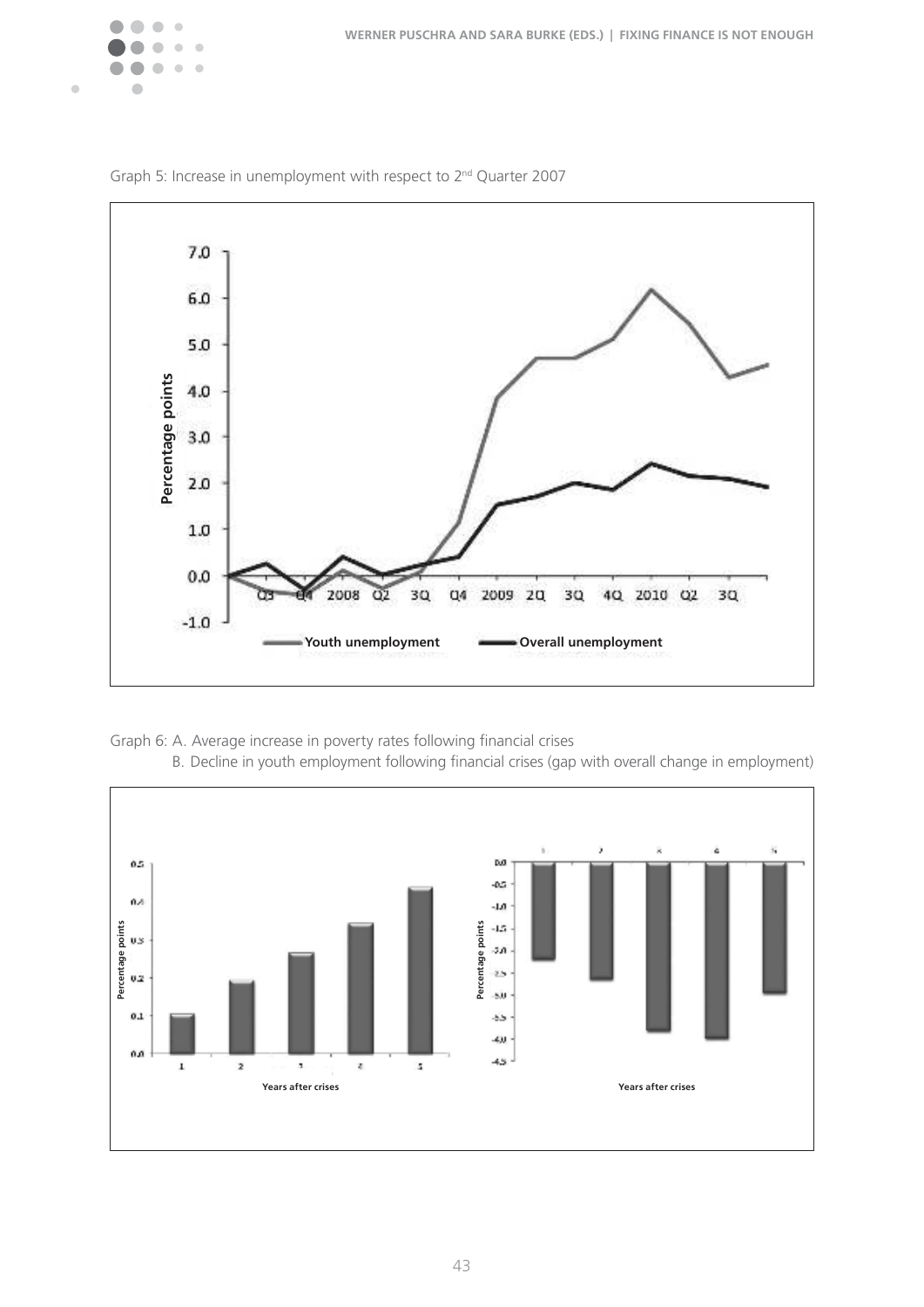



Graph 5: Increase in unemployment with respect to 2nd Quarter 2007



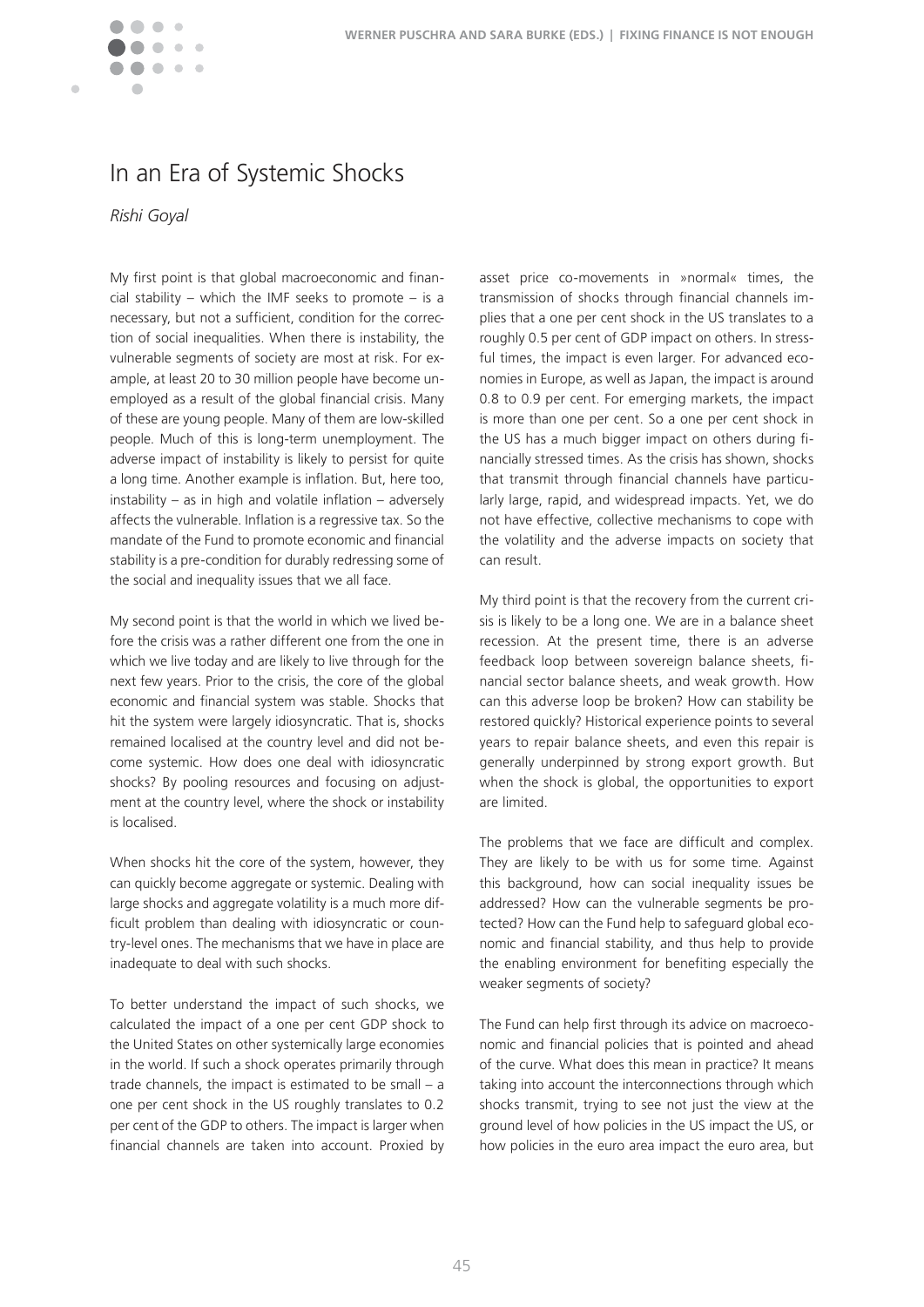

## In an Era of Systemic Shocks

#### *Rishi Goyal*

My first point is that global macroeconomic and financial stability – which the IMF seeks to promote – is a necessary, but not a sufficient, condition for the correction of social inequalities. When there is instability, the vulnerable segments of society are most at risk. For example, at least 20 to 30 million people have become unemployed as a result of the global financial crisis. Many of these are young people. Many of them are low-skilled people. Much of this is long-term unemployment. The adverse impact of instability is likely to persist for quite a long time. Another example is inflation. But, here too, instability – as in high and volatile inflation – adversely affects the vulnerable. Inflation is a regressive tax. So the mandate of the Fund to promote economic and financial stability is a pre-condition for durably redressing some of the social and inequality issues that we all face.

My second point is that the world in which we lived before the crisis was a rather different one from the one in which we live today and are likely to live through for the next few years. Prior to the crisis, the core of the global economic and financial system was stable. Shocks that hit the system were largely idiosyncratic. That is, shocks remained localised at the country level and did not become systemic. How does one deal with idiosyncratic shocks? By pooling resources and focusing on adjustment at the country level, where the shock or instability is localised.

When shocks hit the core of the system, however, they can quickly become aggregate or systemic. Dealing with large shocks and aggregate volatility is a much more difficult problem than dealing with idiosyncratic or country-level ones. The mechanisms that we have in place are inadequate to deal with such shocks.

To better understand the impact of such shocks, we calculated the impact of a one per cent GDP shock to the United States on other systemically large economies in the world. If such a shock operates primarily through trade channels, the impact is estimated to be small – a one per cent shock in the US roughly translates to 0.2 per cent of the GDP to others. The impact is larger when financial channels are taken into account. Proxied by

asset price co-movements in »normal« times, the transmission of shocks through financial channels implies that a one per cent shock in the US translates to a roughly 0.5 per cent of GDP impact on others. In stressful times, the impact is even larger. For advanced economies in Europe, as well as Japan, the impact is around 0.8 to 0.9 per cent. For emerging markets, the impact is more than one per cent. So a one per cent shock in the US has a much bigger impact on others during financially stressed times. As the crisis has shown, shocks that transmit through financial channels have particularly large, rapid, and widespread impacts. Yet, we do not have effective, collective mechanisms to cope with the volatility and the adverse impacts on society that can result.

My third point is that the recovery from the current crisis is likely to be a long one. We are in a balance sheet recession. At the present time, there is an adverse feedback loop between sovereign balance sheets, financial sector balance sheets, and weak growth. How can this adverse loop be broken? How can stability be restored quickly? Historical experience points to several years to repair balance sheets, and even this repair is generally underpinned by strong export growth. But when the shock is global, the opportunities to export are limited.

The problems that we face are difficult and complex. They are likely to be with us for some time. Against this background, how can social inequality issues be addressed? How can the vulnerable segments be protected? How can the Fund help to safeguard global economic and financial stability, and thus help to provide the enabling environment for benefiting especially the weaker segments of society?

The Fund can help first through its advice on macroeconomic and financial policies that is pointed and ahead of the curve. What does this mean in practice? It means taking into account the interconnections through which shocks transmit, trying to see not just the view at the ground level of how policies in the US impact the US, or how policies in the euro area impact the euro area, but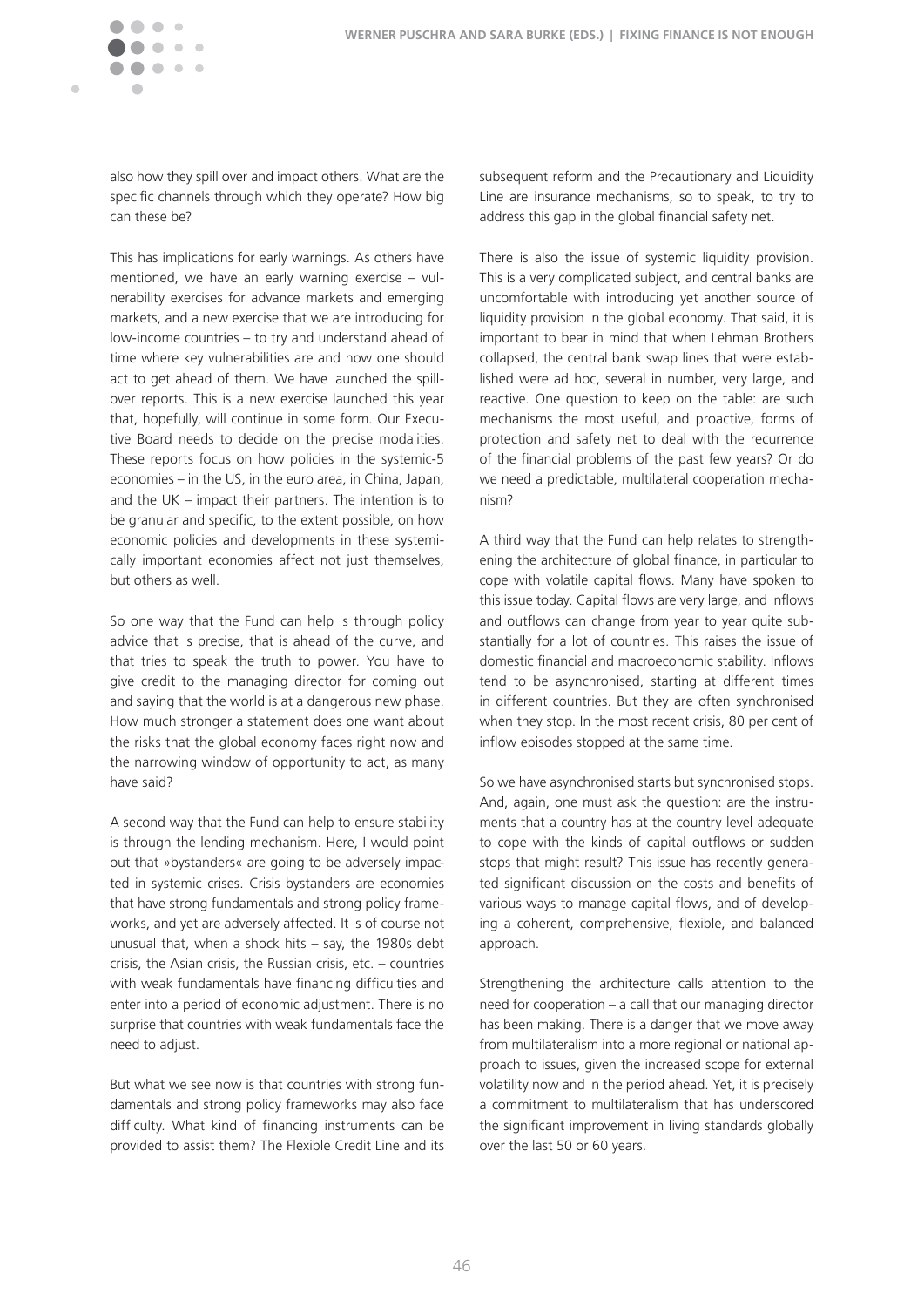

Ċ

also how they spill over and impact others. What are the specific channels through which they operate? How big can these be?

This has implications for early warnings. As others have mentioned, we have an early warning exercise – vulnerability exercises for advance markets and emerging markets, and a new exercise that we are introducing for low-income countries – to try and understand ahead of time where key vulnerabilities are and how one should act to get ahead of them. We have launched the spillover reports. This is a new exercise launched this year that, hopefully, will continue in some form. Our Executive Board needs to decide on the precise modalities. These reports focus on how policies in the systemic-5 economies – in the US, in the euro area, in China, Japan, and the  $UK$  – impact their partners. The intention is to be granular and specific, to the extent possible, on how economic policies and developments in these systemically important economies affect not just themselves, but others as well.

So one way that the Fund can help is through policy advice that is precise, that is ahead of the curve, and that tries to speak the truth to power. You have to give credit to the managing director for coming out and saying that the world is at a dangerous new phase. How much stronger a statement does one want about the risks that the global economy faces right now and the narrowing window of opportunity to act, as many have said?

A second way that the Fund can help to ensure stability is through the lending mechanism. Here, I would point out that »bystanders« are going to be adversely impacted in systemic crises. Crisis bystanders are economies that have strong fundamentals and strong policy frameworks, and yet are adversely affected. It is of course not unusual that, when a shock hits – say, the 1980s debt crisis, the Asian crisis, the Russian crisis, etc.  $-$  countries with weak fundamentals have financing difficulties and enter into a period of economic adjustment. There is no surprise that countries with weak fundamentals face the need to adjust.

But what we see now is that countries with strong fundamentals and strong policy frameworks may also face difficulty. What kind of financing instruments can be provided to assist them? The Flexible Credit Line and its subsequent reform and the Precautionary and Liquidity Line are insurance mechanisms, so to speak, to try to address this gap in the global financial safety net.

There is also the issue of systemic liquidity provision. This is a very complicated subject, and central banks are uncomfortable with introducing yet another source of liquidity provision in the global economy. That said, it is important to bear in mind that when Lehman Brothers collapsed, the central bank swap lines that were established were ad hoc, several in number, very large, and reactive. One question to keep on the table: are such mechanisms the most useful, and proactive, forms of protection and safety net to deal with the recurrence of the financial problems of the past few years? Or do we need a predictable, multilateral cooperation mechanism?

A third way that the Fund can help relates to strengthening the architecture of global finance, in particular to cope with volatile capital flows. Many have spoken to this issue today. Capital flows are very large, and inflows and outflows can change from year to year quite substantially for a lot of countries. This raises the issue of domestic financial and macroeconomic stability. Inflows tend to be asynchronised, starting at different times in different countries. But they are often synchronised when they stop. In the most recent crisis, 80 per cent of inflow episodes stopped at the same time.

So we have asynchronised starts but synchronised stops. And, again, one must ask the question: are the instruments that a country has at the country level adequate to cope with the kinds of capital outflows or sudden stops that might result? This issue has recently generated significant discussion on the costs and benefits of various ways to manage capital flows, and of developing a coherent, comprehensive, flexible, and balanced approach.

Strengthening the architecture calls attention to the need for cooperation – a call that our managing director has been making. There is a danger that we move away from multilateralism into a more regional or national approach to issues, given the increased scope for external volatility now and in the period ahead. Yet, it is precisely a commitment to multilateralism that has underscored the significant improvement in living standards globally over the last 50 or 60 years.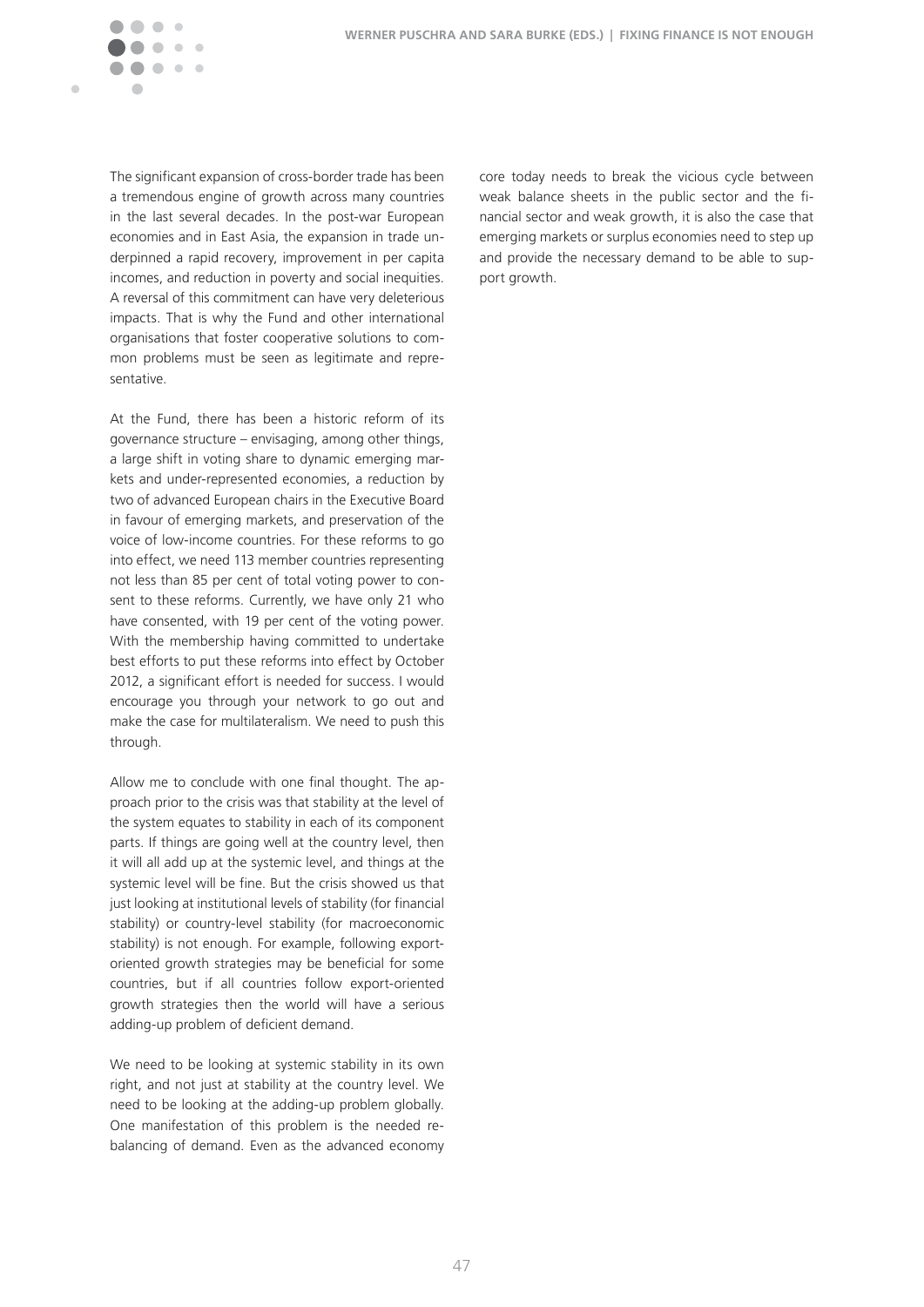

The significant expansion of cross-border trade has been a tremendous engine of growth across many countries in the last several decades. In the post-war European economies and in East Asia, the expansion in trade underpinned a rapid recovery, improvement in per capita incomes, and reduction in poverty and social inequities. A reversal of this commitment can have very deleterious impacts. That is why the Fund and other international organisations that foster cooperative solutions to common problems must be seen as legitimate and representative.

At the Fund, there has been a historic reform of its governance structure – envisaging, among other things, a large shift in voting share to dynamic emerging markets and under-represented economies, a reduction by two of advanced European chairs in the Executive Board in favour of emerging markets, and preservation of the voice of low-income countries. For these reforms to go into effect, we need 113 member countries representing not less than 85 per cent of total voting power to consent to these reforms. Currently, we have only 21 who have consented, with 19 per cent of the voting power. With the membership having committed to undertake best efforts to put these reforms into effect by October 2012, a significant effort is needed for success. I would encourage you through your network to go out and make the case for multilateralism. We need to push this through.

Allow me to conclude with one final thought. The approach prior to the crisis was that stability at the level of the system equates to stability in each of its component parts. If things are going well at the country level, then it will all add up at the systemic level, and things at the systemic level will be fine. But the crisis showed us that just looking at institutional levels of stability (for financial stability) or country-level stability (for macroeconomic stability) is not enough. For example, following exportoriented growth strategies may be beneficial for some countries, but if all countries follow export-oriented growth strategies then the world will have a serious adding-up problem of deficient demand.

We need to be looking at systemic stability in its own right, and not just at stability at the country level. We need to be looking at the adding-up problem globally. One manifestation of this problem is the needed rebalancing of demand. Even as the advanced economy core today needs to break the vicious cycle between weak balance sheets in the public sector and the financial sector and weak growth, it is also the case that emerging markets or surplus economies need to step up and provide the necessary demand to be able to support growth.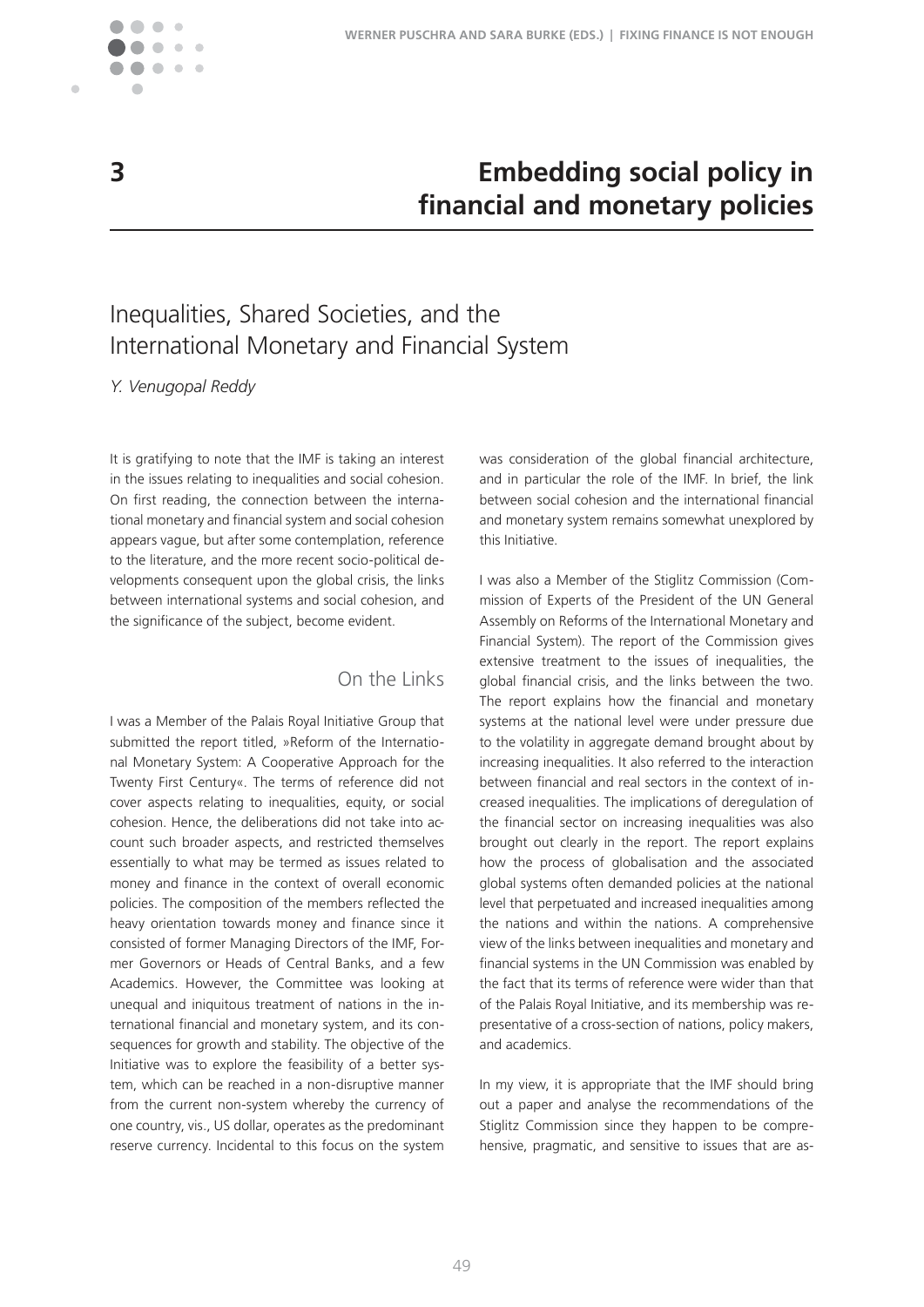

 $\blacksquare$ 

## **3 Embedding social policy in financial and monetary policies**

# Inequalities, Shared Societies, and the International Monetary and Financial System

*Y. Venugopal Reddy*

It is gratifying to note that the IMF is taking an interest in the issues relating to inequalities and social cohesion. On first reading, the connection between the international monetary and financial system and social cohesion appears vague, but after some contemplation, reference to the literature, and the more recent socio-political developments consequent upon the global crisis, the links between international systems and social cohesion, and the significance of the subject, become evident.

### On the Links

I was a Member of the Palais Royal Initiative Group that submitted the report titled, »Reform of the International Monetary System: A Cooperative Approach for the Twenty First Century«. The terms of reference did not cover aspects relating to inequalities, equity, or social cohesion. Hence, the deliberations did not take into account such broader aspects, and restricted themselves essentially to what may be termed as issues related to money and finance in the context of overall economic policies. The composition of the members reflected the heavy orientation towards money and finance since it consisted of former Managing Directors of the IMF, Former Governors or Heads of Central Banks, and a few Academics. However, the Committee was looking at unequal and iniquitous treatment of nations in the international financial and monetary system, and its consequences for growth and stability. The objective of the Initiative was to explore the feasibility of a better system, which can be reached in a non-disruptive manner from the current non-system whereby the currency of one country, vis., US dollar, operates as the predominant reserve currency. Incidental to this focus on the system was consideration of the global financial architecture, and in particular the role of the IMF. In brief, the link between social cohesion and the international financial and monetary system remains somewhat unexplored by this Initiative.

I was also a Member of the Stiglitz Commission (Commission of Experts of the President of the UN General Assembly on Reforms of the International Monetary and Financial System). The report of the Commission gives extensive treatment to the issues of inequalities, the global financial crisis, and the links between the two. The report explains how the financial and monetary systems at the national level were under pressure due to the volatility in aggregate demand brought about by increasing inequalities. It also referred to the interaction between financial and real sectors in the context of increased inequalities. The implications of deregulation of the financial sector on increasing inequalities was also brought out clearly in the report. The report explains how the process of globalisation and the associated global systems often demanded policies at the national level that perpetuated and increased inequalities among the nations and within the nations. A comprehensive view of the links between inequalities and monetary and financial systems in the UN Commission was enabled by the fact that its terms of reference were wider than that of the Palais Royal Initiative, and its membership was representative of a cross-section of nations, policy makers, and academics.

In my view, it is appropriate that the IMF should bring out a paper and analyse the recommendations of the Stiglitz Commission since they happen to be comprehensive, pragmatic, and sensitive to issues that are as-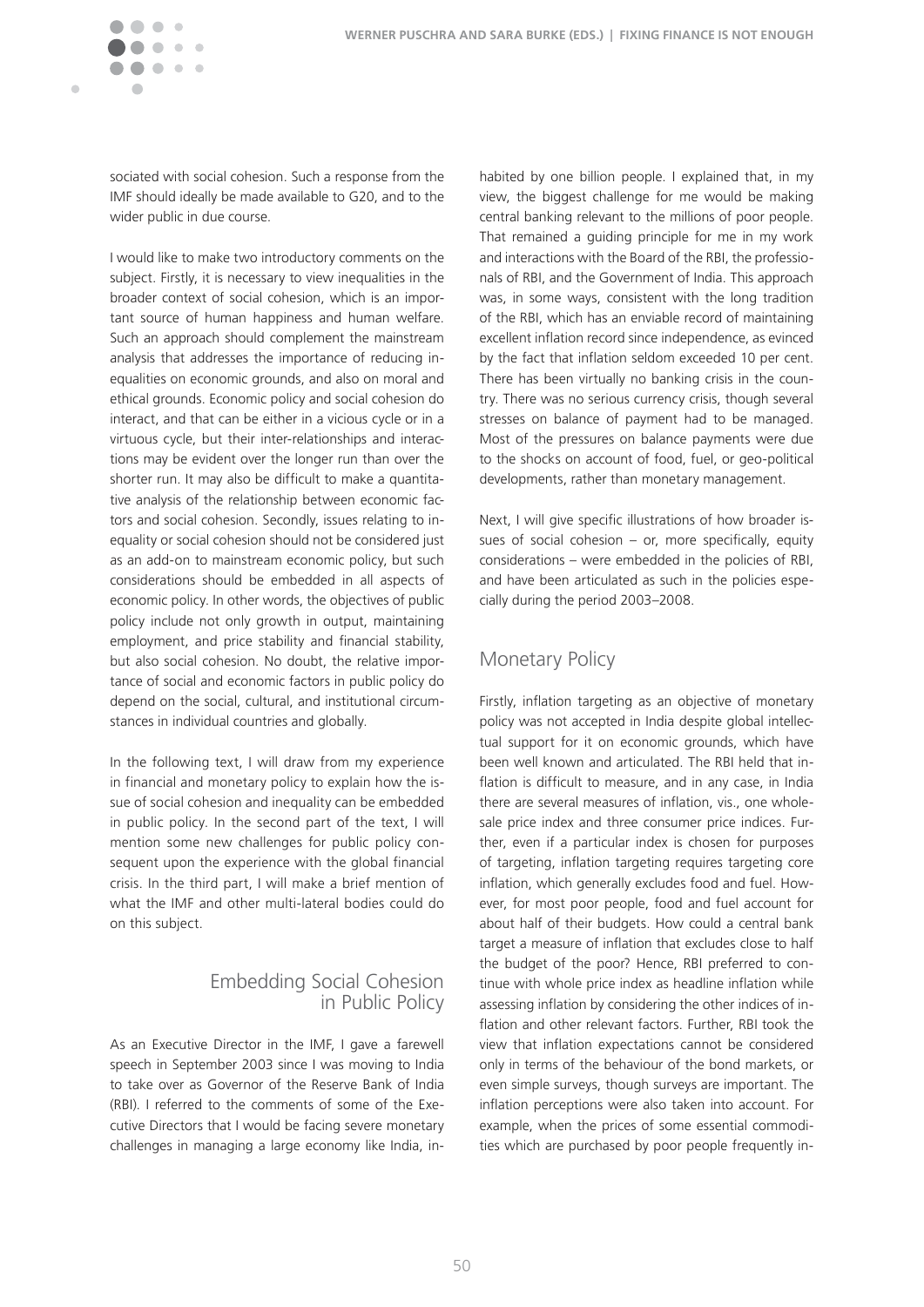

sociated with social cohesion. Such a response from the IMF should ideally be made available to G20, and to the wider public in due course.

I would like to make two introductory comments on the subject. Firstly, it is necessary to view inequalities in the broader context of social cohesion, which is an important source of human happiness and human welfare. Such an approach should complement the mainstream analysis that addresses the importance of reducing inequalities on economic grounds, and also on moral and ethical grounds. Economic policy and social cohesion do interact, and that can be either in a vicious cycle or in a virtuous cycle, but their inter-relationships and interactions may be evident over the longer run than over the shorter run. It may also be difficult to make a quantitative analysis of the relationship between economic factors and social cohesion. Secondly, issues relating to inequality or social cohesion should not be considered just as an add-on to mainstream economic policy, but such considerations should be embedded in all aspects of economic policy. In other words, the objectives of public policy include not only growth in output, maintaining employment, and price stability and financial stability, but also social cohesion. No doubt, the relative importance of social and economic factors in public policy do depend on the social, cultural, and institutional circumstances in individual countries and globally.

In the following text, I will draw from my experience in financial and monetary policy to explain how the issue of social cohesion and inequality can be embedded in public policy. In the second part of the text, I will mention some new challenges for public policy consequent upon the experience with the global financial crisis. In the third part, I will make a brief mention of what the IMF and other multi-lateral bodies could do on this subject.

#### Embedding Social Cohesion in Public Policy

As an Executive Director in the IMF, I gave a farewell speech in September 2003 since I was moving to India to take over as Governor of the Reserve Bank of India (RBI). I referred to the comments of some of the Executive Directors that I would be facing severe monetary challenges in managing a large economy like India, inhabited by one billion people. I explained that, in my view, the biggest challenge for me would be making central banking relevant to the millions of poor people. That remained a guiding principle for me in my work and interactions with the Board of the RBI, the professionals of RBI, and the Government of India. This approach was, in some ways, consistent with the long tradition of the RBI, which has an enviable record of maintaining excellent inflation record since independence, as evinced by the fact that inflation seldom exceeded 10 per cent. There has been virtually no banking crisis in the country. There was no serious currency crisis, though several stresses on balance of payment had to be managed. Most of the pressures on balance payments were due to the shocks on account of food, fuel, or geo-political developments, rather than monetary management.

Next, I will give specific illustrations of how broader issues of social cohesion  $-$  or, more specifically, equity considerations – were embedded in the policies of RBI, and have been articulated as such in the policies especially during the period 2003-2008.

### Monetary Policy

Firstly, inflation targeting as an objective of monetary policy was not accepted in India despite global intellectual support for it on economic grounds, which have been well known and articulated. The RBI held that inflation is difficult to measure, and in any case, in India there are several measures of inflation, vis., one wholesale price index and three consumer price indices. Further, even if a particular index is chosen for purposes of targeting, inflation targeting requires targeting core inflation, which generally excludes food and fuel. However, for most poor people, food and fuel account for about half of their budgets. How could a central bank target a measure of inflation that excludes close to half the budget of the poor? Hence, RBI preferred to continue with whole price index as headline inflation while assessing inflation by considering the other indices of inflation and other relevant factors. Further, RBI took the view that inflation expectations cannot be considered only in terms of the behaviour of the bond markets, or even simple surveys, though surveys are important. The inflation perceptions were also taken into account. For example, when the prices of some essential commodities which are purchased by poor people frequently in-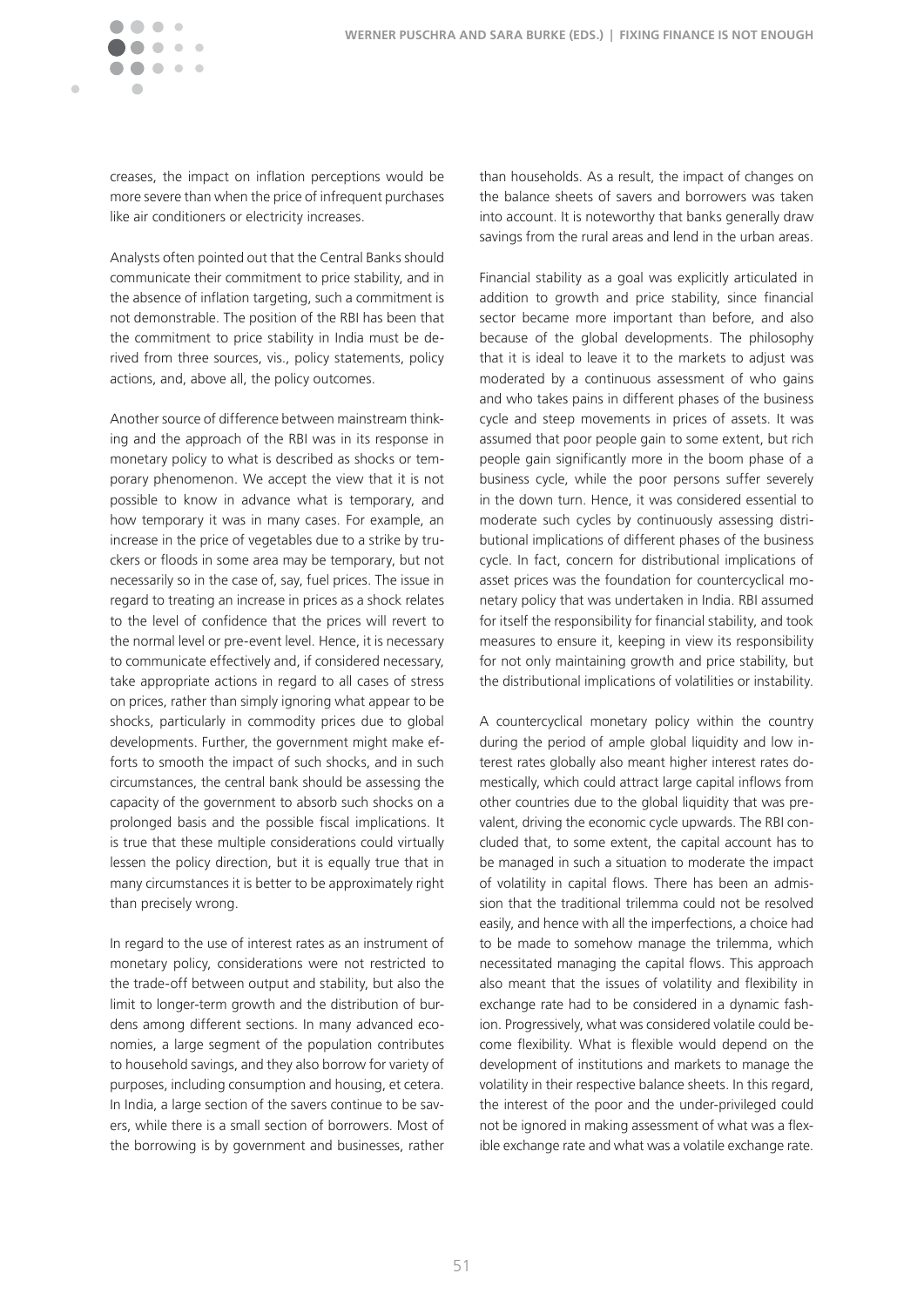

creases, the impact on inflation perceptions would be more severe than when the price of infrequent purchases like air conditioners or electricity increases.

Analysts often pointed out that the Central Banks should communicate their commitment to price stability, and in the absence of inflation targeting, such a commitment is not demonstrable. The position of the RBI has been that the commitment to price stability in India must be derived from three sources, vis., policy statements, policy actions, and, above all, the policy outcomes.

Another source of difference between mainstream thinking and the approach of the RBI was in its response in monetary policy to what is described as shocks or temporary phenomenon. We accept the view that it is not possible to know in advance what is temporary, and how temporary it was in many cases. For example, an increase in the price of vegetables due to a strike by truckers or floods in some area may be temporary, but not necessarily so in the case of, say, fuel prices. The issue in regard to treating an increase in prices as a shock relates to the level of confidence that the prices will revert to the normal level or pre-event level. Hence, it is necessary to communicate effectively and, if considered necessary, take appropriate actions in regard to all cases of stress on prices, rather than simply ignoring what appear to be shocks, particularly in commodity prices due to global developments. Further, the government might make efforts to smooth the impact of such shocks, and in such circumstances, the central bank should be assessing the capacity of the government to absorb such shocks on a prolonged basis and the possible fiscal implications. It is true that these multiple considerations could virtually lessen the policy direction, but it is equally true that in many circumstances it is better to be approximately right than precisely wrong.

In regard to the use of interest rates as an instrument of monetary policy, considerations were not restricted to the trade-off between output and stability, but also the limit to longer-term growth and the distribution of burdens among different sections. In many advanced economies, a large segment of the population contributes to household savings, and they also borrow for variety of purposes, including consumption and housing, et cetera. In India, a large section of the savers continue to be savers, while there is a small section of borrowers. Most of the borrowing is by government and businesses, rather

than households. As a result, the impact of changes on the balance sheets of savers and borrowers was taken into account. It is noteworthy that banks generally draw savings from the rural areas and lend in the urban areas.

Financial stability as a goal was explicitly articulated in addition to growth and price stability, since financial sector became more important than before, and also because of the global developments. The philosophy that it is ideal to leave it to the markets to adjust was moderated by a continuous assessment of who gains and who takes pains in different phases of the business cycle and steep movements in prices of assets. It was assumed that poor people gain to some extent, but rich people gain significantly more in the boom phase of a business cycle, while the poor persons suffer severely in the down turn. Hence, it was considered essential to moderate such cycles by continuously assessing distributional implications of different phases of the business cycle. In fact, concern for distributional implications of asset prices was the foundation for countercyclical monetary policy that was undertaken in India. RBI assumed for itself the responsibility for financial stability, and took measures to ensure it, keeping in view its responsibility for not only maintaining growth and price stability, but the distributional implications of volatilities or instability.

A countercyclical monetary policy within the country during the period of ample global liquidity and low interest rates globally also meant higher interest rates domestically, which could attract large capital inflows from other countries due to the global liquidity that was prevalent, driving the economic cycle upwards. The RBI concluded that, to some extent, the capital account has to be managed in such a situation to moderate the impact of volatility in capital flows. There has been an admission that the traditional trilemma could not be resolved easily, and hence with all the imperfections, a choice had to be made to somehow manage the trilemma, which necessitated managing the capital flows. This approach also meant that the issues of volatility and flexibility in exchange rate had to be considered in a dynamic fashion. Progressively, what was considered volatile could become flexibility. What is flexible would depend on the development of institutions and markets to manage the volatility in their respective balance sheets. In this regard, the interest of the poor and the under-privileged could not be ignored in making assessment of what was a flexible exchange rate and what was a volatile exchange rate.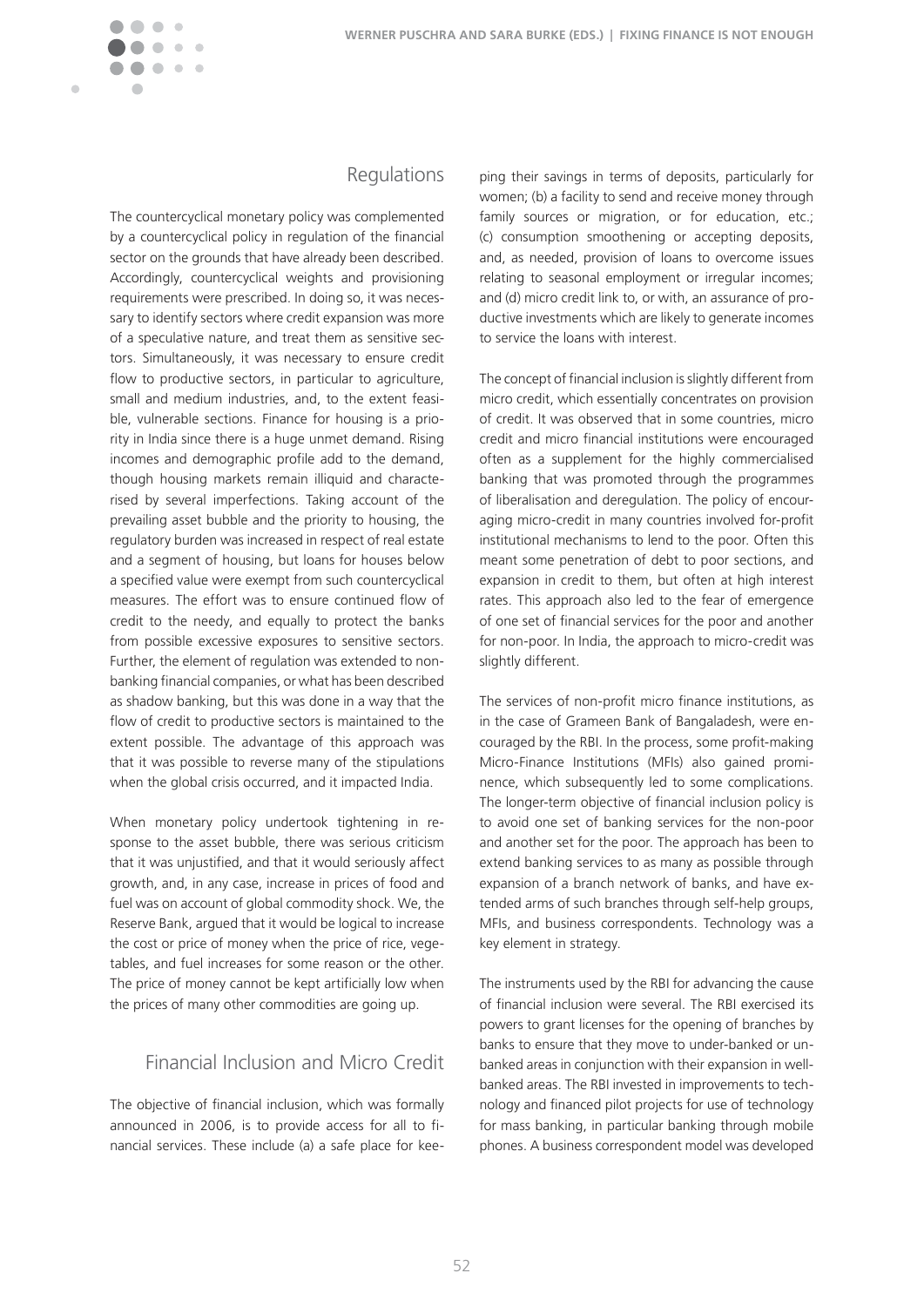

#### Regulations

The countercyclical monetary policy was complemented by a countercyclical policy in regulation of the financial sector on the grounds that have already been described. Accordingly, countercyclical weights and provisioning requirements were prescribed. In doing so, it was necessary to identify sectors where credit expansion was more of a speculative nature, and treat them as sensitive sectors. Simultaneously, it was necessary to ensure credit flow to productive sectors, in particular to agriculture, small and medium industries, and, to the extent feasible, vulnerable sections. Finance for housing is a priority in India since there is a huge unmet demand. Rising incomes and demographic profile add to the demand, though housing markets remain illiquid and characterised by several imperfections. Taking account of the prevailing asset bubble and the priority to housing, the regulatory burden was increased in respect of real estate and a segment of housing, but loans for houses below a specified value were exempt from such countercyclical measures. The effort was to ensure continued flow of credit to the needy, and equally to protect the banks from possible excessive exposures to sensitive sectors. Further, the element of regulation was extended to nonbanking financial companies, or what has been described as shadow banking, but this was done in a way that the flow of credit to productive sectors is maintained to the extent possible. The advantage of this approach was that it was possible to reverse many of the stipulations when the global crisis occurred, and it impacted India.

When monetary policy undertook tightening in response to the asset bubble, there was serious criticism that it was unjustified, and that it would seriously affect growth, and, in any case, increase in prices of food and fuel was on account of global commodity shock. We, the Reserve Bank, argued that it would be logical to increase the cost or price of money when the price of rice, vegetables, and fuel increases for some reason or the other. The price of money cannot be kept artificially low when the prices of many other commodities are going up.

### Financial Inclusion and Micro Credit

The objective of financial inclusion, which was formally announced in 2006, is to provide access for all to financial services. These include (a) a safe place for keeping their savings in terms of deposits, particularly for women; (b) a facility to send and receive money through family sources or migration, or for education, etc.; (c) consumption smoothening or accepting deposits, and, as needed, provision of loans to overcome issues relating to seasonal employment or irregular incomes; and (d) micro credit link to, or with, an assurance of productive investments which are likely to generate incomes to service the loans with interest.

The concept of financial inclusion is slightly different from micro credit, which essentially concentrates on provision of credit. It was observed that in some countries, microcredit and micro financial institutions were encouraged often as a supplement for the highly commercialised banking that was promoted through the programmes of liberalisation and deregulation. The policy of encouraging micro-credit in many countries involved for-profit institutional mechanisms to lend to the poor. Often this meant some penetration of debt to poor sections, and expansion in credit to them, but often at high interest rates. This approach also led to the fear of emergence of one set of financial services for the poor and another for non-poor. In India, the approach to micro-credit was slightly different.

The services of non-profit micro finance institutions, as in the case of Grameen Bank of Bangaladesh, were encouraged by the RBI. In the process, some profit-making Micro-Finance Institutions (MFIs) also gained prominence, which subsequently led to some complications. The longer-term objective of financial inclusion policy is to avoid one set of banking services for the non-poor and another set for the poor. The approach has been to extend banking services to as many as possible through expansion of a branch network of banks, and have extended arms of such branches through self-help groups, MFIs, and business correspondents. Technology was a key element in strategy.

The instruments used by the RBI for advancing the cause of financial inclusion were several. The RBI exercised its powers to grant licenses for the opening of branches by banks to ensure that they move to under-banked or unbanked areas in conjunction with their expansion in wellbanked areas. The RBI invested in improvements to technology and financed pilot projects for use of technology for mass banking, in particular banking through mobile phones. A business correspondent model was developed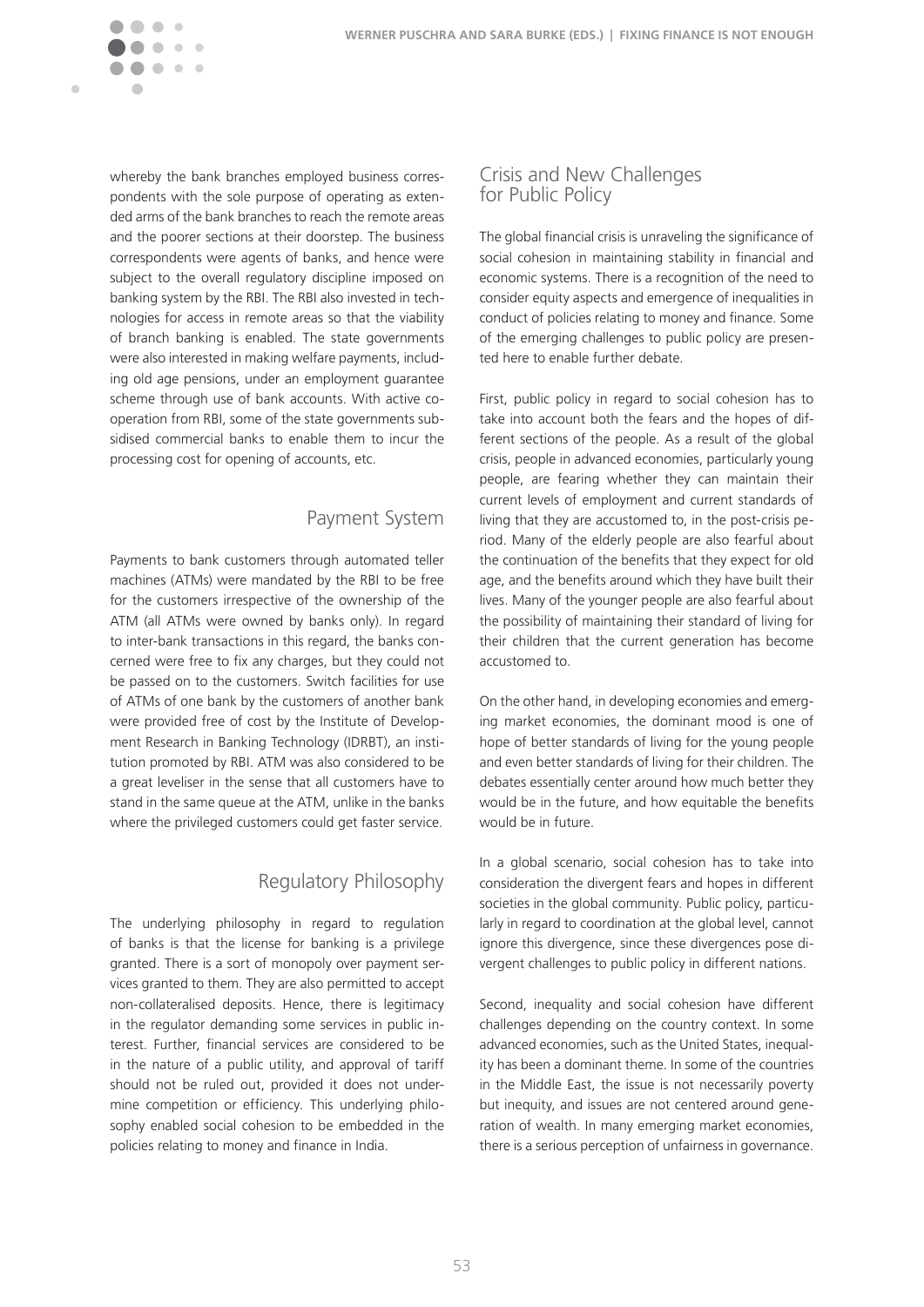whereby the bank branches employed business correspondents with the sole purpose of operating as extended arms of the bank branches to reach the remote areas and the poorer sections at their doorstep. The business correspondents were agents of banks, and hence were subject to the overall regulatory discipline imposed on banking system by the RBI. The RBI also invested in technologies for access in remote areas so that the viability of branch banking is enabled. The state governments were also interested in making welfare payments, including old age pensions, under an employment guarantee scheme through use of bank accounts. With active cooperation from RBI, some of the state governments subsidised commercial banks to enable them to incur the processing cost for opening of accounts, etc.

Ċ

#### Payment System

Payments to bank customers through automated teller machines (ATMs) were mandated by the RBI to be free for the customers irrespective of the ownership of the ATM (all ATMs were owned by banks only). In regard to inter-bank transactions in this regard, the banks concerned were free to fix any charges, but they could not be passed on to the customers. Switch facilities for use of ATMs of one bank by the customers of another bank were provided free of cost by the Institute of Development Research in Banking Technology (IDRBT), an institution promoted by RBI. ATM was also considered to be a great leveliser in the sense that all customers have to stand in the same queue at the ATM, unlike in the banks where the privileged customers could get faster service.

### Regulatory Philosophy

The underlying philosophy in regard to regulation of banks is that the license for banking is a privilege granted. There is a sort of monopoly over payment services granted to them. They are also permitted to accept non-collateralised deposits. Hence, there is legitimacy in the regulator demanding some services in public interest. Further, financial services are considered to be in the nature of a public utility, and approval of tariff should not be ruled out, provided it does not undermine competition or efficiency. This underlying philosophy enabled social cohesion to be embedded in the policies relating to money and finance in India.

#### Crisis and New Challenges for Public Policy

The global financial crisis is unraveling the significance of social cohesion in maintaining stability in financial and economic systems. There is a recognition of the need to consider equity aspects and emergence of inequalities in conduct of policies relating to money and finance. Some of the emerging challenges to public policy are presented here to enable further debate.

First, public policy in regard to social cohesion has to take into account both the fears and the hopes of different sections of the people. As a result of the global crisis, people in advanced economies, particularly young people, are fearing whether they can maintain their current levels of employment and current standards of living that they are accustomed to, in the post-crisis period. Many of the elderly people are also fearful about the continuation of the benefits that they expect for old age, and the benefits around which they have built their lives. Many of the younger people are also fearful about the possibility of maintaining their standard of living for their children that the current generation has become accustomed to.

On the other hand, in developing economies and emerging market economies, the dominant mood is one of hope of better standards of living for the young people and even better standards of living for their children. The debates essentially center around how much better they would be in the future, and how equitable the benefits would be in future.

In a global scenario, social cohesion has to take into consideration the divergent fears and hopes in different societies in the global community. Public policy, particularly in regard to coordination at the global level, cannot ignore this divergence, since these divergences pose divergent challenges to public policy in different nations.

Second, inequality and social cohesion have different challenges depending on the country context. In some advanced economies, such as the United States, inequality has been a dominant theme. In some of the countries in the Middle East, the issue is not necessarily poverty but inequity, and issues are not centered around generation of wealth. In many emerging market economies, there is a serious perception of unfairness in governance.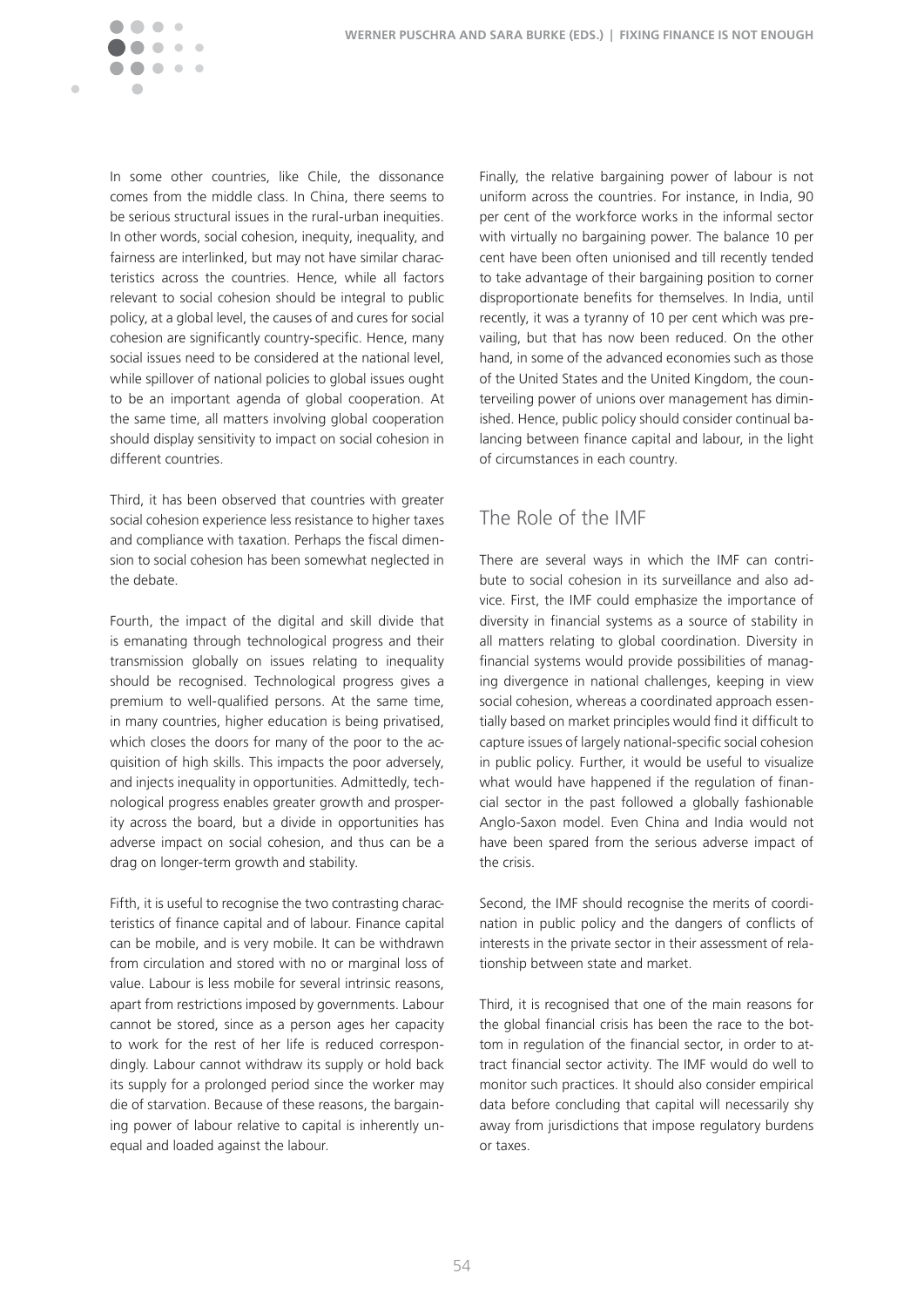

In some other countries, like Chile, the dissonance comes from the middle class. In China, there seems to be serious structural issues in the rural-urban inequities. In other words, social cohesion, inequity, inequality, and fairness are interlinked, but may not have similar characteristics across the countries. Hence, while all factors relevant to social cohesion should be integral to public policy, at a global level, the causes of and cures for social cohesion are significantly country-specific. Hence, many social issues need to be considered at the national level, while spillover of national policies to global issues ought to be an important agenda of global cooperation. At the same time, all matters involving global cooperation should display sensitivity to impact on social cohesion in different countries.

Third, it has been observed that countries with greater social cohesion experience less resistance to higher taxes and compliance with taxation. Perhaps the fiscal dimension to social cohesion has been somewhat neglected in the debate.

Fourth, the impact of the digital and skill divide that is emanating through technological progress and their transmission globally on issues relating to inequality should be recognised. Technological progress gives a premium to well-qualified persons. At the same time, in many countries, higher education is being privatised, which closes the doors for many of the poor to the acquisition of high skills. This impacts the poor adversely, and injects inequality in opportunities. Admittedly, technological progress enables greater growth and prosperity across the board, but a divide in opportunities has adverse impact on social cohesion, and thus can be a drag on longer-term growth and stability.

Fifth, it is useful to recognise the two contrasting characteristics of finance capital and of labour. Finance capital can be mobile, and is very mobile. It can be withdrawn from circulation and stored with no or marginal loss of value. Labour is less mobile for several intrinsic reasons, apart from restrictions imposed by governments. Labour cannot be stored, since as a person ages her capacity to work for the rest of her life is reduced correspondingly. Labour cannot withdraw its supply or hold back its supply for a prolonged period since the worker may die of starvation. Because of these reasons, the bargaining power of labour relative to capital is inherently unequal and loaded against the labour.

Finally, the relative bargaining power of labour is not uniform across the countries. For instance, in India, 90 per cent of the workforce works in the informal sector with virtually no bargaining power. The balance 10 per cent have been often unionised and till recently tended to take advantage of their bargaining position to corner disproportionate benefits for themselves. In India, until recently, it was a tyranny of 10 per cent which was prevailing, but that has now been reduced. On the other hand, in some of the advanced economies such as those of the United States and the United Kingdom, the counterveiling power of unions over management has diminished. Hence, public policy should consider continual balancing between finance capital and labour, in the light of circumstances in each country.

### The Role of the IMF

There are several ways in which the IMF can contribute to social cohesion in its surveillance and also advice. First, the IMF could emphasize the importance of diversity in financial systems as a source of stability in all matters relating to global coordination. Diversity in financial systems would provide possibilities of managing divergence in national challenges, keeping in view social cohesion, whereas a coordinated approach essentially based on market principles would find it difficult to capture issues of largely national-specific social cohesion in public policy. Further, it would be useful to visualize what would have happened if the regulation of financial sector in the past followed a globally fashionable Anglo-Saxon model. Even China and India would not have been spared from the serious adverse impact of the crisis�

Second, the IMF should recognise the merits of coordination in public policy and the dangers of conflicts of interests in the private sector in their assessment of relationship between state and market.

Third, it is recognised that one of the main reasons for the global financial crisis has been the race to the bottom in regulation of the financial sector, in order to attract financial sector activity. The IMF would do well to monitor such practices. It should also consider empirical data before concluding that capital will necessarily shy away from jurisdictions that impose regulatory burdens or taxes.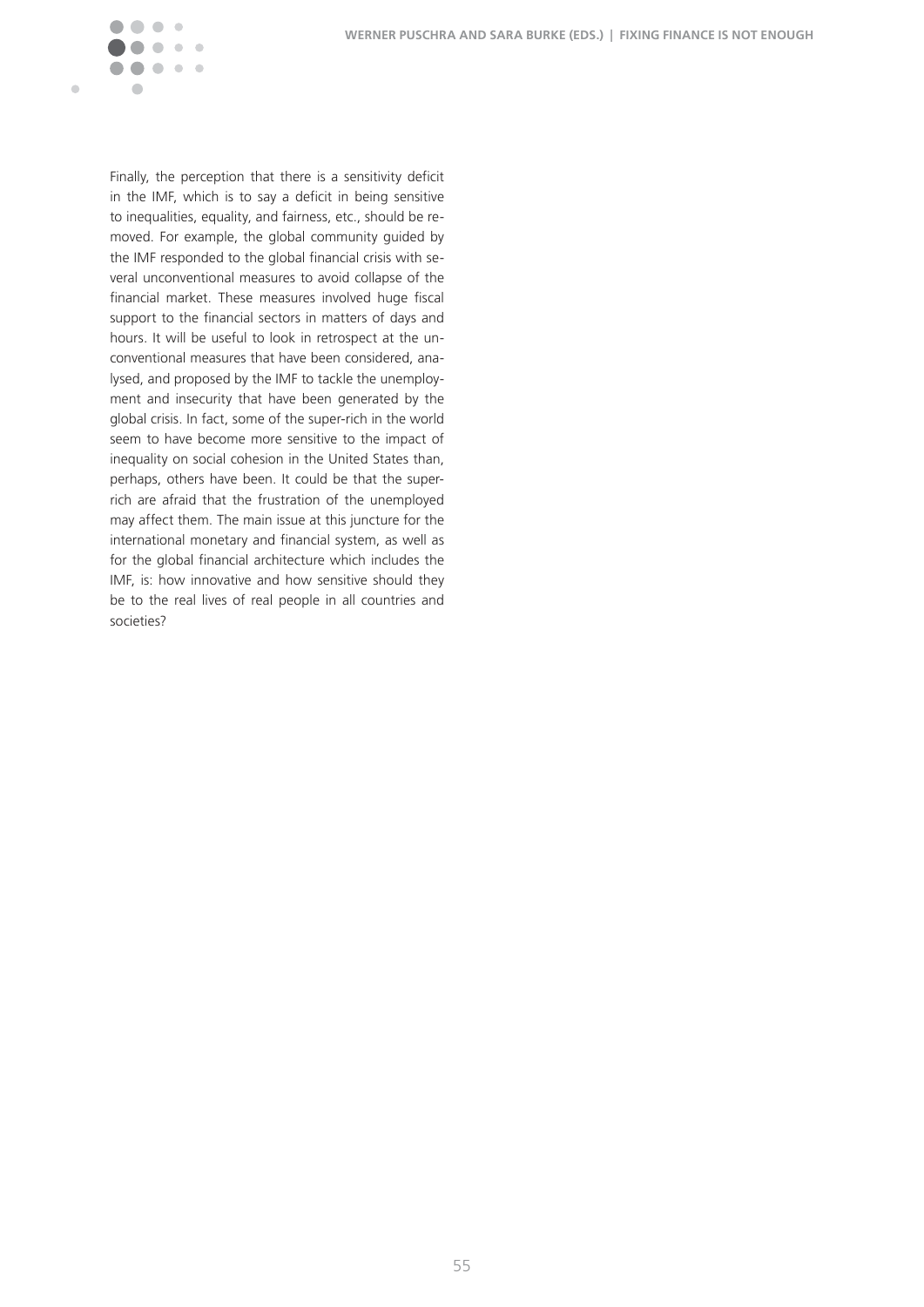

Finally, the perception that there is a sensitivity deficit in the IMF, which is to say a deficit in being sensitive to inequalities, equality, and fairness, etc., should be removed. For example, the global community guided by the IMF responded to the global financial crisis with several unconventional measures to avoid collapse of the financial market. These measures involved huge fiscal support to the financial sectors in matters of days and hours. It will be useful to look in retrospect at the unconventional measures that have been considered, analysed, and proposed by the IMF to tackle the unemployment and insecurity that have been generated by the global crisis. In fact, some of the super-rich in the world seem to have become more sensitive to the impact of inequality on social cohesion in the United States than, perhaps, others have been. It could be that the superrich are afraid that the frustration of the unemployed may affect them. The main issue at this juncture for the international monetary and financial system, as well as for the global financial architecture which includes the IMF, is: how innovative and how sensitive should they be to the real lives of real people in all countries and societies?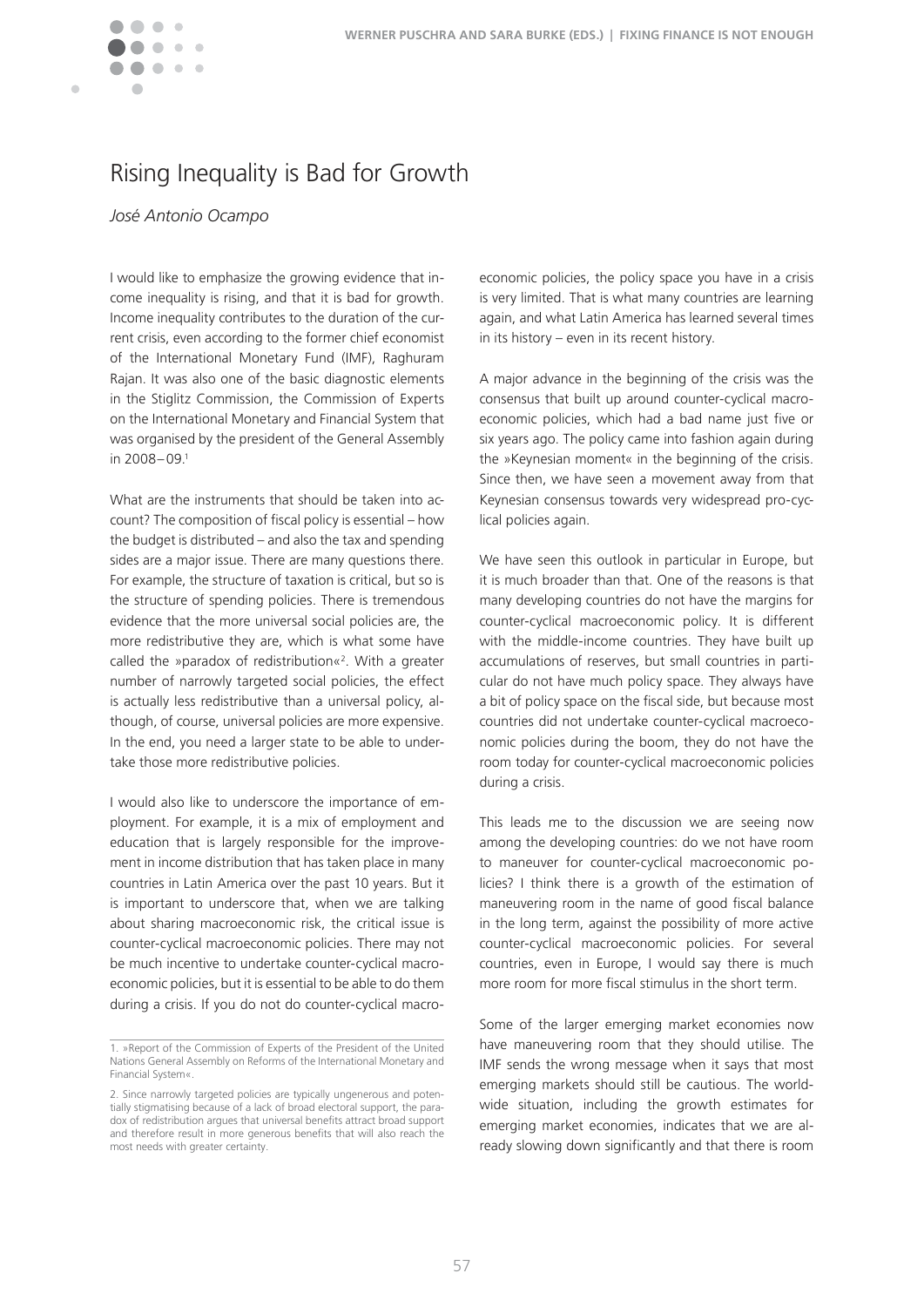

## Rising Inequality is Bad for Growth

#### *José Antonio Ocampo*

I would like to emphasize the growing evidence that income inequality is rising, and that it is bad for growth. Income inequality contributes to the duration of the current crisis, even according to the former chief economist of the International Monetary Fund (IMF), Raghuram Rajan. It was also one of the basic diagnostic elements in the Stiglitz Commission, the Commission of Experts on the International Monetary and Financial System that was organised by the president of the General Assembly in  $2008 - 09<sup>1</sup>$ 

What are the instruments that should be taken into account? The composition of fiscal policy is essential – how the budget is distributed – and also the tax and spending sides are a major issue. There are many questions there. For example, the structure of taxation is critical, but so is the structure of spending policies. There is tremendous evidence that the more universal social policies are, the more redistributive they are, which is what some have called the »paradox of redistribution«<sup>2</sup> � With a greater number of narrowly targeted social policies, the effect is actually less redistributive than a universal policy, although, of course, universal policies are more expensive. In the end, you need a larger state to be able to undertake those more redistributive policies.

I would also like to underscore the importance of employment. For example, it is a mix of employment and education that is largely responsible for the improvement in income distribution that has taken place in many countries in Latin America over the past 10 years. But it is important to underscore that, when we are talking about sharing macroeconomic risk, the critical issue is counter-cyclical macroeconomic policies. There may not be much incentive to undertake counter-cyclical macroeconomic policies, but it is essential to be able to do them during a crisis. If you do not do counter-cyclical macro-

economic policies, the policy space you have in a crisis is very limited. That is what many countries are learning again, and what Latin America has learned several times in its history – even in its recent history.

A major advance in the beginning of the crisis was the consensus that built up around counter-cyclical macroeconomic policies, which had a bad name just five or six years ago. The policy came into fashion again during the »Keynesian moment« in the beginning of the crisis. Since then, we have seen a movement away from that Keynesian consensus towards very widespread pro-cyclical policies again.

We have seen this outlook in particular in Europe, but it is much broader than that. One of the reasons is that many developing countries do not have the margins for counter-cyclical macroeconomic policy. It is different with the middle-income countries. They have built up accumulations of reserves, but small countries in particular do not have much policy space. They always have a bit of policy space on the fiscal side, but because most countries did not undertake counter-cyclical macroeconomic policies during the boom, they do not have the room today for counter-cyclical macroeconomic policies during a crisis.

This leads me to the discussion we are seeing now among the developing countries: do we not have room to maneuver for counter-cyclical macroeconomic policies? I think there is a growth of the estimation of maneuvering room in the name of good fiscal balance in the long term, against the possibility of more active counter-cyclical macroeconomic policies. For several countries, even in Europe, I would say there is much more room for more fiscal stimulus in the short term.

Some of the larger emerging market economies now have maneuvering room that they should utilise. The IMF sends the wrong message when it says that most emerging markets should still be cautious. The worldwide situation, including the growth estimates for emerging market economies, indicates that we are already slowing down significantly and that there is room

<sup>1. »</sup>Report of the Commission of Experts of the President of the United Nations General Assembly on Reforms of the International Monetary and Financial System«.

<sup>2.</sup> Since narrowly targeted policies are typically ungenerous and potentially stigmatising because of a lack of broad electoral support, the paradox of redistribution argues that universal benefits attract broad support and therefore result in more generous benefits that will also reach the most needs with greater certainty.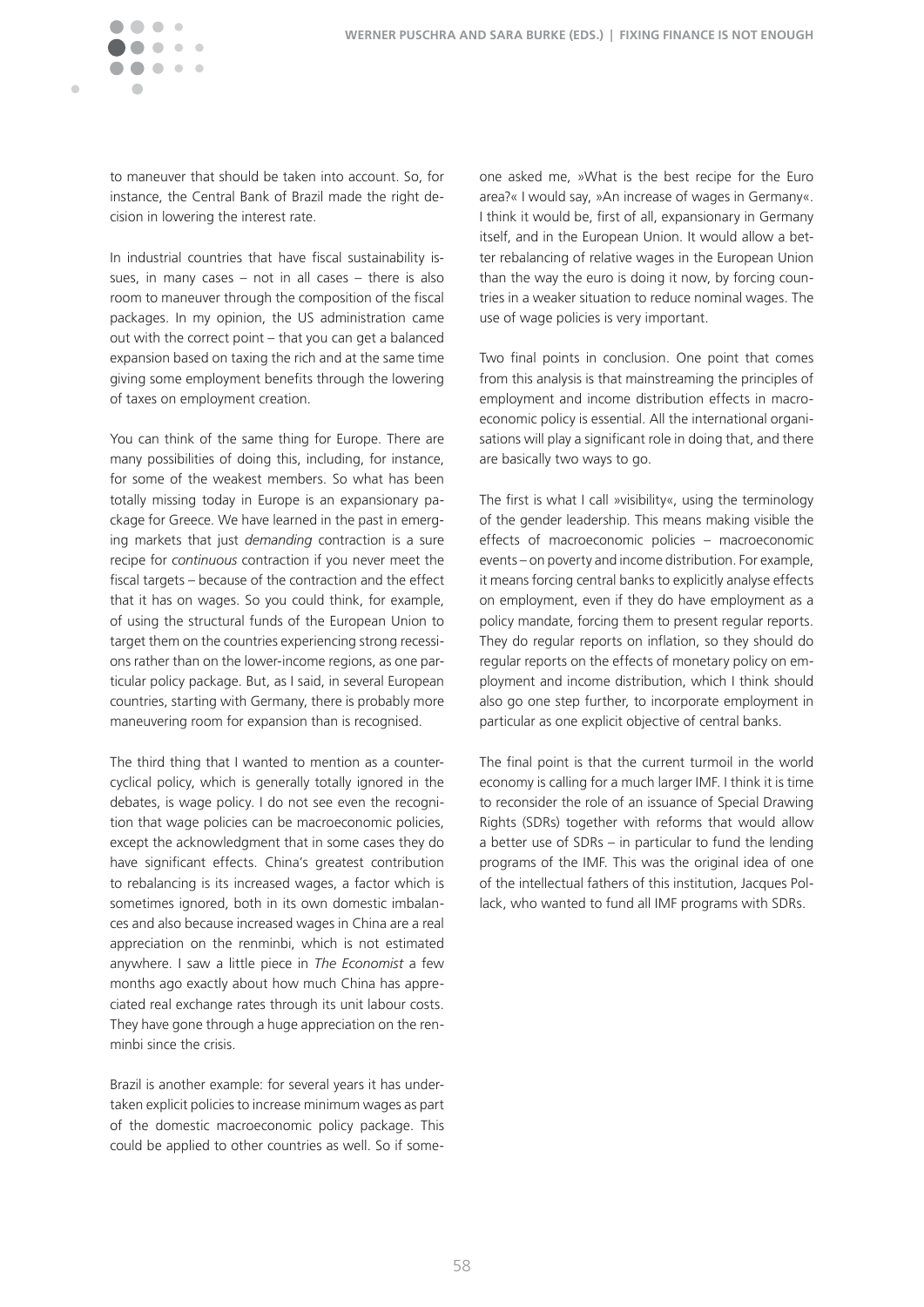

to maneuver that should be taken into account. So, for instance, the Central Bank of Brazil made the right decision in lowering the interest rate.

In industrial countries that have fiscal sustainability issues, in many cases  $-$  not in all cases  $-$  there is also room to maneuver through the composition of the fiscal packages. In my opinion, the US administration came out with the correct point – that you can get a balanced expansion based on taxing the rich and at the same time giving some employment benefits through the lowering of taxes on employment creation.

You can think of the same thing for Europe. There are many possibilities of doing this, including, for instance, for some of the weakest members. So what has been totally missing today in Europe is an expansionary package for Greece. We have learned in the past in emerging markets that just *demanding* contraction is a sure recipe for *continuous* contraction if you never meet the fiscal targets – because of the contraction and the effect that it has on wages. So you could think, for example, of using the structural funds of the European Union to target them on the countries experiencing strong recessions rather than on the lower-income regions, as one particular policy package. But, as I said, in several European countries, starting with Germany, there is probably more maneuvering room for expansion than is recognised.

The third thing that I wanted to mention as a countercyclical policy, which is generally totally ignored in the debates, is wage policy. I do not see even the recognition that wage policies can be macroeconomic policies, except the acknowledgment that in some cases they do have significant effects. China's greatest contribution to rebalancing is its increased wages, a factor which is sometimes ignored, both in its own domestic imbalances and also because increased wages in China are a real appreciation on the renminbi, which is not estimated anywhere� I saw a little piece in *The Economist* a few months ago exactly about how much China has appreciated real exchange rates through its unit labour costs. They have gone through a huge appreciation on the renminbi since the crisis.

Brazil is another example: for several years it has undertaken explicit policies to increase minimum wages as part of the domestic macroeconomic policy package. This could be applied to other countries as well. So if someone asked me, »What is the best recipe for the Euro area?« I would say, »An increase of wages in Germany«. I think it would be, first of all, expansionary in Germany itself, and in the European Union. It would allow a better rebalancing of relative wages in the European Union than the way the euro is doing it now, by forcing countries in a weaker situation to reduce nominal wages. The use of wage policies is very important.

Two final points in conclusion. One point that comes from this analysis is that mainstreaming the principles of employment and income distribution effects in macroeconomic policy is essential. All the international organisations will play a significant role in doing that, and there are basically two ways to go.

The first is what I call »visibility«, using the terminology of the gender leadership. This means making visible the effects of macroeconomic policies – macroeconomic events – on poverty and income distribution. For example, it means forcing central banks to explicitly analyse effects on employment, even if they do have employment as a policy mandate, forcing them to present regular reports. They do regular reports on inflation, so they should do regular reports on the effects of monetary policy on employment and income distribution, which I think should also go one step further, to incorporate employment in particular as one explicit objective of central banks.

The final point is that the current turmoil in the world economy is calling for a much larger IMF. I think it is time to reconsider the role of an issuance of Special Drawing Rights (SDRs) together with reforms that would allow a better use of SDRs – in particular to fund the lending programs of the IMF. This was the original idea of one of the intellectual fathers of this institution, Jacques Pollack, who wanted to fund all IMF programs with SDRs.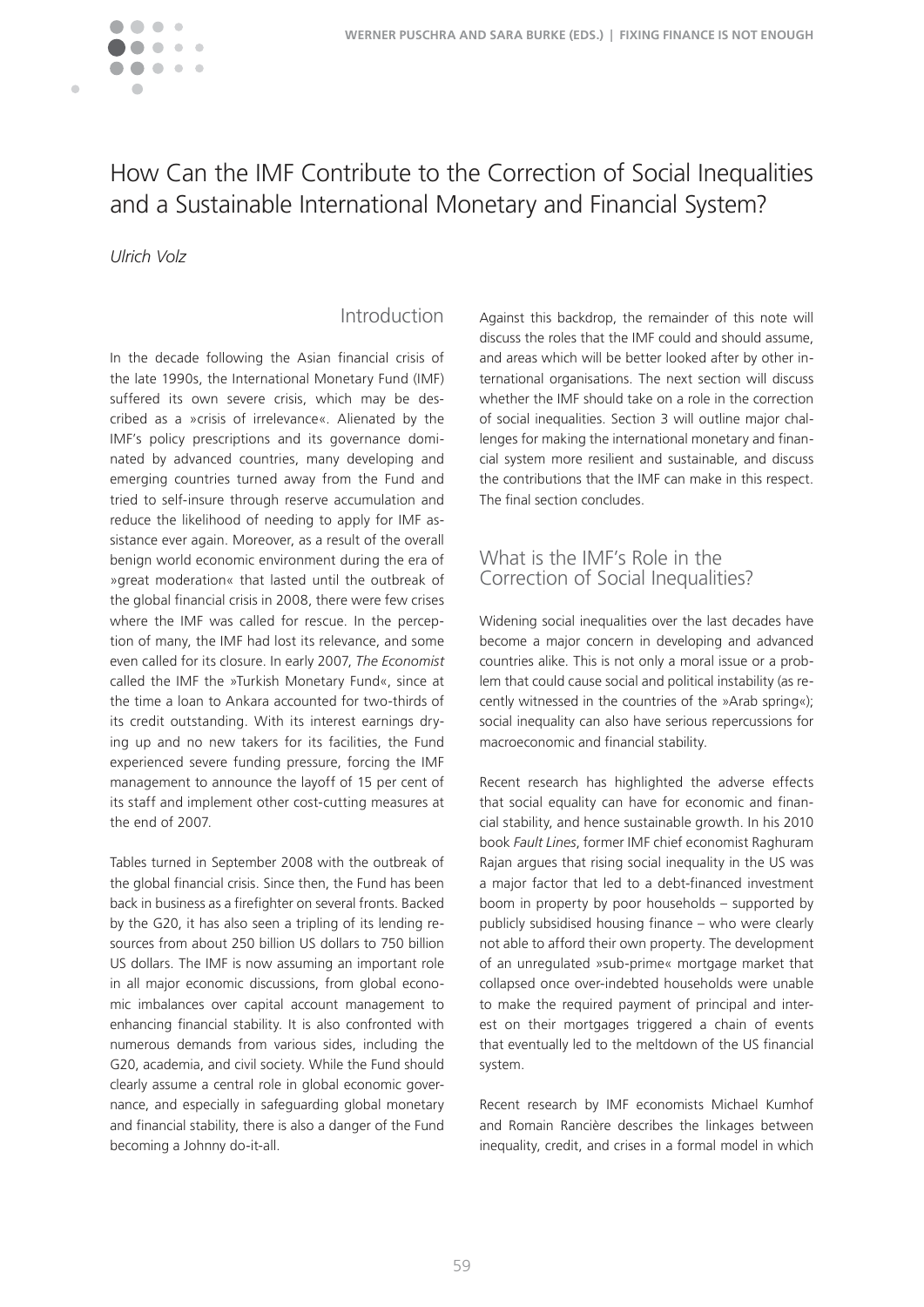Ċ

## How Can the IMF Contribute to the Correction of Social Inequalities and a Sustainable International Monetary and Financial System?

*Ulrich Volz*

### Introduction

In the decade following the Asian financial crisis of the late 1990s, the International Monetary Fund (IMF) suffered its own severe crisis, which may be described as a »crisis of irrelevance«. Alienated by the IMF's policy prescriptions and its governance dominated by advanced countries, many developing and emerging countries turned away from the Fund and tried to self-insure through reserve accumulation and reduce the likelihood of needing to apply for IMF assistance ever again. Moreover, as a result of the overall benign world economic environment during the era of »great moderation« that lasted until the outbreak of the global financial crisis in 2008, there were few crises where the IMF was called for rescue. In the perception of many, the IMF had lost its relevance, and some even called for its closure� In early 2007, *The Economist* called the IMF the »Turkish Monetary Fund«, since at the time a loan to Ankara accounted for two-thirds of its credit outstanding. With its interest earnings drying up and no new takers for its facilities, the Fund experienced severe funding pressure, forcing the IMF management to announce the layoff of 15 per cent of its staff and implement other cost-cutting measures at the end of 2007.

Tables turned in September 2008 with the outbreak of the global financial crisis. Since then, the Fund has been back in business as a firefighter on several fronts. Backed by the G20, it has also seen a tripling of its lending resources from about 250 billion US dollars to 750 billion US dollars. The IMF is now assuming an important role in all major economic discussions, from global economic imbalances over capital account management to enhancing financial stability. It is also confronted with numerous demands from various sides, including the G20, academia, and civil society. While the Fund should clearly assume a central role in global economic governance, and especially in safeguarding global monetary and financial stability, there is also a danger of the Fund becoming a Johnny do-it-all.

Against this backdrop, the remainder of this note will discuss the roles that the IMF could and should assume, and areas which will be better looked after by other international organisations. The next section will discuss whether the IMF should take on a role in the correction of social inequalities. Section 3 will outline major challenges for making the international monetary and financial system more resilient and sustainable, and discuss the contributions that the IMF can make in this respect. The final section concludes.

#### What is the IMF's Role in the Correction of Social Inequalities?

Widening social inequalities over the last decades have become a major concern in developing and advanced countries alike. This is not only a moral issue or a problem that could cause social and political instability (as recently witnessed in the countries of the »Arab spring«); social inequality can also have serious repercussions for macroeconomic and financial stability.

Recent research has highlighted the adverse effects that social equality can have for economic and financial stability, and hence sustainable growth. In his 2010 book *Fault Lines*, former IMF chief economist Raghuram Rajan argues that rising social inequality in the US was a major factor that led to a debt-financed investment boom in property by poor households – supported by publicly subsidised housing finance – who were clearly not able to afford their own property. The development of an unregulated »sub-prime« mortgage market that collapsed once over-indebted households were unable to make the required payment of principal and interest on their mortgages triggered a chain of events that eventually led to the meltdown of the US financial system.

Recent research by IMF economists Michael Kumhof and Romain Rancière describes the linkages between inequality, credit, and crises in a formal model in which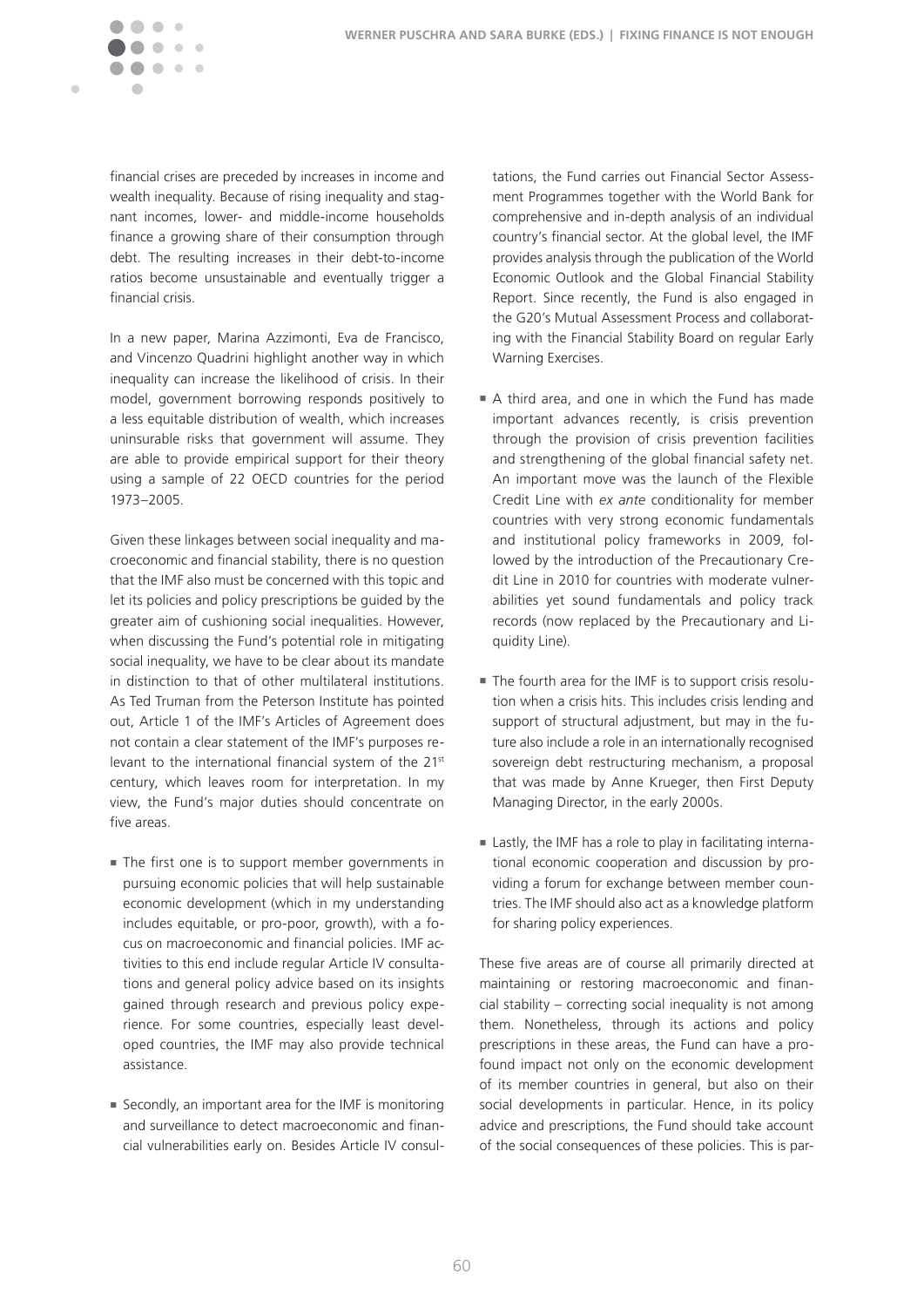

financial crises are preceded by increases in income and wealth inequality. Because of rising inequality and stagnant incomes, lower- and middle-income households finance a growing share of their consumption through debt. The resulting increases in their debt-to-income ratios become unsustainable and eventually trigger a financial crisis.

In a new paper, Marina Azzimonti, Eva de Francisco, and Vincenzo Quadrini highlight another way in which inequality can increase the likelihood of crisis. In their model, government borrowing responds positively to a less equitable distribution of wealth, which increases uninsurable risks that government will assume. They are able to provide empirical support for their theory using a sample of 22 OECD countries for the period 1973–2005�

Given these linkages between social inequality and macroeconomic and financial stability, there is no question that the IMF also must be concerned with this topic and let its policies and policy prescriptions be guided by the greater aim of cushioning social inequalities. However, when discussing the Fund's potential role in mitigating social inequality, we have to be clear about its mandate in distinction to that of other multilateral institutions. As Ted Truman from the Peterson Institute has pointed out, Article 1 of the IMF's Articles of Agreement does not contain a clear statement of the IMF's purposes relevant to the international financial system of the 21<sup>st</sup> century, which leaves room for interpretation. In my view, the Fund's major duties should concentrate on five areas.

- $\blacksquare$  The first one is to support member governments in pursuing economic policies that will help sustainable economic development (which in my understanding includes equitable, or pro-poor, growth), with a focus on macroeconomic and financial policies. IMF activities to this end include regular Article IV consultations and general policy advice based on its insights gained through research and previous policy experience. For some countries, especially least developed countries, the IMF may also provide technical assistance.
- Secondly, an important area for the IMF is monitoring and surveillance to detect macroeconomic and financial vulnerabilities early on. Besides Article IV consul-

tations, the Fund carries out Financial Sector Assessment Programmes together with the World Bank for comprehensive and in-depth analysis of an individual country's financial sector� At the global level, the IMF provides analysis through the publication of the World Economic Outlook and the Global Financial Stability Report. Since recently, the Fund is also engaged in the G20's Mutual Assessment Process and collaborating with the Financial Stability Board on regular Early Warning Exercises.

- A third area, and one in which the Fund has made important advances recently, is crisis prevention through the provision of crisis prevention facilities and strengthening of the global financial safety net. An important move was the launch of the Flexible Credit Line with *ex ante* conditionality for member countries with very strong economic fundamentals and institutional policy frameworks in 2009, followed by the introduction of the Precautionary Credit Line in 2010 for countries with moderate vulnerabilities yet sound fundamentals and policy track records (now replaced by the Precautionary and Liquidity Line).
- $\blacksquare$  The fourth area for the IMF is to support crisis resolution when a crisis hits. This includes crisis lending and support of structural adjustment, but may in the future also include a role in an internationally recognised sovereign debt restructuring mechanism, a proposal that was made by Anne Krueger, then First Deputy Managing Director, in the early 2000s.
- Lastly, the IMF has a role to play in facilitating international economic cooperation and discussion by providing a forum for exchange between member countries. The IMF should also act as a knowledge platform for sharing policy experiences.

These five areas are of course all primarily directed at maintaining or restoring macroeconomic and financial stability – correcting social inequality is not among them. Nonetheless, through its actions and policy prescriptions in these areas, the Fund can have a profound impact not only on the economic development of its member countries in general, but also on their social developments in particular. Hence, in its policy advice and prescriptions, the Fund should take account of the social consequences of these policies. This is par-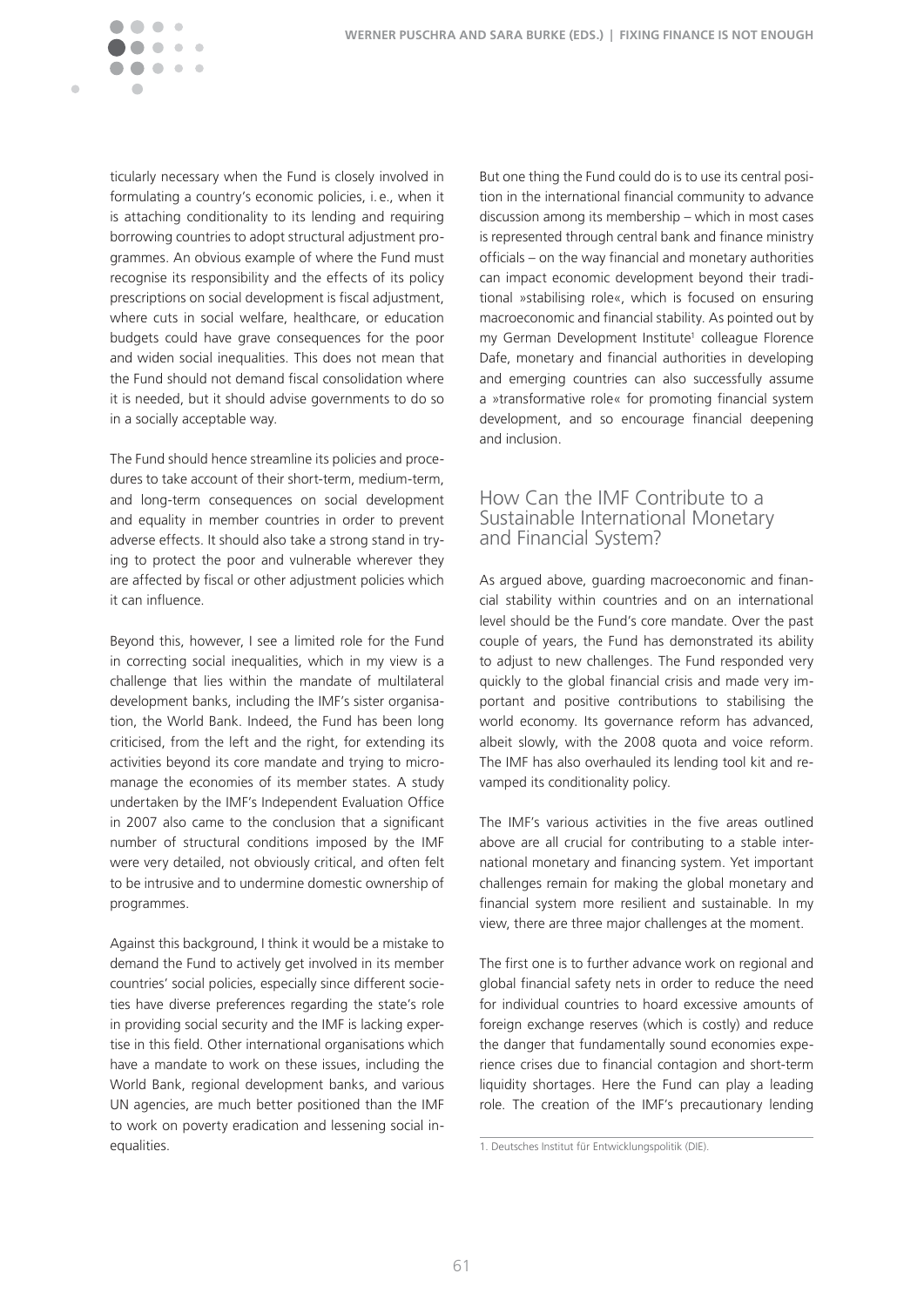

ticularly necessary when the Fund is closely involved in formulating a country's economic policies, i.e., when it is attaching conditionality to its lending and requiring borrowing countries to adopt structural adjustment programmes. An obvious example of where the Fund must recognise its responsibility and the effects of its policy prescriptions on social development is fiscal adjustment, where cuts in social welfare, healthcare, or education budgets could have grave consequences for the poor and widen social inequalities. This does not mean that the Fund should not demand fiscal consolidation where it is needed, but it should advise governments to do so in a socially acceptable way.

The Fund should hence streamline its policies and procedures to take account of their short-term, medium-term, and long-term consequences on social development and equality in member countries in order to prevent adverse effects. It should also take a strong stand in trying to protect the poor and vulnerable wherever they are affected by fiscal or other adjustment policies which it can influence.

Beyond this, however, I see a limited role for the Fund in correcting social inequalities, which in my view is a challenge that lies within the mandate of multilateral development banks, including the IMF's sister organisation, the World Bank. Indeed, the Fund has been long criticised, from the left and the right, for extending its activities beyond its core mandate and trying to micromanage the economies of its member states. A study undertaken by the IMF's Independent Evaluation Office in 2007 also came to the conclusion that a significant number of structural conditions imposed by the IMF were very detailed, not obviously critical, and often felt to be intrusive and to undermine domestic ownership of programmes.

Against this background, I think it would be a mistake to demand the Fund to actively get involved in its member countries' social policies, especially since different societies have diverse preferences regarding the state's role in providing social security and the IMF is lacking expertise in this field. Other international organisations which have a mandate to work on these issues, including the World Bank, regional development banks, and various UN agencies, are much better positioned than the IMF to work on poverty eradication and lessening social inequalities.

But one thing the Fund could do is to use its central position in the international financial community to advance discussion among its membership – which in most cases is represented through central bank and finance ministry officials – on the way financial and monetary authorities can impact economic development beyond their traditional »stabilising role«, which is focused on ensuring macroeconomic and financial stability. As pointed out by my German Development Institute<sup>1</sup> colleague Florence Dafe, monetary and financial authorities in developing and emerging countries can also successfully assume a »transformative role« for promoting financial system development, and so encourage financial deepening and inclusion�

#### How Can the IMF Contribute to a Sustainable International Monetary and Financial System?

As argued above, guarding macroeconomic and financial stability within countries and on an international level should be the Fund's core mandate. Over the past couple of years, the Fund has demonstrated its ability to adjust to new challenges. The Fund responded very quickly to the global financial crisis and made very important and positive contributions to stabilising the world economy. Its governance reform has advanced, albeit slowly, with the 2008 quota and voice reform. The IMF has also overhauled its lending tool kit and revamped its conditionality policy.

The IMF's various activities in the five areas outlined above are all crucial for contributing to a stable international monetary and financing system. Yet important challenges remain for making the global monetary and financial system more resilient and sustainable. In my view, there are three major challenges at the moment.

The first one is to further advance work on regional and global financial safety nets in order to reduce the need for individual countries to hoard excessive amounts of foreign exchange reserves (which is costly) and reduce the danger that fundamentally sound economies experience crises due to financial contagion and short-term liquidity shortages. Here the Fund can play a leading role. The creation of the IMF's precautionary lending

<sup>1.</sup> Deutsches Institut für Entwicklungspolitik (DIE).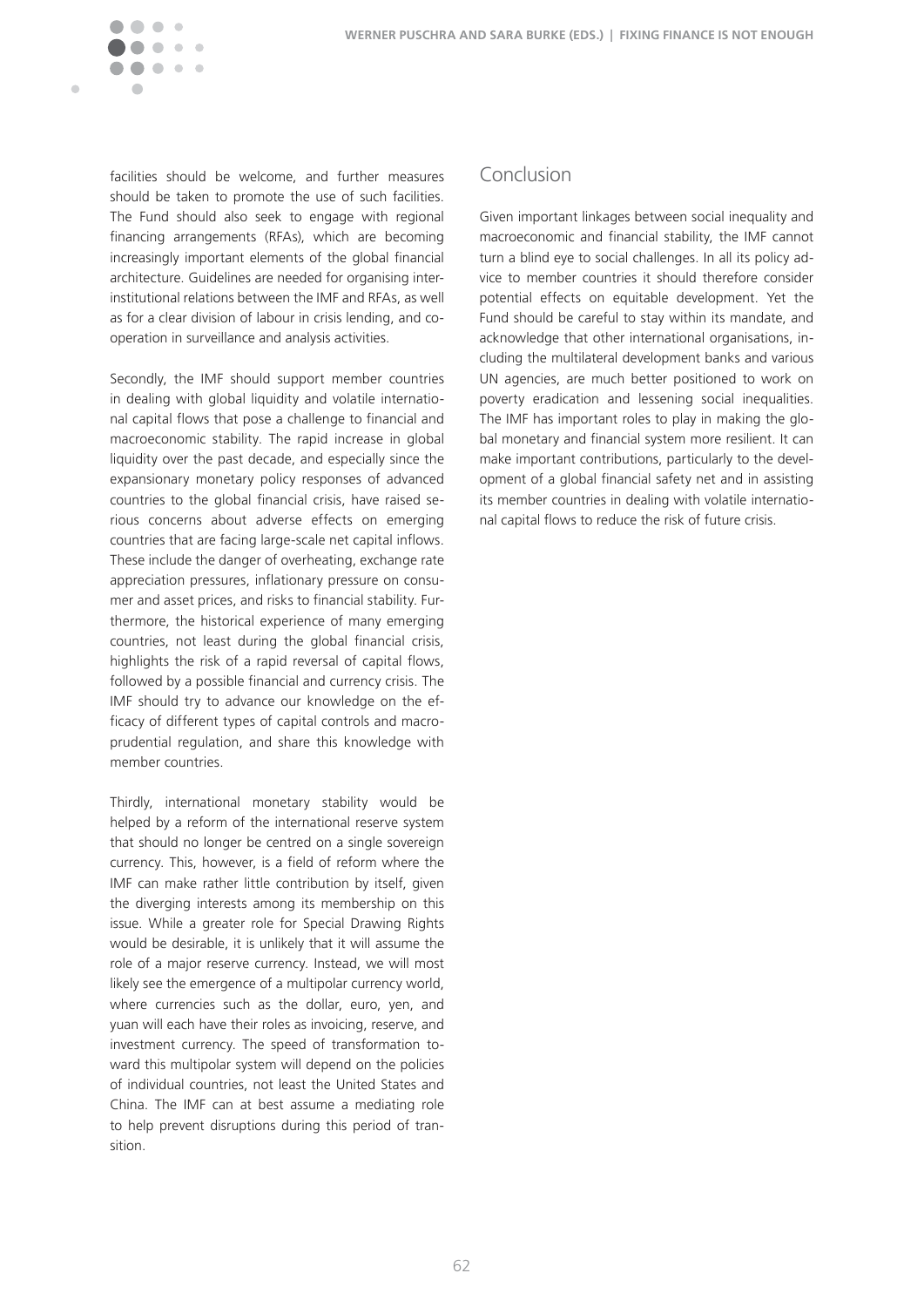

facilities should be welcome, and further measures should be taken to promote the use of such facilities. The Fund should also seek to engage with regional financing arrangements (RFAs), which are becoming increasingly important elements of the global financial architecture. Guidelines are needed for organising interinstitutional relations between the IMF and RFAs, as well as for a clear division of labour in crisis lending, and cooperation in surveillance and analysis activities.

Secondly, the IMF should support member countries in dealing with global liquidity and volatile international capital flows that pose a challenge to financial and macroeconomic stability. The rapid increase in global liquidity over the past decade, and especially since the expansionary monetary policy responses of advanced countries to the global financial crisis, have raised serious concerns about adverse effects on emerging countries that are facing large-scale net capital inflows. These include the danger of overheating, exchange rate appreciation pressures, inflationary pressure on consumer and asset prices, and risks to financial stability. Furthermore, the historical experience of many emerging countries, not least during the global financial crisis, highlights the risk of a rapid reversal of capital flows, followed by a possible financial and currency crisis. The IMF should try to advance our knowledge on the efficacy of different types of capital controls and macroprudential regulation, and share this knowledge with member countries.

Thirdly, international monetary stability would be helped by a reform of the international reserve system that should no longer be centred on a single sovereign currency. This, however, is a field of reform where the IMF can make rather little contribution by itself, given the diverging interests among its membership on this issue. While a greater role for Special Drawing Rights would be desirable, it is unlikely that it will assume the role of a major reserve currency. Instead, we will most likely see the emergence of a multipolar currency world, where currencies such as the dollar, euro, yen, and yuan will each have their roles as invoicing, reserve, and investment currency. The speed of transformation toward this multipolar system will depend on the policies of individual countries, not least the United States and China. The IMF can at best assume a mediating role to help prevent disruptions during this period of transition.

#### Conclusion

Given important linkages between social inequality and macroeconomic and financial stability, the IMF cannot turn a blind eve to social challenges. In all its policy advice to member countries it should therefore consider potential effects on equitable development. Yet the Fund should be careful to stay within its mandate, and acknowledge that other international organisations, including the multilateral development banks and various UN agencies, are much better positioned to work on poverty eradication and lessening social inequalities. The IMF has important roles to play in making the global monetary and financial system more resilient. It can make important contributions, particularly to the development of a global financial safety net and in assisting its member countries in dealing with volatile international capital flows to reduce the risk of future crisis.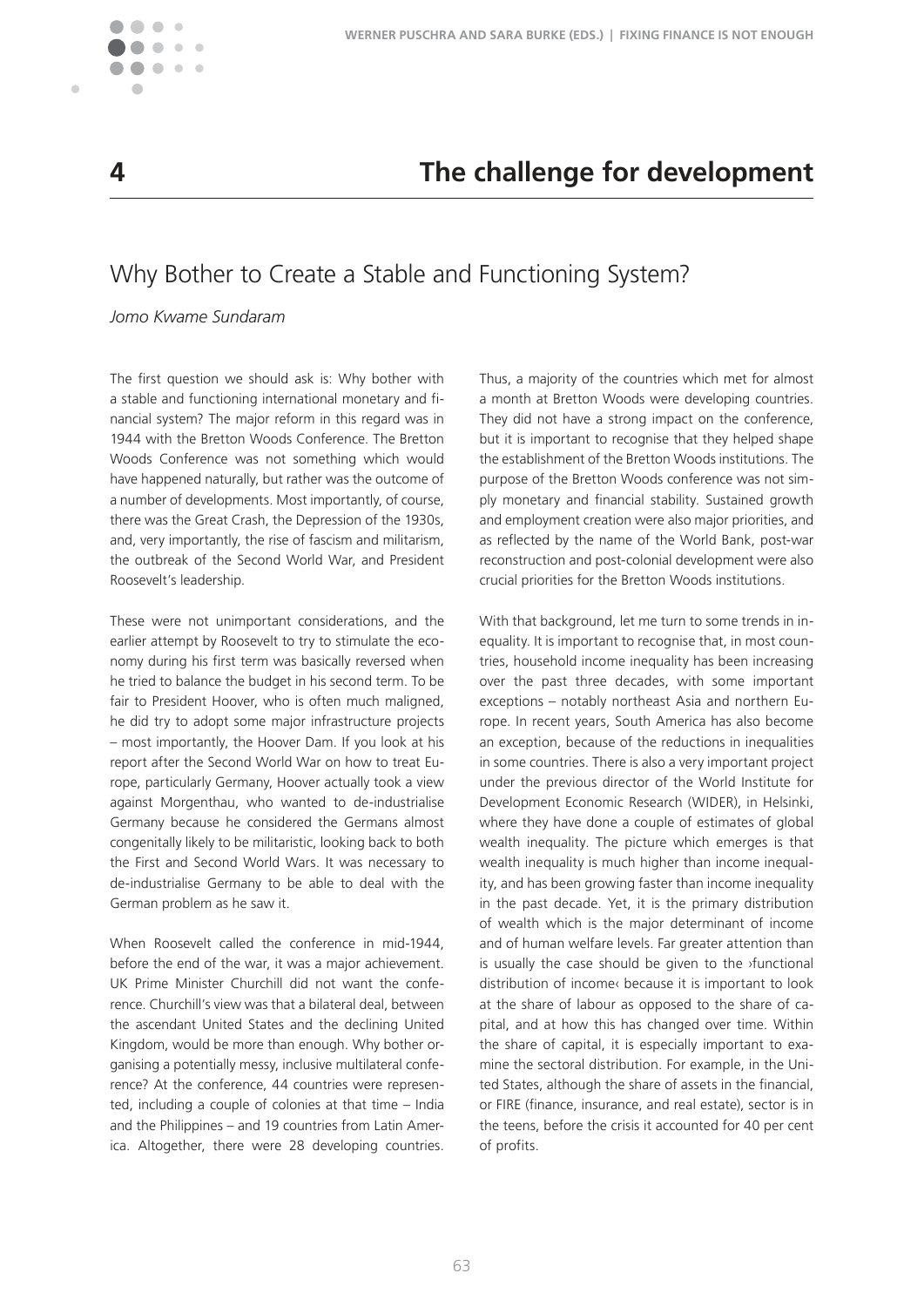

 $\blacksquare$ 

## **4 The challenge for development**

## Why Bother to Create a Stable and Functioning System?

#### *Jomo Kwame Sundaram*

The first question we should ask is: Why bother with a stable and functioning international monetary and financial system? The major reform in this regard was in 1944 with the Bretton Woods Conference. The Bretton Woods Conference was not something which would have happened naturally, but rather was the outcome of a number of developments. Most importantly, of course, there was the Great Crash, the Depression of the 1930s, and, very importantly, the rise of fascism and militarism, the outbreak of the Second World War, and President Roosevelt's leadership.

These were not unimportant considerations, and the earlier attempt by Roosevelt to try to stimulate the economy during his first term was basically reversed when he tried to balance the budget in his second term. To be fair to President Hoover, who is often much maligned, he did try to adopt some major infrastructure projects – most importantly, the Hoover Dam� If you look at his report after the Second World War on how to treat Europe, particularly Germany, Hoover actually took a view against Morgenthau, who wanted to de-industrialise Germany because he considered the Germans almost congenitally likely to be militaristic, looking back to both the First and Second World Wars. It was necessary to de-industrialise Germany to be able to deal with the German problem as he saw it.

When Roosevelt called the conference in mid-1944, before the end of the war, it was a major achievement UK Prime Minister Churchill did not want the conference. Churchill's view was that a bilateral deal, between the ascendant United States and the declining United Kingdom, would be more than enough. Why bother organising a potentially messy, inclusive multilateral conference? At the conference, 44 countries were represented, including a couple of colonies at that time – India and the Philippines – and 19 countries from Latin America. Altogether, there were 28 developing countries.

Thus, a majority of the countries which met for almost a month at Bretton Woods were developing countries. They did not have a strong impact on the conference, but it is important to recognise that they helped shape the establishment of the Bretton Woods institutions. The purpose of the Bretton Woods conference was not simply monetary and financial stability. Sustained growth and employment creation were also major priorities, and as reflected by the name of the World Bank, post-war reconstruction and post-colonial development were also crucial priorities for the Bretton Woods institutions�

With that background, let me turn to some trends in inequality. It is important to recognise that, in most countries, household income inequality has been increasing over the past three decades, with some important exceptions – notably northeast Asia and northern Europe. In recent years, South America has also become an exception, because of the reductions in inequalities in some countries. There is also a very important project under the previous director of the World Institute for Development Economic Research (WIDER), in Helsinki, where they have done a couple of estimates of global wealth inequality. The picture which emerges is that wealth inequality is much higher than income inequality, and has been growing faster than income inequality in the past decade. Yet, it is the primary distribution of wealth which is the major determinant of income and of human welfare levels. Far greater attention than is usually the case should be given to the ›functional distribution of income‹ because it is important to look at the share of labour as opposed to the share of capital, and at how this has changed over time. Within the share of capital, it is especially important to examine the sectoral distribution. For example, in the United States, although the share of assets in the financial, or FIRE (finance, insurance, and real estate), sector is in the teens, before the crisis it accounted for 40 per cent of profits.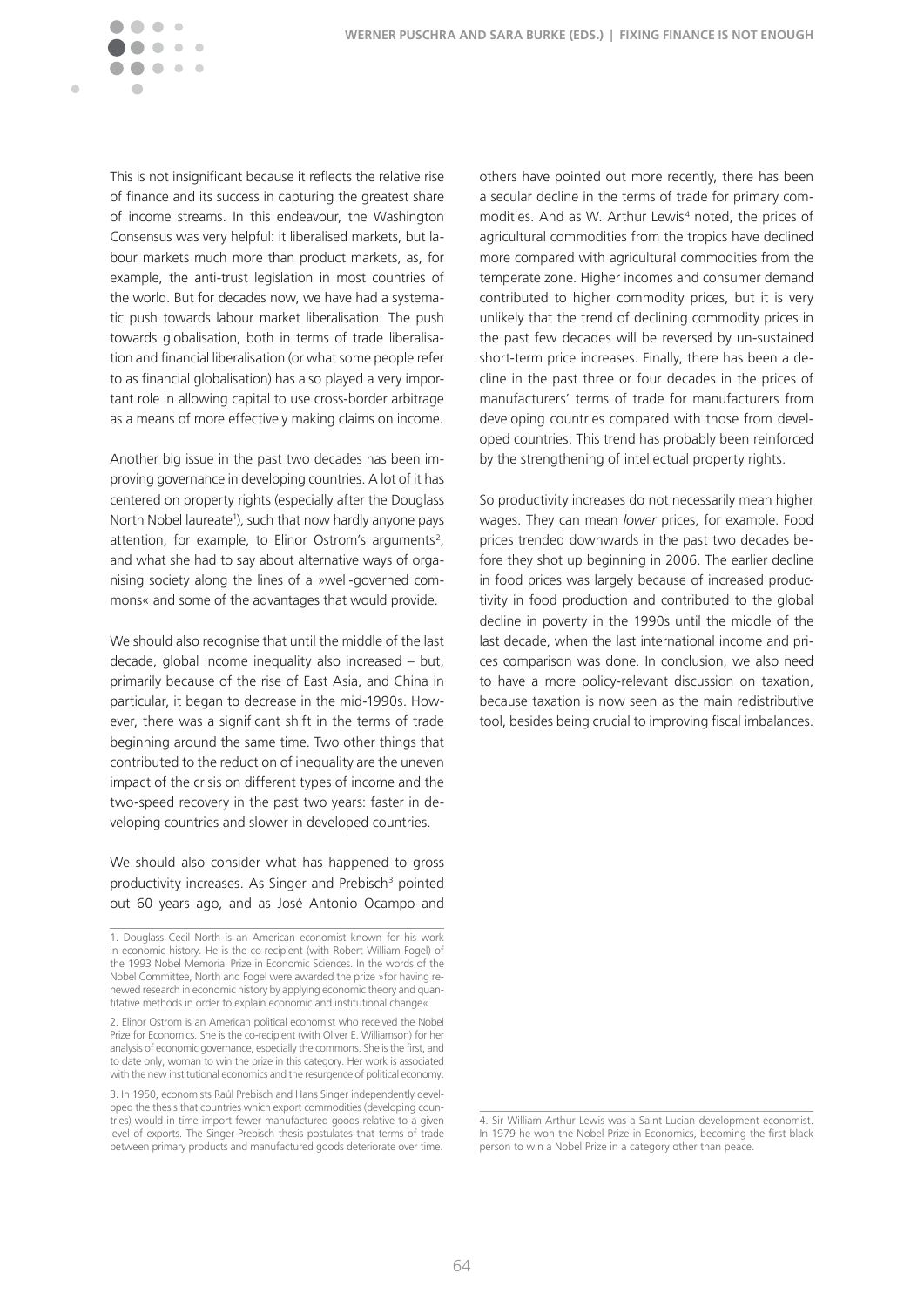

This is not insignificant because it reflects the relative rise of finance and its success in capturing the greatest share of income streams. In this endeavour, the Washington Consensus was very helpful: it liberalised markets, but labour markets much more than product markets, as, for example, the anti-trust legislation in most countries of the world. But for decades now, we have had a systematic push towards labour market liberalisation. The push towards globalisation, both in terms of trade liberalisation and financial liberalisation (or what some people refer to as financial globalisation) has also played a very important role in allowing capital to use cross-border arbitrage as a means of more effectively making claims on income.

Another big issue in the past two decades has been improving governance in developing countries. A lot of it has centered on property rights (especially after the Douglass North Nobel laureate<sup>1</sup>), such that now hardly anyone pays attention, for example, to Elinor Ostrom's arguments<sup>2</sup>, and what she had to say about alternative ways of organising society along the lines of a »well-governed commons« and some of the advantages that would provide.

We should also recognise that until the middle of the last decade, global income inequality also increased – but, primarily because of the rise of East Asia, and China in particular, it began to decrease in the mid-1990s. However, there was a significant shift in the terms of trade beginning around the same time. Two other things that contributed to the reduction of inequality are the uneven impact of the crisis on different types of income and the two-speed recovery in the past two years: faster in developing countries and slower in developed countries.

We should also consider what has happened to gross productivity increases. As Singer and Prebisch<sup>3</sup> pointed out 60 years ago, and as José Antonio Ocampo and others have pointed out more recently, there has been a secular decline in the terms of trade for primary commodities. And as W. Arthur Lewis<sup>4</sup> noted, the prices of agricultural commodities from the tropics have declined more compared with agricultural commodities from the temperate zone. Higher incomes and consumer demand contributed to higher commodity prices, but it is very unlikely that the trend of declining commodity prices in the past few decades will be reversed by un-sustained short-term price increases. Finally, there has been a decline in the past three or four decades in the prices of manufacturers' terms of trade for manufacturers from developing countries compared with those from developed countries. This trend has probably been reinforced by the strengthening of intellectual property rights.

So productivity increases do not necessarily mean higher wages. They can mean *lower* prices, for example. Food prices trended downwards in the past two decades before they shot up beginning in 2006. The earlier decline in food prices was largely because of increased productivity in food production and contributed to the global decline in poverty in the 1990s until the middle of the last decade, when the last international income and prices comparison was done. In conclusion, we also need to have a more policy-relevant discussion on taxation, because taxation is now seen as the main redistributive tool, besides being crucial to improving fiscal imbalances.

<sup>1.</sup> Douglass Cecil North is an American economist known for his work in economic history. He is the co-recipient (with Robert William Fogel) of the 1993 Nobel Memorial Prize in Economic Sciences. In the words of the Nobel Committee, North and Fogel were awarded the prize »for having renewed research in economic history by applying economic theory and quantitative methods in order to explain economic and institutional changes.

<sup>2.</sup> Elinor Ostrom is an American political economist who received the Nobel Prize for Economics. She is the co-recipient (with Oliver E. Williamson) for her analysis of economic governance, especially the commons. She is the first, and to date only, woman to win the prize in this category. Her work is associated with the new institutional economics and the resurgence of political economy.

<sup>3.</sup> In 1950, economists Raúl Prebisch and Hans Singer independently developed the thesis that countries which export commodities (developing countries) would in time import fewer manufactured goods relative to a given level of exports. The Singer-Prebisch thesis postulates that terms of trade between primary products and manufactured goods deteriorate over time.

<sup>4.</sup> Sir William Arthur Lewis was a Saint Lucian development economist. In 1979 he won the Nobel Prize in Economics, becoming the first black person to win a Nobel Prize in a category other than peace.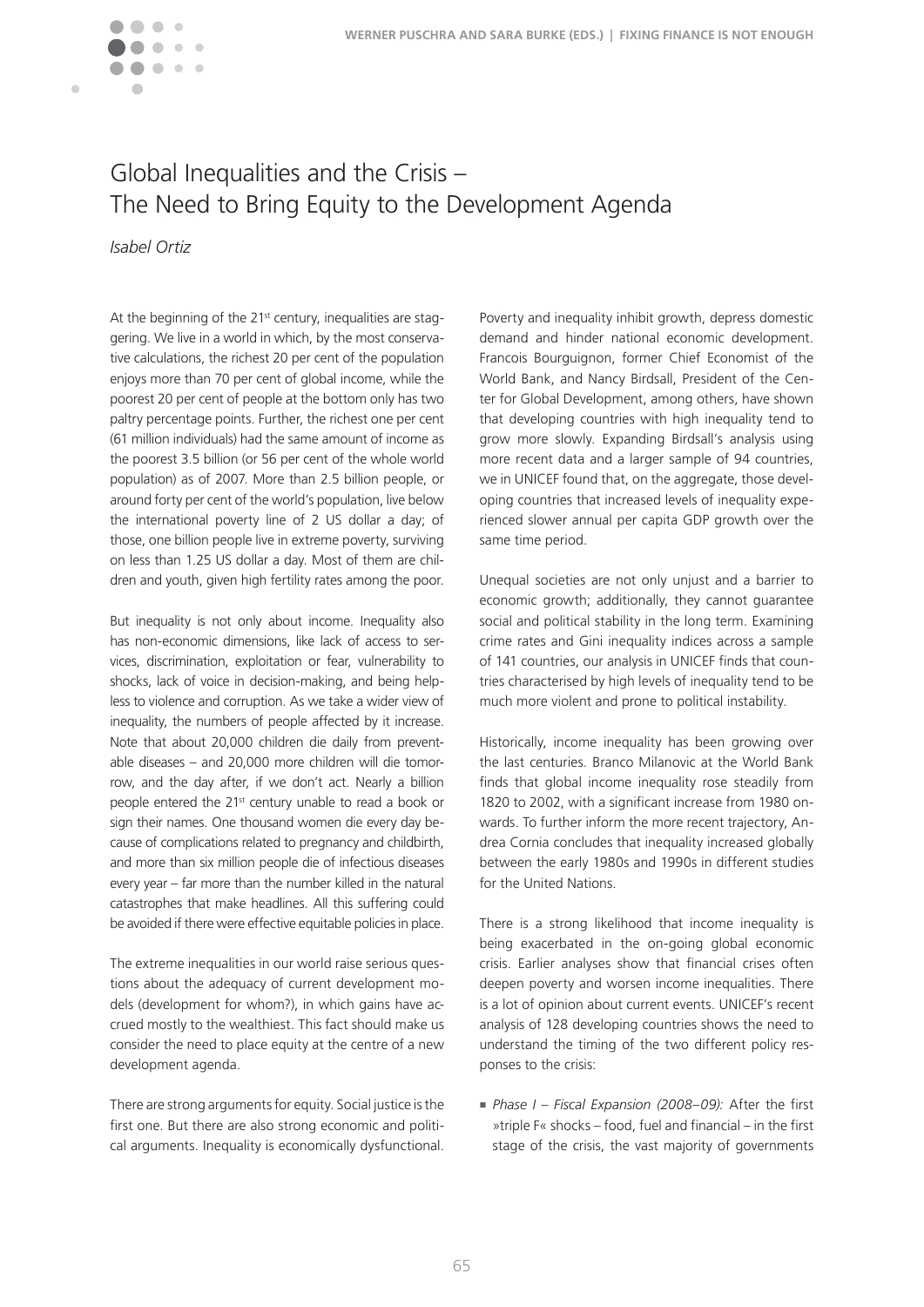

# Global Inequalities and the Crisis – The Need to Bring Equity to the Development Agenda

*Isabel Ortiz*

At the beginning of the 21<sup>st</sup> century, inequalities are staggering. We live in a world in which, by the most conservative calculations, the richest 20 per cent of the population enjoys more than 70 per cent of global income, while the poorest 20 per cent of people at the bottom only has two paltry percentage points. Further, the richest one per cent (61 million individuals) had the same amount of income as the poorest 3.5 billion (or 56 per cent of the whole world population) as of 2007. More than 2.5 billion people, or around forty per cent of the world's population, live below the international poverty line of 2 US dollar a day; of those, one billion people live in extreme poverty, surviving on less than 1.25 US dollar a day. Most of them are children and youth, given high fertility rates among the poor.

But inequality is not only about income. Inequality also has non-economic dimensions, like lack of access to services, discrimination, exploitation or fear, vulnerability to shocks, lack of voice in decision-making, and being helpless to violence and corruption. As we take a wider view of inequality, the numbers of people affected by it increase. Note that about 20,000 children die daily from preventable diseases – and 20,000 more children will die tomorrow, and the day after, if we don't act. Nearly a billion people entered the 21<sup>st</sup> century unable to read a book or sign their names. One thousand women die every day because of complications related to pregnancy and childbirth, and more than six million people die of infectious diseases every year – far more than the number killed in the natural catastrophes that make headlines. All this suffering could be avoided if there were effective equitable policies in place.

The extreme inequalities in our world raise serious questions about the adequacy of current development models (development for whom?), in which gains have accrued mostly to the wealthiest. This fact should make us consider the need to place equity at the centre of a new development agenda.

There are strong arguments for equity. Social justice is the first one. But there are also strong economic and political arguments. Inequality is economically dysfunctional.

Poverty and inequality inhibit growth, depress domestic demand and hinder national economic development. Francois Bourguignon, former Chief Economist of the World Bank, and Nancy Birdsall, President of the Center for Global Development, among others, have shown that developing countries with high inequality tend to grow more slowly. Expanding Birdsall's analysis using more recent data and a larger sample of 94 countries, we in UNICEF found that, on the aggregate, those developing countries that increased levels of inequality experienced slower annual per capita GDP growth over the same time period.

Unequal societies are not only unjust and a barrier to economic growth; additionally, they cannot guarantee social and political stability in the long term. Examining crime rates and Gini inequality indices across a sample of 141 countries, our analysis in UNICEF finds that countries characterised by high levels of inequality tend to be much more violent and prone to political instability.

Historically, income inequality has been growing over the last centuries. Branco Milanovic at the World Bank finds that global income inequality rose steadily from 1820 to 2002, with a significant increase from 1980 onwards. To further inform the more recent trajectory, Andrea Cornia concludes that inequality increased globally between the early 1980s and 1990s in different studies for the United Nations.

There is a strong likelihood that income inequality is being exacerbated in the on-going global economic crisis. Earlier analyses show that financial crises often deepen poverty and worsen income inequalities. There is a lot of opinion about current events. UNICEF's recent analysis of 128 developing countries shows the need to understand the timing of the two different policy responses to the crisis:

<sup>n</sup> *Phase I – Fiscal Expansion (2008–09):* After the first »triple F« shocks – food, fuel and financial – in the first stage of the crisis, the vast majority of governments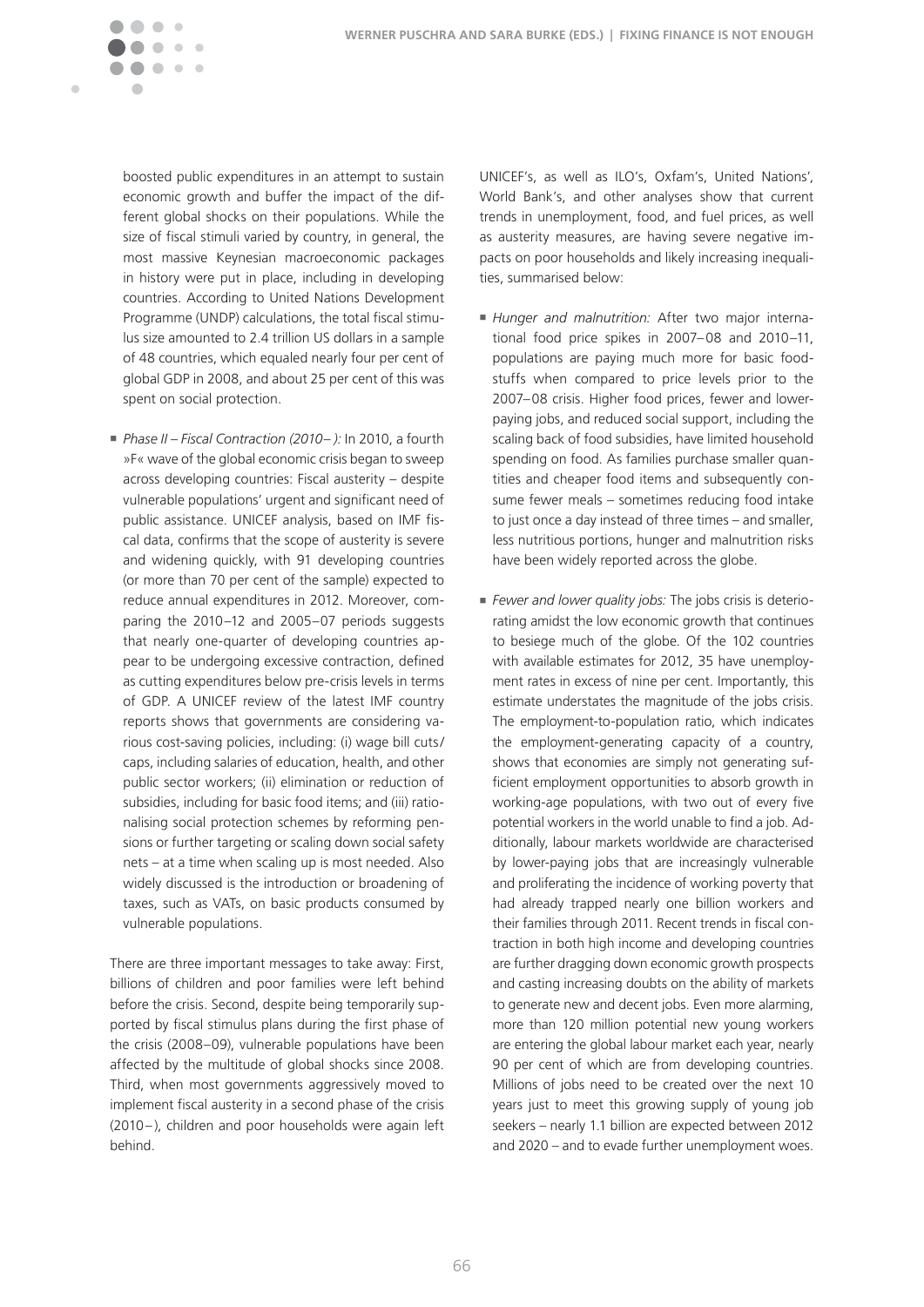

boosted public expenditures in an attempt to sustain economic growth and buffer the impact of the different global shocks on their populations. While the size of fiscal stimuli varied by country, in general, the most massive Keynesian macroeconomic packages in history were put in place, including in developing countries. According to United Nations Development Programme (UNDP) calculations, the total fiscal stimulus size amounted to 2.4 trillion US dollars in a sample of 48 countries, which equaled nearly four per cent of global GDP in 2008, and about 25 per cent of this was spent on social protection.

<sup>n</sup> *Phase II – Fiscal Contraction (2010– ):* In 2010, a fourth »F« wave of the global economic crisis began to sweep across developing countries: Fiscal austerity – despite vulnerable populations' urgent and significant need of public assistance. UNICEF analysis, based on IMF fiscal data, confirms that the scope of austerity is severe and widening quickly, with 91 developing countries (or more than 70 per cent of the sample) expected to reduce annual expenditures in 2012. Moreover, comparing the 2010–12 and 2005–07 periods suggests that nearly one-quarter of developing countries appear to be undergoing excessive contraction, defined as cutting expenditures below pre-crisis levels in terms of GDP. A UNICEF review of the latest IMF country reports shows that governments are considering various cost-saving policies, including: (i) wage bill cuts / caps, including salaries of education, health, and other public sector workers; (ii) elimination or reduction of subsidies, including for basic food items; and (iii) rationalising social protection schemes by reforming pensions or further targeting or scaling down social safety  $nets - at a time when scaling up is most needed. Also$ widely discussed is the introduction or broadening of taxes, such as VATs, on basic products consumed by vulnerable populations.

There are three important messages to take away: First, billions of children and poor families were left behind before the crisis. Second, despite being temporarily supported by fiscal stimulus plans during the first phase of the crisis (2008–09), vulnerable populations have been affected by the multitude of global shocks since 2008. Third, when most governments aggressively moved to implement fiscal austerity in a second phase of the crisis (2010 –), children and poor households were again left behind.

UNICEF's, as well as ILO's, Oxfam's, United Nations', World Bank's, and other analyses show that current trends in unemployment, food, and fuel prices, as well as austerity measures, are having severe negative impacts on poor households and likely increasing inequalities, summarised below:

- *Hunger and malnutrition:* After two major international food price spikes in 2007–08 and 2010–11, populations are paying much more for basic foodstuffs when compared to price levels prior to the 2007–08 crisis. Higher food prices, fewer and lowerpaying jobs, and reduced social support, including the scaling back of food subsidies, have limited household spending on food. As families purchase smaller quantities and cheaper food items and subsequently consume fewer meals – sometimes reducing food intake to just once a day instead of three times – and smaller, less nutritious portions, hunger and malnutrition risks have been widely reported across the globe.
- *Fewer and lower quality jobs:* The jobs crisis is deteriorating amidst the low economic growth that continues to besiege much of the globe. Of the 102 countries with available estimates for 2012, 35 have unemployment rates in excess of nine per cent. Importantly, this estimate understates the magnitude of the jobs crisis. The employment-to-population ratio, which indicates the employment-generating capacity of a country, shows that economies are simply not generating sufficient employment opportunities to absorb growth in working-age populations, with two out of every five potential workers in the world unable to find a job. Additionally, labour markets worldwide are characterised by lower-paying jobs that are increasingly vulnerable and proliferating the incidence of working poverty that had already trapped nearly one billion workers and their families through 2011. Recent trends in fiscal contraction in both high income and developing countries are further dragging down economic growth prospects and casting increasing doubts on the ability of markets to generate new and decent jobs. Even more alarming, more than 120 million potential new young workers are entering the global labour market each year, nearly 90 per cent of which are from developing countries. Millions of jobs need to be created over the next 10 years just to meet this growing supply of young job seekers – nearly 1.1 billion are expected between 2012 and  $2020$  – and to evade further unemployment woes.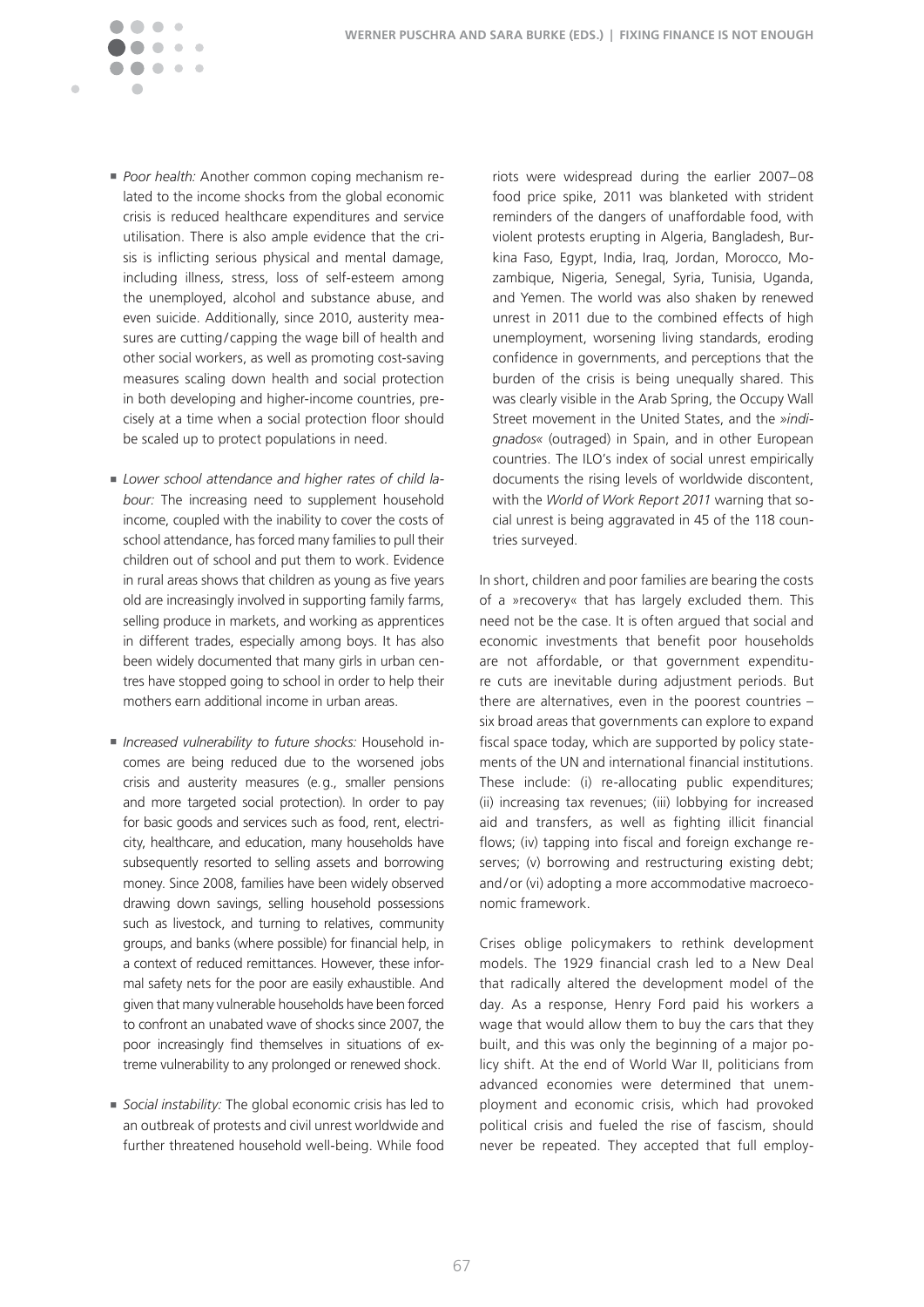**Poor health: Another common coping mechanism re**lated to the income shocks from the global economic crisis is reduced healthcare expenditures and service utilisation. There is also ample evidence that the crisis is inflicting serious physical and mental damage, including illness, stress, loss of self-esteem among the unemployed, alcohol and substance abuse, and even suicide. Additionally, since 2010, austerity measures are cutting/capping the wage bill of health and other social workers, as well as promoting cost-saving measures scaling down health and social protection in both developing and higher-income countries, precisely at a time when a social protection floor should be scaled up to protect populations in need.

 $\sim$   $\sim$ 

 $\blacksquare$ 

- **E** Lower school attendance and higher rates of child la*bour:* The increasing need to supplement household income, coupled with the inability to cover the costs of school attendance, has forced many families to pull their children out of school and put them to work. Evidence in rural areas shows that children as young as five years old are increasingly involved in supporting family farms, selling produce in markets, and working as apprentices in different trades, especially among boys. It has also been widely documented that many girls in urban centres have stopped going to school in order to help their mothers earn additional income in urban areas.
- <sup>n</sup> *Increased vulnerability to future shocks:* Household incomes are being reduced due to the worsened jobs crisis and austerity measures (e.g., smaller pensions and more targeted social protection). In order to pay for basic goods and services such as food, rent, electricity, healthcare, and education, many households have subsequently resorted to selling assets and borrowing money. Since 2008, families have been widely observed drawing down savings, selling household possessions such as livestock, and turning to relatives, community groups, and banks (where possible) for financial help, in a context of reduced remittances. However, these informal safety nets for the poor are easily exhaustible. And given that many vulnerable households have been forced to confront an unabated wave of shocks since 2007, the poor increasingly find themselves in situations of extreme vulnerability to any prolonged or renewed shock.
- **s** Social instability: The global economic crisis has led to an outbreak of protests and civil unrest worldwide and further threatened household well-being. While food

riots were widespread during the earlier 2007–08 food price spike, 2011 was blanketed with strident reminders of the dangers of unaffordable food, with violent protests erupting in Algeria, Bangladesh, Burkina Faso, Egypt, India, Iraq, Jordan, Morocco, Mozambique, Nigeria, Senegal, Syria, Tunisia, Uganda, and Yemen. The world was also shaken by renewed unrest in 2011 due to the combined effects of high unemployment, worsening living standards, eroding confidence in governments, and perceptions that the burden of the crisis is being unequally shared. This was clearly visible in the Arab Spring, the Occupy Wall Street movement in the United States, and the *»indignados«* (outraged) in Spain, and in other European countries. The ILO's index of social unrest empirically documents the rising levels of worldwide discontent, with the *World of Work Report 2011* warning that social unrest is being aggravated in 45 of the 118 countries surveyed.

In short, children and poor families are bearing the costs of a »recovery« that has largely excluded them. This need not be the case. It is often argued that social and economic investments that benefit poor households are not affordable, or that government expenditure cuts are inevitable during adjustment periods. But there are alternatives, even in the poorest countries – six broad areas that governments can explore to expand fiscal space today, which are supported by policy statements of the UN and international financial institutions. These include: (i) re-allocating public expenditures; (ii) increasing tax revenues; (iii) lobbying for increased aid and transfers, as well as fighting illicit financial flows; (iv) tapping into fiscal and foreign exchange reserves; (v) borrowing and restructuring existing debt; and/or (vi) adopting a more accommodative macroeconomic framework.

Crises oblige policymakers to rethink development models. The 1929 financial crash led to a New Deal that radically altered the development model of the day. As a response, Henry Ford paid his workers a wage that would allow them to buy the cars that they built, and this was only the beginning of a major policy shift. At the end of World War II, politicians from advanced economies were determined that unemployment and economic crisis, which had provoked political crisis and fueled the rise of fascism, should never be repeated. They accepted that full employ-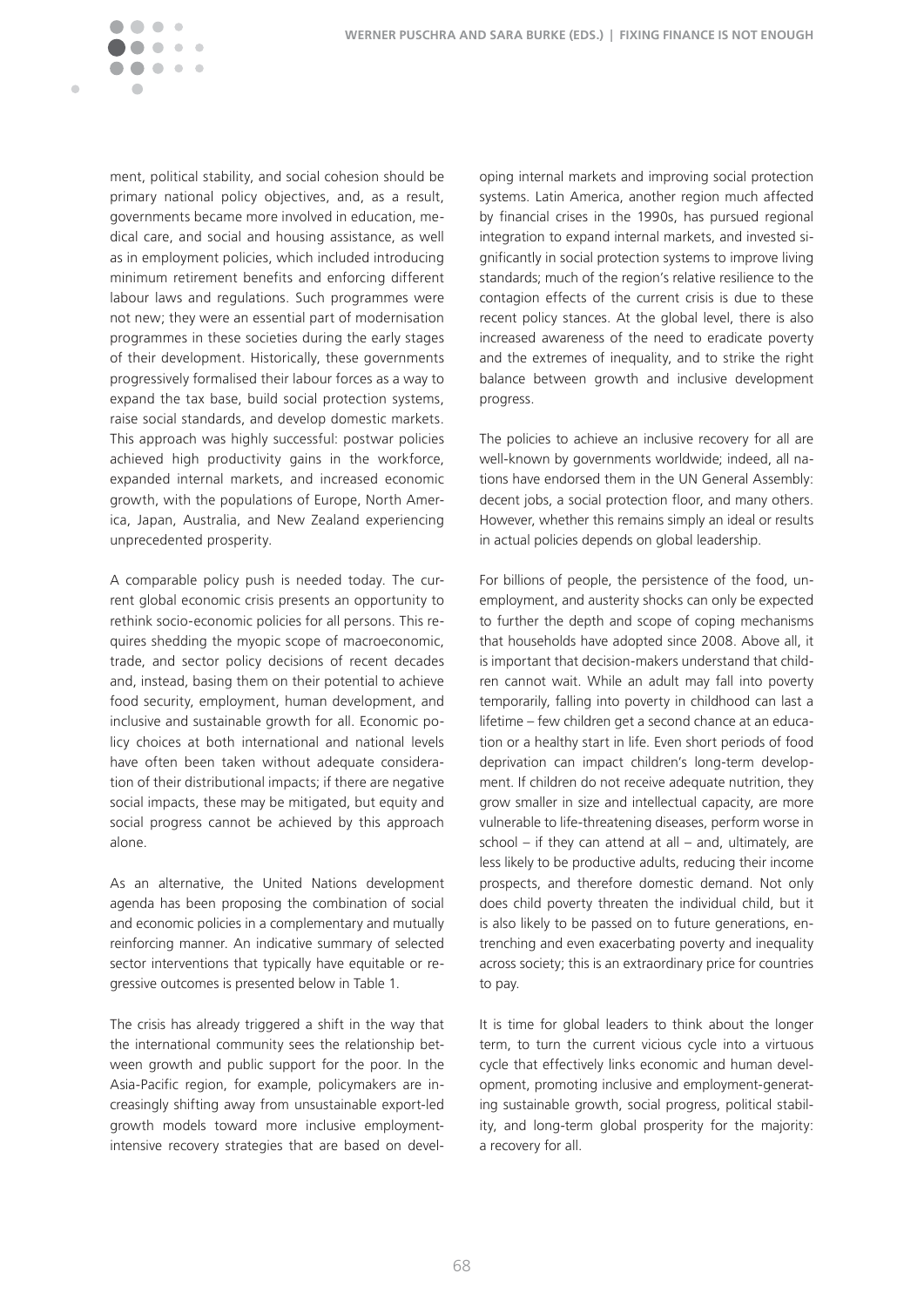

ment, political stability, and social cohesion should be primary national policy objectives, and, as a result, governments became more involved in education, medical care, and social and housing assistance, as well as in employment policies, which included introducing minimum retirement benefits and enforcing different labour laws and regulations. Such programmes were not new; they were an essential part of modernisation programmes in these societies during the early stages of their development. Historically, these governments progressively formalised their labour forces as a way to expand the tax base, build social protection systems, raise social standards, and develop domestic markets. This approach was highly successful: postwar policies achieved high productivity gains in the workforce, expanded internal markets, and increased economic growth, with the populations of Europe, North America, Japan, Australia, and New Zealand experiencing unprecedented prosperity.

A comparable policy push is needed today. The current global economic crisis presents an opportunity to rethink socio-economic policies for all persons. This requires shedding the myopic scope of macroeconomic, trade, and sector policy decisions of recent decades and, instead, basing them on their potential to achieve food security, employment, human development, and inclusive and sustainable growth for all. Economic policy choices at both international and national levels have often been taken without adequate consideration of their distributional impacts; if there are negative social impacts, these may be mitigated, but equity and social progress cannot be achieved by this approach alone�

As an alternative, the United Nations development agenda has been proposing the combination of social and economic policies in a complementary and mutually reinforcing manner. An indicative summary of selected sector interventions that typically have equitable or regressive outcomes is presented below in Table 1.

The crisis has already triggered a shift in the way that the international community sees the relationship between growth and public support for the poor. In the Asia-Pacific region, for example, policymakers are increasingly shifting away from unsustainable export-led growth models toward more inclusive employmentintensive recovery strategies that are based on developing internal markets and improving social protection systems. Latin America, another region much affected by financial crises in the 1990s, has pursued regional integration to expand internal markets, and invested significantly in social protection systems to improve living standards; much of the region's relative resilience to the contagion effects of the current crisis is due to these recent policy stances. At the global level, there is also increased awareness of the need to eradicate poverty and the extremes of inequality, and to strike the right balance between growth and inclusive development progress.

The policies to achieve an inclusive recovery for all are well-known by governments worldwide; indeed, all nations have endorsed them in the UN General Assembly: decent jobs, a social protection floor, and many others. However, whether this remains simply an ideal or results in actual policies depends on global leadership.

For billions of people, the persistence of the food, unemployment, and austerity shocks can only be expected to further the depth and scope of coping mechanisms that households have adopted since 2008. Above all, it is important that decision-makers understand that children cannot wait. While an adult may fall into poverty temporarily, falling into poverty in childhood can last a lifetime – few children get a second chance at an education or a healthy start in life. Even short periods of food deprivation can impact children's long-term development. If children do not receive adequate nutrition, they grow smaller in size and intellectual capacity, are more vulnerable to life-threatening diseases, perform worse in school – if they can attend at all – and, ultimately, are less likely to be productive adults, reducing their income prospects, and therefore domestic demand. Not only does child poverty threaten the individual child, but it is also likely to be passed on to future generations, entrenching and even exacerbating poverty and inequality across society; this is an extraordinary price for countries to pay.

It is time for global leaders to think about the longer term, to turn the current vicious cycle into a virtuous cycle that effectively links economic and human development, promoting inclusive and employment-generating sustainable growth, social progress, political stability, and long-term global prosperity for the majority: a recovery for all.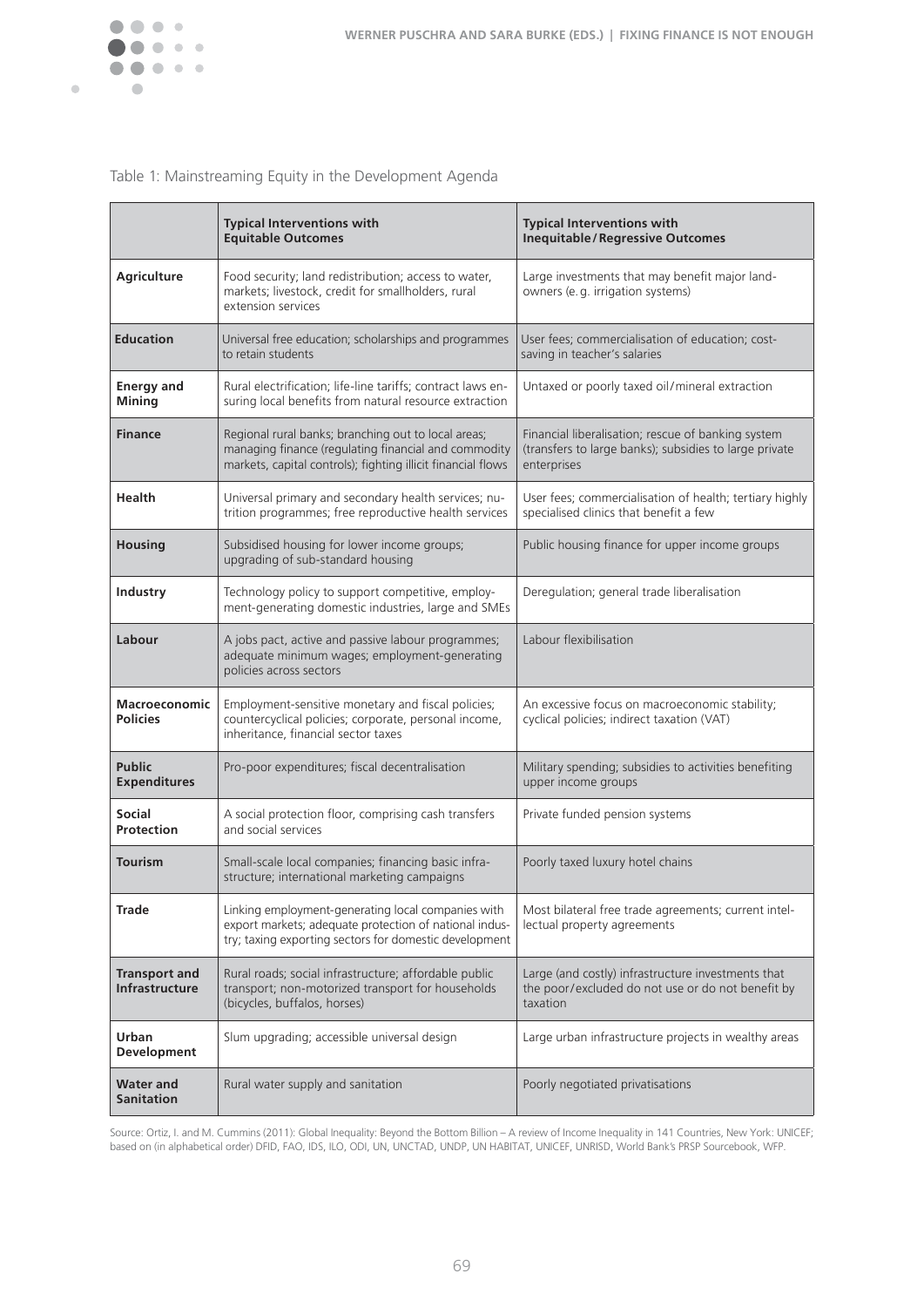

 $\bullet$ 

#### Table 1: Mainstreaming Equity in the Development Agenda

|                                         | <b>Typical Interventions with</b><br><b>Equitable Outcomes</b>                                                                                                              | <b>Typical Interventions with</b><br><b>Inequitable/Regressive Outcomes</b>                                                 |
|-----------------------------------------|-----------------------------------------------------------------------------------------------------------------------------------------------------------------------------|-----------------------------------------------------------------------------------------------------------------------------|
| <b>Agriculture</b>                      | Food security; land redistribution; access to water,<br>markets; livestock, credit for smallholders, rural<br>extension services                                            | Large investments that may benefit major land-<br>owners (e.g. irrigation systems)                                          |
| <b>Education</b>                        | Universal free education; scholarships and programmes<br>to retain students                                                                                                 | User fees; commercialisation of education; cost-<br>saving in teacher's salaries                                            |
| <b>Energy and</b><br><b>Mining</b>      | Rural electrification; life-line tariffs; contract laws en-<br>suring local benefits from natural resource extraction                                                       | Untaxed or poorly taxed oil/mineral extraction                                                                              |
| <b>Finance</b>                          | Regional rural banks; branching out to local areas;<br>managing finance (regulating financial and commodity<br>markets, capital controls); fighting illicit financial flows | Financial liberalisation; rescue of banking system<br>(transfers to large banks); subsidies to large private<br>enterprises |
| Health                                  | Universal primary and secondary health services; nu-<br>trition programmes; free reproductive health services                                                               | User fees; commercialisation of health; tertiary highly<br>specialised clinics that benefit a few                           |
| <b>Housing</b>                          | Subsidised housing for lower income groups;<br>upgrading of sub-standard housing                                                                                            | Public housing finance for upper income groups                                                                              |
| Industry                                | Technology policy to support competitive, employ-<br>ment-generating domestic industries, large and SMEs                                                                    | Deregulation; general trade liberalisation                                                                                  |
| Labour                                  | A jobs pact, active and passive labour programmes;<br>adequate minimum wages; employment-generating<br>policies across sectors                                              | Labour flexibilisation                                                                                                      |
| <b>Macroeconomic</b><br><b>Policies</b> | Employment-sensitive monetary and fiscal policies;<br>countercyclical policies; corporate, personal income,<br>inheritance, financial sector taxes                          | An excessive focus on macroeconomic stability;<br>cyclical policies; indirect taxation (VAT)                                |
| <b>Public</b><br><b>Expenditures</b>    | Pro-poor expenditures; fiscal decentralisation                                                                                                                              | Military spending; subsidies to activities benefiting<br>upper income groups                                                |
| <b>Social</b><br>Protection             | A social protection floor, comprising cash transfers<br>and social services                                                                                                 | Private funded pension systems                                                                                              |
| <b>Tourism</b>                          | Small-scale local companies; financing basic infra-<br>structure; international marketing campaigns                                                                         | Poorly taxed luxury hotel chains                                                                                            |
| Trade                                   | Linking employment-generating local companies with<br>export markets; adequate protection of national indus-<br>try; taxing exporting sectors for domestic development      | Most bilateral free trade agreements; current intel-<br>lectual property agreements                                         |
| <b>Transport and</b><br>Infrastructure  | Rural roads; social infrastructure; affordable public<br>transport; non-motorized transport for households<br>(bicycles, buffalos, horses)                                  | Large (and costly) infrastructure investments that<br>the poor/excluded do not use or do not benefit by<br>taxation         |
| Urban<br>Development                    | Slum upgrading; accessible universal design                                                                                                                                 | Large urban infrastructure projects in wealthy areas                                                                        |
| <b>Water and</b><br><b>Sanitation</b>   | Rural water supply and sanitation                                                                                                                                           | Poorly negotiated privatisations                                                                                            |

Source: Ortiz, I. and M. Cummins (2011): Global Inequality: Beyond the Bottom Billion – A review of Income Inequality in 141 Countries, New York: UNICEF; based on (in alphabetical order) DFID, FAO, IDS, ILO, ODI, UN, UNCTAD, UNDP, UN HABITAT, UNICEF, UNRISD, World Bank's PRSP Sourcebook, WFP.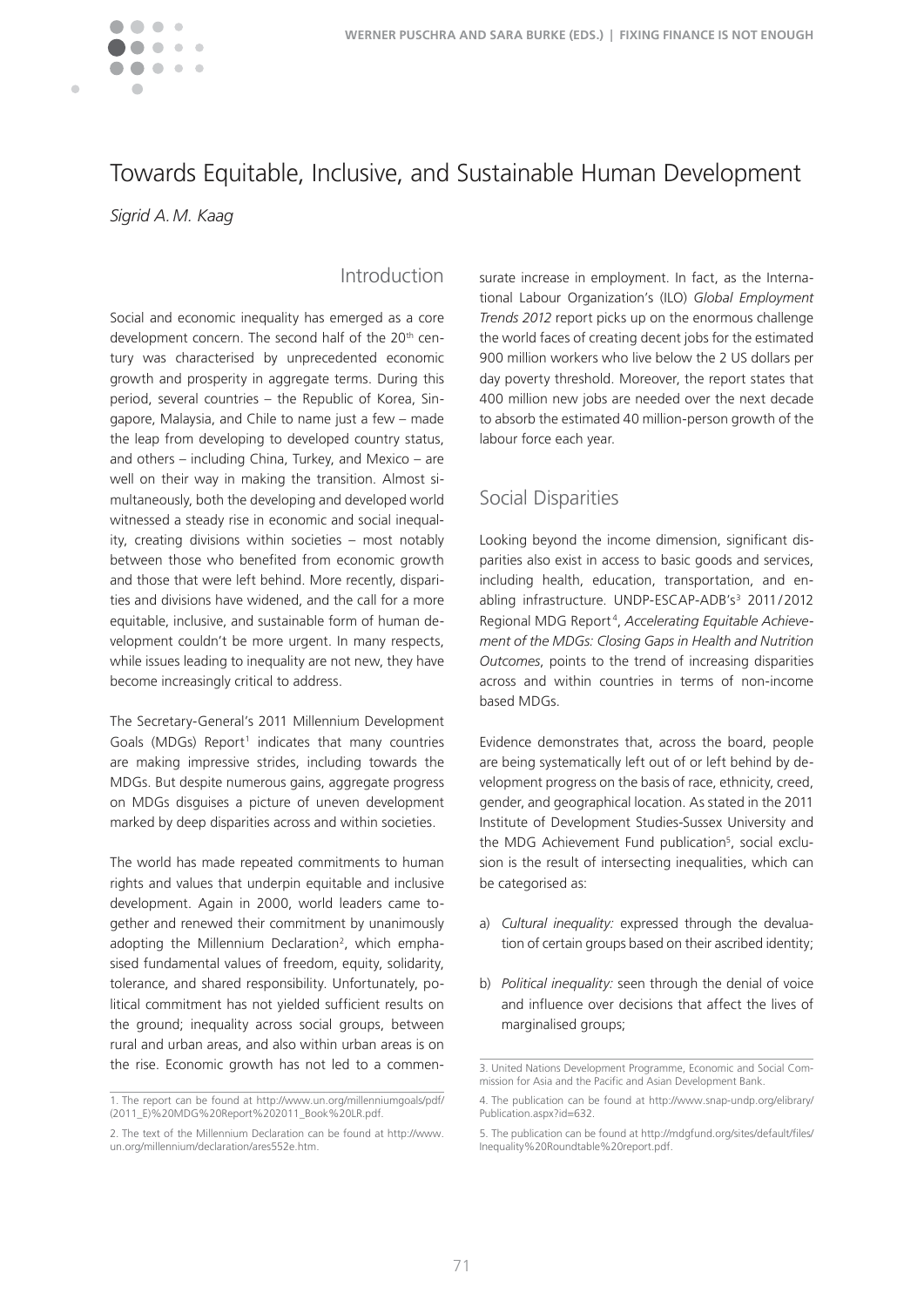

# Towards Equitable, Inclusive, and Sustainable Human Development

*Sigrid A. M. Kaag*

### Introduction

Social and economic inequality has emerged as a core development concern. The second half of the 20<sup>th</sup> century was characterised by unprecedented economic growth and prosperity in aggregate terms. During this period, several countries – the Republic of Korea, Singapore, Malaysia, and Chile to name just a few – made the leap from developing to developed country status, and others – including China, Turkey, and Mexico – are well on their way in making the transition. Almost simultaneously, both the developing and developed world witnessed a steady rise in economic and social inequality, creating divisions within societies – most notably between those who benefited from economic growth and those that were left behind. More recently, disparities and divisions have widened, and the call for a more equitable, inclusive, and sustainable form of human development couldn't be more urgent. In many respects, while issues leading to inequality are not new, they have become increasingly critical to address.

The Secretary-General's 2011 Millennium Development Goals (MDGs) Report<sup>1</sup> indicates that many countries are making impressive strides, including towards the MDGs. But despite numerous gains, aggregate progress on MDGs disguises a picture of uneven development marked by deep disparities across and within societies.

The world has made repeated commitments to human rights and values that underpin equitable and inclusive development. Again in 2000, world leaders came together and renewed their commitment by unanimously adopting the Millennium Declaration<sup>2</sup>, which emphasised fundamental values of freedom, equity, solidarity, tolerance, and shared responsibility. Unfortunately, political commitment has not yielded sufficient results on the ground; inequality across social groups, between rural and urban areas, and also within urban areas is on the rise. Economic growth has not led to a commen-

surate increase in employment. In fact, as the International Labour Organization's (ILO) *Global Employment Trends 2012* report picks up on the enormous challenge the world faces of creating decent jobs for the estimated 900 million workers who live below the 2 US dollars per day poverty threshold. Moreover, the report states that 400 million new jobs are needed over the next decade to absorb the estimated 40 million-person growth of the labour force each year.

## Social Disparities

Looking beyond the income dimension, significant disparities also exist in access to basic goods and services, including health, education, transportation, and enabling infrastructure. UNDP-ESCAP-ADB's<sup>3</sup> 2011/2012 Regional MDG Report <sup>4</sup> , *Accelerating Equitable Achievement of the MDGs: Closing Gaps in Health and Nutrition Outcomes*, points to the trend of increasing disparities across and within countries in terms of non-income based MDGs.

Evidence demonstrates that, across the board, people are being systematically left out of or left behind by development progress on the basis of race, ethnicity, creed, gender, and geographical location. As stated in the 2011 Institute of Development Studies-Sussex University and the MDG Achievement Fund publication<sup>5</sup>, social exclusion is the result of intersecting inequalities, which can be categorised as:

- a) *Cultural inequality:* expressed through the devaluation of certain groups based on their ascribed identity;
- b) *Political inequality:* seen through the denial of voice and influence over decisions that affect the lives of marginalised groups;

<sup>1.</sup> The report can be found at http://www.un.org/millenniumgoals/pdf/ (2011\_E)%20MDG%20Report%202011\_Book%20LR.pdf.

<sup>2.</sup> The text of the Millennium Declaration can be found at http://www. un.org/millennium/declaration/ares552e.htm.

<sup>3.</sup> United Nations Development Programme, Economic and Social Commission for Asia and the Pacific and Asian Development Bank.

<sup>4.</sup> The publication can be found at http://www.snap-undp.org/elibrary/ Publication.aspx?id=632

<sup>5.</sup> The publication can be found at http://mdgfund.org/sites/default/files/ Inequality%20Roundtable%20report.pdf.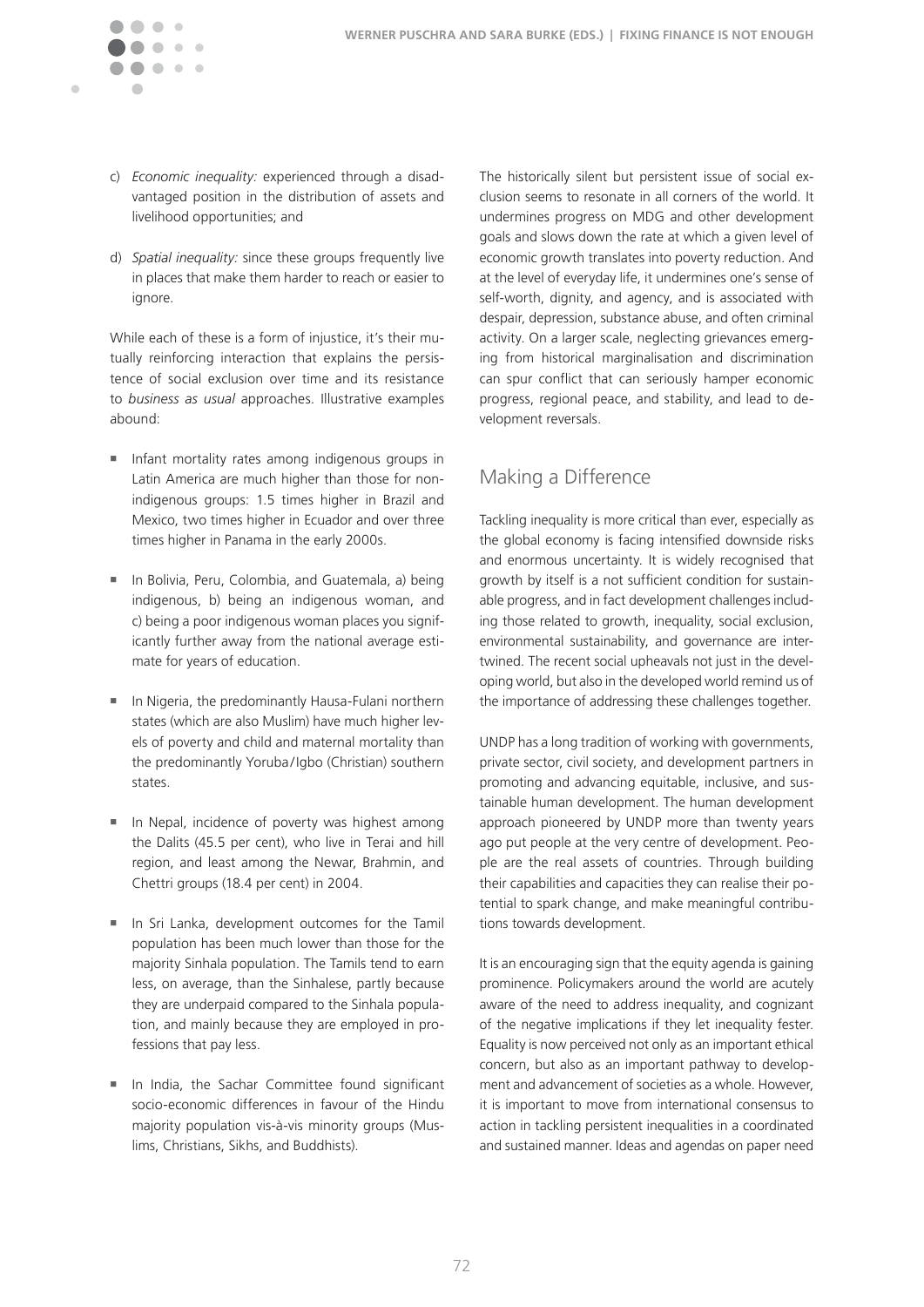c) *Economic inequality:* experienced through a disadvantaged position in the distribution of assets and livelihood opportunities; and

Ċ

d) *Spatial inequality:* since these groups frequently live in places that make them harder to reach or easier to ignore.

While each of these is a form of injustice, it's their mutually reinforcing interaction that explains the persistence of social exclusion over time and its resistance to business as usual approaches. Illustrative examples abound:

- n Infant mortality rates among indigenous groups in Latin America are much higher than those for nonindigenous groups: 1.5 times higher in Brazil and Mexico, two times higher in Ecuador and over three times higher in Panama in the early 2000s.
- <sup>n</sup> In Bolivia, Peru, Colombia, and Guatemala, a) being indigenous, b) being an indigenous woman, and c) being a poor indigenous woman places you significantly further away from the national average estimate for years of education.
- <sup>n</sup> In Nigeria, the predominantly Hausa-Fulani northern states (which are also Muslim) have much higher levels of poverty and child and maternal mortality than the predominantly Yoruba/Igbo (Christian) southern states.
- In Nepal, incidence of poverty was highest among the Dalits (45.5 per cent), who live in Terai and hill region, and least among the Newar, Brahmin, and Chettri groups (18.4 per cent) in 2004.
- <sup>n</sup> In Sri Lanka, development outcomes for the Tamil population has been much lower than those for the majority Sinhala population. The Tamils tend to earn less, on average, than the Sinhalese, partly because they are underpaid compared to the Sinhala population, and mainly because they are employed in professions that pay less.
- <sup>n</sup> In India, the Sachar Committee found significant socio-economic differences in favour of the Hindu majority population vis-à-vis minority groups (Muslims, Christians, Sikhs, and Buddhists).

The historically silent but persistent issue of social exclusion seems to resonate in all corners of the world. It undermines progress on MDG and other development goals and slows down the rate at which a given level of economic growth translates into poverty reduction. And at the level of everyday life, it undermines one's sense of self-worth, dignity, and agency, and is associated with despair, depression, substance abuse, and often criminal activity. On a larger scale, neglecting grievances emerging from historical marginalisation and discrimination can spur conflict that can seriously hamper economic progress, regional peace, and stability, and lead to development reversals.

# Making a Difference

Tackling inequality is more critical than ever, especially as the global economy is facing intensified downside risks and enormous uncertainty. It is widely recognised that growth by itself is a not sufficient condition for sustainable progress, and in fact development challenges including those related to growth, inequality, social exclusion, environmental sustainability, and governance are intertwined. The recent social upheavals not just in the developing world, but also in the developed world remind us of the importance of addressing these challenges together.

UNDP has a long tradition of working with governments, private sector, civil society, and development partners in promoting and advancing equitable, inclusive, and sustainable human development. The human development approach pioneered by UNDP more than twenty years ago put people at the very centre of development. People are the real assets of countries. Through building their capabilities and capacities they can realise their potential to spark change, and make meaningful contributions towards development.

It is an encouraging sign that the equity agenda is gaining prominence. Policymakers around the world are acutely aware of the need to address inequality, and cognizant of the negative implications if they let inequality fester. Equality is now perceived not only as an important ethical concern, but also as an important pathway to development and advancement of societies as a whole. However, it is important to move from international consensus to action in tackling persistent inequalities in a coordinated and sustained manner. Ideas and agendas on paper need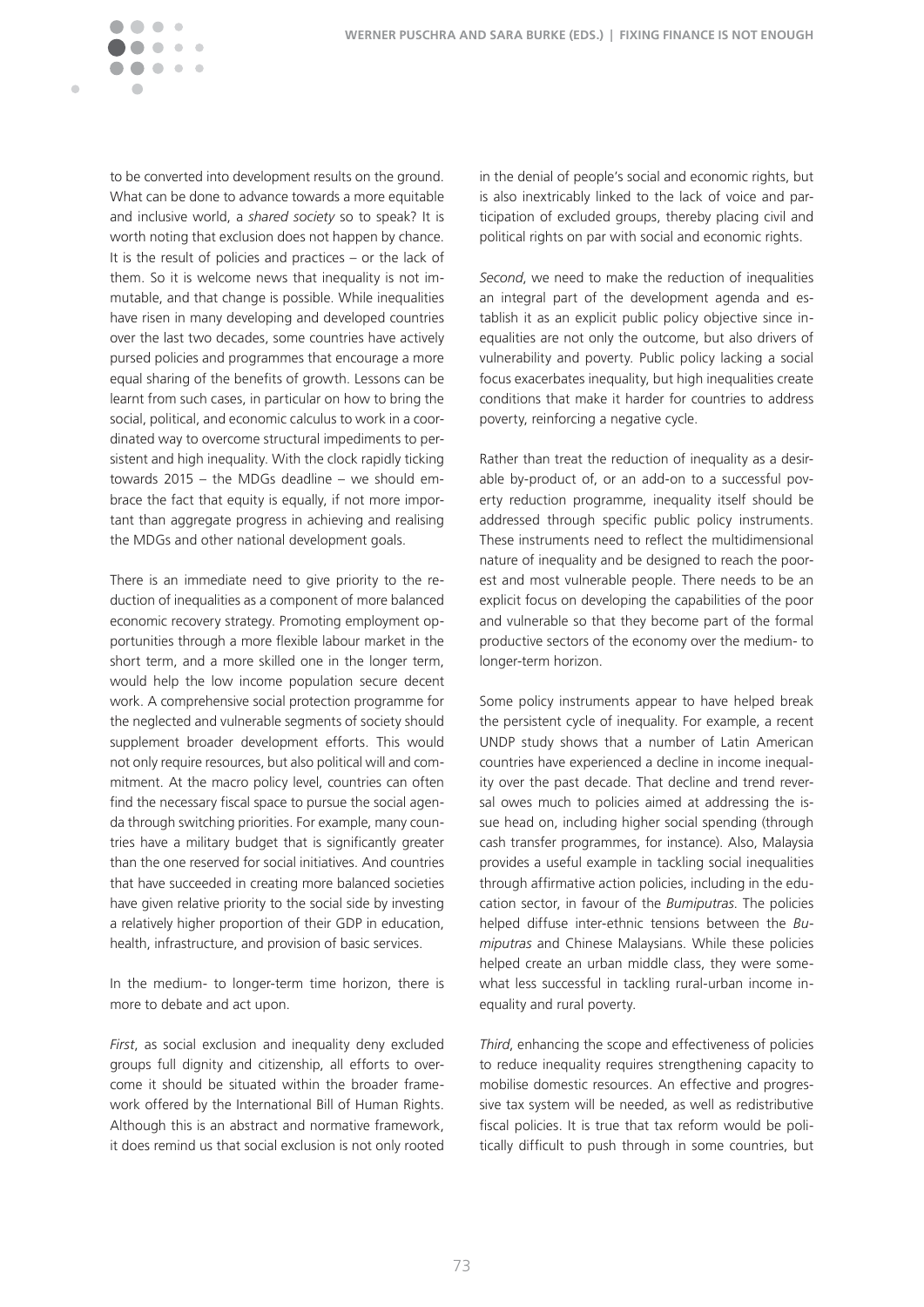Ċ

to be converted into development results on the ground. What can be done to advance towards a more equitable and inclusive world, a *shared society* so to speak? It is worth noting that exclusion does not happen by chance. It is the result of policies and practices – or the lack of them. So it is welcome news that inequality is not immutable, and that change is possible. While inequalities have risen in many developing and developed countries over the last two decades, some countries have actively pursed policies and programmes that encourage a more equal sharing of the benefits of growth. Lessons can be learnt from such cases, in particular on how to bring the social, political, and economic calculus to work in a coordinated way to overcome structural impediments to persistent and high inequality. With the clock rapidly ticking towards 2015 – the MDGs deadline – we should embrace the fact that equity is equally, if not more important than aggregate progress in achieving and realising the MDGs and other national development goals.

There is an immediate need to give priority to the reduction of inequalities as a component of more balanced economic recovery strategy. Promoting employment opportunities through a more flexible labour market in the short term, and a more skilled one in the longer term, would help the low income population secure decent work. A comprehensive social protection programme for the neglected and vulnerable segments of society should supplement broader development efforts. This would not only require resources, but also political will and commitment. At the macro policy level, countries can often find the necessary fiscal space to pursue the social agenda through switching priorities. For example, many countries have a military budget that is significantly greater than the one reserved for social initiatives. And countries that have succeeded in creating more balanced societies have given relative priority to the social side by investing a relatively higher proportion of their GDP in education, health, infrastructure, and provision of basic services.

In the medium- to longer-term time horizon, there is more to debate and act upon.

*First*, as social exclusion and inequality deny excluded groups full dignity and citizenship, all efforts to overcome it should be situated within the broader framework offered by the International Bill of Human Rights. Although this is an abstract and normative framework, it does remind us that social exclusion is not only rooted in the denial of people's social and economic rights, but is also inextricably linked to the lack of voice and participation of excluded groups, thereby placing civil and political rights on par with social and economic rights.

*Second*, we need to make the reduction of inequalities an integral part of the development agenda and establish it as an explicit public policy objective since inequalities are not only the outcome, but also drivers of vulnerability and poverty. Public policy lacking a social focus exacerbates inequality, but high inequalities create conditions that make it harder for countries to address poverty, reinforcing a negative cycle.

Rather than treat the reduction of inequality as a desirable by-product of, or an add-on to a successful poverty reduction programme, inequality itself should be addressed through specific public policy instruments. These instruments need to reflect the multidimensional nature of inequality and be designed to reach the poorest and most vulnerable people. There needs to be an explicit focus on developing the capabilities of the poor and vulnerable so that they become part of the formal productive sectors of the economy over the medium- to longer-term horizon.

Some policy instruments appear to have helped break the persistent cycle of inequality. For example, a recent UNDP study shows that a number of Latin American countries have experienced a decline in income inequality over the past decade. That decline and trend reversal owes much to policies aimed at addressing the issue head on, including higher social spending (through cash transfer programmes, for instance). Also, Malaysia provides a useful example in tackling social inequalities through affirmative action policies, including in the education sector, in favour of the *Bumiputras*. The policies helped diffuse inter-ethnic tensions between the *Bumiputras* and Chinese Malaysians. While these policies helped create an urban middle class, they were somewhat less successful in tackling rural-urban income inequality and rural poverty.

*Third*, enhancing the scope and effectiveness of policies to reduce inequality requires strengthening capacity to mobilise domestic resources. An effective and progressive tax system will be needed, as well as redistributive fiscal policies. It is true that tax reform would be politically difficult to push through in some countries, but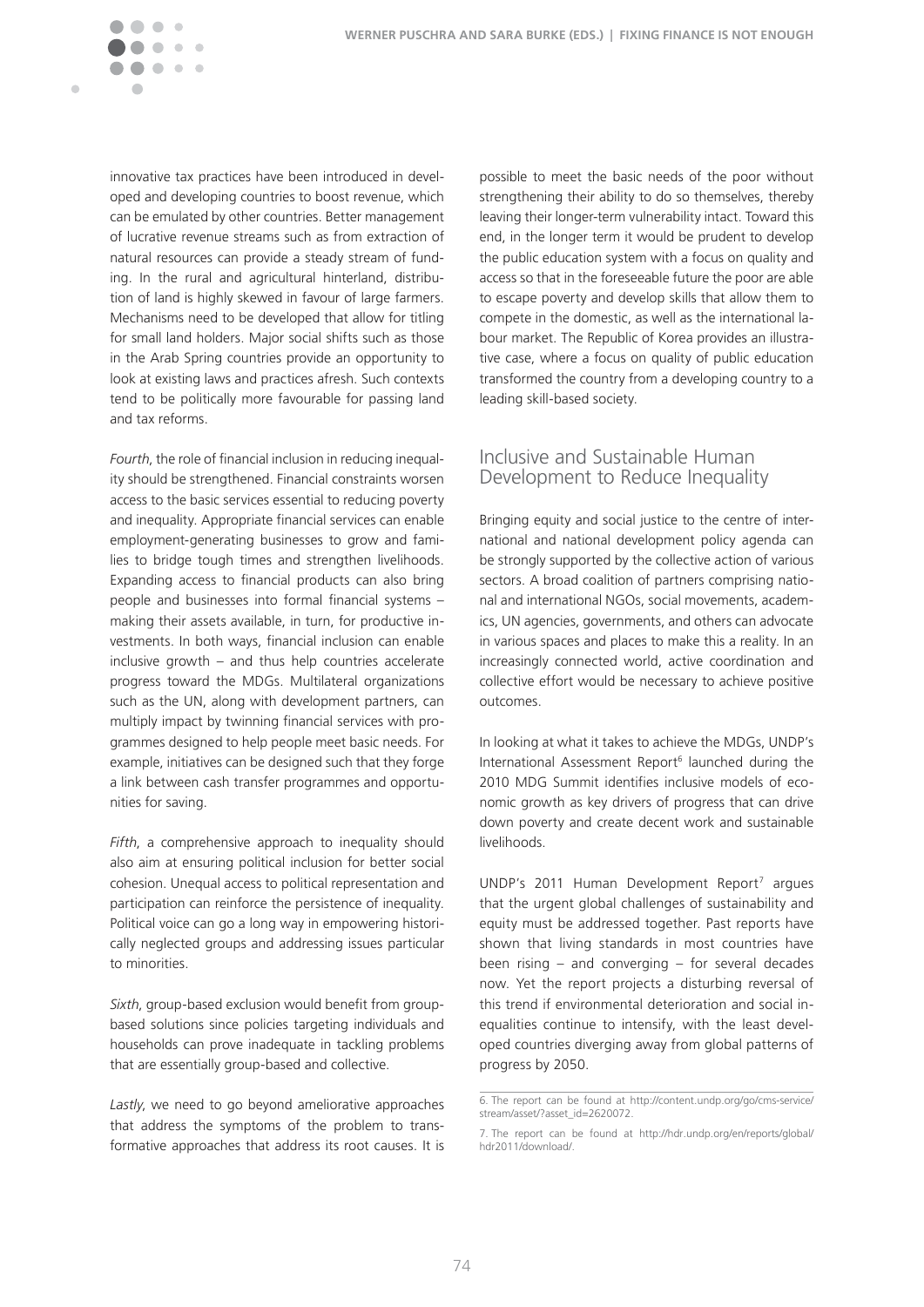

innovative tax practices have been introduced in developed and developing countries to boost revenue, which can be emulated by other countries. Better management of lucrative revenue streams such as from extraction of natural resources can provide a steady stream of funding. In the rural and agricultural hinterland, distribution of land is highly skewed in favour of large farmers. Mechanisms need to be developed that allow for titling for small land holders. Major social shifts such as those in the Arab Spring countries provide an opportunity to look at existing laws and practices afresh. Such contexts tend to be politically more favourable for passing land and tax reforms.

*Fourth*, the role of financial inclusion in reducing inequality should be strengthened. Financial constraints worsen access to the basic services essential to reducing poverty and inequality. Appropriate financial services can enable employment-generating businesses to grow and families to bridge tough times and strengthen livelihoods. Expanding access to financial products can also bring people and businesses into formal financial systems – making their assets available, in turn, for productive investments. In both ways, financial inclusion can enable inclusive growth – and thus help countries accelerate progress toward the MDGs. Multilateral organizations such as the UN, along with development partners, can multiply impact by twinning financial services with programmes designed to help people meet basic needs. For example, initiatives can be designed such that they forge a link between cash transfer programmes and opportunities for saving.

*Fifth*, a comprehensive approach to inequality should also aim at ensuring political inclusion for better social cohesion. Unequal access to political representation and participation can reinforce the persistence of inequality. Political voice can go a long way in empowering historically neglected groups and addressing issues particular to minorities�

*Sixth*, group-based exclusion would benefit from groupbased solutions since policies targeting individuals and households can prove inadequate in tackling problems that are essentially group-based and collective.

*Lastly*, we need to go beyond ameliorative approaches that address the symptoms of the problem to transformative approaches that address its root causes. It is

possible to meet the basic needs of the poor without strengthening their ability to do so themselves, thereby leaving their longer-term vulnerability intact. Toward this end, in the longer term it would be prudent to develop the public education system with a focus on quality and access so that in the foreseeable future the poor are able to escape poverty and develop skills that allow them to compete in the domestic, as well as the international labour market. The Republic of Korea provides an illustrative case, where a focus on quality of public education transformed the country from a developing country to a leading skill-based society.

### Inclusive and Sustainable Human Development to Reduce Inequality

Bringing equity and social justice to the centre of international and national development policy agenda can be strongly supported by the collective action of various sectors. A broad coalition of partners comprising national and international NGOs, social movements, academics, UN agencies, governments, and others can advocate in various spaces and places to make this a reality. In an increasingly connected world, active coordination and collective effort would be necessary to achieve positive outcomes.

In looking at what it takes to achieve the MDGs, UNDP's International Assessment Report<sup>6</sup> launched during the 2010 MDG Summit identifies inclusive models of economic growth as key drivers of progress that can drive down poverty and create decent work and sustainable livelihoods�

UNDP's 2011 Human Development Report<sup>7</sup> argues that the urgent global challenges of sustainability and equity must be addressed together. Past reports have shown that living standards in most countries have been rising – and converging – for several decades now. Yet the report projects a disturbing reversal of this trend if environmental deterioration and social inequalities continue to intensify, with the least developed countries diverging away from global patterns of progress by 2050.

<sup>6.</sup> The report can be found at http://content.undp.org/go/cms-service/ stream/asset/?asset\_id=2620072.

<sup>7.</sup> The report can be found at http://hdr.undp.org/en/reports/global/ hdr2011/download/�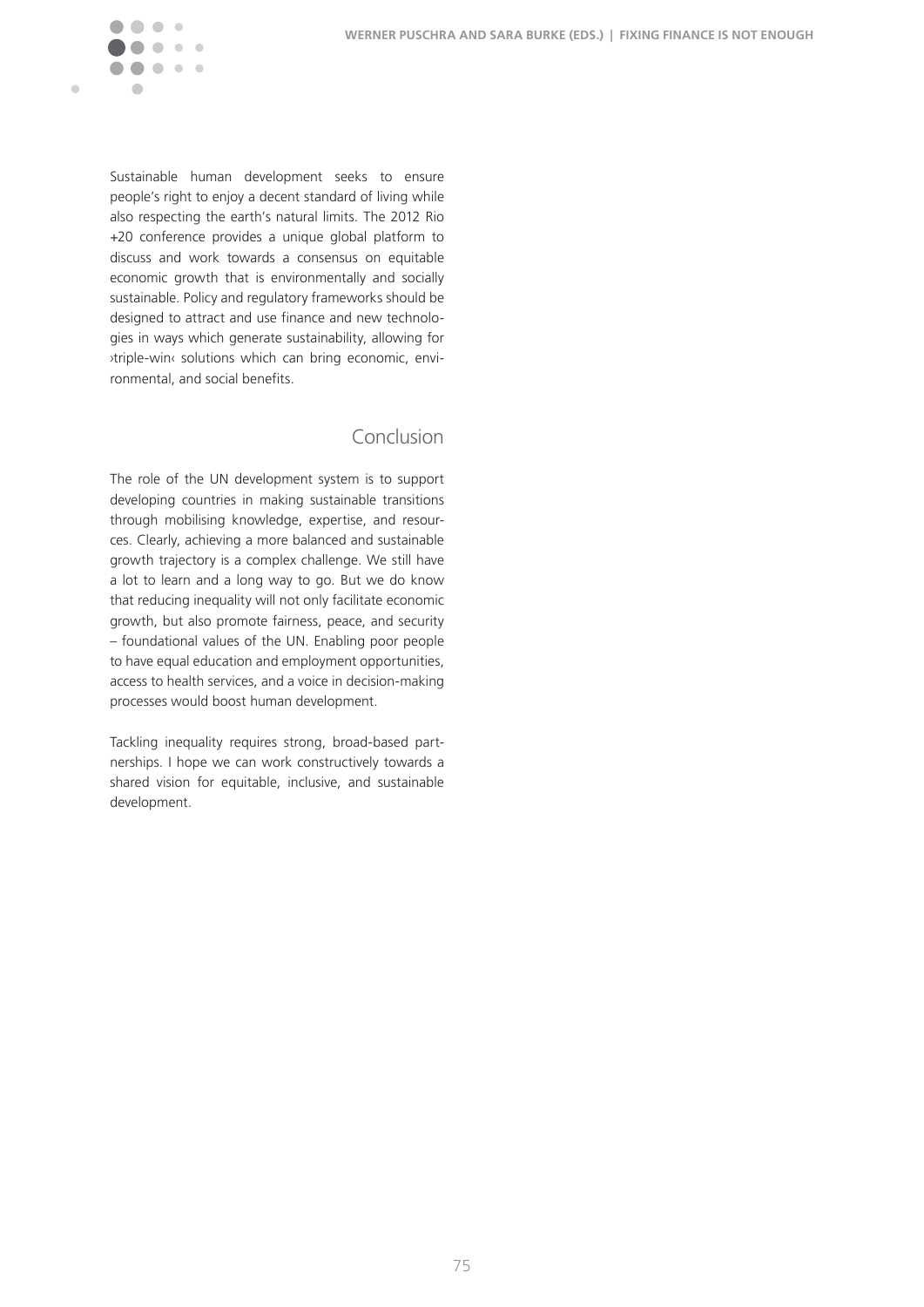

Sustainable human development seeks to ensure people's right to enjoy a decent standard of living while also respecting the earth's natural limits. The 2012 Rio +20 conference provides a unique global platform to discuss and work towards a consensus on equitable economic growth that is environmentally and socially sustainable. Policy and regulatory frameworks should be designed to attract and use finance and new technologies in ways which generate sustainability, allowing for ›triple-win‹ solutions which can bring economic, environmental, and social benefits.

## Conclusion

The role of the UN development system is to support developing countries in making sustainable transitions through mobilising knowledge, expertise, and resources. Clearly, achieving a more balanced and sustainable growth trajectory is a complex challenge. We still have a lot to learn and a long way to go. But we do know that reducing inequality will not only facilitate economic growth, but also promote fairness, peace, and security  $-$  foundational values of the UN. Enabling poor people to have equal education and employment opportunities, access to health services, and a voice in decision-making processes would boost human development.

Tackling inequality requires strong, broad-based partnerships. I hope we can work constructively towards a shared vision for equitable, inclusive, and sustainable development.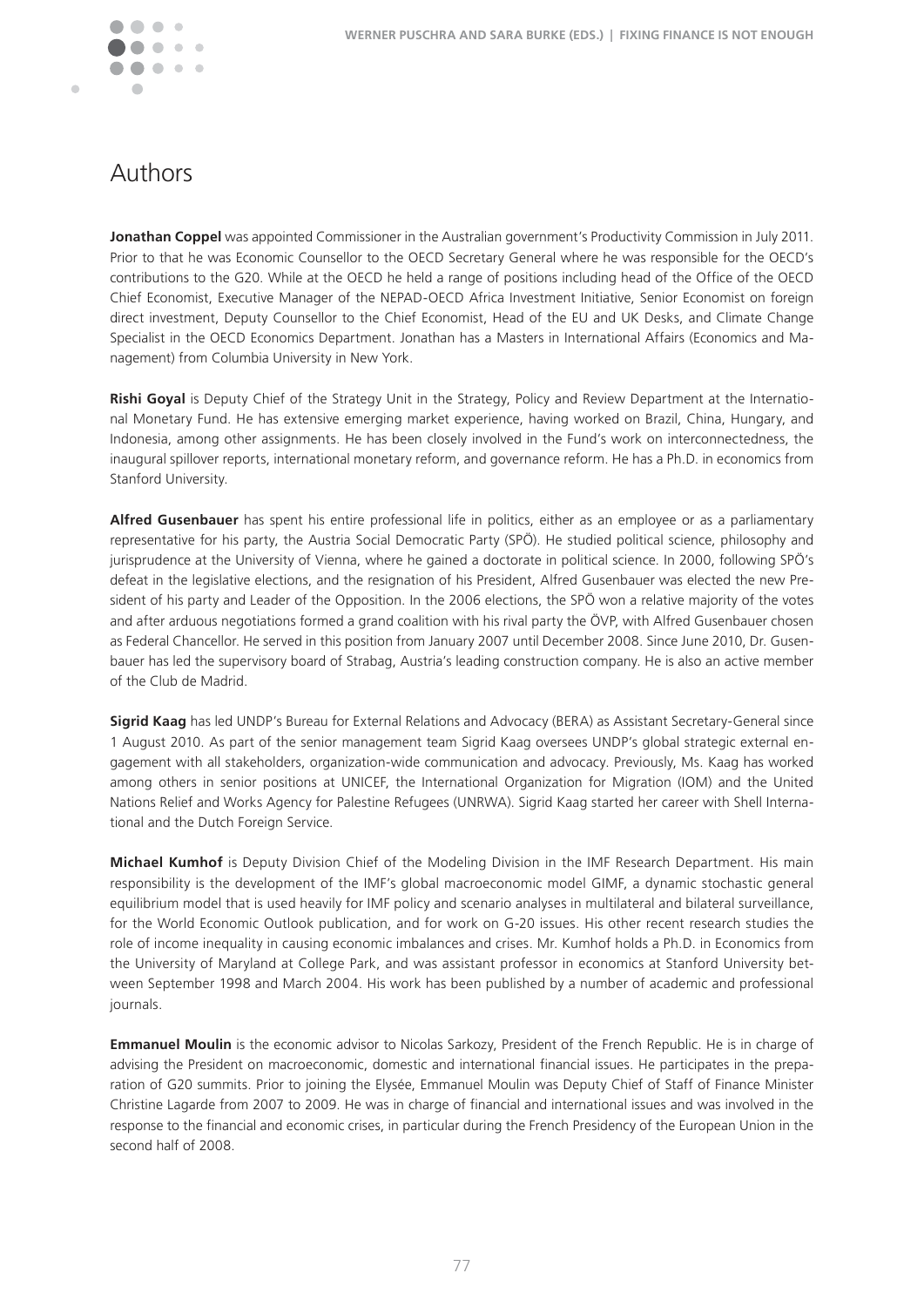Ċ

# Authors

Jonathan Coppel was appointed Commissioner in the Australian government's Productivity Commission in July 2011. Prior to that he was Economic Counsellor to the OECD Secretary General where he was responsible for the OECD's contributions to the G20. While at the OECD he held a range of positions including head of the Office of the OECD Chief Economist, Executive Manager of the NEPAD-OECD Africa Investment Initiative, Senior Economist on foreign direct investment, Deputy Counsellor to the Chief Economist, Head of the EU and UK Desks, and Climate Change Specialist in the OECD Economics Department. Jonathan has a Masters in International Affairs (Economics and Management) from Columbia University in New York.

**Rishi Goyal** is Deputy Chief of the Strategy Unit in the Strategy, Policy and Review Department at the International Monetary Fund. He has extensive emerging market experience, having worked on Brazil, China, Hungary, and Indonesia, among other assignments. He has been closely involved in the Fund's work on interconnectedness, the inaugural spillover reports, international monetary reform, and governance reform. He has a Ph.D. in economics from Stanford University.

**Alfred Gusenbauer** has spent his entire professional life in politics, either as an employee or as a parliamentary representative for his party, the Austria Social Democratic Party (SPÖ). He studied political science, philosophy and jurisprudence at the University of Vienna, where he gained a doctorate in political science. In 2000, following SPÖ's defeat in the legislative elections, and the resignation of his President, Alfred Gusenbauer was elected the new President of his party and Leader of the Opposition. In the 2006 elections, the SPÖ won a relative majority of the votes and after arduous negotiations formed a grand coalition with his rival party the ÖVP, with Alfred Gusenbauer chosen as Federal Chancellor. He served in this position from January 2007 until December 2008. Since June 2010, Dr. Gusenbauer has led the supervisory board of Strabag, Austria's leading construction company. He is also an active member of the Club de Madrid.

**Sigrid Kaag** has led UNDP's Bureau for External Relations and Advocacy (BERA) as Assistant Secretary-General since 1 August 2010. As part of the senior management team Sigrid Kaag oversees UNDP's global strategic external engagement with all stakeholders, organization-wide communication and advocacy. Previously, Ms. Kaag has worked among others in senior positions at UNICEF, the International Organization for Migration (IOM) and the United Nations Relief and Works Agency for Palestine Refugees (UNRWA). Sigrid Kaag started her career with Shell International and the Dutch Foreign Service.

**Michael Kumhof** is Deputy Division Chief of the Modeling Division in the IMF Research Department. His main responsibility is the development of the IMF's global macroeconomic model GIMF, a dynamic stochastic general equilibrium model that is used heavily for IMF policy and scenario analyses in multilateral and bilateral surveillance, for the World Economic Outlook publication, and for work on G-20 issues. His other recent research studies the role of income inequality in causing economic imbalances and crises. Mr. Kumhof holds a Ph.D. in Economics from the University of Maryland at College Park, and was assistant professor in economics at Stanford University between September 1998 and March 2004. His work has been published by a number of academic and professional journals.

**Emmanuel Moulin** is the economic advisor to Nicolas Sarkozy, President of the French Republic. He is in charge of advising the President on macroeconomic, domestic and international financial issues. He participates in the preparation of G20 summits. Prior to joining the Elysée, Emmanuel Moulin was Deputy Chief of Staff of Finance Minister Christine Lagarde from 2007 to 2009. He was in charge of financial and international issues and was involved in the response to the financial and economic crises, in particular during the French Presidency of the European Union in the second half of 2008.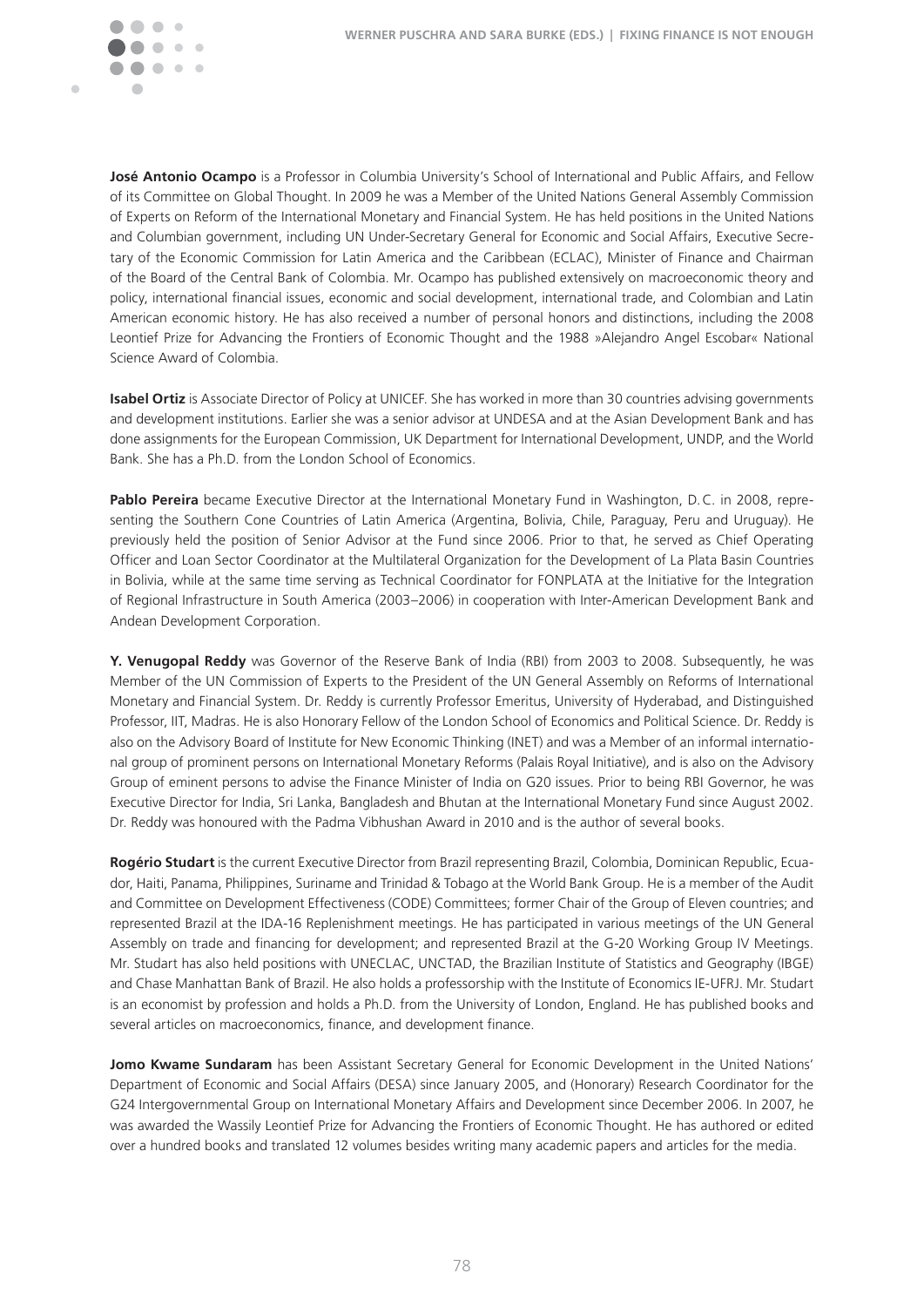

**José Antonio Ocampo** is a Professor in Columbia University's School of International and Public Affairs, and Fellow of its Committee on Global Thought. In 2009 he was a Member of the United Nations General Assembly Commission of Experts on Reform of the International Monetary and Financial System. He has held positions in the United Nations and Columbian government, including UN Under-Secretary General for Economic and Social Affairs, Executive Secretary of the Economic Commission for Latin America and the Caribbean (ECLAC), Minister of Finance and Chairman of the Board of the Central Bank of Colombia. Mr. Ocampo has published extensively on macroeconomic theory and policy, international financial issues, economic and social development, international trade, and Colombian and Latin American economic history. He has also received a number of personal honors and distinctions, including the 2008 Leontief Prize for Advancing the Frontiers of Economic Thought and the 1988 »Alejandro Angel Escobar« National Science Award of Colombia.

**Isabel Ortiz** is Associate Director of Policy at UNICEF. She has worked in more than 30 countries advising governments and development institutions. Earlier she was a senior advisor at UNDESA and at the Asian Development Bank and has done assignments for the European Commission, UK Department for International Development, UNDP, and the World Bank. She has a Ph.D. from the London School of Economics.

Pablo Pereira became Executive Director at the International Monetary Fund in Washington, D.C. in 2008, representing the Southern Cone Countries of Latin America (Argentina, Bolivia, Chile, Paraguay, Peru and Uruguay). He previously held the position of Senior Advisor at the Fund since 2006. Prior to that, he served as Chief Operating Officer and Loan Sector Coordinator at the Multilateral Organization for the Development of La Plata Basin Countries in Bolivia, while at the same time serving as Technical Coordinator for FONPLATA at the Initiative for the Integration of Regional Infrastructure in South America (2003–2006) in cooperation with Inter-American Development Bank and Andean Development Corporation.

Y. Venugopal Reddy was Governor of the Reserve Bank of India (RBI) from 2003 to 2008. Subsequently, he was Member of the UN Commission of Experts to the President of the UN General Assembly on Reforms of International Monetary and Financial System. Dr. Reddy is currently Professor Emeritus, University of Hyderabad, and Distinguished Professor, IIT, Madras. He is also Honorary Fellow of the London School of Economics and Political Science. Dr. Reddy is also on the Advisory Board of Institute for New Economic Thinking (INET) and was a Member of an informal international group of prominent persons on International Monetary Reforms (Palais Royal Initiative), and is also on the Advisory Group of eminent persons to advise the Finance Minister of India on G20 issues. Prior to being RBI Governor, he was Executive Director for India, Sri Lanka, Bangladesh and Bhutan at the International Monetary Fund since August 2002. Dr. Reddy was honoured with the Padma Vibhushan Award in 2010 and is the author of several books.

**Rogério Studart** is the current Executive Director from Brazil representing Brazil, Colombia, Dominican Republic, Ecuador, Haiti, Panama, Philippines, Suriname and Trinidad & Tobago at the World Bank Group. He is a member of the Audit and Committee on Development Effectiveness (CODE) Committees; former Chair of the Group of Eleven countries; and represented Brazil at the IDA-16 Replenishment meetings. He has participated in various meetings of the UN General Assembly on trade and financing for development; and represented Brazil at the G-20 Working Group IV Meetings. Mr. Studart has also held positions with UNECLAC, UNCTAD, the Brazilian Institute of Statistics and Geography (IBGE) and Chase Manhattan Bank of Brazil. He also holds a professorship with the Institute of Economics IE-UFRJ. Mr. Studart is an economist by profession and holds a Ph.D. from the University of London, England. He has published books and several articles on macroeconomics, finance, and development finance.

**Jomo Kwame Sundaram** has been Assistant Secretary General for Economic Development in the United Nations' Department of Economic and Social Affairs (DESA) since January 2005, and (Honorary) Research Coordinator for the G24 Intergovernmental Group on International Monetary Affairs and Development since December 2006. In 2007, he was awarded the Wassily Leontief Prize for Advancing the Frontiers of Economic Thought. He has authored or edited over a hundred books and translated 12 volumes besides writing many academic papers and articles for the media.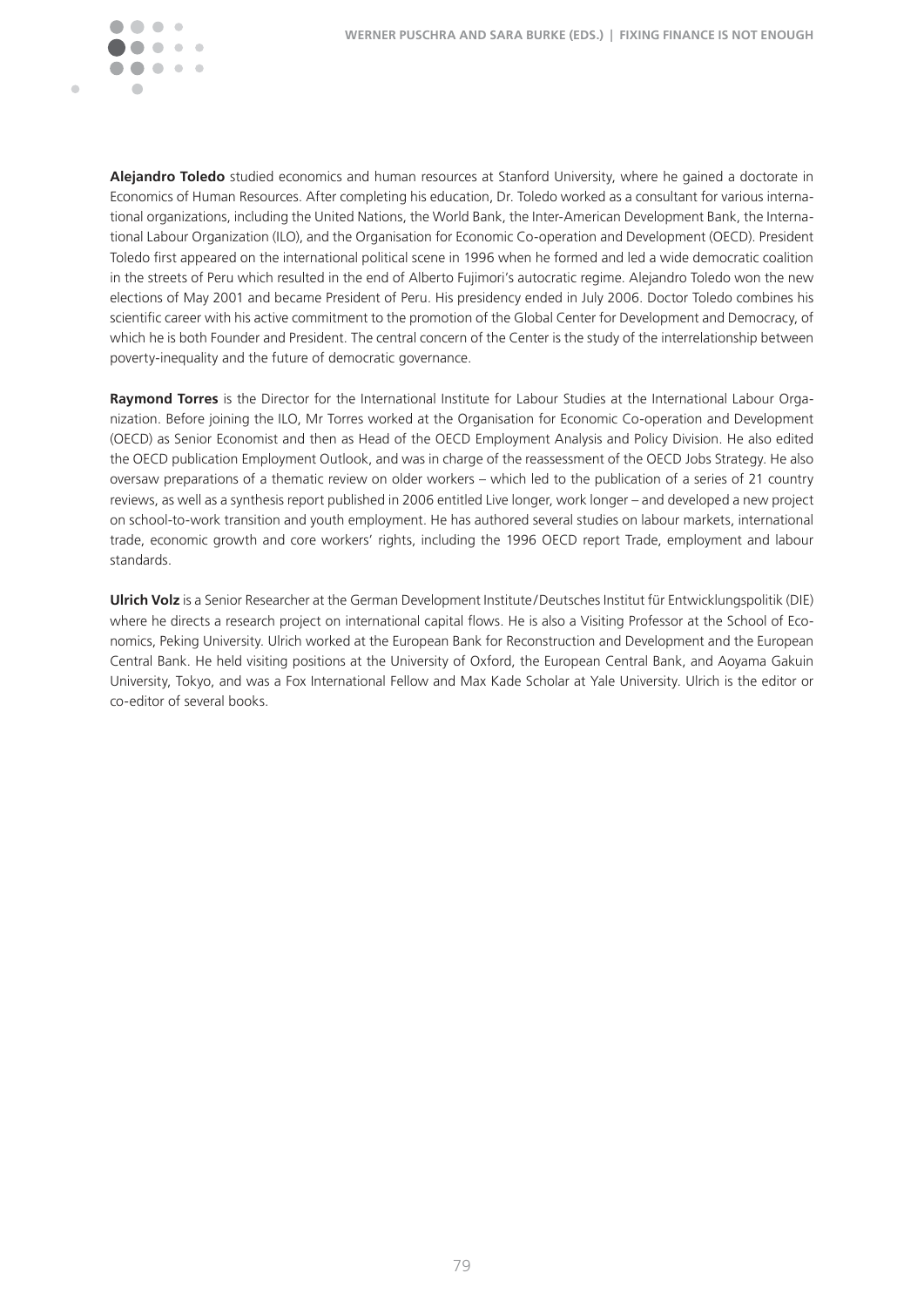

**Alejandro Toledo** studied economics and human resources at Stanford University, where he gained a doctorate in Economics of Human Resources. After completing his education, Dr. Toledo worked as a consultant for various international organizations, including the United Nations, the World Bank, the Inter-American Development Bank, the International Labour Organization (ILO), and the Organisation for Economic Co-operation and Development (OECD). President Toledo first appeared on the international political scene in 1996 when he formed and led a wide democratic coalition in the streets of Peru which resulted in the end of Alberto Fujimori's autocratic regime. Alejandro Toledo won the new elections of May 2001 and became President of Peru. His presidency ended in July 2006. Doctor Toledo combines his scientific career with his active commitment to the promotion of the Global Center for Development and Democracy, of which he is both Founder and President. The central concern of the Center is the study of the interrelationship between poverty-inequality and the future of democratic governance.

**Raymond Torres** is the Director for the International Institute for Labour Studies at the International Labour Organization. Before joining the ILO, Mr Torres worked at the Organisation for Economic Co-operation and Development (OECD) as Senior Economist and then as Head of the OECD Employment Analysis and Policy Division. He also edited the OECD publication Employment Outlook, and was in charge of the reassessment of the OECD Jobs Strategy. He also oversaw preparations of a thematic review on older workers – which led to the publication of a series of 21 country reviews, as well as a synthesis report published in 2006 entitled Live longer, work longer – and developed a new project on school-to-work transition and youth employment. He has authored several studies on labour markets, international trade, economic growth and core workers' rights, including the 1996 OECD report Trade, employment and labour standards.

**Ulrich Volz** is a Senior Researcher at the German Development Institute / Deutsches Institut für Entwicklungspolitik (DIE) where he directs a research project on international capital flows. He is also a Visiting Professor at the School of Economics, Peking University. Ulrich worked at the European Bank for Reconstruction and Development and the European Central Bank. He held visiting positions at the University of Oxford, the European Central Bank, and Aoyama Gakuin University, Tokyo, and was a Fox International Fellow and Max Kade Scholar at Yale University. Ulrich is the editor or co-editor of several books.